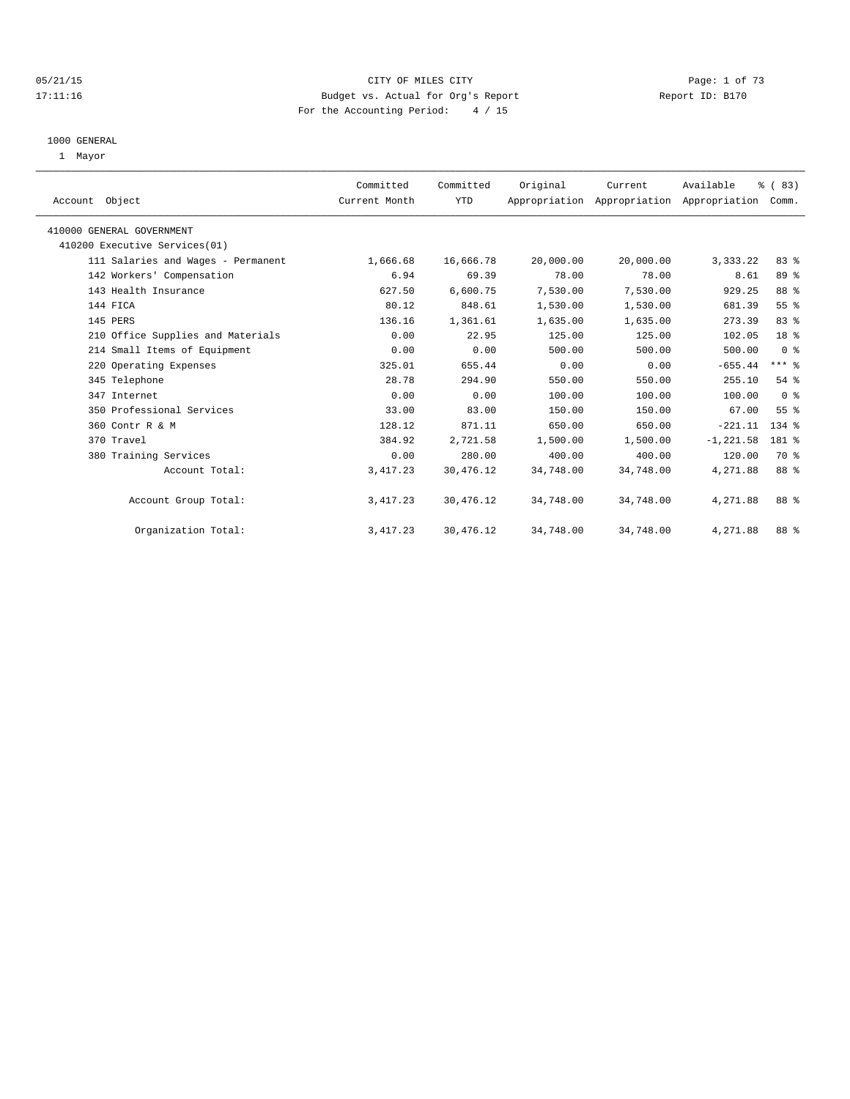## 05/21/15 CITY OF MILES CITY Page: 1 of 73 17:11:16 Budget vs. Actual for Org's Report Report ID: B170 For the Accounting Period: 4 / 15

#### 1000 GENERAL

1 Mayor

| Account Object                     | Committed<br>Current Month | Committed<br>YTD | Original  | Current   | Available<br>Appropriation Appropriation Appropriation | % (83)<br>Comm. |  |
|------------------------------------|----------------------------|------------------|-----------|-----------|--------------------------------------------------------|-----------------|--|
| 410000 GENERAL GOVERNMENT          |                            |                  |           |           |                                                        |                 |  |
| 410200 Executive Services(01)      |                            |                  |           |           |                                                        |                 |  |
| 111 Salaries and Wages - Permanent | 1,666.68                   | 16,666.78        | 20,000.00 | 20,000.00 | 3,333.22                                               | 83%             |  |
| 142 Workers' Compensation          | 6.94                       | 69.39            | 78.00     | 78.00     | 8.61                                                   | 89 %            |  |
| 143 Health Insurance               | 627.50                     | 6,600.75         | 7,530.00  | 7,530.00  | 929.25                                                 | 88 %            |  |
| 144 FICA                           | 80.12                      | 848.61           | 1,530.00  | 1,530.00  | 681.39                                                 | 55 <sup>8</sup> |  |
| 145 PERS                           | 136.16                     | 1,361.61         | 1,635.00  | 1,635.00  | 273.39                                                 | 83 %            |  |
| 210 Office Supplies and Materials  | 0.00                       | 22.95            | 125.00    | 125.00    | 102.05                                                 | 18 %            |  |
| 214 Small Items of Equipment       | 0.00                       | 0.00             | 500.00    | 500.00    | 500.00                                                 | 0 <sup>8</sup>  |  |
| 220 Operating Expenses             | 325.01                     | 655.44           | 0.00      | 0.00      | $-655.44$                                              | $***$ $-$       |  |
| 345 Telephone                      | 28.78                      | 294.90           | 550.00    | 550.00    | 255.10                                                 | 54%             |  |
| 347 Internet                       | 0.00                       | 0.00             | 100.00    | 100.00    | 100.00                                                 | 0 <sup>8</sup>  |  |
| 350 Professional Services          | 33.00                      | 83.00            | 150.00    | 150.00    | 67.00                                                  | 55%             |  |
| 360 Contr R & M                    | 128.12                     | 871.11           | 650.00    | 650.00    | $-221.11$                                              | $134$ $%$       |  |
| 370 Travel                         | 384.92                     | 2,721.58         | 1,500.00  | 1,500.00  | $-1, 221.58$                                           | 181 %           |  |
| 380 Training Services              | 0.00                       | 280.00           | 400.00    | 400.00    | 120.00                                                 | 70 %            |  |
| Account Total:                     | 3, 417.23                  | 30,476.12        | 34,748.00 | 34,748.00 | 4,271.88                                               | 88 %            |  |
| Account Group Total:               | 3, 417.23                  | 30,476.12        | 34,748.00 | 34,748.00 | 4,271.88                                               | 88 %            |  |
| Organization Total:                | 3, 417.23                  | 30,476.12        | 34,748.00 | 34,748.00 | 4,271.88                                               | 88 %            |  |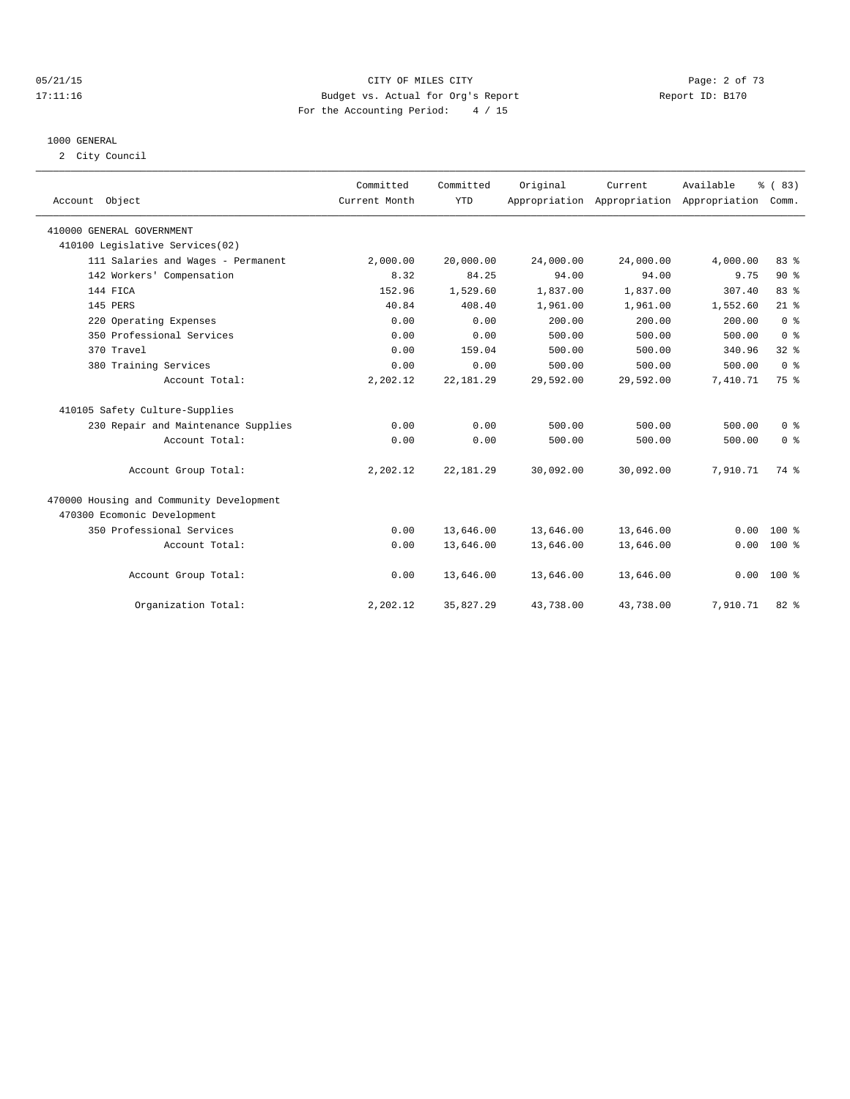## 05/21/15 CITY OF MILES CITY Page: 2 of 73 17:11:16 Budget vs. Actual for Org's Report Report ID: B170 For the Accounting Period: 4 / 15

#### 1000 GENERAL

2 City Council

| Account Object                           | Committed<br>Current Month | Committed<br><b>YTD</b> | Original  | Current   | Available<br>Appropriation Appropriation Appropriation | % (83)<br>Comm. |  |
|------------------------------------------|----------------------------|-------------------------|-----------|-----------|--------------------------------------------------------|-----------------|--|
| 410000 GENERAL GOVERNMENT                |                            |                         |           |           |                                                        |                 |  |
| 410100 Legislative Services(02)          |                            |                         |           |           |                                                        |                 |  |
| 111 Salaries and Wages - Permanent       | 2,000.00                   | 20,000.00               | 24,000.00 | 24,000.00 | 4,000.00                                               | 83%             |  |
| 142 Workers' Compensation                | 8.32                       | 84.25                   | 94.00     | 94.00     | 9.75                                                   | $90*$           |  |
| 144 FICA                                 | 152.96                     | 1,529.60                | 1,837.00  | 1,837.00  | 307.40                                                 | 83%             |  |
| 145 PERS                                 | 40.84                      | 408.40                  | 1,961.00  | 1,961.00  | 1,552.60                                               | $21$ %          |  |
| 220 Operating Expenses                   | 0.00                       | 0.00                    | 200.00    | 200.00    | 200.00                                                 | 0 <sup>8</sup>  |  |
| 350 Professional Services                | 0.00                       | 0.00                    | 500.00    | 500.00    | 500.00                                                 | 0 <sup>8</sup>  |  |
| 370 Travel                               | 0.00                       | 159.04                  | 500.00    | 500.00    | 340.96                                                 | 32 <sup>8</sup> |  |
| 380 Training Services                    | 0.00                       | 0.00                    | 500.00    | 500.00    | 500.00                                                 | 0 <sup>8</sup>  |  |
| Account Total:                           | 2,202.12                   | 22, 181.29              | 29,592.00 | 29,592.00 | 7,410.71                                               | 75 %            |  |
| 410105 Safety Culture-Supplies           |                            |                         |           |           |                                                        |                 |  |
| 230 Repair and Maintenance Supplies      | 0.00                       | 0.00                    | 500.00    | 500.00    | 500.00                                                 | 0 <sup>8</sup>  |  |
| Account Total:                           | 0.00                       | 0.00                    | 500.00    | 500.00    | 500.00                                                 | 0 <sup>8</sup>  |  |
| Account Group Total:                     | 2,202.12                   | 22, 181.29              | 30,092.00 | 30,092.00 | 7,910.71                                               | 74 %            |  |
| 470000 Housing and Community Development |                            |                         |           |           |                                                        |                 |  |
| 470300 Ecomonic Development              |                            |                         |           |           |                                                        |                 |  |
| 350 Professional Services                | 0.00                       | 13,646.00               | 13,646.00 | 13,646.00 | 0.00                                                   | $100*$          |  |
| Account Total:                           | 0.00                       | 13,646.00               | 13,646.00 | 13,646.00 | 0.00                                                   | $100*$          |  |
| Account Group Total:                     | 0.00                       | 13,646.00               | 13,646.00 | 13,646.00 |                                                        | $0.00 100$ %    |  |
| Organization Total:                      | 2,202.12                   | 35,827.29               | 43,738.00 | 43,738.00 | 7,910.71                                               | 82 %            |  |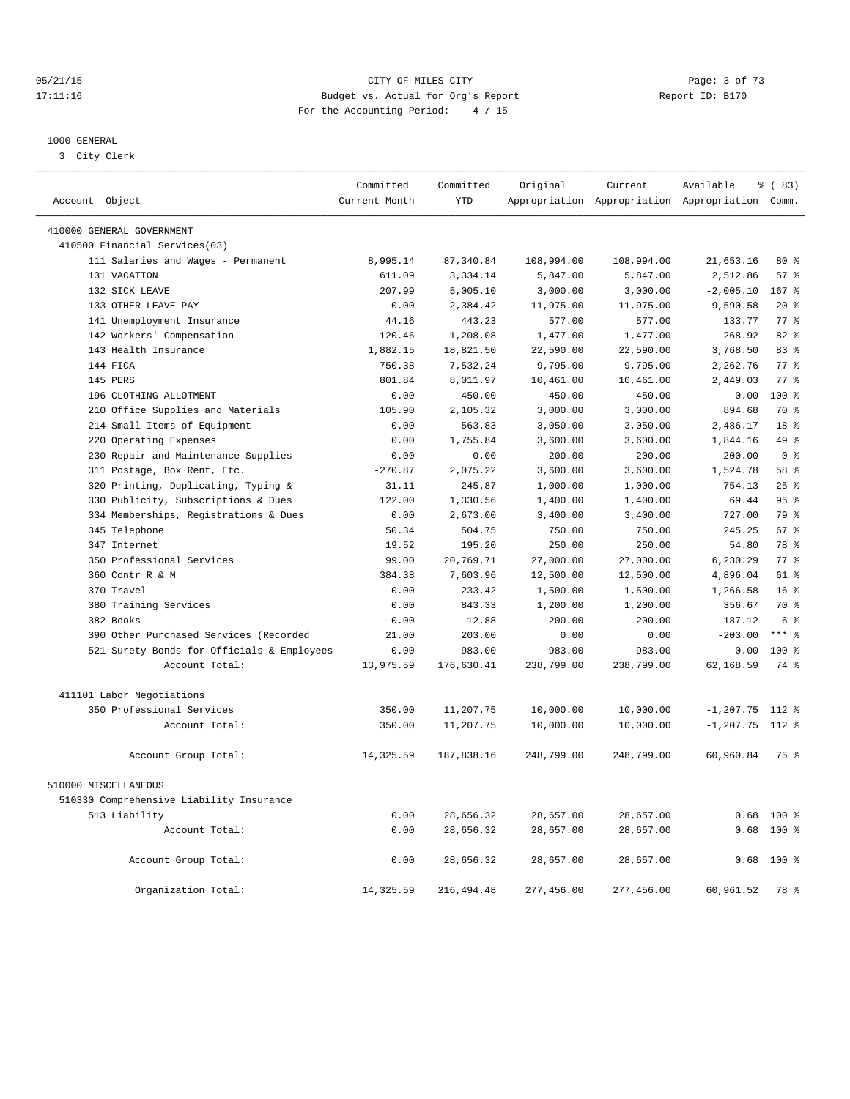## 05/21/15 CITY OF MILES CITY Page: 3 of 73 17:11:16 Budget vs. Actual for Org's Report Changer Report ID: B170 For the Accounting Period: 4 / 15

————————————————————————————————————————————————————————————————————————————————————————————————————————————————————————————————————

#### 1000 GENERAL

3 City Clerk

|                                            | Committed     | Committed   | Original   | Current    | Available                                       | % (83)          |
|--------------------------------------------|---------------|-------------|------------|------------|-------------------------------------------------|-----------------|
| Account Object                             | Current Month | <b>YTD</b>  |            |            | Appropriation Appropriation Appropriation Comm. |                 |
| 410000 GENERAL GOVERNMENT                  |               |             |            |            |                                                 |                 |
| 410500 Financial Services(03)              |               |             |            |            |                                                 |                 |
| 111 Salaries and Wages - Permanent         | 8,995.14      | 87,340.84   | 108,994.00 | 108,994.00 | 21,653.16                                       | $80*$           |
| 131 VACATION                               | 611.09        | 3,334.14    | 5,847.00   | 5,847.00   | 2,512.86                                        | 57%             |
| 132 SICK LEAVE                             | 207.99        | 5,005.10    | 3,000.00   | 3,000.00   | $-2,005.10$                                     | 167 %           |
| 133 OTHER LEAVE PAY                        | 0.00          | 2,384.42    | 11,975.00  | 11,975.00  | 9,590.58                                        | $20*$           |
| 141 Unemployment Insurance                 | 44.16         | 443.23      | 577.00     | 577.00     | 133.77                                          | $77*$           |
| 142 Workers' Compensation                  | 120.46        | 1,208.08    | 1,477.00   | 1,477.00   | 268.92                                          | $82*$           |
| 143 Health Insurance                       | 1,882.15      | 18,821.50   | 22,590.00  | 22,590.00  | 3,768.50                                        | 83%             |
| 144 FICA                                   | 750.38        | 7,532.24    | 9,795.00   | 9,795.00   | 2,262.76                                        | 77 %            |
| 145 PERS                                   | 801.84        | 8,011.97    | 10,461.00  | 10,461.00  | 2,449.03                                        | $77$ $%$        |
| 196 CLOTHING ALLOTMENT                     | 0.00          | 450.00      | 450.00     | 450.00     | 0.00                                            | 100%            |
| 210 Office Supplies and Materials          | 105.90        | 2,105.32    | 3,000.00   | 3,000.00   | 894.68                                          | 70 %            |
| 214 Small Items of Equipment               | 0.00          | 563.83      | 3,050.00   | 3,050.00   | 2,486.17                                        | 18 %            |
| 220 Operating Expenses                     | 0.00          | 1,755.84    | 3,600.00   | 3,600.00   | 1,844.16                                        | 49 %            |
| 230 Repair and Maintenance Supplies        | 0.00          | 0.00        | 200.00     | 200.00     | 200.00                                          | 0 <sup>8</sup>  |
| 311 Postage, Box Rent, Etc.                | $-270.87$     | 2,075.22    | 3,600.00   | 3,600.00   | 1,524.78                                        | 58 %            |
| 320 Printing, Duplicating, Typing &        | 31.11         | 245.87      | 1,000.00   | 1,000.00   | 754.13                                          | 25%             |
| 330 Publicity, Subscriptions & Dues        | 122.00        | 1,330.56    | 1,400.00   | 1,400.00   | 69.44                                           | 95%             |
| 334 Memberships, Registrations & Dues      | 0.00          | 2,673.00    | 3,400.00   | 3,400.00   | 727.00                                          | 79 %            |
| 345 Telephone                              | 50.34         | 504.75      | 750.00     | 750.00     | 245.25                                          | 67 <sup>8</sup> |
| 347 Internet                               | 19.52         | 195.20      | 250.00     | 250.00     | 54.80                                           | 78 %            |
| 350 Professional Services                  | 99.00         | 20,769.71   | 27,000.00  | 27,000.00  | 6,230.29                                        | 77.8            |
| 360 Contr R & M                            | 384.38        | 7,603.96    | 12,500.00  | 12,500.00  | 4,896.04                                        | 61 %            |
| 370 Travel                                 | 0.00          | 233.42      | 1,500.00   | 1,500.00   | 1,266.58                                        | 16 <sup>8</sup> |
| 380 Training Services                      | 0.00          | 843.33      | 1,200.00   | 1,200.00   | 356.67                                          | 70 %            |
| 382 Books                                  | 0.00          | 12.88       | 200.00     | 200.00     | 187.12                                          | 6 %             |
| 390 Other Purchased Services (Recorded     | 21.00         | 203.00      | 0.00       | 0.00       | $-203.00$                                       | $***$ $_{8}$    |
| 521 Surety Bonds for Officials & Employees | 0.00          | 983.00      | 983.00     | 983.00     | 0.00                                            | 100 %           |
| Account Total:                             | 13,975.59     | 176,630.41  | 238,799.00 | 238,799.00 | 62,168.59                                       | 74 %            |
|                                            |               |             |            |            |                                                 |                 |
| 411101 Labor Negotiations                  |               |             |            |            |                                                 |                 |
| 350 Professional Services                  | 350.00        | 11,207.75   | 10,000.00  | 10,000.00  | $-1, 207.75$ 112 %                              |                 |
| Account Total:                             | 350.00        | 11,207.75   | 10,000.00  | 10,000.00  | $-1, 207.75$ 112 %                              |                 |
| Account Group Total:                       | 14,325.59     | 187,838.16  | 248,799.00 | 248,799.00 | 60,960.84                                       | 75 %            |
| 510000 MISCELLANEOUS                       |               |             |            |            |                                                 |                 |
| 510330 Comprehensive Liability Insurance   |               |             |            |            |                                                 |                 |
| 513 Liability                              | 0.00          | 28,656.32   | 28,657.00  | 28,657.00  |                                                 | $0.68$ 100 %    |
|                                            |               |             |            |            |                                                 |                 |
| Account Total:                             | 0.00          | 28,656.32   | 28,657.00  | 28,657.00  | 0.68                                            | 100 %           |
| Account Group Total:                       | 0.00          | 28,656.32   | 28,657.00  | 28,657.00  | 0.68                                            | $100*$          |
| Organization Total:                        | 14, 325.59    | 216, 494.48 | 277,456.00 | 277,456.00 | 60,961.52                                       | 78 %            |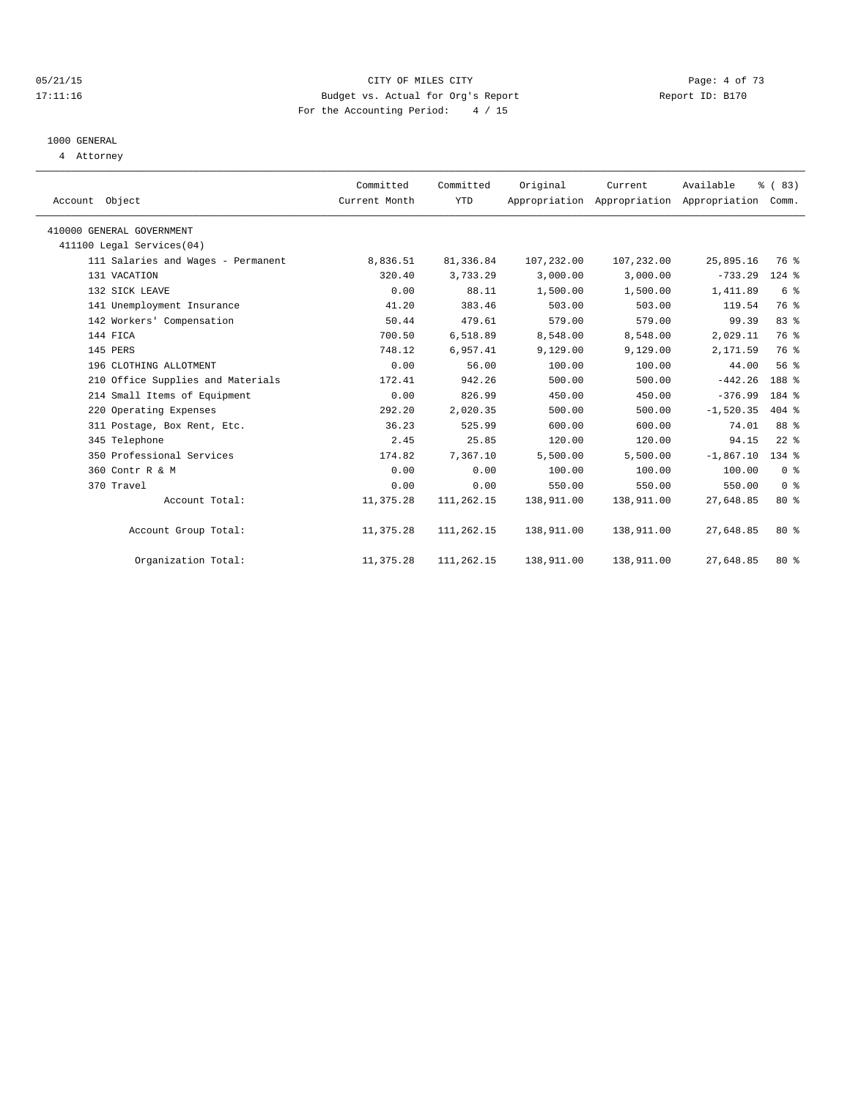## 05/21/15 CITY OF MILES CITY Page: 4 of 73 17:11:16 Budget vs. Actual for Org's Report Report ID: B170 For the Accounting Period: 4 / 15

# 1000 GENERAL

4 Attorney

| Account Object                     | Committed<br>Current Month | Committed<br><b>YTD</b> | Original   | Current<br>Appropriation Appropriation Appropriation | Available   | % (83)<br>Comm. |  |
|------------------------------------|----------------------------|-------------------------|------------|------------------------------------------------------|-------------|-----------------|--|
| 410000 GENERAL GOVERNMENT          |                            |                         |            |                                                      |             |                 |  |
| 411100 Legal Services (04)         |                            |                         |            |                                                      |             |                 |  |
| 111 Salaries and Wages - Permanent | 8,836.51                   | 81,336.84               | 107,232.00 | 107,232.00                                           | 25,895.16   | 76 %            |  |
| 131 VACATION                       | 320.40                     | 3,733.29                | 3,000.00   | 3,000.00                                             | $-733.29$   | 124 %           |  |
| 132 SICK LEAVE                     | 0.00                       | 88.11                   | 1,500.00   | 1,500.00                                             | 1,411.89    | 6 %             |  |
| 141 Unemployment Insurance         | 41.20                      | 383.46                  | 503.00     | 503.00                                               | 119.54      | 76 %            |  |
| 142 Workers' Compensation          | 50.44                      | 479.61                  | 579.00     | 579.00                                               | 99.39       | 83 %            |  |
| 144 FICA                           | 700.50                     | 6,518.89                | 8,548.00   | 8,548.00                                             | 2,029.11    | 76 %            |  |
| 145 PERS                           | 748.12                     | 6,957.41                | 9,129.00   | 9,129.00                                             | 2,171.59    | 76 %            |  |
| 196 CLOTHING ALLOTMENT             | 0.00                       | 56.00                   | 100.00     | 100.00                                               | 44.00       | 56%             |  |
| 210 Office Supplies and Materials  | 172.41                     | 942.26                  | 500.00     | 500.00                                               | $-442.26$   | 188 %           |  |
| 214 Small Items of Equipment       | 0.00                       | 826.99                  | 450.00     | 450.00                                               | $-376.99$   | 184 %           |  |
| 220 Operating Expenses             | 292.20                     | 2,020.35                | 500.00     | 500.00                                               | $-1,520.35$ | 404 %           |  |
| 311 Postage, Box Rent, Etc.        | 36.23                      | 525.99                  | 600.00     | 600.00                                               | 74.01       | 88 %            |  |
| 345 Telephone                      | 2.45                       | 25.85                   | 120.00     | 120.00                                               | 94.15       | $22$ %          |  |
| 350 Professional Services          | 174.82                     | 7,367.10                | 5,500.00   | 5,500.00                                             | $-1,867.10$ | 134 %           |  |
| 360 Contr R & M                    | 0.00                       | 0.00                    | 100.00     | 100.00                                               | 100.00      | 0 <sup>8</sup>  |  |
| 370 Travel                         | 0.00                       | 0.00                    | 550.00     | 550.00                                               | 550.00      | 0 <sup>8</sup>  |  |
| Account Total:                     | 11,375.28                  | 111,262.15              | 138,911.00 | 138,911.00                                           | 27,648.85   | $80*$           |  |
| Account Group Total:               | 11,375.28                  | 111,262.15              | 138,911.00 | 138,911.00                                           | 27,648.85   | $80*$           |  |
| Organization Total:                | 11,375.28                  | 111,262.15              | 138,911.00 | 138,911.00                                           | 27,648.85   | $80*$           |  |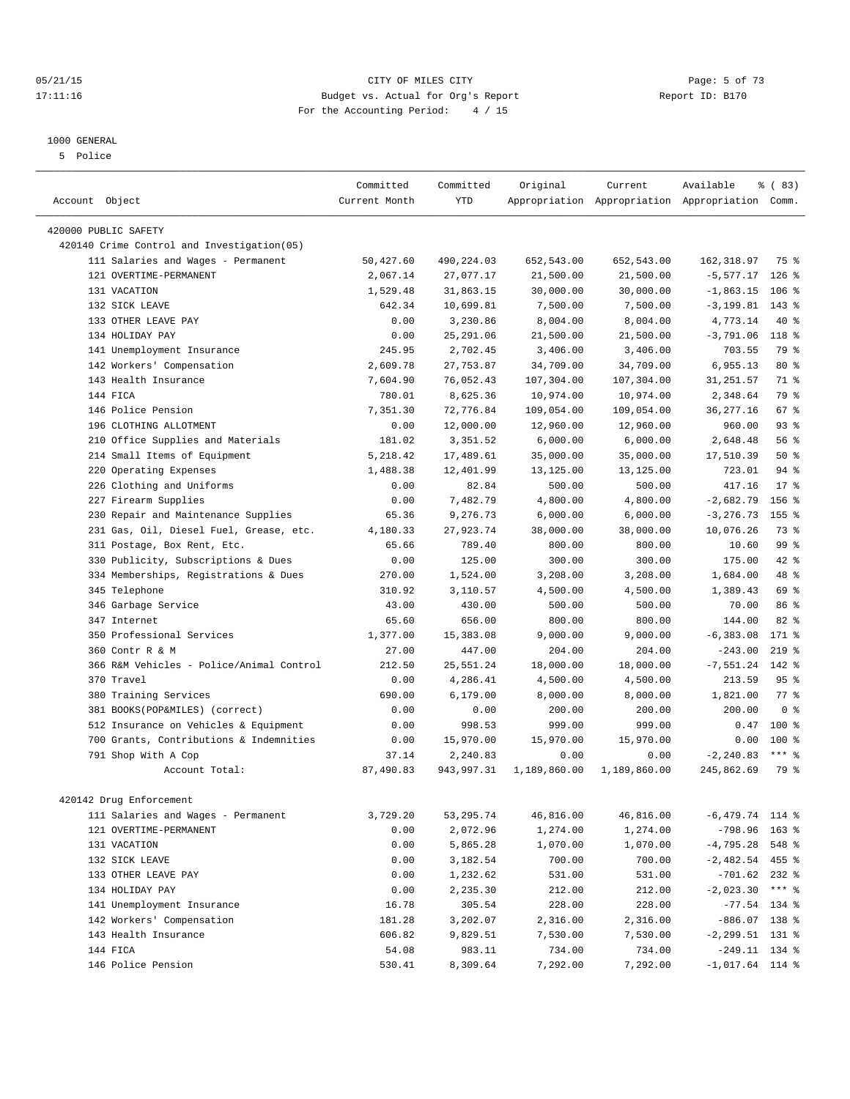#### 05/21/15 **Page: 5 of 73** 17:11:16 Budget vs. Actual for Org's Report Report ID: B170 For the Accounting Period: 4 / 15

————————————————————————————————————————————————————————————————————————————————————————————————————————————————————————————————————

#### 1000 GENERAL

5 Police

|                                            | Committed          | Committed              | Original     | Current      | Available                                       | $\frac{8}{6}$ (83) |
|--------------------------------------------|--------------------|------------------------|--------------|--------------|-------------------------------------------------|--------------------|
| Account Object                             | Current Month      | <b>YTD</b>             |              |              | Appropriation Appropriation Appropriation Comm. |                    |
|                                            |                    |                        |              |              |                                                 |                    |
| 420000 PUBLIC SAFETY                       |                    |                        |              |              |                                                 |                    |
| 420140 Crime Control and Investigation(05) |                    |                        |              |              |                                                 |                    |
| 111 Salaries and Wages - Permanent         | 50,427.60          | 490,224.03             | 652,543.00   | 652,543.00   | 162,318.97                                      | 75 %               |
| 121 OVERTIME-PERMANENT                     | 2,067.14           | 27,077.17              | 21,500.00    | 21,500.00    | $-5,577.17$                                     | $126$ %            |
| 131 VACATION                               | 1,529.48           | 31,863.15              | 30,000.00    | 30,000.00    | $-1,863.15$                                     | $106$ %            |
| 132 SICK LEAVE                             | 642.34             | 10,699.81              | 7,500.00     | 7,500.00     | $-3, 199.81$ 143 %                              |                    |
| 133 OTHER LEAVE PAY                        | 0.00               | 3,230.86               | 8,004.00     | 8,004.00     | 4,773.14                                        | 40 %               |
| 134 HOLIDAY PAY                            | 0.00               | 25, 291.06             | 21,500.00    | 21,500.00    | $-3,791.06$                                     | 118 %              |
| 141 Unemployment Insurance                 | 245.95             | 2,702.45               | 3,406.00     | 3,406.00     | 703.55                                          | 79 %               |
| 142 Workers' Compensation                  | 2,609.78           | 27,753.87              | 34,709.00    | 34,709.00    | 6,955.13                                        | $80*$              |
| 143 Health Insurance                       | 7,604.90           | 76,052.43              | 107,304.00   | 107,304.00   | 31,251.57                                       | 71 %               |
| 144 FICA                                   | 780.01             | 8,625.36               | 10,974.00    | 10,974.00    | 2,348.64                                        | 79 %               |
| 146 Police Pension                         | 7,351.30           | 72,776.84              | 109,054.00   | 109,054.00   | 36, 277. 16                                     | 67 %               |
| 196 CLOTHING ALLOTMENT                     | 0.00               | 12,000.00              | 12,960.00    | 12,960.00    | 960.00                                          | 93%                |
| 210 Office Supplies and Materials          | 181.02             | 3,351.52               | 6,000.00     | 6,000.00     | 2,648.48                                        | 56 %               |
| 214 Small Items of Equipment               | 5,218.42           | 17,489.61              | 35,000.00    | 35,000.00    | 17,510.39                                       | 50%                |
| 220 Operating Expenses                     | 1,488.38           | 12,401.99              | 13,125.00    | 13,125.00    | 723.01                                          | 94 %               |
| 226 Clothing and Uniforms                  | 0.00               | 82.84                  | 500.00       | 500.00       | 417.16                                          | $17*$              |
| 227 Firearm Supplies                       | 0.00               | 7,482.79               | 4,800.00     | 4,800.00     | $-2,682.79$                                     | 156 %              |
| 230 Repair and Maintenance Supplies        | 65.36              | 9,276.73               | 6,000.00     | 6,000.00     | $-3, 276.73$                                    | 155 <sub>8</sub>   |
| 231 Gas, Oil, Diesel Fuel, Grease, etc.    | 4,180.33           | 27,923.74              | 38,000.00    | 38,000.00    | 10,076.26                                       | 73 %               |
| 311 Postage, Box Rent, Etc.                | 65.66              | 789.40                 | 800.00       | 800.00       | 10.60                                           | 99 %               |
| 330 Publicity, Subscriptions & Dues        | 0.00               | 125.00                 | 300.00       | 300.00       | 175.00                                          | 42 %               |
| 334 Memberships, Registrations & Dues      | 270.00             | 1,524.00               | 3,208.00     | 3,208.00     | 1,684.00                                        | 48 %               |
| 345 Telephone                              | 310.92             | 3,110.57               | 4,500.00     | 4,500.00     | 1,389.43                                        | 69 %               |
| 346 Garbage Service                        | 43.00              | 430.00                 | 500.00       | 500.00       | 70.00                                           | 86 %               |
| 347 Internet                               | 65.60              | 656.00                 | 800.00       | 800.00       | 144.00                                          | $82$ $%$           |
| 350 Professional Services                  | 1,377.00           | 15,383.08              | 9,000.00     | 9,000.00     | $-6, 383.08$                                    | 171 %              |
| 360 Contr R & M                            | 27.00              | 447.00                 | 204.00       | 204.00       | $-243.00$                                       | $219$ %            |
| 366 R&M Vehicles - Police/Animal Control   | 212.50             | 25,551.24              | 18,000.00    | 18,000.00    | $-7,551.24$                                     | 142 %              |
| 370 Travel                                 | 0.00               | 4,286.41               | 4,500.00     | 4,500.00     | 213.59                                          | 95 <sub>8</sub>    |
| 380 Training Services                      | 690.00             | 6,179.00               | 8,000.00     | 8,000.00     | 1,821.00                                        | $77$ $%$           |
| 381 BOOKS(POP&MILES) (correct)             | 0.00               | 0.00                   | 200.00       | 200.00       | 200.00                                          | 0 <sup>8</sup>     |
| 512 Insurance on Vehicles & Equipment      | 0.00               | 998.53                 | 999.00       | 999.00       | 0.47                                            | $100*$             |
|                                            |                    | 15,970.00              | 15,970.00    | 15,970.00    | 0.00                                            | 100 %              |
| 700 Grants, Contributions & Indemnities    | 0.00               |                        |              |              |                                                 | $***$ $%$          |
| 791 Shop With A Cop<br>Account Total:      | 37.14<br>87,490.83 | 2,240.83<br>943,997.31 | 0.00         | 0.00         | $-2, 240.83$                                    | 79 %               |
|                                            |                    |                        | 1,189,860.00 | 1,189,860.00 | 245,862.69                                      |                    |
| 420142 Drug Enforcement                    |                    |                        |              |              |                                                 |                    |
| 111 Salaries and Wages - Permanent         | 3,729.20           | 53, 295.74             | 46,816.00    | 46,816.00    | $-6,479.74$ 114 %                               |                    |
| 121 OVERTIME-PERMANENT                     | 0.00               | 2,072.96               | 1,274.00     | 1,274.00     | $-798.96$ 163 %                                 |                    |
| 131 VACATION                               | 0.00               | 5,865.28               | 1,070.00     | 1,070.00     | $-4,795.28$ 548 %                               |                    |
| 132 SICK LEAVE                             | 0.00               | 3,182.54               | 700.00       | 700.00       | $-2,482.54$ 455 %                               |                    |
| 133 OTHER LEAVE PAY                        | 0.00               | 1,232.62               | 531.00       | 531.00       | $-701.62$ 232 %                                 |                    |
| 134 HOLIDAY PAY                            | 0.00               | 2,235.30               | 212.00       | 212.00       | $-2,023.30$ *** \$                              |                    |
| 141 Unemployment Insurance                 | 16.78              | 305.54                 | 228.00       | 228.00       | $-77.54$ 134 %                                  |                    |
| 142 Workers' Compensation                  | 181.28             | 3,202.07               | 2,316.00     | 2,316.00     | $-886.07$ 138 %                                 |                    |
| 143 Health Insurance                       | 606.82             | 9,829.51               | 7,530.00     | 7,530.00     | $-2, 299.51$ 131 %                              |                    |
| 144 FICA                                   | 54.08              | 983.11                 | 734.00       | 734.00       | $-249.11$ 134 %                                 |                    |
| 146 Police Pension                         | 530.41             | 8,309.64               | 7,292.00     | 7,292.00     | $-1,017.64$ 114 %                               |                    |
|                                            |                    |                        |              |              |                                                 |                    |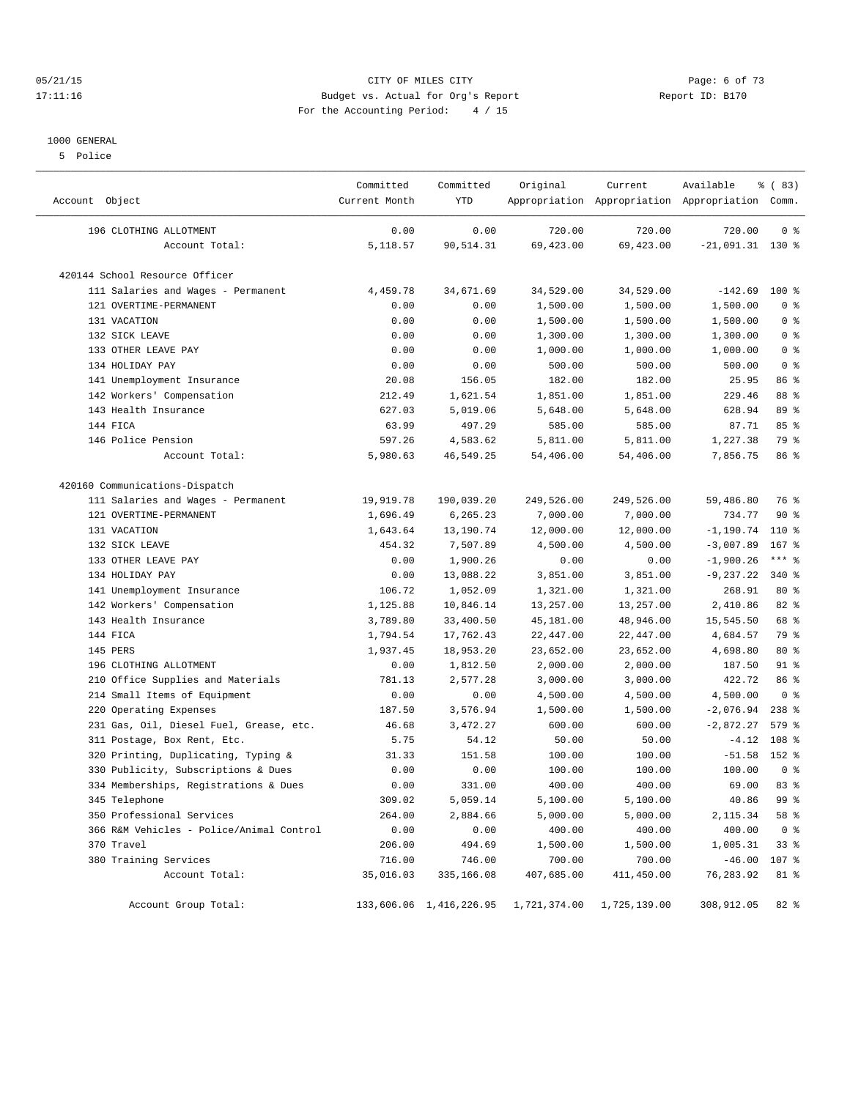#### 05/21/15 CITY OF MILES CITY Page: 6 of 73 17:11:16 Budget vs. Actual for Org's Report Report ID: B170 For the Accounting Period: 4 / 15

#### 1000 GENERAL

5 Police

| Account Object                           | Committed<br>Current Month | Committed<br><b>YTD</b> | Original     | Current      | Available<br>Appropriation Appropriation Appropriation Comm. | 8 (83)         |
|------------------------------------------|----------------------------|-------------------------|--------------|--------------|--------------------------------------------------------------|----------------|
| 196 CLOTHING ALLOTMENT                   | 0.00                       | 0.00                    | 720.00       | 720.00       | 720.00                                                       | 0 <sup>8</sup> |
| Account Total:                           | 5,118.57                   | 90,514.31               | 69,423.00    | 69,423.00    | $-21,091.31$ 130 %                                           |                |
| 420144 School Resource Officer           |                            |                         |              |              |                                                              |                |
| 111 Salaries and Wages - Permanent       | 4,459.78                   | 34,671.69               | 34,529.00    | 34,529.00    | $-142.69$                                                    | $100*$         |
| 121 OVERTIME-PERMANENT                   | 0.00                       | 0.00                    | 1,500.00     | 1,500.00     | 1,500.00                                                     | 0 <sup>8</sup> |
| 131 VACATION                             | 0.00                       | 0.00                    | 1,500.00     | 1,500.00     | 1,500.00                                                     | 0 <sup>8</sup> |
| 132 SICK LEAVE                           | 0.00                       | 0.00                    | 1,300.00     | 1,300.00     | 1,300.00                                                     | 0 <sup>8</sup> |
| 133 OTHER LEAVE PAY                      | 0.00                       | 0.00                    | 1,000.00     | 1,000.00     | 1,000.00                                                     | 0 <sup>8</sup> |
| 134 HOLIDAY PAY                          | 0.00                       | 0.00                    | 500.00       | 500.00       | 500.00                                                       | 0 <sup>8</sup> |
| 141 Unemployment Insurance               | 20.08                      | 156.05                  | 182.00       | 182.00       | 25.95                                                        | 86 %           |
| 142 Workers' Compensation                | 212.49                     | 1,621.54                | 1,851.00     | 1,851.00     | 229.46                                                       | 88 %           |
| 143 Health Insurance                     | 627.03                     | 5,019.06                | 5,648.00     | 5,648.00     | 628.94                                                       | 89 %           |
| 144 FICA                                 | 63.99                      | 497.29                  | 585.00       | 585.00       | 87.71                                                        | 85%            |
| 146 Police Pension                       | 597.26                     | 4,583.62                | 5,811.00     | 5,811.00     | 1,227.38                                                     | 79 %           |
| Account Total:                           | 5,980.63                   | 46,549.25               | 54,406.00    | 54,406.00    | 7,856.75                                                     | 86%            |
| 420160 Communications-Dispatch           |                            |                         |              |              |                                                              |                |
| 111 Salaries and Wages - Permanent       | 19,919.78                  | 190,039.20              | 249,526.00   | 249,526.00   | 59,486.80                                                    | 76 %           |
| 121 OVERTIME-PERMANENT                   | 1,696.49                   | 6,265.23                | 7,000.00     | 7,000.00     | 734.77                                                       | 90%            |
| 131 VACATION                             | 1,643.64                   | 13,190.74               | 12,000.00    | 12,000.00    | $-1, 190.74$                                                 | $110*$         |
| 132 SICK LEAVE                           | 454.32                     | 7,507.89                | 4,500.00     | 4,500.00     | $-3,007.89$                                                  | $167$ %        |
| 133 OTHER LEAVE PAY                      | 0.00                       | 1,900.26                | 0.00         | 0.00         | $-1,900.26$                                                  | $***$ $_{8}$   |
| 134 HOLIDAY PAY                          | 0.00                       | 13,088.22               | 3,851.00     | 3,851.00     | $-9,237.22$                                                  | 340 %          |
| 141 Unemployment Insurance               | 106.72                     | 1,052.09                | 1,321.00     | 1,321.00     | 268.91                                                       | $80*$          |
| 142 Workers' Compensation                | 1,125.88                   | 10,846.14               | 13,257.00    | 13,257.00    | 2,410.86                                                     | 82 %           |
| 143 Health Insurance                     | 3,789.80                   | 33,400.50               | 45,181.00    | 48,946.00    | 15,545.50                                                    | 68 %           |
| 144 FICA                                 | 1,794.54                   | 17,762.43               | 22,447.00    | 22,447.00    | 4,684.57                                                     | 79 %           |
| 145 PERS                                 | 1,937.45                   | 18,953.20               | 23,652.00    | 23,652.00    | 4,698.80                                                     | 80 %           |
| 196 CLOTHING ALLOTMENT                   | 0.00                       | 1,812.50                | 2,000.00     | 2,000.00     | 187.50                                                       | 91 %           |
| 210 Office Supplies and Materials        | 781.13                     | 2,577.28                | 3,000.00     | 3,000.00     | 422.72                                                       | 86 %           |
| 214 Small Items of Equipment             | 0.00                       | 0.00                    | 4,500.00     | 4,500.00     | 4,500.00                                                     | 0 <sup>8</sup> |
| 220 Operating Expenses                   | 187.50                     | 3,576.94                | 1,500.00     | 1,500.00     | $-2,076.94$                                                  | $238*$         |
| 231 Gas, Oil, Diesel Fuel, Grease, etc.  | 46.68                      | 3,472.27                | 600.00       | 600.00       | $-2,872.27$                                                  | 579 %          |
| 311 Postage, Box Rent, Etc.              | 5.75                       | 54.12                   | 50.00        | 50.00        | $-4.12$                                                      | 108 %          |
| 320 Printing, Duplicating, Typing &      | 31.33                      | 151.58                  | 100.00       | 100.00       | $-51.58$                                                     | 152 %          |
| 330 Publicity, Subscriptions & Dues      | 0.00                       | 0.00                    | 100.00       | 100.00       | 100.00                                                       | 0 <sup>8</sup> |
| 334 Memberships, Registrations & Dues    | 0.00                       | 331.00                  | 400.00       | 400.00       | 69.00                                                        | 83%            |
| 345 Telephone                            | 309.02                     | 5,059.14                | 5,100.00     | 5,100.00     | 40.86                                                        | 99 %           |
| 350 Professional Services                | 264.00                     | 2,884.66                | 5,000.00     | 5,000.00     | 2,115.34                                                     | 58 %           |
| 366 R&M Vehicles - Police/Animal Control | 0.00                       | 0.00                    | 400.00       | 400.00       | 400.00                                                       | 0 <sup>8</sup> |
| 370 Travel                               | 206.00                     | 494.69                  | 1,500.00     | 1,500.00     | 1,005.31                                                     | 33%            |
| 380 Training Services                    | 716.00                     | 746.00                  | 700.00       | 700.00       | $-46.00$                                                     | 107 %          |
| Account Total:                           | 35,016.03                  | 335,166.08              | 407,685.00   | 411,450.00   | 76,283.92                                                    | 81 %           |
| Account Group Total:                     |                            | 133,606.06 1,416,226.95 | 1,721,374.00 | 1,725,139.00 | 308,912.05                                                   | $82*$          |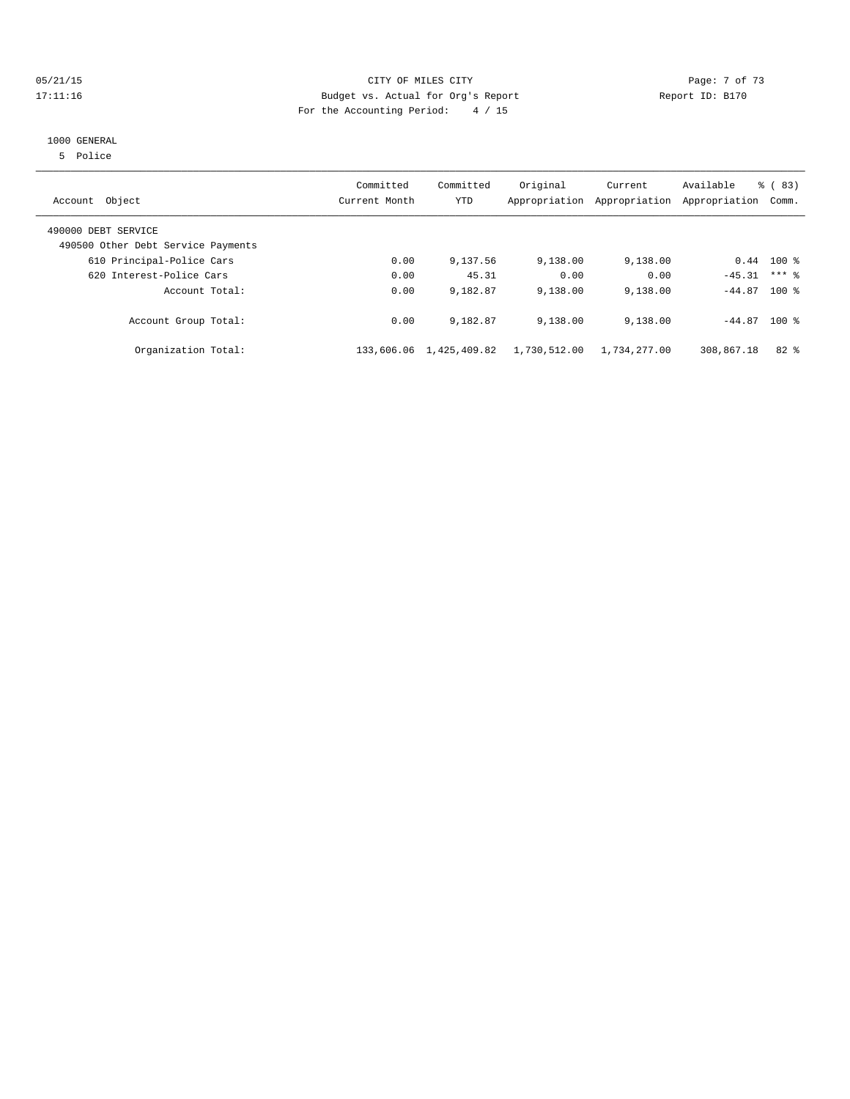## 05/21/15 **Page: 7 of 73** CITY OF MILES CITY CONTROL PAGE: 7 of 73 17:11:16 Budget vs. Actual for Org's Report Report ID: B170 For the Accounting Period: 4 / 15

#### 1000 GENERAL

5 Police

| Account Object                                            | Committed<br>Current Month | Committed<br><b>YTD</b> | Original<br>Appropriation | Current<br>Appropriation | Available<br>Appropriation | $\frac{6}{6}$ (83)<br>Comm. |
|-----------------------------------------------------------|----------------------------|-------------------------|---------------------------|--------------------------|----------------------------|-----------------------------|
| 490000 DEBT SERVICE<br>490500 Other Debt Service Payments |                            |                         |                           |                          |                            |                             |
| 610 Principal-Police Cars                                 | 0.00                       | 9,137.56                | 9,138.00                  | 9,138.00                 |                            | $0.44$ 100 %                |
| 620 Interest-Police Cars                                  | 0.00                       | 45.31                   | 0.00                      | 0.00                     | $-45.31$                   | $***$ 2                     |
| Account Total:                                            | 0.00                       | 9,182.87                | 9,138.00                  | 9,138.00                 | $-44.87$                   | $100*$                      |
| Account Group Total:                                      | 0.00                       | 9,182.87                | 9,138.00                  | 9,138.00                 | $-44.87$ 100 %             |                             |
| Organization Total:                                       | 133,606.06                 | 1,425,409.82            | 1,730,512.00              | 1,734,277.00             | 308,867.18                 | $82*$                       |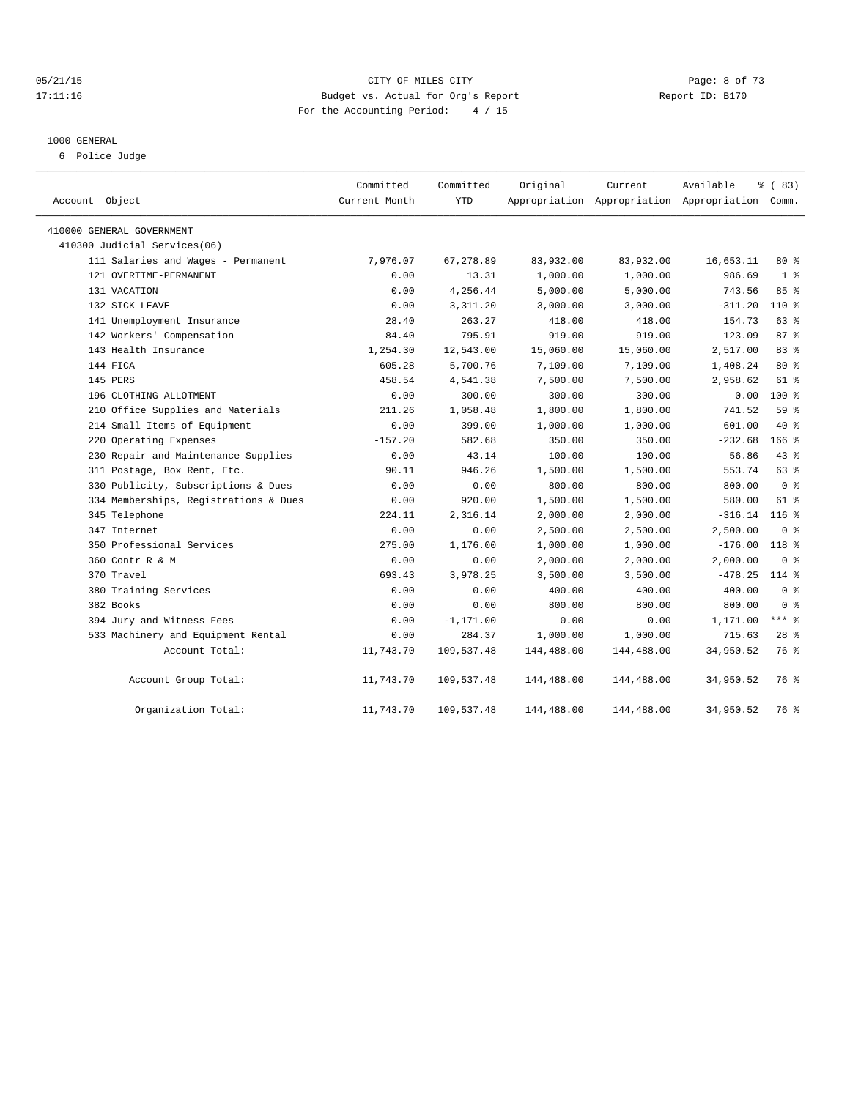#### 05/21/15 CITY OF MILES CITY Page: 8 of 73 17:11:16 Budget vs. Actual for Org's Report Report ID: B170 For the Accounting Period: 4 / 15

#### 1000 GENERAL

6 Police Judge

| Account Object                        | Committed<br>Current Month | Committed<br><b>YTD</b> | Original   | Current<br>Appropriation Appropriation Appropriation Comm. | Available | % (83)           |
|---------------------------------------|----------------------------|-------------------------|------------|------------------------------------------------------------|-----------|------------------|
| 410000 GENERAL GOVERNMENT             |                            |                         |            |                                                            |           |                  |
| 410300 Judicial Services(06)          |                            |                         |            |                                                            |           |                  |
| 111 Salaries and Wages - Permanent    | 7,976.07                   | 67,278.89               | 83,932.00  | 83,932.00                                                  | 16,653.11 | $80*$            |
| 121 OVERTIME-PERMANENT                | 0.00                       | 13.31                   | 1,000.00   | 1,000.00                                                   | 986.69    | 1 <sup>8</sup>   |
| 131 VACATION                          | 0.00                       | 4,256.44                | 5,000.00   | 5,000.00                                                   | 743.56    | 85 %             |
| 132 SICK LEAVE                        | 0.00                       | 3,311.20                | 3,000.00   | 3,000.00                                                   | $-311.20$ | $110*$           |
| 141 Unemployment Insurance            | 28.40                      | 263.27                  | 418.00     | 418.00                                                     | 154.73    | 63 %             |
| 142 Workers' Compensation             | 84.40                      | 795.91                  | 919.00     | 919.00                                                     | 123.09    | 87 <sup>8</sup>  |
| 143 Health Insurance                  | 1,254.30                   | 12,543.00               | 15,060.00  | 15,060.00                                                  | 2,517.00  | 83 %             |
| 144 FICA                              | 605.28                     | 5,700.76                | 7,109.00   | 7,109.00                                                   | 1,408.24  | $80*$            |
| 145 PERS                              | 458.54                     | 4,541.38                | 7,500.00   | 7,500.00                                                   | 2,958.62  | 61 %             |
| 196 CLOTHING ALLOTMENT                | 0.00                       | 300.00                  | 300.00     | 300.00                                                     | 0.00      | $100*$           |
| 210 Office Supplies and Materials     | 211.26                     | 1,058.48                | 1,800.00   | 1,800.00                                                   | 741.52    | 59 %             |
| 214 Small Items of Equipment          | 0.00                       | 399.00                  | 1,000.00   | 1,000.00                                                   | 601.00    | $40*$            |
| 220 Operating Expenses                | $-157.20$                  | 582.68                  | 350.00     | 350.00                                                     | $-232.68$ | 166 <sup>8</sup> |
| 230 Repair and Maintenance Supplies   | 0.00                       | 43.14                   | 100.00     | 100.00                                                     | 56.86     | 43.8             |
| 311 Postage, Box Rent, Etc.           | 90.11                      | 946.26                  | 1,500.00   | 1,500.00                                                   | 553.74    | 63 %             |
| 330 Publicity, Subscriptions & Dues   | 0.00                       | 0.00                    | 800.00     | 800.00                                                     | 800.00    | 0 <sup>8</sup>   |
| 334 Memberships, Registrations & Dues | 0.00                       | 920.00                  | 1,500.00   | 1,500.00                                                   | 580.00    | $61*$            |
| 345 Telephone                         | 224.11                     | 2,316.14                | 2,000.00   | 2,000.00                                                   | $-316.14$ | 116 <sub>8</sub> |
| 347 Internet                          | 0.00                       | 0.00                    | 2,500.00   | 2,500.00                                                   | 2,500.00  | 0 <sup>8</sup>   |
| 350 Professional Services             | 275.00                     | 1,176.00                | 1,000.00   | 1,000.00                                                   | $-176.00$ | $118*$           |
| 360 Contr R & M                       | 0.00                       | 0.00                    | 2,000.00   | 2,000.00                                                   | 2,000.00  | 0 <sup>8</sup>   |
| 370 Travel                            | 693.43                     | 3,978.25                | 3,500.00   | 3,500.00                                                   | $-478.25$ | $114$ %          |
| 380 Training Services                 | 0.00                       | 0.00                    | 400.00     | 400.00                                                     | 400.00    | 0 <sup>8</sup>   |
| 382 Books                             | 0.00                       | 0.00                    | 800.00     | 800.00                                                     | 800.00    | 0 <sup>8</sup>   |
| 394 Jury and Witness Fees             | 0.00                       | $-1, 171.00$            | 0.00       | 0.00                                                       | 1,171.00  | $***$ $-$        |
| 533 Machinery and Equipment Rental    | 0.00                       | 284.37                  | 1,000.00   | 1,000.00                                                   | 715.63    | $28$ %           |
| Account Total:                        | 11,743.70                  | 109,537.48              | 144,488.00 | 144,488.00                                                 | 34,950.52 | 76 %             |
| Account Group Total:                  | 11,743.70                  | 109,537.48              | 144,488.00 | 144,488.00                                                 | 34,950.52 | 76 %             |
| Organization Total:                   | 11,743.70                  | 109,537.48              | 144,488.00 | 144,488.00                                                 | 34,950.52 | 76 %             |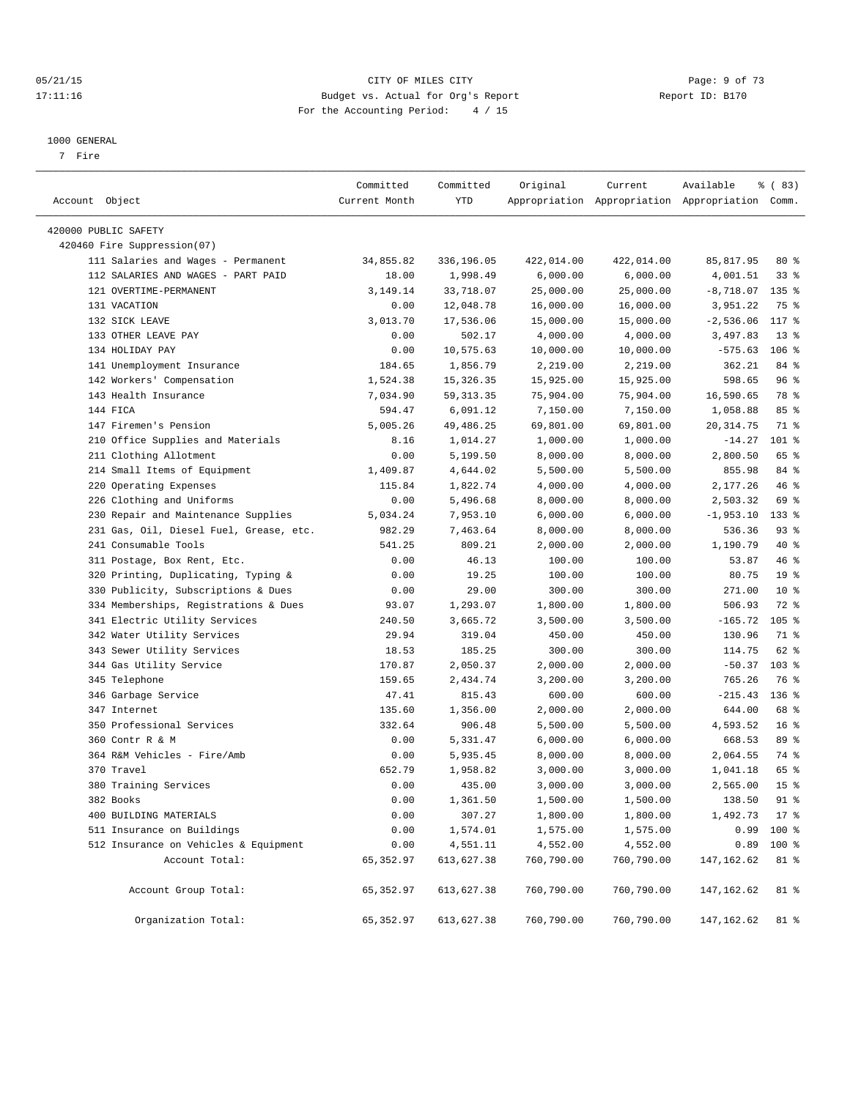#### 05/21/15 CITY OF MILES CITY Page: 9 of 73 17:11:16 Budget vs. Actual for Org's Report Report ID: B170 For the Accounting Period: 4 / 15

————————————————————————————————————————————————————————————————————————————————————————————————————————————————————————————————————

#### 1000 GENERAL

7 Fire

|                                                     | Committed     | Committed  | Original   | Current    | Available                                       | % (83)           |
|-----------------------------------------------------|---------------|------------|------------|------------|-------------------------------------------------|------------------|
| Account Object                                      | Current Month | YTD        |            |            | Appropriation Appropriation Appropriation Comm. |                  |
|                                                     |               |            |            |            |                                                 |                  |
| 420000 PUBLIC SAFETY<br>420460 Fire Suppression(07) |               |            |            |            |                                                 |                  |
| 111 Salaries and Wages - Permanent                  | 34,855.82     | 336,196.05 | 422,014.00 | 422,014.00 | 85,817.95                                       | 80%              |
| 112 SALARIES AND WAGES - PART PAID                  | 18.00         | 1,998.49   |            | 6,000.00   |                                                 | 338              |
|                                                     |               |            | 6,000.00   |            | 4,001.51                                        |                  |
| 121 OVERTIME-PERMANENT                              | 3,149.14      | 33,718.07  | 25,000.00  | 25,000.00  | $-8,718.07$                                     | 135 %            |
| 131 VACATION<br>132 SICK LEAVE                      | 0.00          | 12,048.78  | 16,000.00  | 16,000.00  | 3,951.22                                        | 75 %<br>117 %    |
|                                                     | 3,013.70      | 17,536.06  | 15,000.00  | 15,000.00  | $-2,536.06$<br>3,497.83                         |                  |
| 133 OTHER LEAVE PAY                                 | 0.00          | 502.17     | 4,000.00   | 4,000.00   |                                                 | $13*$<br>$106$ % |
| 134 HOLIDAY PAY                                     | 0.00          | 10,575.63  | 10,000.00  | 10,000.00  | $-575.63$                                       |                  |
| 141 Unemployment Insurance                          | 184.65        | 1,856.79   | 2,219.00   | 2,219.00   | 362.21                                          | 84 %             |
| 142 Workers' Compensation                           | 1,524.38      | 15, 326.35 | 15,925.00  | 15,925.00  | 598.65                                          | 96%              |
| 143 Health Insurance                                | 7,034.90      | 59, 313.35 | 75,904.00  | 75,904.00  | 16,590.65                                       | 78 %             |
| 144 FICA                                            | 594.47        | 6,091.12   | 7,150.00   | 7,150.00   | 1,058.88                                        | 85%              |
| 147 Firemen's Pension                               | 5,005.26      | 49,486.25  | 69,801.00  | 69,801.00  | 20, 314.75                                      | 71 %             |
| 210 Office Supplies and Materials                   | 8.16          | 1,014.27   | 1,000.00   | 1,000.00   | $-14.27$                                        | $101$ %          |
| 211 Clothing Allotment                              | 0.00          | 5,199.50   | 8,000.00   | 8,000.00   | 2,800.50                                        | 65 %             |
| 214 Small Items of Equipment                        | 1,409.87      | 4,644.02   | 5,500.00   | 5,500.00   | 855.98                                          | 84 %             |
| 220 Operating Expenses                              | 115.84        | 1,822.74   | 4,000.00   | 4,000.00   | 2,177.26                                        | 46 %             |
| 226 Clothing and Uniforms                           | 0.00          | 5,496.68   | 8,000.00   | 8,000.00   | 2,503.32                                        | 69 %             |
| 230 Repair and Maintenance Supplies                 | 5,034.24      | 7,953.10   | 6,000.00   | 6,000.00   | $-1,953.10$                                     | $133$ %          |
| 231 Gas, Oil, Diesel Fuel, Grease, etc.             | 982.29        | 7,463.64   | 8,000.00   | 8,000.00   | 536.36                                          | 93%              |
| 241 Consumable Tools                                | 541.25        | 809.21     | 2,000.00   | 2,000.00   | 1,190.79                                        | 40 %             |
| 311 Postage, Box Rent, Etc.                         | 0.00          | 46.13      | 100.00     | 100.00     | 53.87                                           | 46 %             |
| 320 Printing, Duplicating, Typing &                 | 0.00          | 19.25      | 100.00     | 100.00     | 80.75                                           | 19 <sup>°</sup>  |
| 330 Publicity, Subscriptions & Dues                 | 0.00          | 29.00      | 300.00     | 300.00     | 271.00                                          | $10*$            |
| 334 Memberships, Registrations & Dues               | 93.07         | 1,293.07   | 1,800.00   | 1,800.00   | 506.93                                          | 72 %             |
| 341 Electric Utility Services                       | 240.50        | 3,665.72   | 3,500.00   | 3,500.00   | $-165.72$                                       | $105$ %          |
| 342 Water Utility Services                          | 29.94         | 319.04     | 450.00     | 450.00     | 130.96                                          | 71 %             |
| 343 Sewer Utility Services                          | 18.53         | 185.25     | 300.00     | 300.00     | 114.75                                          | 62 %             |
| 344 Gas Utility Service                             | 170.87        | 2,050.37   | 2,000.00   | 2,000.00   | $-50.37$                                        | $103$ %          |
| 345 Telephone                                       | 159.65        | 2,434.74   | 3,200.00   | 3,200.00   | 765.26                                          | 76 %             |
| 346 Garbage Service                                 | 47.41         | 815.43     | 600.00     | 600.00     | $-215.43$                                       | $136$ %          |
| 347 Internet                                        | 135.60        | 1,356.00   | 2,000.00   | 2,000.00   | 644.00                                          | 68 %             |
| 350 Professional Services                           | 332.64        | 906.48     | 5,500.00   | 5,500.00   | 4,593.52                                        | 16 <sup>8</sup>  |
| 360 Contr R & M                                     | 0.00          | 5,331.47   | 6,000.00   | 6,000.00   | 668.53                                          | 89 %             |
| 364 R&M Vehicles - Fire/Amb                         | 0.00          | 5,935.45   | 8,000.00   | 8,000.00   | 2,064.55                                        | 74 %             |
| 370 Travel                                          | 652.79        | 1,958.82   | 3,000.00   | 3,000.00   | 1,041.18                                        | 65 %             |
| 380 Training Services                               | 0.00          | 435.00     | 3,000.00   | 3,000.00   | 2,565.00                                        | 15 <sup>°</sup>  |
| 382 Books                                           | 0.00          | 1,361.50   | 1,500.00   | 1,500.00   | 138.50                                          | 91 %             |
| 400 BUILDING MATERIALS                              | 0.00          | 307.27     | 1,800.00   | 1,800.00   | 1,492.73                                        | $17*$            |
| 511 Insurance on Buildings                          | 0.00          | 1,574.01   | 1,575.00   | 1,575.00   | 0.99                                            | $100$ %          |
| 512 Insurance on Vehicles & Equipment               | 0.00          | 4,551.11   | 4,552.00   | 4,552.00   | 0.89                                            | 100 %            |
| Account Total:                                      | 65, 352.97    | 613,627.38 | 760,790.00 | 760,790.00 | 147, 162.62                                     | 81 %             |
| Account Group Total:                                | 65,352.97     | 613,627.38 | 760,790.00 | 760,790.00 | 147,162.62                                      | 81 %             |
| Organization Total:                                 | 65, 352.97    | 613,627.38 | 760,790.00 | 760,790.00 | 147, 162.62                                     | 81 %             |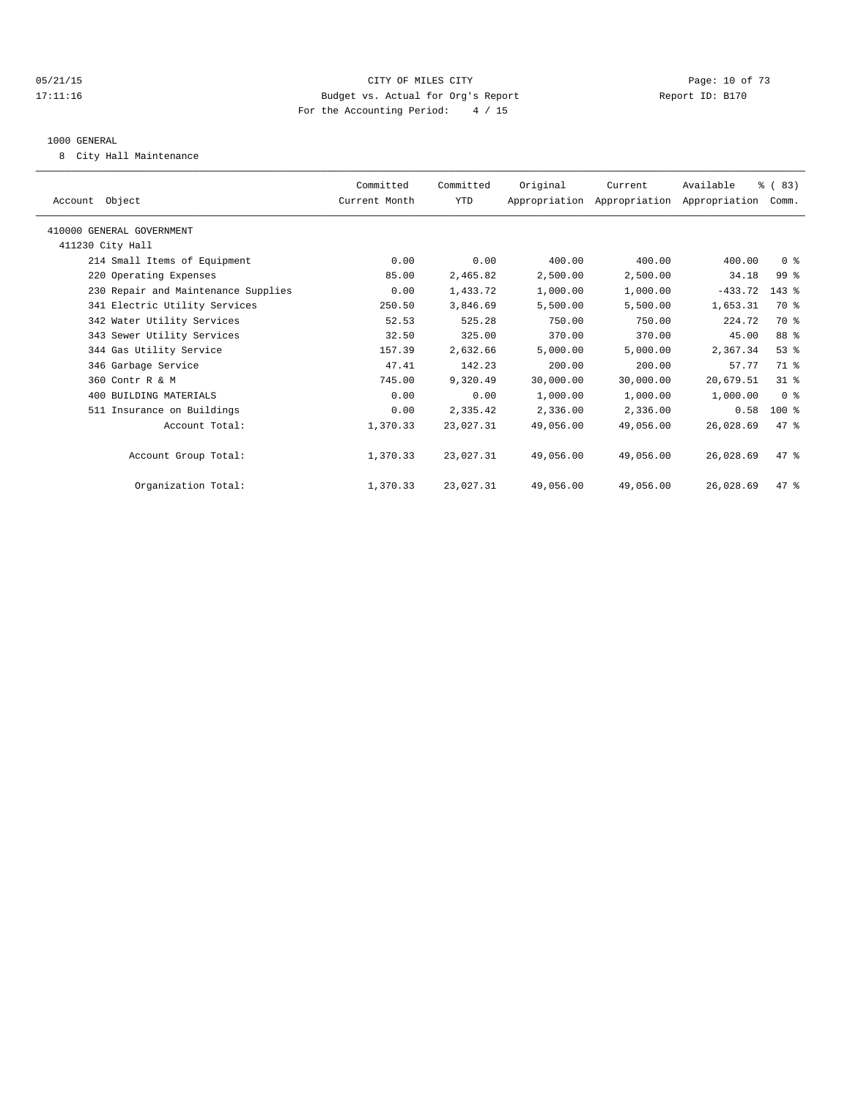## 05/21/15 **DESEMBLES CRITES CITY** CONTROL CONTROL CONTROL CONTROL CONTROL CONTROL CONTROL CONTROL CONTROL CONTROL CONTROL CONTROL CONTROL CONTROL CONTROL CONTROL CONTROL CONTROL CONTROL CONTROL CONTROL CONTROL CONTROL CONTR 17:11:16 Budget vs. Actual for Org's Report Report ID: B170 For the Accounting Period: 4 / 15

#### 1000 GENERAL

8 City Hall Maintenance

| Account Object                      | Committed<br>Current Month | Committed<br>YTD | Original  | Current<br>Appropriation Appropriation Appropriation Comm. | Available | % (83)         |  |
|-------------------------------------|----------------------------|------------------|-----------|------------------------------------------------------------|-----------|----------------|--|
| 410000 GENERAL GOVERNMENT           |                            |                  |           |                                                            |           |                |  |
| 411230 City Hall                    |                            |                  |           |                                                            |           |                |  |
| 214 Small Items of Equipment        | 0.00                       | 0.00             | 400.00    | 400.00                                                     | 400.00    | 0 <sup>8</sup> |  |
| 220 Operating Expenses              | 85.00                      | 2,465.82         | 2,500.00  | 2,500.00                                                   | 34.18     | 99 %           |  |
| 230 Repair and Maintenance Supplies | 0.00                       | 1,433.72         | 1,000.00  | 1,000.00                                                   | $-433.72$ | $143$ $%$      |  |
| 341 Electric Utility Services       | 250.50                     | 3,846.69         | 5,500.00  | 5,500.00                                                   | 1,653.31  | 70 %           |  |
| 342 Water Utility Services          | 52.53                      | 525.28           | 750.00    | 750.00                                                     | 224.72    | 70 %           |  |
| 343 Sewer Utility Services          | 32.50                      | 325.00           | 370.00    | 370.00                                                     | 45.00     | 88 %           |  |
| 344 Gas Utility Service             | 157.39                     | 2,632.66         | 5,000.00  | 5,000.00                                                   | 2,367.34  | 53%            |  |
| 346 Garbage Service                 | 47.41                      | 142.23           | 200.00    | 200.00                                                     | 57.77     | 71 %           |  |
| 360 Contr R & M                     | 745.00                     | 9,320.49         | 30,000.00 | 30,000.00                                                  | 20,679.51 | 31.8           |  |
| 400 BUILDING MATERIALS              | 0.00                       | 0.00             | 1,000.00  | 1,000.00                                                   | 1,000.00  | 0 <sup>8</sup> |  |
| 511 Insurance on Buildings          | 0.00                       | 2,335.42         | 2,336.00  | 2,336.00                                                   | 0.58      | $100$ %        |  |
| Account Total:                      | 1,370.33                   | 23,027.31        | 49,056.00 | 49,056.00                                                  | 26,028.69 | 47.8           |  |
| Account Group Total:                | 1,370.33                   | 23,027.31        | 49,056.00 | 49,056.00                                                  | 26,028.69 | 47.8           |  |
| Organization Total:                 | 1,370.33                   | 23,027.31        | 49,056.00 | 49,056.00                                                  | 26,028.69 | 47.8           |  |
|                                     |                            |                  |           |                                                            |           |                |  |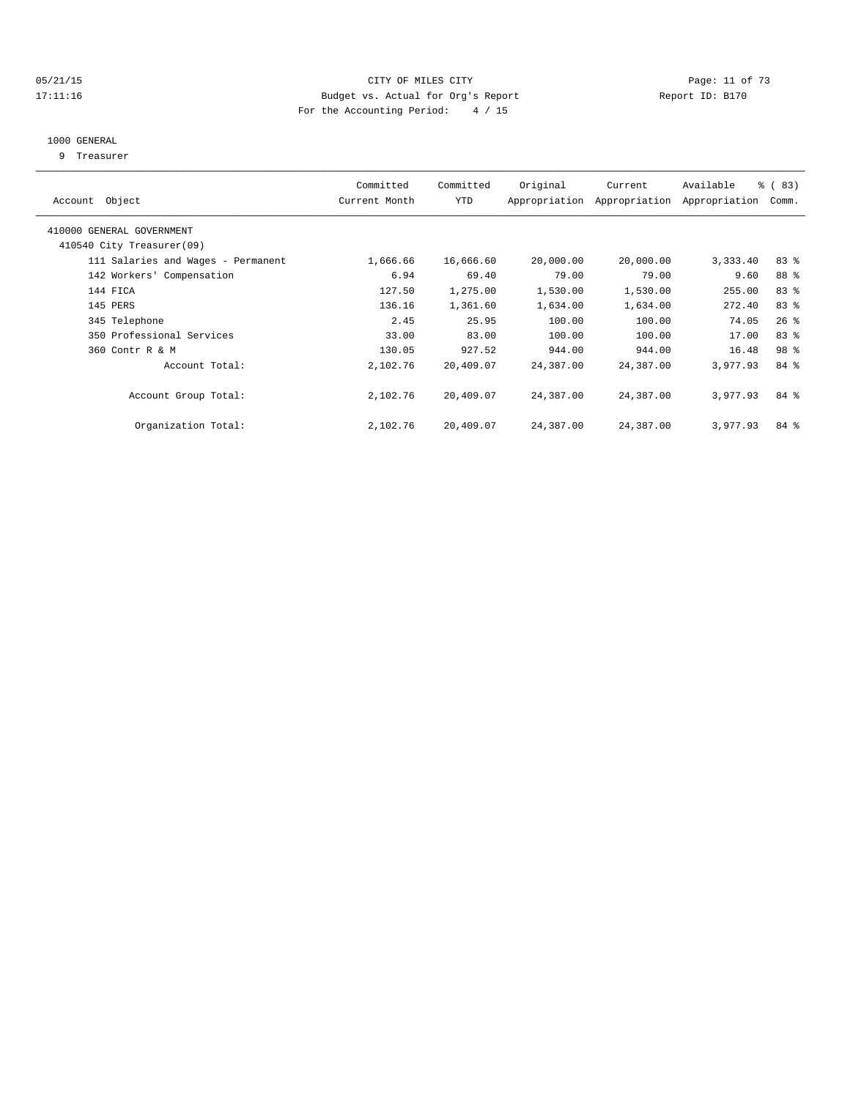#### 05/21/15 Page: 11 of 73 17:11:16 Budget vs. Actual for Org's Report Report ID: B170 For the Accounting Period: 4 / 15

#### 1000 GENERAL

9 Treasurer

| Account Object                     | Committed<br>Current Month | Committed<br>YTD | Original  | Current<br>Appropriation Appropriation | Available<br>Appropriation | $\frac{6}{3}$ (83)<br>Comm. |  |
|------------------------------------|----------------------------|------------------|-----------|----------------------------------------|----------------------------|-----------------------------|--|
| 410000 GENERAL GOVERNMENT          |                            |                  |           |                                        |                            |                             |  |
| 410540 City Treasurer(09)          |                            |                  |           |                                        |                            |                             |  |
| 111 Salaries and Wages - Permanent | 1,666.66                   | 16,666.60        | 20,000.00 | 20,000.00                              | 3,333.40                   | 83%                         |  |
| 142 Workers' Compensation          | 6.94                       | 69.40            | 79.00     | 79.00                                  | 9.60                       | 88 %                        |  |
| 144 FICA                           | 127.50                     | 1,275.00         | 1,530.00  | 1,530.00                               | 255.00                     | 83 %                        |  |
| 145 PERS                           | 136.16                     | 1,361.60         | 1,634.00  | 1,634.00                               | 272.40                     | 83%                         |  |
| 345 Telephone                      | 2.45                       | 25.95            | 100.00    | 100.00                                 | 74.05                      | $26$ %                      |  |
| 350 Professional Services          | 33.00                      | 83.00            | 100.00    | 100.00                                 | 17.00                      | 83 %                        |  |
| 360 Contr R & M                    | 130.05                     | 927.52           | 944.00    | 944.00                                 | 16.48                      | 98 %                        |  |
| Account Total:                     | 2,102.76                   | 20,409.07        | 24,387.00 | 24,387.00                              | 3,977.93                   | 84 %                        |  |
| Account Group Total:               | 2,102.76                   | 20,409.07        | 24,387.00 | 24,387.00                              | 3,977.93                   | 84 %                        |  |
| Organization Total:                | 2,102.76                   | 20,409.07        | 24,387.00 | 24,387.00                              | 3,977.93                   | 84 %                        |  |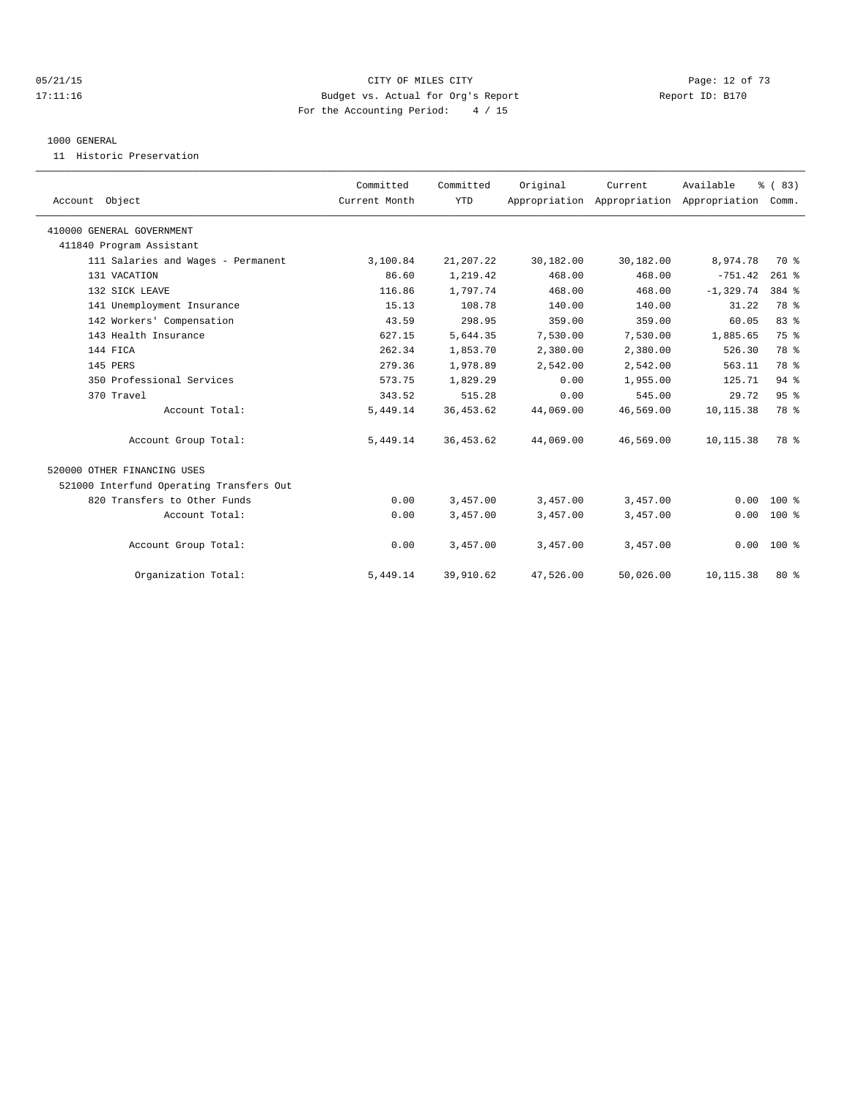## 05/21/15 **Page: 12 of 73** CITY OF MILES CITY **CITY Page: 12 of 73** 17:11:16 Budget vs. Actual for Org's Report Report ID: B170 For the Accounting Period: 4 / 15

#### 1000 GENERAL

11 Historic Preservation

| Account Object                           | Committed<br>Current Month | Committed<br><b>YTD</b> | Original  | Current<br>Appropriation Appropriation Appropriation | Available    | % (83)<br>Comm. |  |
|------------------------------------------|----------------------------|-------------------------|-----------|------------------------------------------------------|--------------|-----------------|--|
| 410000 GENERAL GOVERNMENT                |                            |                         |           |                                                      |              |                 |  |
| 411840 Program Assistant                 |                            |                         |           |                                                      |              |                 |  |
| 111 Salaries and Wages - Permanent       | 3,100.84                   | 21,207.22               | 30,182.00 | 30,182.00                                            | 8,974.78     | 70 %            |  |
| 131 VACATION                             | 86.60                      | 1,219.42                | 468.00    | 468.00                                               | $-751.42$    | $261$ %         |  |
| 132 SICK LEAVE                           | 116.86                     | 1,797.74                | 468.00    | 468.00                                               | $-1, 329.74$ | 384 %           |  |
| 141 Unemployment Insurance               | 15.13                      | 108.78                  | 140.00    | 140.00                                               | 31.22        | 78 %            |  |
| 142 Workers' Compensation                | 43.59                      | 298.95                  | 359.00    | 359.00                                               | 60.05        | 83%             |  |
| 143 Health Insurance                     | 627.15                     | 5,644.35                | 7,530.00  | 7,530.00                                             | 1,885.65     | 75 %            |  |
| 144 FICA                                 | 262.34                     | 1,853.70                | 2,380.00  | 2,380.00                                             | 526.30       | 78 %            |  |
| 145 PERS                                 | 279.36                     | 1,978.89                | 2,542.00  | 2,542.00                                             | 563.11       | 78 %            |  |
| 350 Professional Services                | 573.75                     | 1,829.29                | 0.00      | 1,955.00                                             | 125.71       | $94$ $%$        |  |
| 370 Travel                               | 343.52                     | 515.28                  | 0.00      | 545.00                                               | 29.72        | 95%             |  |
| Account Total:                           | 5,449.14                   | 36, 453.62              | 44,069.00 | 46,569.00                                            | 10,115.38    | 78 %            |  |
| Account Group Total:                     | 5,449.14                   | 36, 453.62              | 44,069.00 | 46,569.00                                            | 10, 115.38   | 78 %            |  |
| 520000 OTHER FINANCING USES              |                            |                         |           |                                                      |              |                 |  |
| 521000 Interfund Operating Transfers Out |                            |                         |           |                                                      |              |                 |  |
| 820 Transfers to Other Funds             | 0.00                       | 3,457.00                | 3,457.00  | 3,457.00                                             | 0.00         | 100 %           |  |
| Account Total:                           | 0.00                       | 3,457.00                | 3,457.00  | 3,457.00                                             | 0.00         | $100*$          |  |
| Account Group Total:                     | 0.00                       | 3,457.00                | 3,457.00  | 3,457.00                                             |              | $0.00 100$ %    |  |
| Organization Total:                      | 5,449.14                   | 39,910.62               | 47,526.00 | 50,026.00                                            | 10,115.38    | $80*$           |  |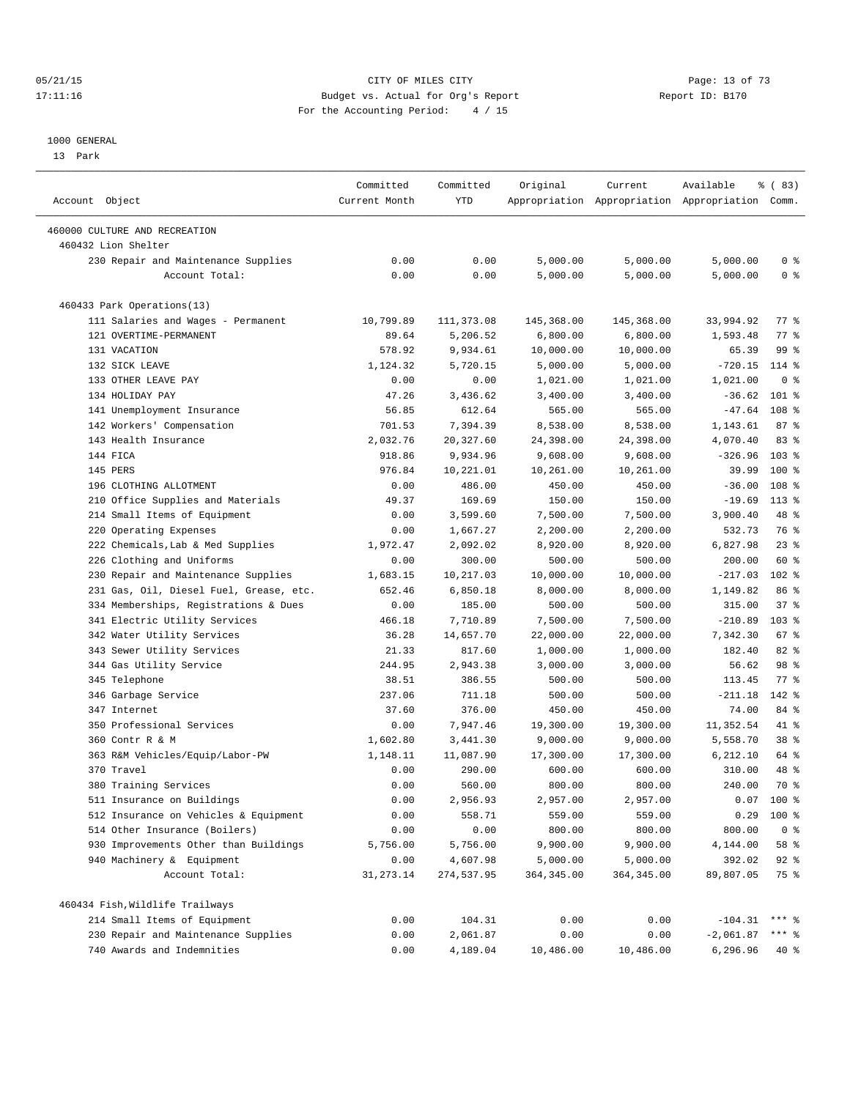#### 05/21/15 **Page: 13 of 73** CITY OF MILES CITY **CITY Page: 13 of 73** 17:11:16 Budget vs. Actual for Org's Report Report ID: B170 For the Accounting Period: 4 / 15

————————————————————————————————————————————————————————————————————————————————————————————————————————————————————————————————————

#### 1000 GENERAL

13 Park

|                                                      | Committed     | Committed  | Original    | Current     | Available                                       | % (83)           |  |
|------------------------------------------------------|---------------|------------|-------------|-------------|-------------------------------------------------|------------------|--|
| Account Object                                       | Current Month | YTD        |             |             | Appropriation Appropriation Appropriation Comm. |                  |  |
|                                                      |               |            |             |             |                                                 |                  |  |
| 460000 CULTURE AND RECREATION<br>460432 Lion Shelter |               |            |             |             |                                                 |                  |  |
| 230 Repair and Maintenance Supplies                  | 0.00          | 0.00       | 5,000.00    | 5,000.00    | 5,000.00                                        | 0 <sup>8</sup>   |  |
| Account Total:                                       | 0.00          | 0.00       | 5,000.00    | 5,000.00    | 5,000.00                                        | 0 <sup>8</sup>   |  |
|                                                      |               |            |             |             |                                                 |                  |  |
| 460433 Park Operations(13)                           |               |            |             |             |                                                 |                  |  |
| 111 Salaries and Wages - Permanent                   | 10,799.89     | 111,373.08 | 145,368.00  | 145,368.00  | 33,994.92                                       | 77.8             |  |
| 121 OVERTIME-PERMANENT                               | 89.64         | 5,206.52   | 6,800.00    | 6,800.00    | 1,593.48                                        | 77 %             |  |
| 131 VACATION                                         | 578.92        | 9,934.61   | 10,000.00   | 10,000.00   | 65.39                                           | 99 %             |  |
| 132 SICK LEAVE                                       | 1,124.32      | 5,720.15   | 5,000.00    | 5,000.00    | $-720.15$                                       | $114*$           |  |
| 133 OTHER LEAVE PAY                                  | 0.00          | 0.00       | 1,021.00    | 1,021.00    | 1,021.00                                        | 0 <sup>8</sup>   |  |
| 134 HOLIDAY PAY                                      | 47.26         | 3,436.62   | 3,400.00    | 3,400.00    | $-36.62$                                        | $101$ %          |  |
| 141 Unemployment Insurance                           | 56.85         | 612.64     | 565.00      | 565.00      | $-47.64$                                        | 108 %            |  |
| 142 Workers' Compensation                            | 701.53        | 7,394.39   | 8,538.00    | 8,538.00    | 1,143.61                                        | 87%              |  |
| 143 Health Insurance                                 | 2,032.76      | 20,327.60  | 24,398.00   | 24,398.00   | 4,070.40                                        | 83%              |  |
| 144 FICA                                             | 918.86        | 9,934.96   | 9,608.00    | 9,608.00    | $-326.96$                                       | 103 <sub>8</sub> |  |
| 145 PERS                                             | 976.84        | 10,221.01  | 10,261.00   | 10,261.00   | 39.99                                           | 100 %            |  |
| 196 CLOTHING ALLOTMENT                               | 0.00          | 486.00     | 450.00      | 450.00      | $-36.00$                                        | 108 %            |  |
| 210 Office Supplies and Materials                    | 49.37         | 169.69     | 150.00      | 150.00      | $-19.69$                                        | $113*$           |  |
| 214 Small Items of Equipment                         | 0.00          | 3,599.60   | 7,500.00    | 7,500.00    | 3,900.40                                        | 48 %             |  |
| Operating Expenses<br>220                            | 0.00          | 1,667.27   | 2,200.00    | 2,200.00    | 532.73                                          | 76 %             |  |
| 222 Chemicals, Lab & Med Supplies                    | 1,972.47      | 2,092.02   | 8,920.00    | 8,920.00    | 6,827.98                                        | $23$ $%$         |  |
| 226 Clothing and Uniforms                            | 0.00          | 300.00     | 500.00      | 500.00      | 200.00                                          | 60 %             |  |
| 230 Repair and Maintenance Supplies                  | 1,683.15      | 10,217.03  | 10,000.00   | 10,000.00   | $-217.03$                                       | $102$ %          |  |
| 231 Gas, Oil, Diesel Fuel, Grease, etc.              | 652.46        | 6,850.18   | 8,000.00    | 8,000.00    | 1,149.82                                        | 86 %             |  |
| 334 Memberships, Registrations & Dues                | 0.00          | 185.00     | 500.00      | 500.00      | 315.00                                          | 37%              |  |
| 341 Electric Utility Services                        | 466.18        | 7,710.89   | 7,500.00    | 7,500.00    | $-210.89$                                       | $103$ %          |  |
| 342 Water Utility Services                           | 36.28         | 14,657.70  | 22,000.00   | 22,000.00   | 7,342.30                                        | 67 %             |  |
| 343 Sewer Utility Services                           | 21.33         | 817.60     | 1,000.00    | 1,000.00    | 182.40                                          | $82$ $%$         |  |
| 344 Gas Utility Service                              | 244.95        | 2,943.38   | 3,000.00    | 3,000.00    | 56.62                                           | 98 %             |  |
| 345 Telephone                                        | 38.51         | 386.55     | 500.00      | 500.00      | 113.45                                          | 77.8             |  |
| 346 Garbage Service                                  | 237.06        | 711.18     | 500.00      | 500.00      | $-211.18$                                       | $142$ %          |  |
| 347 Internet                                         | 37.60         | 376.00     | 450.00      | 450.00      | 74.00                                           | 84 %             |  |
| 350 Professional Services                            | 0.00          | 7,947.46   | 19,300.00   | 19,300.00   | 11,352.54                                       | 41 %             |  |
| 360 Contr R & M                                      | 1,602.80      | 3,441.30   | 9,000.00    | 9,000.00    | 5,558.70                                        | 38 %             |  |
| 363 R&M Vehicles/Equip/Labor-PW                      | 1,148.11      | 11,087.90  | 17,300.00   | 17,300.00   | 6,212.10                                        | 64 %             |  |
| 370 Travel                                           | 0.00          | 290.00     | 600.00      | 600.00      | 310.00                                          | 48 %             |  |
| 380 Training Services                                | 0.00          | 560.00     | 800.00      | 800.00      | 240.00                                          | 70 %             |  |
| 511 Insurance on Buildings                           | 0.00          | 2,956.93   | 2,957.00    | 2,957.00    | 0.07                                            | $100*$           |  |
| 512 Insurance on Vehicles & Equipment                | 0.00          | 558.71     | 559.00      | 559.00      | 0.29                                            | 100 %            |  |
| 514 Other Insurance (Boilers)                        | 0.00          | 0.00       | 800.00      | 800.00      | 800.00                                          | 0 <sup>8</sup>   |  |
| 930 Improvements Other than Buildings                | 5,756.00      | 5,756.00   | 9,900.00    | 9,900.00    | 4,144.00                                        | 58 %             |  |
| 940 Machinery & Equipment                            | 0.00          | 4,607.98   | 5,000.00    | 5,000.00    | 392.02                                          | $92$ $%$         |  |
| Account Total:                                       | 31, 273.14    | 274,537.95 | 364, 345.00 | 364, 345.00 | 89,807.05                                       | 75 %             |  |
| 460434 Fish, Wildlife Trailways                      |               |            |             |             |                                                 |                  |  |
| 214 Small Items of Equipment                         | 0.00          | 104.31     | 0.00        | 0.00        | $-104.31$                                       | $***$ $-$        |  |
| 230 Repair and Maintenance Supplies                  | 0.00          | 2,061.87   | 0.00        | 0.00        | $-2,061.87$                                     | *** 응            |  |
| 740 Awards and Indemnities                           | 0.00          | 4,189.04   | 10,486.00   | 10,486.00   | 6,296.96                                        | $40*$            |  |
|                                                      |               |            |             |             |                                                 |                  |  |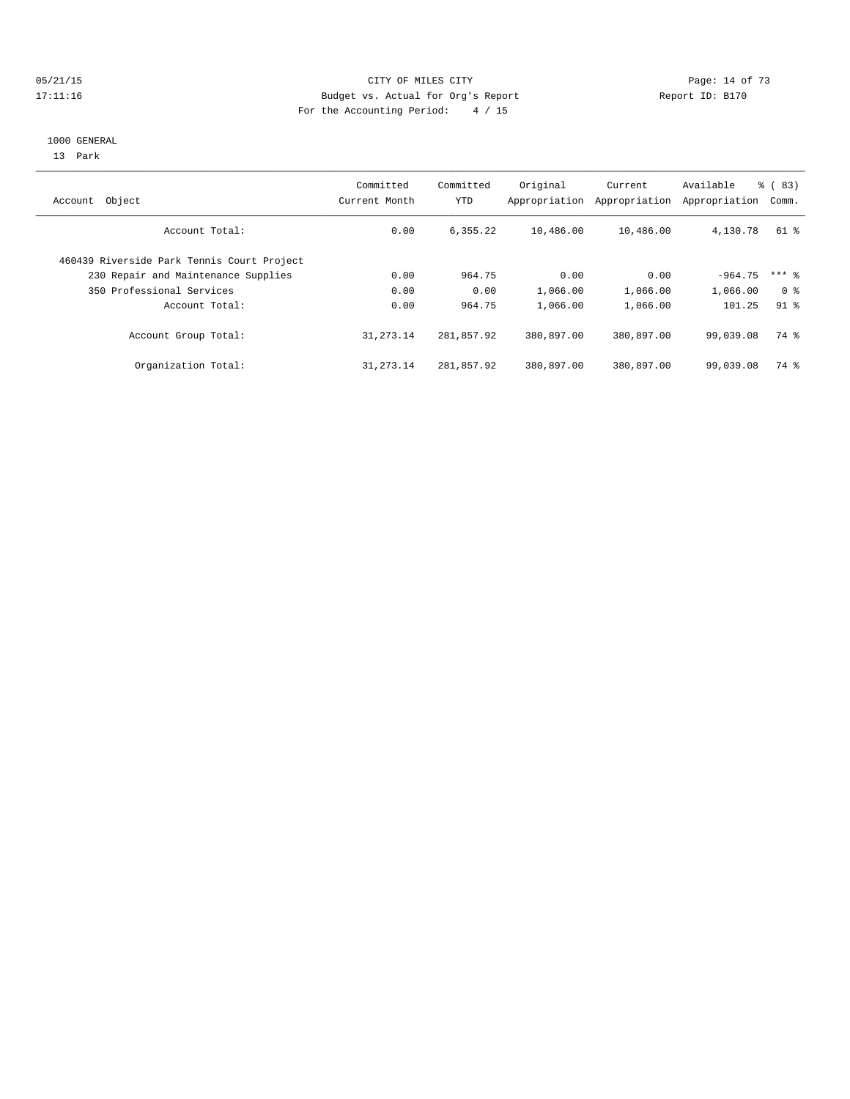#### 05/21/15 Page: 14 of 73 17:11:16 Budget vs. Actual for Org's Report Report ID: B170 For the Accounting Period: 4 / 15

#### 1000 GENERAL

13 Park

| Object<br>Account                          | Committed<br>Current Month | Committed<br><b>YTD</b> | Original<br>Appropriation | Current<br>Appropriation | Available<br>Appropriation | $\frac{6}{6}$ (83)<br>Comm. |
|--------------------------------------------|----------------------------|-------------------------|---------------------------|--------------------------|----------------------------|-----------------------------|
| Account Total:                             | 0.00                       | 6,355.22                | 10,486.00                 | 10,486.00                | 4,130.78                   | 61 %                        |
| 460439 Riverside Park Tennis Court Project |                            |                         |                           |                          |                            |                             |
| 230 Repair and Maintenance Supplies        | 0.00                       | 964.75                  | 0.00                      | 0.00                     | $-964.75$                  | $***$ 8                     |
| 350 Professional Services                  | 0.00                       | 0.00                    | 1,066.00                  | 1,066.00                 | 1,066.00                   | 0 <sup>8</sup>              |
| Account Total:                             | 0.00                       | 964.75                  | 1,066.00                  | 1,066.00                 | 101.25                     | $91$ $%$                    |
| Account Group Total:                       | 31, 273. 14                | 281,857.92              | 380,897.00                | 380,897.00               | 99,039.08                  | 74 %                        |
| Organization Total:                        | 31, 273. 14                | 281,857.92              | 380,897.00                | 380,897.00               | 99,039.08                  | 74 %                        |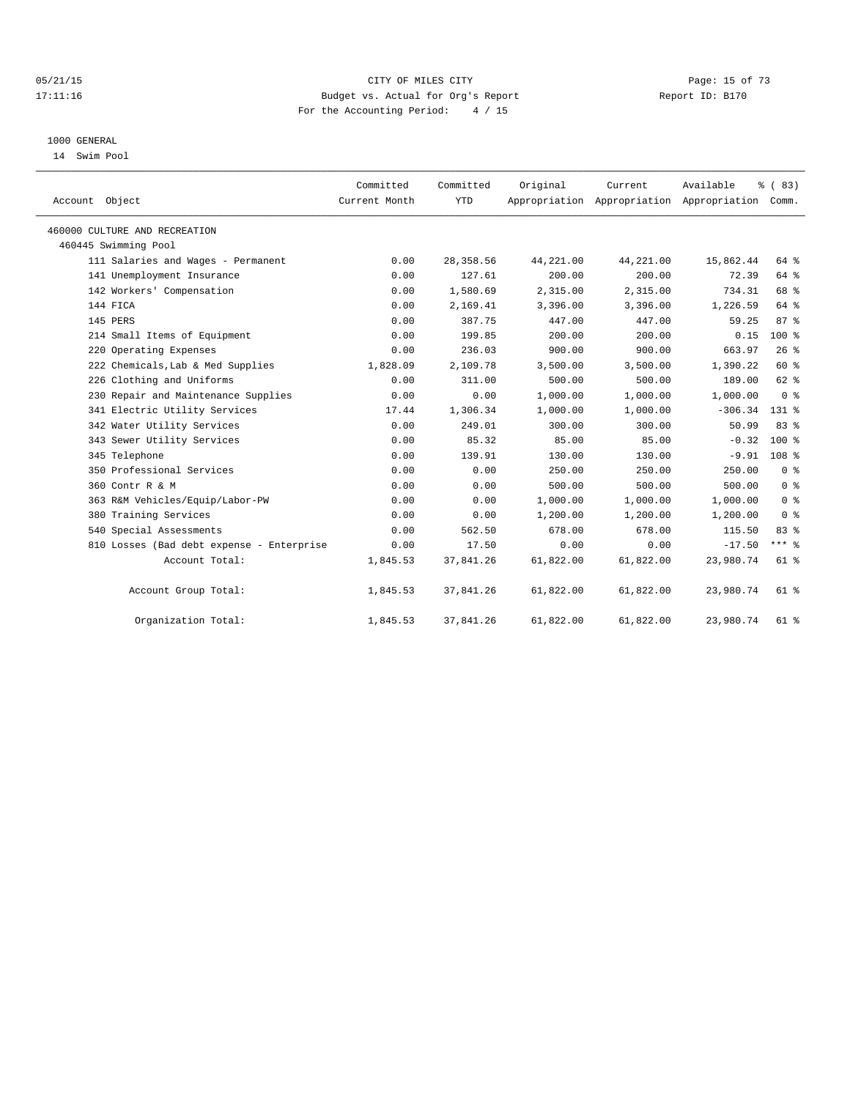#### 05/21/15 **Page: 15 of 73** CITY OF MILES CITY **CITY Page: 15 of 73** 17:11:16 Budget vs. Actual for Org's Report Report ID: B170 For the Accounting Period: 4 / 15

#### 1000 GENERAL

14 Swim Pool

| Account Object                            | Committed<br>Current Month | Committed<br><b>YTD</b> | Original  | Current   | Available<br>Appropriation Appropriation Appropriation | $\frac{6}{3}$ (83)<br>Comm. |
|-------------------------------------------|----------------------------|-------------------------|-----------|-----------|--------------------------------------------------------|-----------------------------|
| 460000 CULTURE AND RECREATION             |                            |                         |           |           |                                                        |                             |
| 460445 Swimming Pool                      |                            |                         |           |           |                                                        |                             |
| 111 Salaries and Wages - Permanent        | 0.00                       | 28, 358.56              | 44,221.00 | 44,221.00 | 15,862.44                                              | 64 %                        |
| 141 Unemployment Insurance                | 0.00                       | 127.61                  | 200.00    | 200.00    | 72.39                                                  | 64 %                        |
| 142 Workers' Compensation                 | 0.00                       | 1,580.69                | 2,315.00  | 2,315.00  | 734.31                                                 | 68 %                        |
| 144 FICA                                  | 0.00                       | 2,169.41                | 3,396.00  | 3,396.00  | 1,226.59                                               | 64 %                        |
| 145 PERS                                  | 0.00                       | 387.75                  | 447.00    | 447.00    | 59.25                                                  | 87%                         |
| 214 Small Items of Equipment              | 0.00                       | 199.85                  | 200.00    | 200.00    | 0.15                                                   | $100*$                      |
| 220 Operating Expenses                    | 0.00                       | 236.03                  | 900.00    | 900.00    | 663.97                                                 | 26%                         |
| 222 Chemicals, Lab & Med Supplies         | 1,828.09                   | 2,109.78                | 3,500.00  | 3,500.00  | 1,390.22                                               | 60%                         |
| 226 Clothing and Uniforms                 | 0.00                       | 311.00                  | 500.00    | 500.00    | 189.00                                                 | 62 %                        |
| 230 Repair and Maintenance Supplies       | 0.00                       | 0.00                    | 1,000.00  | 1,000.00  | 1,000.00                                               | 0 <sup>8</sup>              |
| 341 Electric Utility Services             | 17.44                      | 1,306.34                | 1,000.00  | 1,000.00  | $-306.34$                                              | $131*$                      |
| 342 Water Utility Services                | 0.00                       | 249.01                  | 300.00    | 300.00    | 50.99                                                  | 83%                         |
| 343 Sewer Utility Services                | 0.00                       | 85.32                   | 85.00     | 85.00     | $-0.32$                                                | $100*$                      |
| 345 Telephone                             | 0.00                       | 139.91                  | 130.00    | 130.00    |                                                        | $-9.91$ 108 %               |
| 350 Professional Services                 | 0.00                       | 0.00                    | 250.00    | 250.00    | 250.00                                                 | 0 <sup>8</sup>              |
| 360 Contr R & M                           | 0.00                       | 0.00                    | 500.00    | 500.00    | 500.00                                                 | 0 <sup>8</sup>              |
| 363 R&M Vehicles/Equip/Labor-PW           | 0.00                       | 0.00                    | 1,000.00  | 1,000.00  | 1,000.00                                               | 0 <sup>8</sup>              |
| 380 Training Services                     | 0.00                       | 0.00                    | 1,200.00  | 1,200.00  | 1,200.00                                               | 0 <sup>8</sup>              |
| 540 Special Assessments                   | 0.00                       | 562.50                  | 678.00    | 678.00    | 115.50                                                 | 83%                         |
| 810 Losses (Bad debt expense - Enterprise | 0.00                       | 17.50                   | 0.00      | 0.00      | $-17.50$                                               | $***$ 8                     |
| Account Total:                            | 1,845.53                   | 37,841.26               | 61,822.00 | 61,822.00 | 23,980.74                                              | 61 %                        |
| Account Group Total:                      | 1,845.53                   | 37,841.26               | 61,822.00 | 61,822.00 | 23,980.74                                              | 61 %                        |
| Organization Total:                       | 1,845.53                   | 37,841.26               | 61,822.00 | 61,822.00 | 23,980.74                                              | 61 %                        |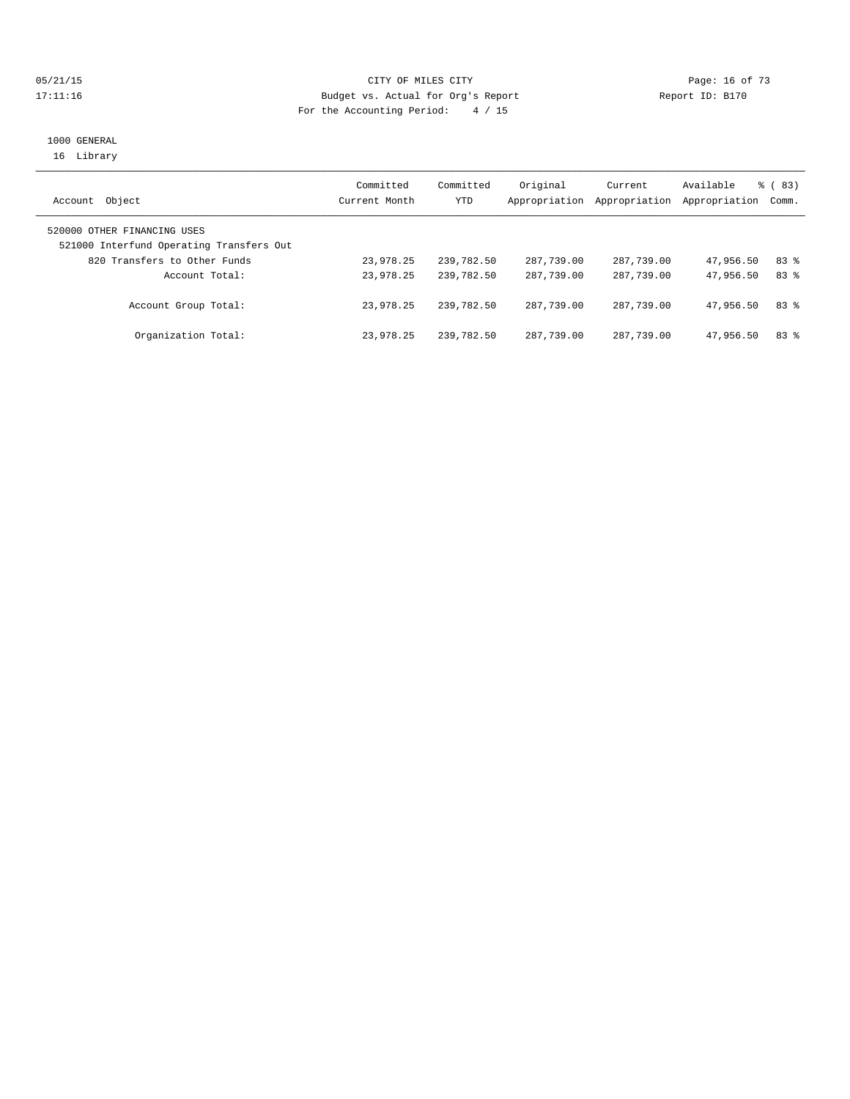## 05/21/15 **Page: 16 of 73** CITY OF MILES CITY **CITY** CITY **Page: 16 of 73** 17:11:16 Budget vs. Actual for Org's Report Report ID: B170 For the Accounting Period: 4 / 15

#### 1000 GENERAL 16 Library

| Object<br>Account                                                       | Committed<br>Current Month | Committed<br>YTD | Original<br>Appropriation | Current<br>Appropriation | Available<br>Appropriation | % ( 83 )<br>Comm. |
|-------------------------------------------------------------------------|----------------------------|------------------|---------------------------|--------------------------|----------------------------|-------------------|
| 520000 OTHER FINANCING USES<br>521000 Interfund Operating Transfers Out |                            |                  |                           |                          |                            |                   |
| 820 Transfers to Other Funds                                            | 23,978.25                  | 239,782.50       | 287,739.00                | 287,739.00               | 47,956.50                  | $83*$             |
| Account Total:                                                          | 23,978.25                  | 239,782.50       | 287,739.00                | 287,739.00               | 47,956.50                  | 83%               |
| Account Group Total:                                                    | 23,978.25                  | 239,782.50       | 287,739.00                | 287,739.00               | 47,956.50                  | 83%               |
| Organization Total:                                                     | 23,978.25                  | 239,782.50       | 287,739.00                | 287,739.00               | 47,956.50                  | 83 %              |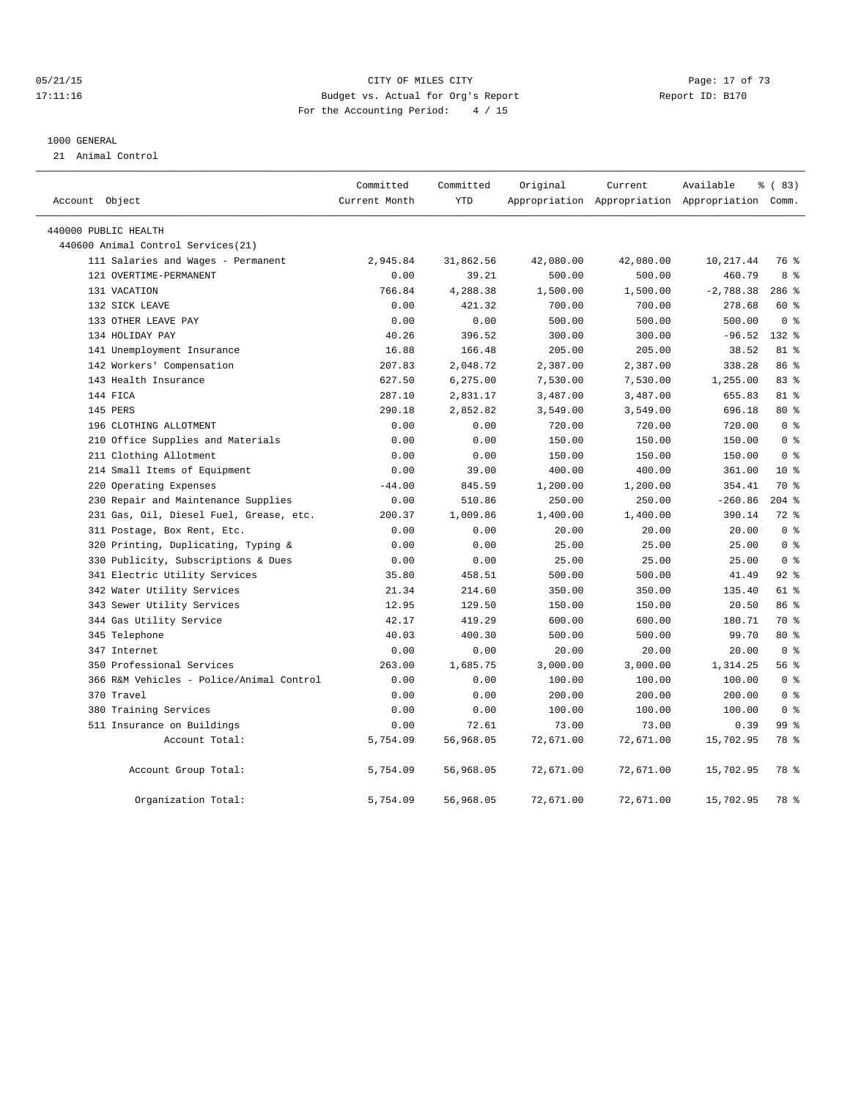## 05/21/15 CITY OF MILES CITY Page: 17 of 73 17:11:16 Budget vs. Actual for Org's Report Report ID: B170 For the Accounting Period: 4 / 15

#### 1000 GENERAL

21 Animal Control

|                |                                          | Committed     | Committed  | Original  | Current   | Available                                       | 8 (83)          |
|----------------|------------------------------------------|---------------|------------|-----------|-----------|-------------------------------------------------|-----------------|
| Account Object |                                          | Current Month | <b>YTD</b> |           |           | Appropriation Appropriation Appropriation Comm. |                 |
|                | 440000 PUBLIC HEALTH                     |               |            |           |           |                                                 |                 |
|                | 440600 Animal Control Services (21)      |               |            |           |           |                                                 |                 |
|                | 111 Salaries and Wages - Permanent       | 2,945.84      | 31,862.56  | 42,080.00 | 42,080.00 | 10, 217.44                                      | 76 %            |
|                | 121 OVERTIME-PERMANENT                   | 0.00          | 39.21      | 500.00    | 500.00    | 460.79                                          | 8 %             |
|                | 131 VACATION                             | 766.84        | 4,288.38   | 1,500.00  | 1,500.00  | $-2,788.38$                                     | 286 %           |
|                | 132 SICK LEAVE                           | 0.00          | 421.32     | 700.00    | 700.00    | 278.68                                          | 60 %            |
|                | 133 OTHER LEAVE PAY                      | 0.00          | 0.00       | 500.00    | 500.00    | 500.00                                          | 0 <sup>8</sup>  |
|                | 134 HOLIDAY PAY                          | 40.26         | 396.52     | 300.00    | 300.00    | $-96.52$                                        | 132 %           |
|                | 141 Unemployment Insurance               | 16.88         | 166.48     | 205.00    | 205.00    | 38.52                                           | 81 %            |
|                | 142 Workers' Compensation                | 207.83        | 2,048.72   | 2,387.00  | 2,387.00  | 338.28                                          | 86 %            |
|                | 143 Health Insurance                     | 627.50        | 6,275.00   | 7,530.00  | 7,530.00  | 1,255.00                                        | 83%             |
|                | 144 FICA                                 | 287.10        | 2,831.17   | 3,487.00  | 3,487.00  | 655.83                                          | 81 %            |
|                | 145 PERS                                 | 290.18        | 2,852.82   | 3,549.00  | 3,549.00  | 696.18                                          | $80*$           |
|                | 196 CLOTHING ALLOTMENT                   | 0.00          | 0.00       | 720.00    | 720.00    | 720.00                                          | 0 <sup>8</sup>  |
|                | 210 Office Supplies and Materials        | 0.00          | 0.00       | 150.00    | 150.00    | 150.00                                          | 0 <sup>8</sup>  |
|                | 211 Clothing Allotment                   | 0.00          | 0.00       | 150.00    | 150.00    | 150.00                                          | 0 <sup>8</sup>  |
|                | 214 Small Items of Equipment             | 0.00          | 39.00      | 400.00    | 400.00    | 361.00                                          | $10*$           |
|                | 220 Operating Expenses                   | $-44.00$      | 845.59     | 1,200.00  | 1,200.00  | 354.41                                          | 70 %            |
|                | 230 Repair and Maintenance Supplies      | 0.00          | 510.86     | 250.00    | 250.00    | $-260.86$                                       | $204$ %         |
|                | 231 Gas, Oil, Diesel Fuel, Grease, etc.  | 200.37        | 1,009.86   | 1,400.00  | 1,400.00  | 390.14                                          | $72$ $%$        |
|                | 311 Postage, Box Rent, Etc.              | 0.00          | 0.00       | 20.00     | 20.00     | 20.00                                           | 0 <sup>8</sup>  |
|                | 320 Printing, Duplicating, Typing &      | 0.00          | 0.00       | 25.00     | 25.00     | 25.00                                           | 0 <sup>8</sup>  |
|                | 330 Publicity, Subscriptions & Dues      | 0.00          | 0.00       | 25.00     | 25.00     | 25.00                                           | 0 <sup>8</sup>  |
|                | 341 Electric Utility Services            | 35.80         | 458.51     | 500.00    | 500.00    | 41.49                                           | $92$ $%$        |
|                | 342 Water Utility Services               | 21.34         | 214.60     | 350.00    | 350.00    | 135.40                                          | 61 %            |
|                | 343 Sewer Utility Services               | 12.95         | 129.50     | 150.00    | 150.00    | 20.50                                           | 86 %            |
|                | 344 Gas Utility Service                  | 42.17         | 419.29     | 600.00    | 600.00    | 180.71                                          | 70 %            |
|                | 345 Telephone                            | 40.03         | 400.30     | 500.00    | 500.00    | 99.70                                           | 80 %            |
|                | 347 Internet                             | 0.00          | 0.00       | 20.00     | 20.00     | 20.00                                           | 0 <sup>8</sup>  |
|                | 350 Professional Services                | 263.00        | 1,685.75   | 3,000.00  | 3,000.00  | 1,314.25                                        | 56%             |
|                | 366 R&M Vehicles - Police/Animal Control | 0.00          | 0.00       | 100.00    | 100.00    | 100.00                                          | 0 <sup>8</sup>  |
|                | 370 Travel                               | 0.00          | 0.00       | 200.00    | 200.00    | 200.00                                          | 0 <sup>8</sup>  |
|                | 380 Training Services                    | 0.00          | 0.00       | 100.00    | 100.00    | 100.00                                          | 0 <sup>8</sup>  |
|                | 511 Insurance on Buildings               | 0.00          | 72.61      | 73.00     | 73.00     | 0.39                                            | 99 <sub>8</sub> |
|                | Account Total:                           | 5,754.09      | 56,968.05  | 72,671.00 | 72,671.00 | 15,702.95                                       | 78 %            |
|                | Account Group Total:                     | 5,754.09      | 56,968.05  | 72,671.00 | 72,671.00 | 15,702.95                                       | 78 %            |
|                | Organization Total:                      | 5,754.09      | 56,968.05  | 72,671.00 | 72,671.00 | 15,702.95                                       | 78 %            |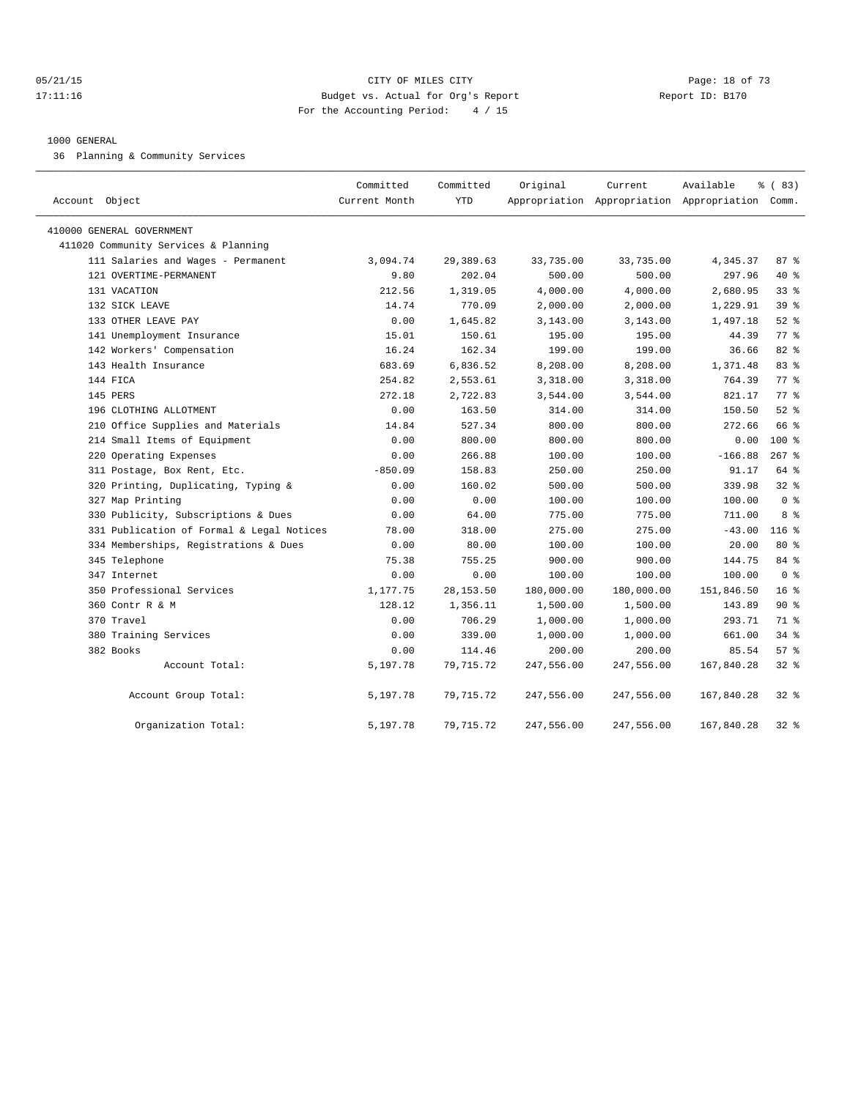#### 05/21/15 **DESEMBLES CRITES CITY** CONTROL CONTROL CONTROL CONTROL CONTROL CONTROL CONTROL CONTROL CONTROL CONTROL CONTROL CONTROL CONTROL CONTROL CONTROL CONTROL CONTROL CONTROL CONTROL CONTROL CONTROL CONTROL CONTROL CONTR 17:11:16 Budget vs. Actual for Org's Report Report ID: B170 For the Accounting Period: 4 / 15

#### 1000 GENERAL

36 Planning & Community Services

| Account Object                            | Committed<br>Current Month | Committed<br><b>YTD</b> | Original   | Current<br>Appropriation Appropriation Appropriation Comm. | Available  | % (83)          |
|-------------------------------------------|----------------------------|-------------------------|------------|------------------------------------------------------------|------------|-----------------|
| 410000 GENERAL GOVERNMENT                 |                            |                         |            |                                                            |            |                 |
| 411020 Community Services & Planning      |                            |                         |            |                                                            |            |                 |
| 111 Salaries and Wages - Permanent        | 3,094.74                   | 29,389.63               | 33,735.00  | 33,735.00                                                  | 4,345.37   | 87%             |
| 121 OVERTIME-PERMANENT                    | 9.80                       | 202.04                  | 500.00     | 500.00                                                     | 297.96     | 40 %            |
| 131 VACATION                              | 212.56                     | 1,319.05                | 4,000.00   | 4,000.00                                                   | 2,680.95   | 33 <sup>8</sup> |
| 132 SICK LEAVE                            | 14.74                      | 770.09                  | 2,000.00   | 2,000.00                                                   | 1,229.91   | 39 <sup>8</sup> |
| 133 OTHER LEAVE PAY                       | 0.00                       | 1,645.82                | 3,143.00   | 3,143.00                                                   | 1,497.18   | $52$ $%$        |
| 141 Unemployment Insurance                | 15.01                      | 150.61                  | 195.00     | 195.00                                                     | 44.39      | 77.8            |
| 142 Workers' Compensation                 | 16.24                      | 162.34                  | 199.00     | 199.00                                                     | 36.66      | 82%             |
| 143 Health Insurance                      | 683.69                     | 6,836.52                | 8,208.00   | 8,208.00                                                   | 1,371.48   | 83%             |
| 144 FICA                                  | 254.82                     | 2,553.61                | 3,318.00   | 3,318.00                                                   | 764.39     | 77.8            |
| 145 PERS                                  | 272.18                     | 2,722.83                | 3,544.00   | 3,544.00                                                   | 821.17     | 77.8            |
| 196 CLOTHING ALLOTMENT                    | 0.00                       | 163.50                  | 314.00     | 314.00                                                     | 150.50     | $52$ $%$        |
| 210 Office Supplies and Materials         | 14.84                      | 527.34                  | 800.00     | 800.00                                                     | 272.66     | 66 %            |
| 214 Small Items of Equipment              | 0.00                       | 800.00                  | 800.00     | 800.00                                                     | 0.00       | $100*$          |
| 220 Operating Expenses                    | 0.00                       | 266.88                  | 100.00     | 100.00                                                     | $-166.88$  | $267$ $%$       |
| 311 Postage, Box Rent, Etc.               | $-850.09$                  | 158.83                  | 250.00     | 250.00                                                     | 91.17      | 64 %            |
| 320 Printing, Duplicating, Typing &       | 0.00                       | 160.02                  | 500.00     | 500.00                                                     | 339.98     | 32%             |
| 327 Map Printing                          | 0.00                       | 0.00                    | 100.00     | 100.00                                                     | 100.00     | 0 <sup>8</sup>  |
| 330 Publicity, Subscriptions & Dues       | 0.00                       | 64.00                   | 775.00     | 775.00                                                     | 711.00     | 8 %             |
| 331 Publication of Formal & Legal Notices | 78.00                      | 318.00                  | 275.00     | 275.00                                                     | $-43.00$   | $116$ %         |
| 334 Memberships, Registrations & Dues     | 0.00                       | 80.00                   | 100.00     | 100.00                                                     | 20.00      | $80*$           |
| 345 Telephone                             | 75.38                      | 755.25                  | 900.00     | 900.00                                                     | 144.75     | 84 %            |
| 347 Internet                              | 0.00                       | 0.00                    | 100.00     | 100.00                                                     | 100.00     | 0 <sup>8</sup>  |
| 350 Professional Services                 | 1,177.75                   | 28, 153.50              | 180,000.00 | 180,000.00                                                 | 151,846.50 | 16 <sup>8</sup> |
| 360 Contr R & M                           | 128.12                     | 1,356.11                | 1,500.00   | 1,500.00                                                   | 143.89     | $90*$           |
| 370 Travel                                | 0.00                       | 706.29                  | 1,000.00   | 1,000.00                                                   | 293.71     | 71 %            |
| 380 Training Services                     | 0.00                       | 339.00                  | 1,000.00   | 1,000.00                                                   | 661.00     | $34$ $%$        |
| 382 Books                                 | 0.00                       | 114.46                  | 200.00     | 200.00                                                     | 85.54      | 57%             |
| Account Total:                            | 5,197.78                   | 79, 715. 72             | 247,556.00 | 247,556.00                                                 | 167,840.28 | $32$ $%$        |
| Account Group Total:                      | 5,197.78                   | 79,715.72               | 247,556.00 | 247,556.00                                                 | 167,840.28 | $32$ $%$        |
| Organization Total:                       | 5,197.78                   | 79, 715. 72             | 247,556.00 | 247,556.00                                                 | 167,840.28 | $32*$           |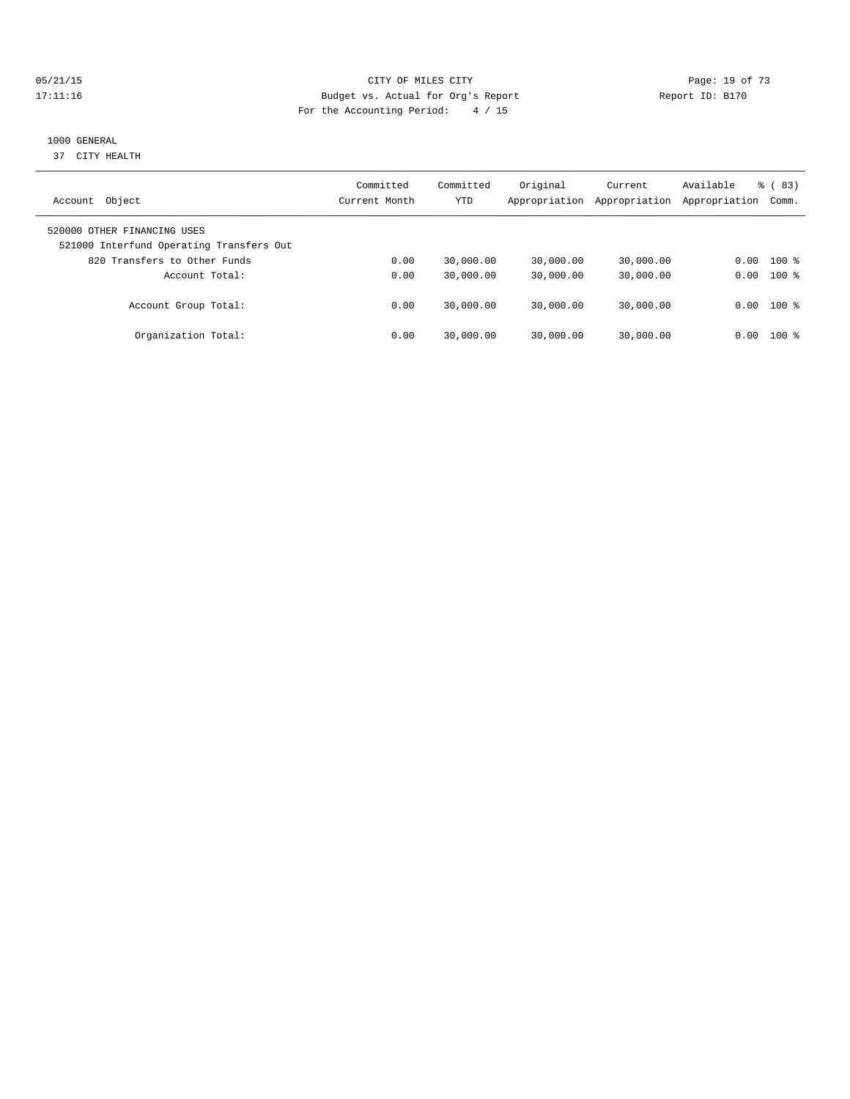## 05/21/15 **Page: 19 of 73** CITY OF MILES CITY **CITY** CITY **Page: 19 of 73** 17:11:16 Budget vs. Actual for Org's Report Report ID: B170 For the Accounting Period: 4 / 15

## 1000 GENERAL

37 CITY HEALTH

| Object<br>Account                                                       | Committed<br>Current Month | Committed<br>YTD | Original<br>Appropriation | Current<br>Appropriation | Available<br>Appropriation | $\frac{6}{6}$ (83)<br>Comm. |
|-------------------------------------------------------------------------|----------------------------|------------------|---------------------------|--------------------------|----------------------------|-----------------------------|
| 520000 OTHER FINANCING USES<br>521000 Interfund Operating Transfers Out |                            |                  |                           |                          |                            |                             |
| 820 Transfers to Other Funds                                            | 0.00                       | 30,000.00        | 30,000.00                 | 30,000.00                | 0.00                       | $100*$                      |
| Account Total:                                                          | 0.00                       | 30,000.00        | 30,000.00                 | 30,000.00                | 0.00                       | $100*$                      |
| Account Group Total:                                                    | 0.00                       | 30,000.00        | 30,000.00                 | 30,000.00                | 0.00                       | $100$ %                     |
| Organization Total:                                                     | 0.00                       | 30,000.00        | 30,000.00                 | 30,000.00                | 0.00                       | 100 %                       |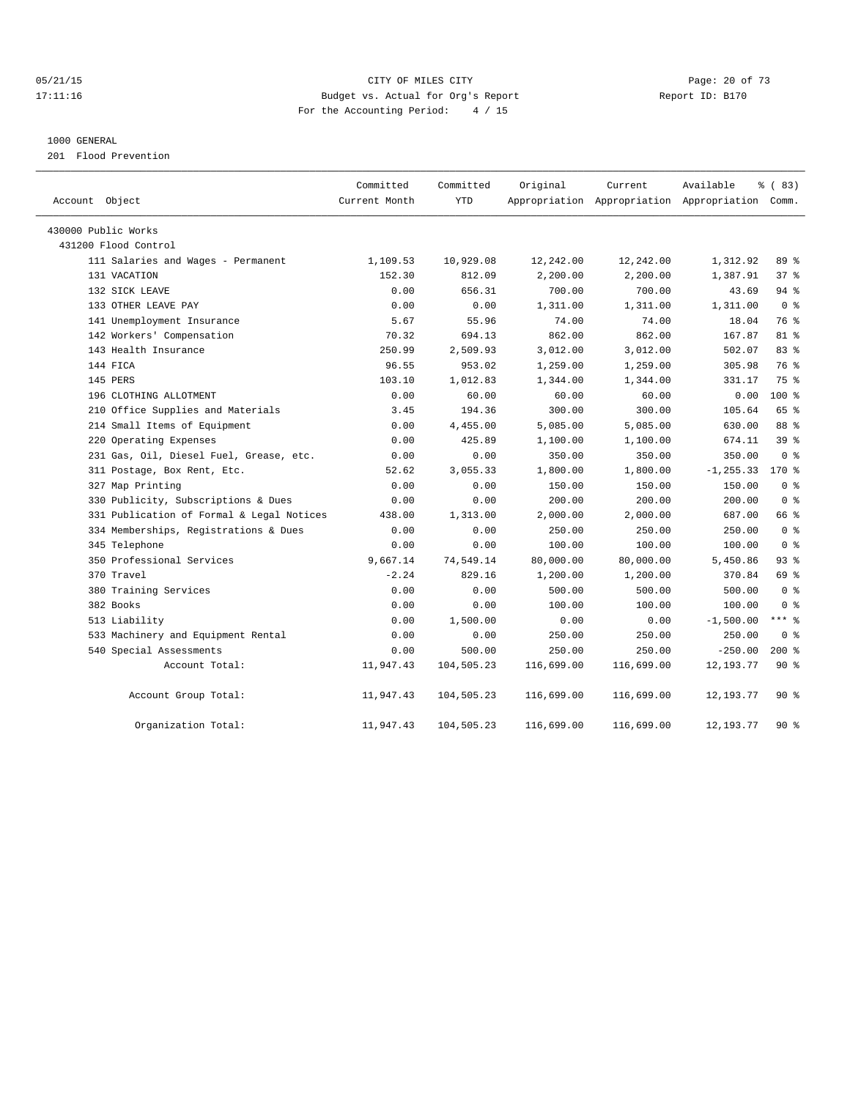## 05/21/15 **Page: 20 of 73** CITY OF MILES CITY **CITY Page: 20 of 73** 17:11:16 Budget vs. Actual for Org's Report Report ID: B170 For the Accounting Period: 4 / 15

#### 1000 GENERAL

201 Flood Prevention

| Account Object                            | Committed<br>Current Month | Committed<br><b>YTD</b> | Original   | Current    | Available<br>Appropriation Appropriation Appropriation Comm. | % (83)          |
|-------------------------------------------|----------------------------|-------------------------|------------|------------|--------------------------------------------------------------|-----------------|
| 430000 Public Works                       |                            |                         |            |            |                                                              |                 |
| 431200 Flood Control                      |                            |                         |            |            |                                                              |                 |
| 111 Salaries and Wages - Permanent        | 1,109.53                   | 10,929.08               | 12,242.00  | 12,242.00  | 1,312.92                                                     | 89%             |
| 131 VACATION                              | 152.30                     | 812.09                  | 2,200.00   | 2,200.00   | 1,387.91                                                     | 37%             |
| 132 SICK LEAVE                            | 0.00                       | 656.31                  | 700.00     | 700.00     | 43.69                                                        | 94 %            |
| 133 OTHER LEAVE PAY                       | 0.00                       | 0.00                    | 1,311.00   | 1,311.00   | 1,311.00                                                     | 0 <sup>8</sup>  |
| 141 Unemployment Insurance                | 5.67                       | 55.96                   | 74.00      | 74.00      | 18.04                                                        | 76 %            |
| 142 Workers' Compensation                 | 70.32                      | 694.13                  | 862.00     | 862.00     | 167.87                                                       | 81 %            |
| 143 Health Insurance                      | 250.99                     | 2,509.93                | 3,012.00   | 3,012.00   | 502.07                                                       | 83 %            |
| 144 FICA                                  | 96.55                      | 953.02                  | 1,259.00   | 1,259.00   | 305.98                                                       | 76 %            |
| 145 PERS                                  | 103.10                     | 1,012.83                | 1,344.00   | 1,344.00   | 331.17                                                       | 75 %            |
| 196 CLOTHING ALLOTMENT                    | 0.00                       | 60.00                   | 60.00      | 60.00      | 0.00                                                         | $100*$          |
| 210 Office Supplies and Materials         | 3.45                       | 194.36                  | 300.00     | 300.00     | 105.64                                                       | 65 %            |
| 214 Small Items of Equipment              | 0.00                       | 4,455.00                | 5,085.00   | 5,085.00   | 630.00                                                       | 88 %            |
| 220 Operating Expenses                    | 0.00                       | 425.89                  | 1,100.00   | 1,100.00   | 674.11                                                       | 39 <sup>8</sup> |
| 231 Gas, Oil, Diesel Fuel, Grease, etc.   | 0.00                       | 0.00                    | 350.00     | 350.00     | 350.00                                                       | 0 <sup>8</sup>  |
| 311 Postage, Box Rent, Etc.               | 52.62                      | 3,055.33                | 1,800.00   | 1,800.00   | $-1, 255.33$                                                 | $170*$          |
| 327 Map Printing                          | 0.00                       | 0.00                    | 150.00     | 150.00     | 150.00                                                       | 0 <sup>8</sup>  |
| 330 Publicity, Subscriptions & Dues       | 0.00                       | 0.00                    | 200.00     | 200.00     | 200.00                                                       | 0 <sup>8</sup>  |
| 331 Publication of Formal & Legal Notices | 438.00                     | 1,313.00                | 2,000.00   | 2,000.00   | 687.00                                                       | 66 %            |
| 334 Memberships, Registrations & Dues     | 0.00                       | 0.00                    | 250.00     | 250.00     | 250.00                                                       | 0 <sup>8</sup>  |
| 345 Telephone                             | 0.00                       | 0.00                    | 100.00     | 100.00     | 100.00                                                       | 0 <sup>8</sup>  |
| 350 Professional Services                 | 9,667.14                   | 74,549.14               | 80,000.00  | 80,000.00  | 5,450.86                                                     | 93 %            |
| 370 Travel                                | $-2.24$                    | 829.16                  | 1,200.00   | 1,200.00   | 370.84                                                       | 69 %            |
| 380 Training Services                     | 0.00                       | 0.00                    | 500.00     | 500.00     | 500.00                                                       | 0 <sup>8</sup>  |
| 382 Books                                 | 0.00                       | 0.00                    | 100.00     | 100.00     | 100.00                                                       | 0 <sup>8</sup>  |
| 513 Liability                             | 0.00                       | 1,500.00                | 0.00       | 0.00       | $-1,500.00$                                                  | *** 8           |
| 533 Machinery and Equipment Rental        | 0.00                       | 0.00                    | 250.00     | 250.00     | 250.00                                                       | 0 <sup>8</sup>  |
| 540 Special Assessments                   | 0.00                       | 500.00                  | 250.00     | 250.00     | $-250.00$                                                    | $200*$          |
| Account Total:                            | 11,947.43                  | 104,505.23              | 116,699.00 | 116,699.00 | 12, 193. 77                                                  | 90%             |
| Account Group Total:                      | 11,947.43                  | 104,505.23              | 116,699.00 | 116,699.00 | 12, 193. 77                                                  | 90%             |
| Organization Total:                       | 11,947.43                  | 104,505.23              | 116,699.00 | 116,699.00 | 12, 193. 77                                                  | $90*$           |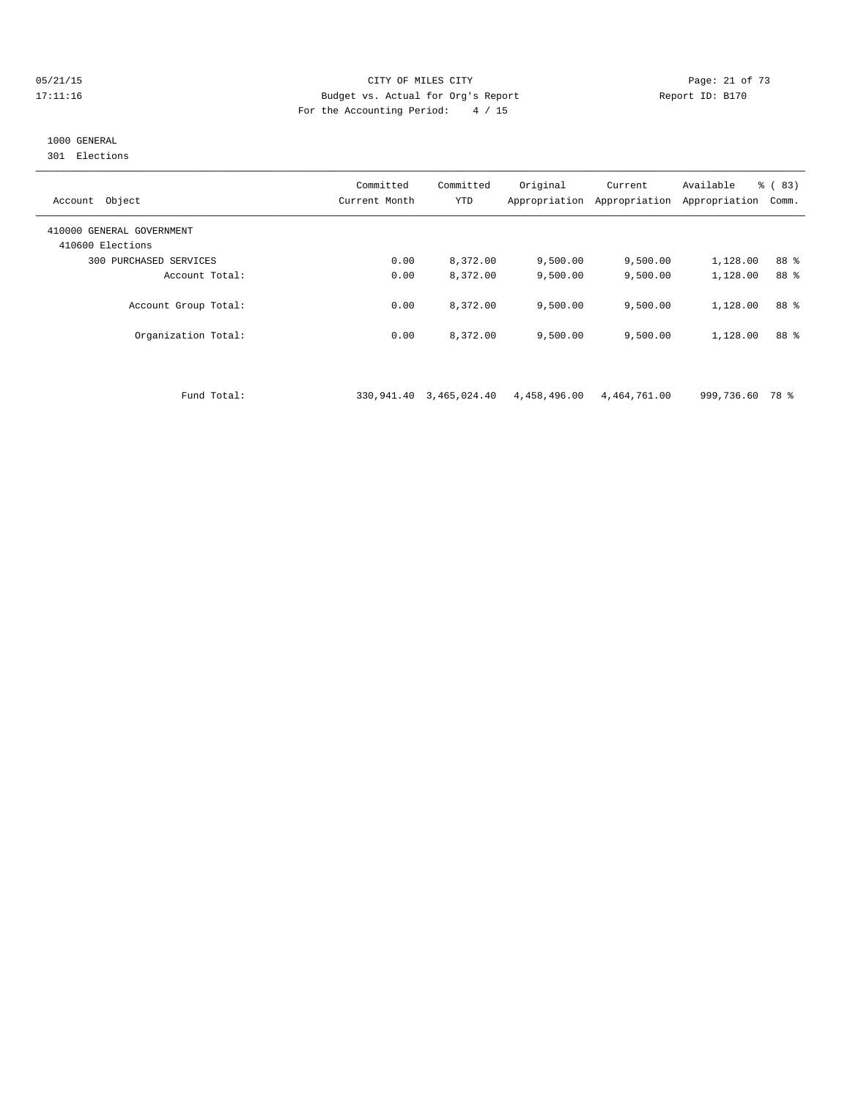#### 05/21/15 **Page: 21 of 73** CITY OF MILES CITY **CITY Page: 21 of 73** 17:11:16 Budget vs. Actual for Org's Report Report ID: B170 For the Accounting Period: 4 / 15

# 1000 GENERAL

301 Elections

| Object<br>Account                             | Committed<br>Current Month | Committed<br>YTD | Original<br>Appropriation | Current<br>Appropriation | Available<br>Appropriation | % (83)<br>Comm. |
|-----------------------------------------------|----------------------------|------------------|---------------------------|--------------------------|----------------------------|-----------------|
| 410000 GENERAL GOVERNMENT<br>410600 Elections |                            |                  |                           |                          |                            |                 |
| PURCHASED SERVICES<br>300                     | 0.00                       | 8,372.00         | 9,500.00                  | 9,500.00                 | 1,128.00                   | 88 %            |
| Account Total:                                | 0.00                       | 8,372.00         | 9.500.00                  | 9.500.00                 | 1,128.00                   | 88 %            |
| Account Group Total:                          | 0.00                       | 8,372.00         | 9.500.00                  | 9.500.00                 | 1,128.00                   | 88 %            |
| Organization Total:                           | 0.00                       | 8,372.00         | 9.500.00                  | 9.500.00                 | 1,128.00                   | 88 %            |

Fund Total: 330,941.40 3,465,024.40 4,458,496.00 4,464,761.00 999,736.60 78 %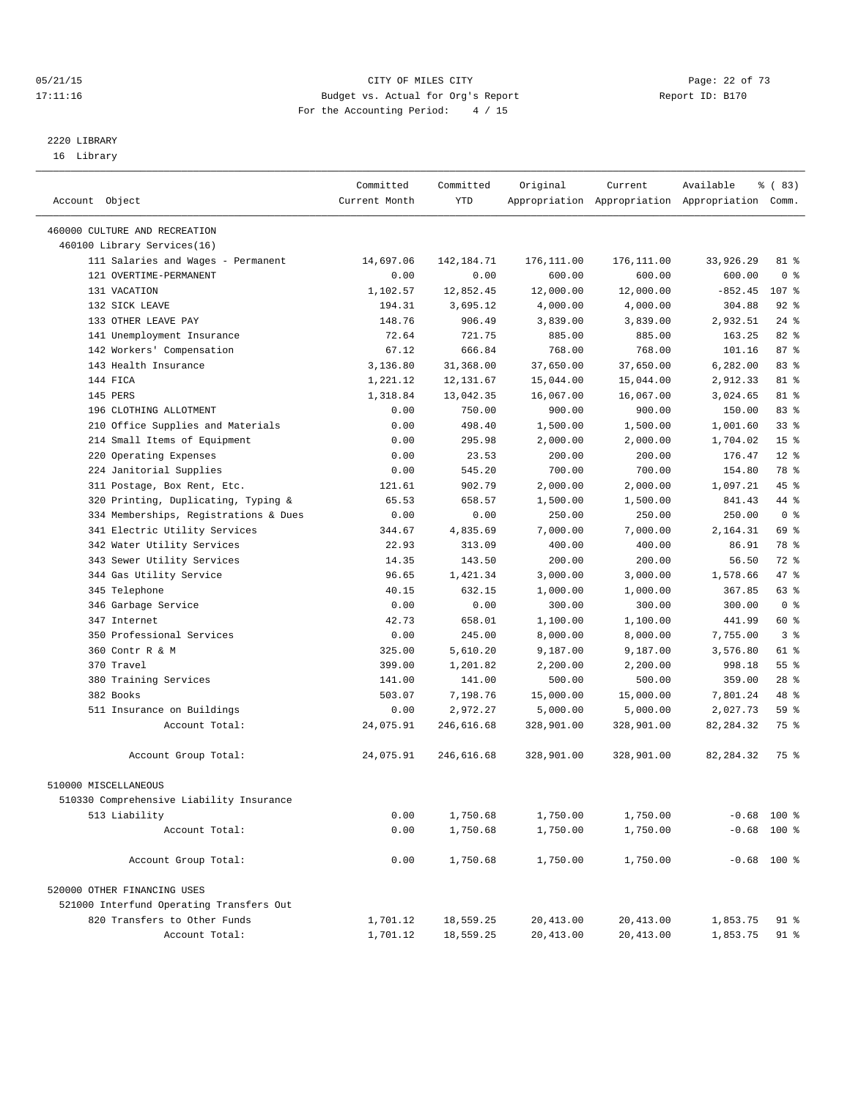#### 05/21/15 **Page: 22 of 73** CITY OF MILES CITY **CITY Page: 22 of 73** 17:11:16 Budget vs. Actual for Org's Report Report ID: B170 For the Accounting Period: 4 / 15

————————————————————————————————————————————————————————————————————————————————————————————————————————————————————————————————————

# 2220 LIBRARY

16 Library

|                                                              | Committed     | Committed    | Original   | Current    | Available                                       | % (83)          |  |
|--------------------------------------------------------------|---------------|--------------|------------|------------|-------------------------------------------------|-----------------|--|
| Account Object                                               | Current Month | YTD          |            |            | Appropriation Appropriation Appropriation Comm. |                 |  |
|                                                              |               |              |            |            |                                                 |                 |  |
| 460000 CULTURE AND RECREATION<br>460100 Library Services(16) |               |              |            |            |                                                 |                 |  |
| 111 Salaries and Wages - Permanent                           | 14,697.06     | 142, 184. 71 | 176,111.00 | 176,111.00 | 33,926.29                                       | 81 %            |  |
| 121 OVERTIME-PERMANENT                                       | 0.00          | 0.00         | 600.00     | 600.00     | 600.00                                          | 0 <sup>8</sup>  |  |
| 131 VACATION                                                 | 1,102.57      | 12,852.45    | 12,000.00  | 12,000.00  | $-852.45$                                       | 107 %           |  |
| 132 SICK LEAVE                                               | 194.31        | 3,695.12     | 4,000.00   | 4,000.00   | 304.88                                          | $92$ $%$        |  |
| 133 OTHER LEAVE PAY                                          | 148.76        | 906.49       | 3,839.00   | 3,839.00   | 2,932.51                                        | $24$ %          |  |
| 141 Unemployment Insurance                                   | 72.64         | 721.75       | 885.00     | 885.00     | 163.25                                          | $82$ $%$        |  |
| 142 Workers' Compensation                                    | 67.12         | 666.84       | 768.00     | 768.00     | 101.16                                          | 87%             |  |
| 143 Health Insurance                                         | 3,136.80      | 31,368.00    | 37,650.00  | 37,650.00  | 6,282.00                                        | 83 %            |  |
| 144 FICA                                                     | 1,221.12      | 12,131.67    | 15,044.00  | 15,044.00  | 2,912.33                                        | 81 %            |  |
| 145 PERS                                                     | 1,318.84      | 13,042.35    | 16,067.00  | 16,067.00  | 3,024.65                                        | 81 %            |  |
| 196 CLOTHING ALLOTMENT                                       | 0.00          | 750.00       | 900.00     | 900.00     | 150.00                                          | 83%             |  |
|                                                              | 0.00          | 498.40       |            |            |                                                 | $33$ $%$        |  |
| 210 Office Supplies and Materials                            |               |              | 1,500.00   | 1,500.00   | 1,001.60                                        | 15 <sup>°</sup> |  |
| 214 Small Items of Equipment<br>220 Operating Expenses       | 0.00          | 295.98       | 2,000.00   | 2,000.00   | 1,704.02                                        |                 |  |
|                                                              | 0.00          | 23.53        | 200.00     | 200.00     | 176.47                                          | $12*$<br>78 %   |  |
| 224 Janitorial Supplies                                      | 0.00          | 545.20       | 700.00     | 700.00     | 154.80                                          | 45 %            |  |
| 311 Postage, Box Rent, Etc.                                  | 121.61        | 902.79       | 2,000.00   | 2,000.00   | 1,097.21                                        |                 |  |
| 320 Printing, Duplicating, Typing &                          | 65.53         | 658.57       | 1,500.00   | 1,500.00   | 841.43                                          | 44 %            |  |
| 334 Memberships, Registrations & Dues                        | 0.00          | 0.00         | 250.00     | 250.00     | 250.00                                          | 0 <sup>8</sup>  |  |
| 341 Electric Utility Services                                | 344.67        | 4,835.69     | 7,000.00   | 7,000.00   | 2,164.31                                        | 69 %            |  |
| 342 Water Utility Services                                   | 22.93         | 313.09       | 400.00     | 400.00     | 86.91                                           | 78 %            |  |
| 343 Sewer Utility Services                                   | 14.35         | 143.50       | 200.00     | 200.00     | 56.50                                           | 72 %            |  |
| 344 Gas Utility Service                                      | 96.65         | 1,421.34     | 3,000.00   | 3,000.00   | 1,578.66                                        | 47 %            |  |
| 345 Telephone                                                | 40.15         | 632.15       | 1,000.00   | 1,000.00   | 367.85                                          | 63 %            |  |
| 346 Garbage Service                                          | 0.00          | 0.00         | 300.00     | 300.00     | 300.00                                          | 0 <sup>8</sup>  |  |
| 347 Internet                                                 | 42.73         | 658.01       | 1,100.00   | 1,100.00   | 441.99                                          | 60 %            |  |
| 350 Professional Services                                    | 0.00          | 245.00       | 8,000.00   | 8,000.00   | 7,755.00                                        | 3 <sup>8</sup>  |  |
| 360 Contr R & M                                              | 325.00        | 5,610.20     | 9,187.00   | 9,187.00   | 3,576.80                                        | 61 %            |  |
| 370 Travel                                                   | 399.00        | 1,201.82     | 2,200.00   | 2,200.00   | 998.18                                          | 55 <sup>8</sup> |  |
| 380 Training Services                                        | 141.00        | 141.00       | 500.00     | 500.00     | 359.00                                          | $28$ %          |  |
| 382 Books                                                    | 503.07        | 7,198.76     | 15,000.00  | 15,000.00  | 7,801.24                                        | 48 %            |  |
| 511 Insurance on Buildings                                   | 0.00          | 2,972.27     | 5,000.00   | 5,000.00   | 2,027.73                                        | 59 %            |  |
| Account Total:                                               | 24,075.91     | 246,616.68   | 328,901.00 | 328,901.00 | 82,284.32                                       | 75 %            |  |
| Account Group Total:                                         | 24,075.91     | 246,616.68   | 328,901.00 | 328,901.00 | 82, 284.32                                      | 75 %            |  |
| 510000 MISCELLANEOUS                                         |               |              |            |            |                                                 |                 |  |
| 510330 Comprehensive Liability Insurance                     |               |              |            |            |                                                 |                 |  |
| 513 Liability                                                | 0.00          | 1,750.68     | 1,750.00   | 1,750.00   |                                                 | $-0.68$ 100 %   |  |
| Account Total:                                               | 0.00          | 1,750.68     | 1,750.00   | 1,750.00   |                                                 | $-0.68$ 100 %   |  |
|                                                              |               |              |            |            |                                                 |                 |  |
| Account Group Total:                                         | 0.00          | 1,750.68     | 1,750.00   | 1,750.00   |                                                 | $-0.68$ 100 %   |  |
| 520000 OTHER FINANCING USES                                  |               |              |            |            |                                                 |                 |  |
| 521000 Interfund Operating Transfers Out                     |               |              |            |            |                                                 |                 |  |
| 820 Transfers to Other Funds                                 | 1,701.12      | 18,559.25    | 20,413.00  | 20,413.00  | 1,853.75                                        | 91 %            |  |
| Account Total:                                               | 1,701.12      | 18,559.25    | 20, 413.00 | 20, 413.00 | 1,853.75                                        | 91 %            |  |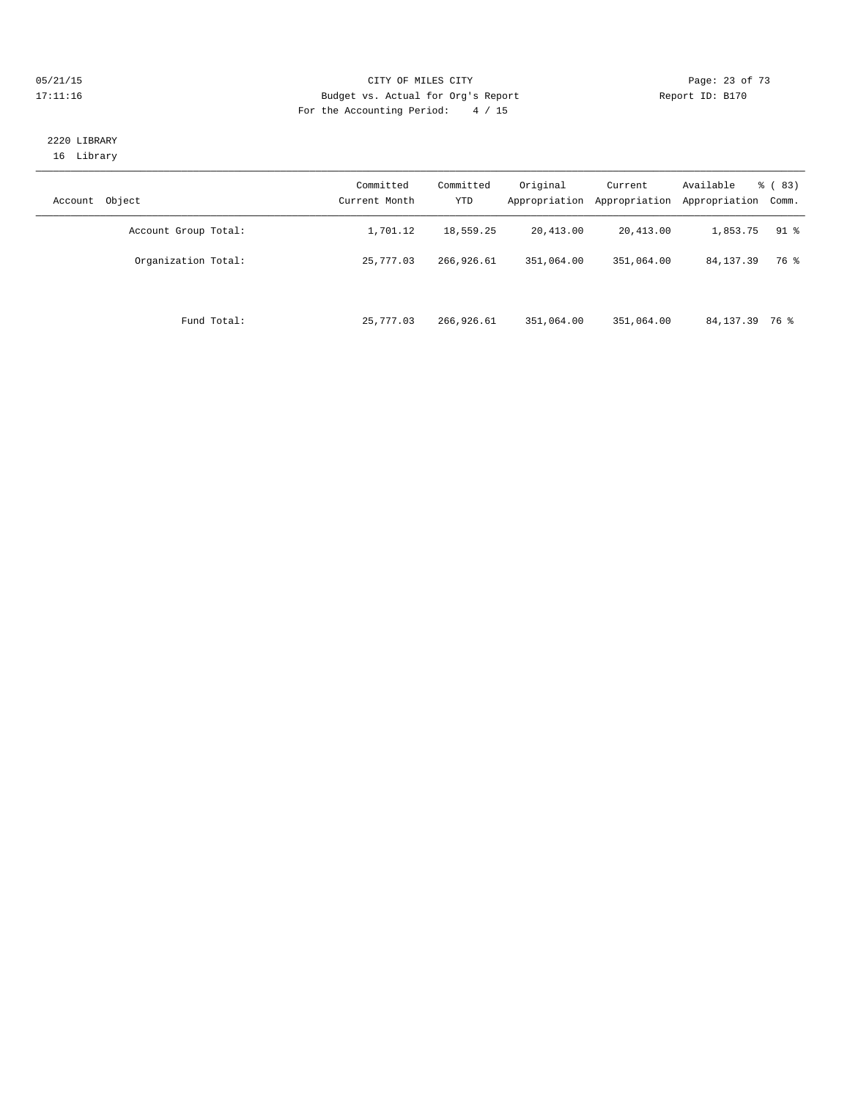#### 05/21/15 **Page: 23 of 73** CITY OF MILES CITY **CITY Page: 23 of 73** 17:11:16 Budget vs. Actual for Org's Report Report ID: B170 For the Accounting Period: 4 / 15

## 2220 LIBRARY 16 Library

| Object<br>Account    | Committed<br>Current Month | Committed<br><b>YTD</b> | Original<br>Appropriation | Current<br>Appropriation | Available<br>Appropriation | $\frac{6}{6}$ (83)<br>Comm. |
|----------------------|----------------------------|-------------------------|---------------------------|--------------------------|----------------------------|-----------------------------|
| Account Group Total: | 1,701.12                   | 18,559.25               | 20,413.00                 | 20,413.00                | 1,853.75                   | $91$ %                      |
| Organization Total:  | 25,777.03                  | 266,926.61              | 351,064.00                | 351,064.00               | 84, 137.39                 | 76 %                        |
| Fund Total:          | 25,777.03                  | 266,926.61              | 351,064.00                | 351,064.00               | 84, 137.39 76 %            |                             |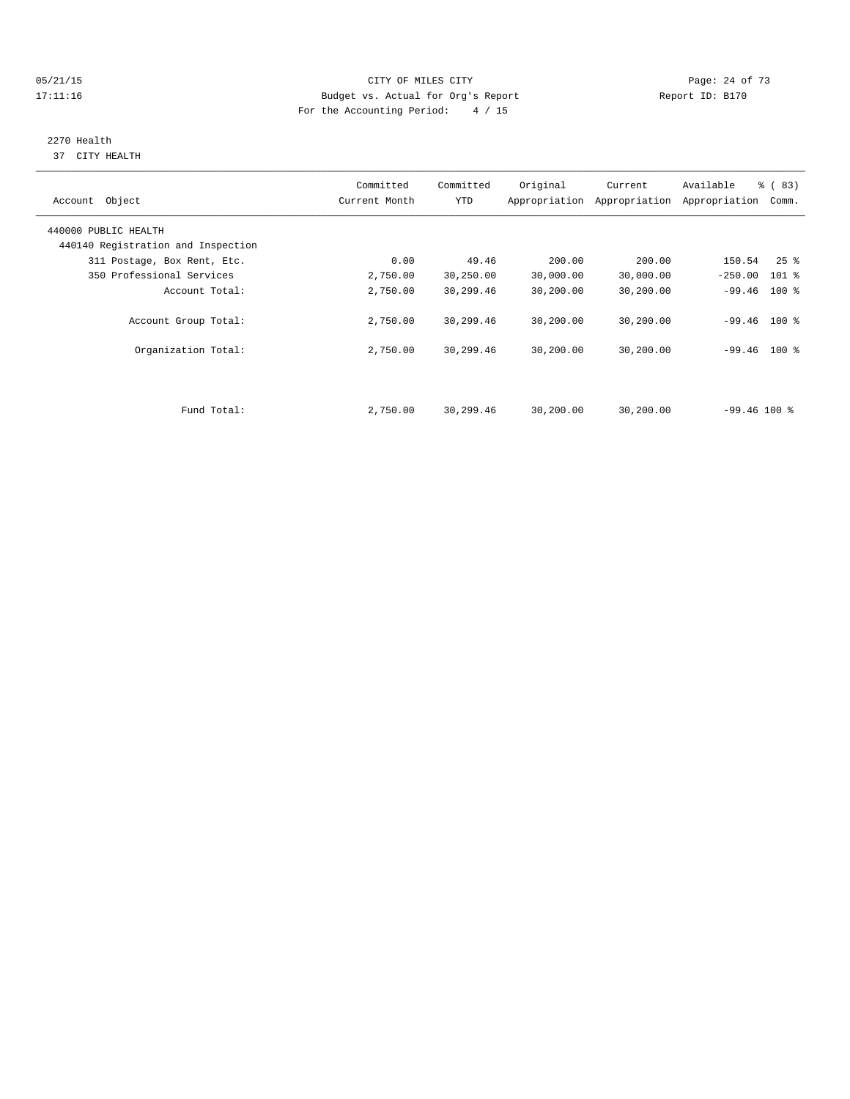#### 05/21/15 **Page: 24 of 73** CITY OF MILES CITY **CITY Page: 24 of 73** 17:11:16 Budget vs. Actual for Org's Report Report ID: B170 For the Accounting Period: 4 / 15

# 2270 Health

37 CITY HEALTH

| Account Object                     | Committed<br>Current Month | Committed<br>YTD | Original  | Current<br>Appropriation Appropriation | Available<br>Appropriation | % (83)<br>Comm.    |  |
|------------------------------------|----------------------------|------------------|-----------|----------------------------------------|----------------------------|--------------------|--|
| 440000 PUBLIC HEALTH               |                            |                  |           |                                        |                            |                    |  |
| 440140 Registration and Inspection |                            |                  |           |                                        |                            |                    |  |
| 311 Postage, Box Rent, Etc.        | 0.00                       | 49.46            | 200.00    | 200.00                                 | 150.54                     | $25$ $\frac{6}{5}$ |  |
| 350 Professional Services          | 2,750.00                   | 30,250.00        | 30,000.00 | 30,000.00                              | $-250.00$                  | $101$ %            |  |
| Account Total:                     | 2,750.00                   | 30,299.46        | 30,200.00 | 30,200.00                              | $-99.46$ 100 %             |                    |  |
| Account Group Total:               | 2,750.00                   | 30,299.46        | 30,200.00 | 30,200.00                              | $-99.46$ 100 %             |                    |  |
| Organization Total:                | 2,750.00                   | 30,299.46        | 30,200.00 | 30,200.00                              | $-99.46$ 100 %             |                    |  |
|                                    |                            |                  |           |                                        |                            |                    |  |
| Fund Total:                        | 2,750.00                   | 30,299.46        | 30,200.00 | 30,200.00                              | $-99.46100$ %              |                    |  |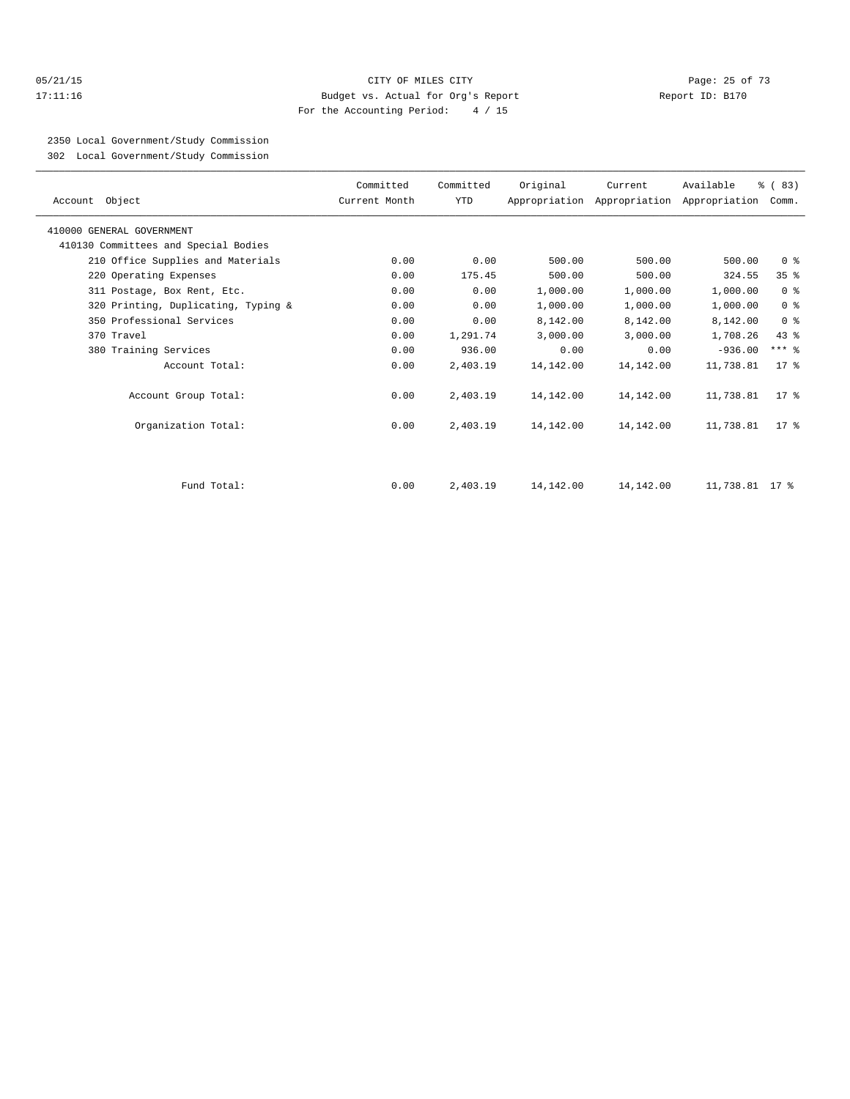#### 05/21/15 Page: 25 of 73 17:11:16 Budget vs. Actual for Org's Report Report ID: B170 For the Accounting Period: 4 / 15

2350 Local Government/Study Commission

302 Local Government/Study Commission

| Account Object                       | Committed<br>Current Month | Committed<br>YTD | Original  | Current   | Available<br>Appropriation Appropriation Appropriation Comm. | % (83)          |
|--------------------------------------|----------------------------|------------------|-----------|-----------|--------------------------------------------------------------|-----------------|
| 410000 GENERAL GOVERNMENT            |                            |                  |           |           |                                                              |                 |
| 410130 Committees and Special Bodies |                            |                  |           |           |                                                              |                 |
| 210 Office Supplies and Materials    | 0.00                       | 0.00             | 500.00    | 500.00    | 500.00                                                       | 0 <sup>8</sup>  |
| 220 Operating Expenses               | 0.00                       | 175.45           | 500.00    | 500.00    | 324.55                                                       | 35 <sup>8</sup> |
| 311 Postage, Box Rent, Etc.          | 0.00                       | 0.00             | 1,000.00  | 1,000.00  | 1,000.00                                                     | 0 <sup>8</sup>  |
| 320 Printing, Duplicating, Typing &  | 0.00                       | 0.00             | 1,000.00  | 1,000.00  | 1,000.00                                                     | 0 <sup>8</sup>  |
| 350 Professional Services            | 0.00                       | 0.00             | 8,142.00  | 8,142.00  | 8,142.00                                                     | 0 <sup>8</sup>  |
| 370 Travel                           | 0.00                       | 1,291.74         | 3,000.00  | 3,000.00  | 1,708.26                                                     | $43*$           |
| 380 Training Services                | 0.00                       | 936.00           | 0.00      | 0.00      | $-936.00$                                                    | $***$ $-$       |
| Account Total:                       | 0.00                       | 2,403.19         | 14,142.00 | 14,142.00 | 11,738.81                                                    | $17*$           |
| Account Group Total:                 | 0.00                       | 2,403.19         | 14,142.00 | 14,142.00 | 11,738.81                                                    | $17*$           |
| Organization Total:                  | 0.00                       | 2,403.19         | 14,142.00 | 14,142.00 | 11,738.81                                                    | $17*$           |
| Fund Total:                          | 0.00                       | 2,403.19         | 14,142.00 | 14,142.00 | 11,738.81 17 %                                               |                 |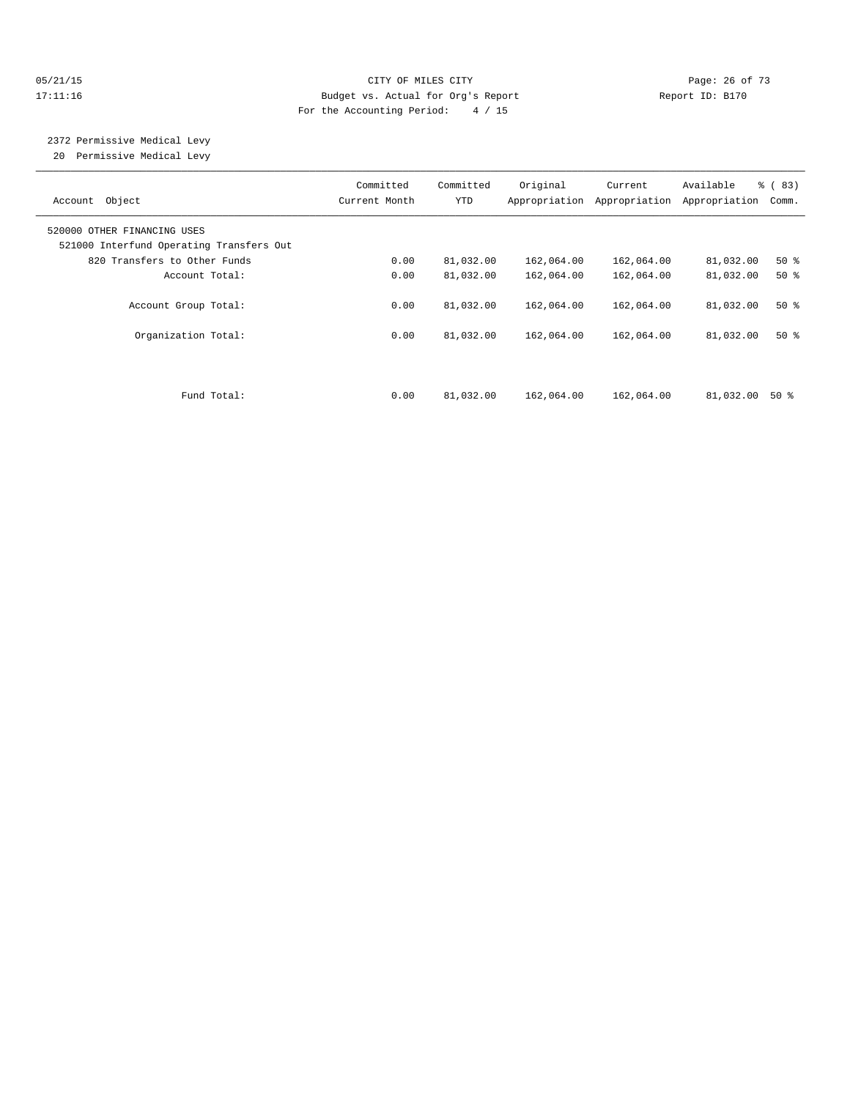#### 05/21/15 **Page: 26 of 73** CITY OF MILES CITY **CITY** CITY **Page: 26 of 73** 17:11:16 Budget vs. Actual for Org's Report Report ID: B170 For the Accounting Period: 4 / 15

 2372 Permissive Medical Levy 20 Permissive Medical Levy

| Object<br>Account                                                       | Committed<br>Current Month | Committed<br>YTD | Original   | Current<br>Appropriation Appropriation | Available<br>Appropriation | % (83)<br>Comm. |
|-------------------------------------------------------------------------|----------------------------|------------------|------------|----------------------------------------|----------------------------|-----------------|
| 520000 OTHER FINANCING USES<br>521000 Interfund Operating Transfers Out |                            |                  |            |                                        |                            |                 |
| 820 Transfers to Other Funds                                            | 0.00                       | 81,032.00        | 162,064.00 | 162,064.00                             | 81,032.00                  | $50*$           |
| Account Total:                                                          | 0.00                       | 81,032.00        | 162,064.00 | 162,064.00                             | 81,032.00                  | $50*$           |
| Account Group Total:                                                    | 0.00                       | 81,032.00        | 162,064.00 | 162,064.00                             | 81,032.00                  | $50*$           |
| Organization Total:                                                     | 0.00                       | 81,032.00        | 162,064.00 | 162,064.00                             | 81,032.00                  | $50*$           |
|                                                                         |                            |                  |            |                                        |                            |                 |
| Fund Total:                                                             | 0.00                       | 81,032.00        | 162,064.00 | 162,064.00                             | 81,032.00                  | 50 %            |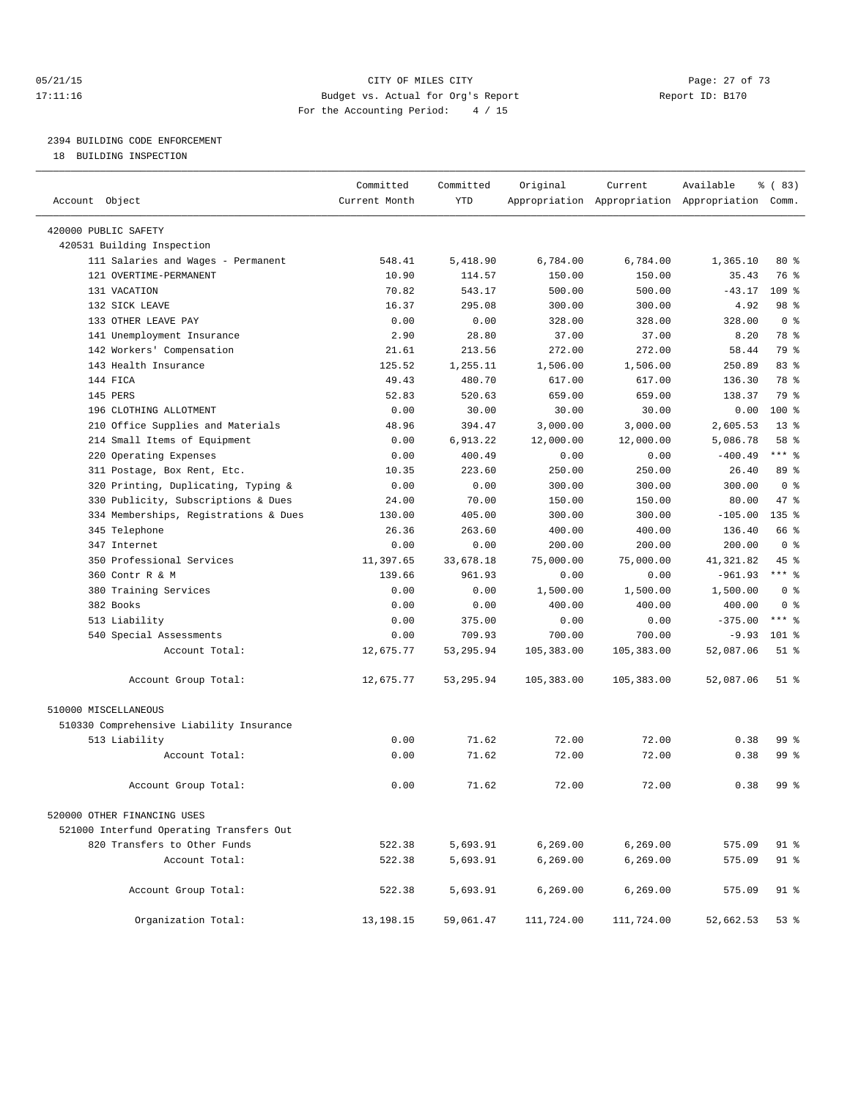#### 05/21/15 **Page: 27 of 73** CITY OF MILES CITY **CITY Page: 27 of 73** 17:11:16 Budget vs. Actual for Org's Report Report ID: B170 For the Accounting Period: 4 / 15

————————————————————————————————————————————————————————————————————————————————————————————————————————————————————————————————————

# 2394 BUILDING CODE ENFORCEMENT

18 BUILDING INSPECTION

|                                          | Committed     | Committed  | Original   | Current    | Available                                       | % (83)         |
|------------------------------------------|---------------|------------|------------|------------|-------------------------------------------------|----------------|
| Account Object                           | Current Month | YTD        |            |            | Appropriation Appropriation Appropriation Comm. |                |
| 420000 PUBLIC SAFETY                     |               |            |            |            |                                                 |                |
| 420531 Building Inspection               |               |            |            |            |                                                 |                |
| 111 Salaries and Wages - Permanent       | 548.41        | 5,418.90   | 6,784.00   | 6,784.00   | 1,365.10                                        | $80*$          |
| 121 OVERTIME-PERMANENT                   | 10.90         | 114.57     | 150.00     | 150.00     | 35.43                                           | 76 %           |
| 131 VACATION                             | 70.82         | 543.17     | 500.00     | 500.00     | $-43.17$                                        | $109$ %        |
| 132 SICK LEAVE                           | 16.37         | 295.08     | 300.00     | 300.00     | 4.92                                            | 98 %           |
| 133 OTHER LEAVE PAY                      | 0.00          | 0.00       | 328.00     | 328.00     | 328.00                                          | 0 <sup>8</sup> |
| 141 Unemployment Insurance               | 2.90          | 28.80      | 37.00      | 37.00      | 8.20                                            | 78 %           |
| 142 Workers' Compensation                | 21.61         | 213.56     | 272.00     | 272.00     | 58.44                                           | 79 %           |
| 143 Health Insurance                     | 125.52        | 1,255.11   | 1,506.00   | 1,506.00   | 250.89                                          | 83%            |
| 144 FICA                                 | 49.43         | 480.70     | 617.00     | 617.00     | 136.30                                          | 78 %           |
| 145 PERS                                 | 52.83         | 520.63     | 659.00     | 659.00     | 138.37                                          | 79 %           |
| 196 CLOTHING ALLOTMENT                   | 0.00          | 30.00      | 30.00      | 30.00      | 0.00                                            | 100 %          |
| 210 Office Supplies and Materials        | 48.96         | 394.47     | 3,000.00   | 3,000.00   | 2,605.53                                        | $13*$          |
| 214 Small Items of Equipment             | 0.00          | 6,913.22   | 12,000.00  | 12,000.00  | 5,086.78                                        | 58 %           |
| 220 Operating Expenses                   | 0.00          | 400.49     | 0.00       | 0.00       | $-400.49$                                       | *** %          |
| 311 Postage, Box Rent, Etc.              | 10.35         | 223.60     | 250.00     | 250.00     | 26.40                                           | 89 %           |
| 320 Printing, Duplicating, Typing &      | 0.00          | 0.00       | 300.00     | 300.00     | 300.00                                          | 0 <sup>8</sup> |
| 330 Publicity, Subscriptions & Dues      | 24.00         | 70.00      | 150.00     | 150.00     | 80.00                                           | 47 %           |
| 334 Memberships, Registrations & Dues    | 130.00        | 405.00     | 300.00     | 300.00     | $-105.00$                                       | 135 %          |
| 345 Telephone                            | 26.36         | 263.60     | 400.00     | 400.00     | 136.40                                          | 66 %           |
| 347 Internet                             | 0.00          | 0.00       | 200.00     | 200.00     | 200.00                                          | 0 <sup>8</sup> |
| 350 Professional Services                | 11,397.65     | 33,678.18  | 75,000.00  | 75,000.00  | 41,321.82                                       | 45 %           |
| 360 Contr R & M                          | 139.66        | 961.93     | 0.00       | 0.00       | $-961.93$                                       | $***$ $_{8}$   |
| 380 Training Services                    | 0.00          | 0.00       | 1,500.00   | 1,500.00   | 1,500.00                                        | 0 <sup>8</sup> |
| 382 Books                                | 0.00          | 0.00       | 400.00     | 400.00     | 400.00                                          | 0 <sup>8</sup> |
| 513 Liability                            | 0.00          | 375.00     | 0.00       | 0.00       | $-375.00$                                       | $***$ 8        |
| 540 Special Assessments                  | 0.00          | 709.93     | 700.00     | 700.00     | $-9.93$                                         | $101$ %        |
| Account Total:                           | 12,675.77     | 53, 295.94 | 105,383.00 | 105,383.00 | 52,087.06                                       | $51$ %         |
| Account Group Total:                     | 12,675.77     | 53, 295.94 | 105,383.00 | 105,383.00 | 52,087.06                                       | $51$ %         |
| 510000 MISCELLANEOUS                     |               |            |            |            |                                                 |                |
| 510330 Comprehensive Liability Insurance |               |            |            |            |                                                 |                |
| 513 Liability                            | 0.00          | 71.62      | 72.00      | 72.00      | 0.38                                            | 99 %           |
| Account Total:                           | 0.00          | 71.62      | 72.00      | 72.00      | 0.38                                            | $99*$          |
| Account Group Total:                     | 0.00          | 71.62      | 72.00      | 72.00      | 0.38                                            | 99 %           |
| 520000 OTHER FINANCING USES              |               |            |            |            |                                                 |                |
| 521000 Interfund Operating Transfers Out |               |            |            |            |                                                 |                |
| 820 Transfers to Other Funds             | 522.38        | 5,693.91   | 6, 269.00  | 6, 269.00  | 575.09                                          | 91 %           |
| Account Total:                           | 522.38        | 5,693.91   | 6, 269.00  | 6, 269.00  | 575.09                                          | 91 %           |
|                                          |               |            |            |            |                                                 |                |
| Account Group Total:                     | 522.38        | 5,693.91   | 6, 269.00  | 6, 269.00  | 575.09                                          | 91 %           |
| Organization Total:                      | 13, 198. 15   | 59,061.47  | 111,724.00 | 111,724.00 | 52,662.53                                       | 53%            |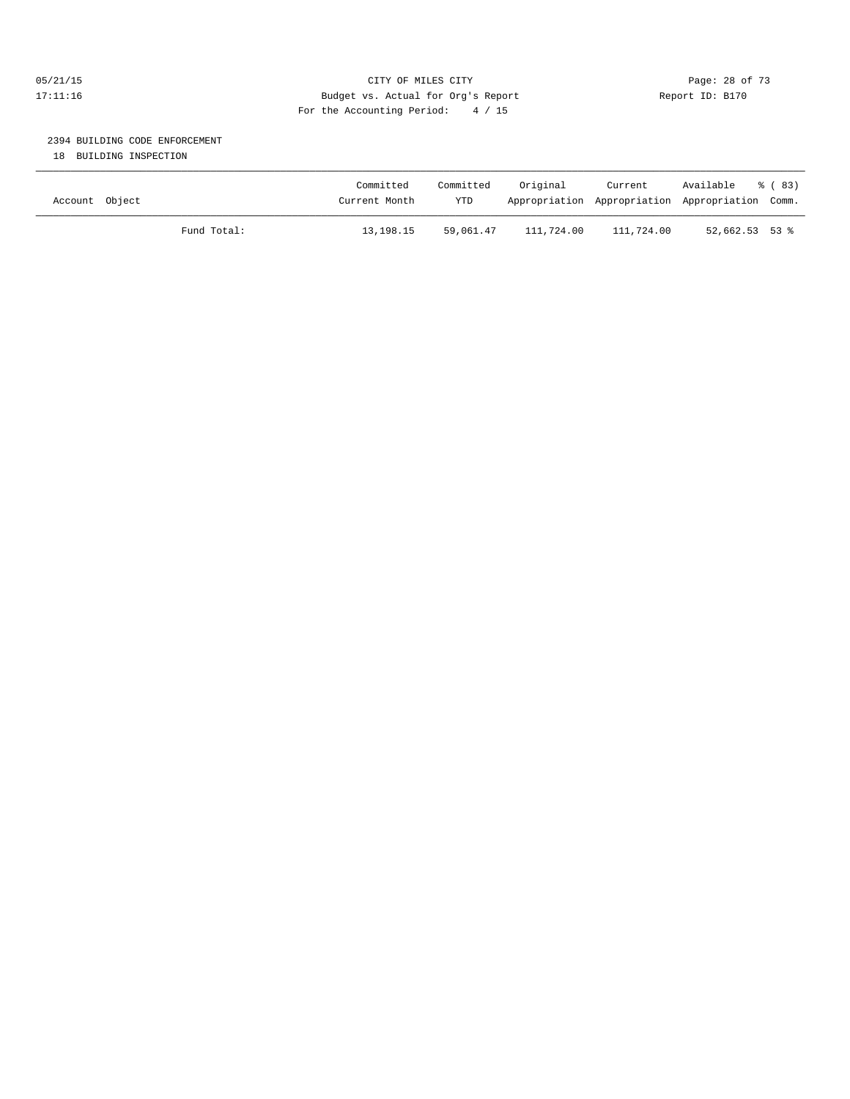## 05/21/15 **Page: 28 of 73** CITY OF MILES CITY **CITY Page: 28 of 73** 17:11:16 Budget vs. Actual for Org's Report Report ID: B170 For the Accounting Period: 4 / 15

# 2394 BUILDING CODE ENFORCEMENT

18 BUILDING INSPECTION

| Account Object |             | Committed<br>Current Month | Committed<br>YTD | Original   | Current<br>Appropriation Appropriation Appropriation Comm. | Available        | ී (83) |
|----------------|-------------|----------------------------|------------------|------------|------------------------------------------------------------|------------------|--------|
|                | Fund Total: | 13,198.15                  | 59,061.47        | 111,724.00 | 111,724.00                                                 | $52,662.53$ 53 % |        |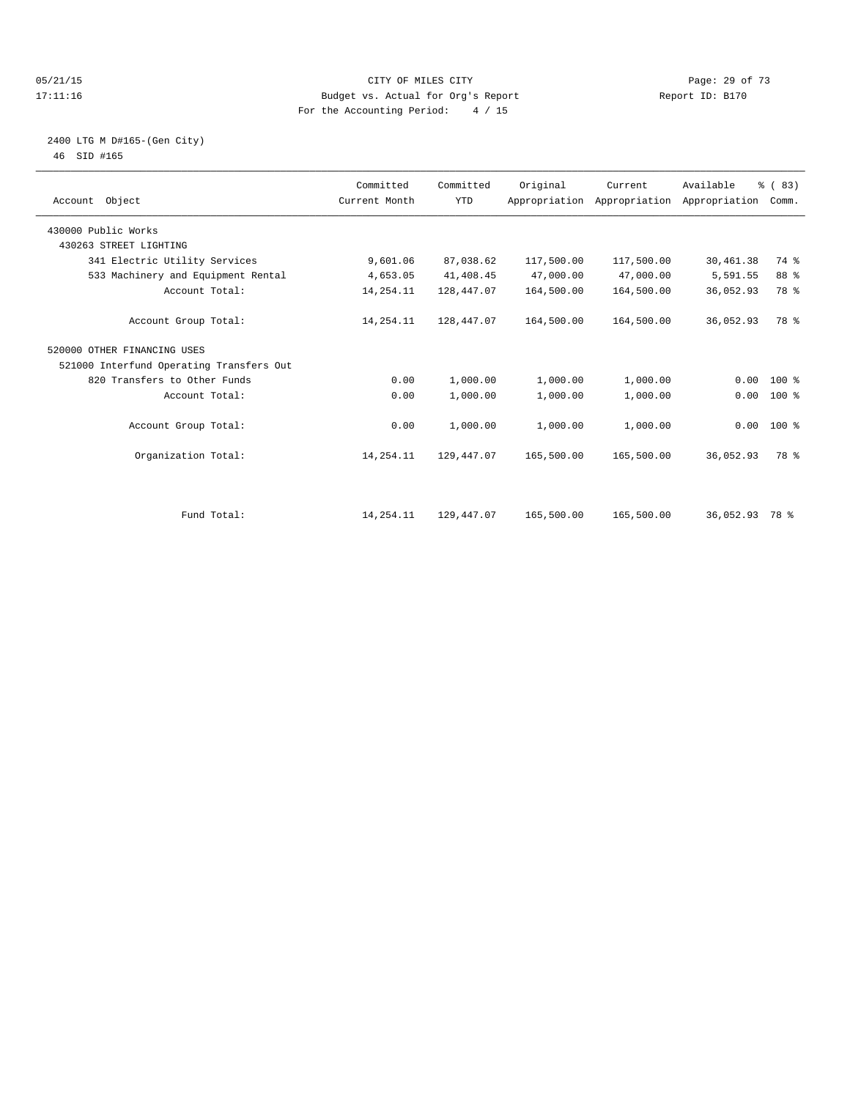#### 05/21/15 **Page: 29 of 73** CITY OF MILES CITY **CITY Page: 29 of 73** 17:11:16 Budget vs. Actual for Org's Report Report ID: B170 For the Accounting Period: 4 / 15

#### 2400 LTG M D#165-(Gen City) 46 SID #165

| Account Object                           | Committed<br>Current Month | Committed<br><b>YTD</b> | Original   | Current<br>Appropriation Appropriation Appropriation | Available      | % (83)<br>Comm. |  |
|------------------------------------------|----------------------------|-------------------------|------------|------------------------------------------------------|----------------|-----------------|--|
| 430000 Public Works                      |                            |                         |            |                                                      |                |                 |  |
| 430263 STREET LIGHTING                   |                            |                         |            |                                                      |                |                 |  |
| 341 Electric Utility Services            | 9,601.06                   | 87,038.62               | 117,500.00 | 117,500.00                                           | 30, 461.38     | 74 %            |  |
| 533 Machinery and Equipment Rental       | 4,653.05                   | 41,408.45               | 47,000.00  | 47,000.00                                            | 5,591.55       | 88 %            |  |
| Account Total:                           | 14, 254. 11                | 128,447.07              | 164,500.00 | 164,500.00                                           | 36,052.93      | 78 %            |  |
| Account Group Total:                     | 14,254.11                  | 128,447.07              | 164,500.00 | 164,500.00                                           | 36,052.93      | 78 %            |  |
| 520000 OTHER FINANCING USES              |                            |                         |            |                                                      |                |                 |  |
| 521000 Interfund Operating Transfers Out |                            |                         |            |                                                      |                |                 |  |
| 820 Transfers to Other Funds             | 0.00                       | 1,000.00                | 1,000.00   | 1,000.00                                             | 0.00           | 100 %           |  |
| Account Total:                           | 0.00                       | 1,000.00                | 1,000.00   | 1,000.00                                             | 0.00           | 100 %           |  |
| Account Group Total:                     | 0.00                       | 1,000.00                | 1,000.00   | 1,000.00                                             |                | $0.00$ 100 %    |  |
| Organization Total:                      | 14,254.11                  | 129,447.07              | 165,500.00 | 165,500.00                                           | 36,052.93      | 78 %            |  |
|                                          |                            |                         |            |                                                      |                |                 |  |
| Fund Total:                              | 14, 254. 11                | 129,447.07              | 165,500.00 | 165,500.00                                           | 36,052.93 78 % |                 |  |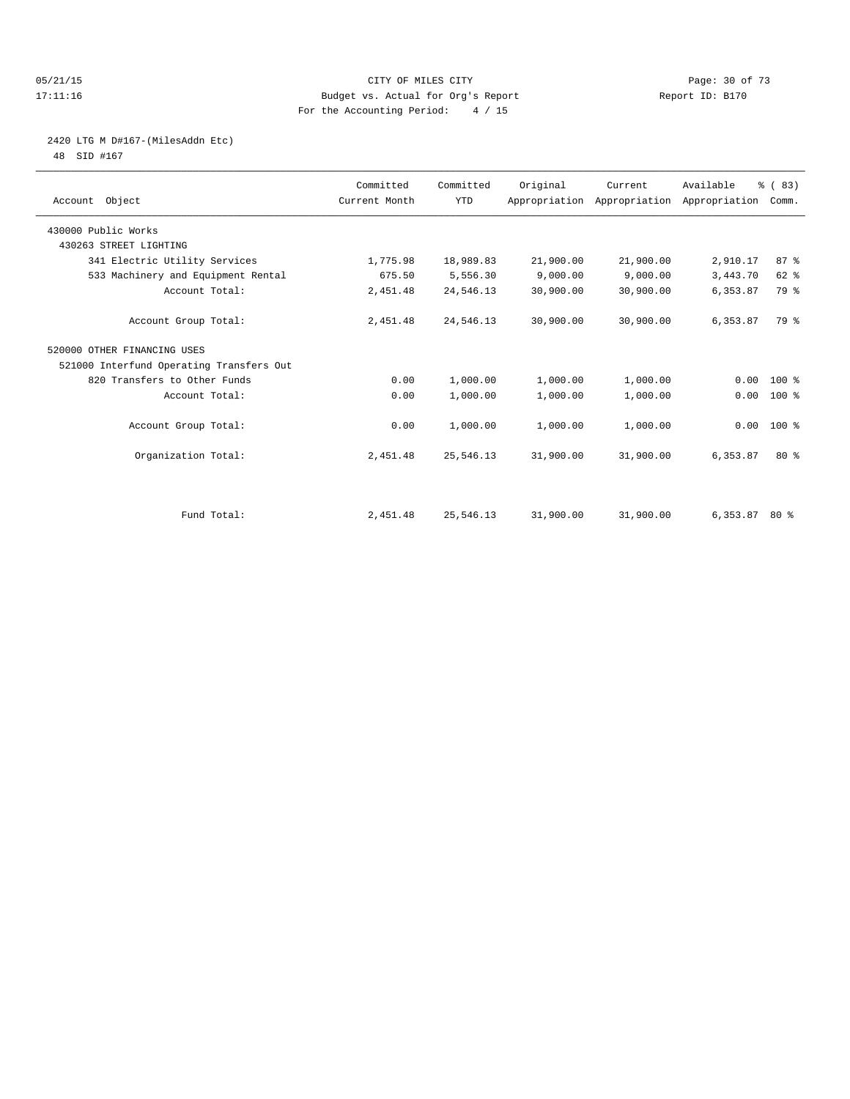#### 05/21/15 **Page: 30 of 73** CITY OF MILES CITY **CITY Page: 30 of 73** 17:11:16 Budget vs. Actual for Org's Report Report ID: B170 For the Accounting Period: 4 / 15

# 2420 LTG M D#167-(MilesAddn Etc)

48 SID #167

| Account Object                           | Committed<br>Current Month | Committed<br><b>YTD</b> | Original  | Current<br>Appropriation Appropriation Appropriation | Available       | % (83)<br>Comm. |  |
|------------------------------------------|----------------------------|-------------------------|-----------|------------------------------------------------------|-----------------|-----------------|--|
| 430000 Public Works                      |                            |                         |           |                                                      |                 |                 |  |
| 430263 STREET LIGHTING                   |                            |                         |           |                                                      |                 |                 |  |
| 341 Electric Utility Services            | 1,775.98                   | 18,989.83               | 21,900.00 | 21,900.00                                            | 2,910.17        | 87 <sup>8</sup> |  |
| 533 Machinery and Equipment Rental       | 675.50                     | 5,556.30                | 9,000.00  | 9,000.00                                             | 3,443.70        | 62 %            |  |
| Account Total:                           | 2,451.48                   | 24,546.13               | 30,900.00 | 30,900.00                                            | 6,353.87        | 79 %            |  |
| Account Group Total:                     | 2,451.48                   | 24,546.13               | 30,900.00 | 30,900.00                                            | 6,353.87        | 79 %            |  |
| 520000 OTHER FINANCING USES              |                            |                         |           |                                                      |                 |                 |  |
| 521000 Interfund Operating Transfers Out |                            |                         |           |                                                      |                 |                 |  |
| 820 Transfers to Other Funds             | 0.00                       | 1,000.00                | 1,000.00  | 1,000.00                                             | 0.00            | $100*$          |  |
| Account Total:                           | 0.00                       | 1,000.00                | 1,000.00  | 1,000.00                                             | 0.00            | 100 %           |  |
| Account Group Total:                     | 0.00                       | 1,000.00                | 1,000.00  | 1,000.00                                             |                 | $0.00$ 100 %    |  |
| Organization Total:                      | 2,451.48                   | 25,546.13               | 31,900.00 | 31,900.00                                            | 6,353.87        | $80*$           |  |
|                                          |                            |                         |           |                                                      |                 |                 |  |
| Fund Total:                              | 2,451.48                   | 25,546.13               | 31,900.00 | 31,900.00                                            | $6,353.87$ 80 % |                 |  |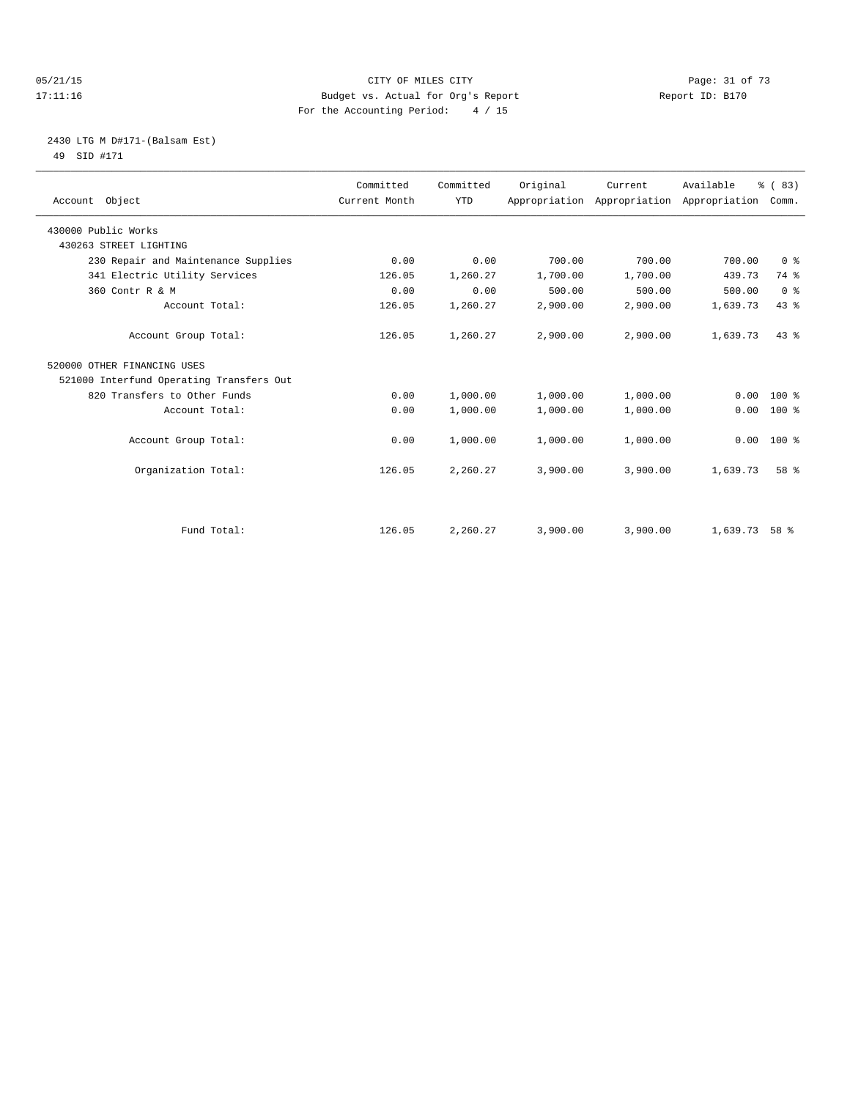#### 05/21/15 Page: 31 of 73 17:11:16 Budget vs. Actual for Org's Report Report ID: B170 For the Accounting Period: 4 / 15

## 2430 LTG M D#171-(Balsam Est) 49 SID #171

| Account Object                           | Committed<br>Current Month | Committed<br><b>YTD</b> | Original | Current<br>Appropriation Appropriation Appropriation | Available | % (83)<br>Comm. |
|------------------------------------------|----------------------------|-------------------------|----------|------------------------------------------------------|-----------|-----------------|
| 430000 Public Works                      |                            |                         |          |                                                      |           |                 |
| 430263 STREET LIGHTING                   |                            |                         |          |                                                      |           |                 |
| 230 Repair and Maintenance Supplies      | 0.00                       | 0.00                    | 700.00   | 700.00                                               | 700.00    | 0 <sup>8</sup>  |
| 341 Electric Utility Services            | 126.05                     | 1,260.27                | 1,700.00 | 1,700.00                                             | 439.73    | 74 %            |
| 360 Contr R & M                          | 0.00                       | 0.00                    | 500.00   | 500.00                                               | 500.00    | 0 <sup>8</sup>  |
| Account Total:                           | 126.05                     | 1,260.27                | 2,900.00 | 2,900.00                                             | 1,639.73  | 43.8            |
| Account Group Total:                     | 126.05                     | 1,260.27                | 2,900.00 | 2,900.00                                             | 1,639.73  | 43.8            |
| 520000 OTHER FINANCING USES              |                            |                         |          |                                                      |           |                 |
| 521000 Interfund Operating Transfers Out |                            |                         |          |                                                      |           |                 |
| 820 Transfers to Other Funds             | 0.00                       | 1,000.00                | 1,000.00 | 1,000.00                                             | 0.00      | $100*$          |
| Account Total:                           | 0.00                       | 1,000.00                | 1,000.00 | 1,000.00                                             | 0.00      | $100*$          |
| Account Group Total:                     | 0.00                       | 1,000.00                | 1,000.00 | 1,000.00                                             | 0.00      | 100 %           |
| Organization Total:                      | 126.05                     | 2,260.27                | 3,900.00 | 3,900.00                                             | 1,639.73  | 58 %            |
| Fund Total:                              | 126.05                     | 2,260.27                | 3,900.00 | 3,900.00                                             | 1,639.73  | 58 %            |
|                                          |                            |                         |          |                                                      |           |                 |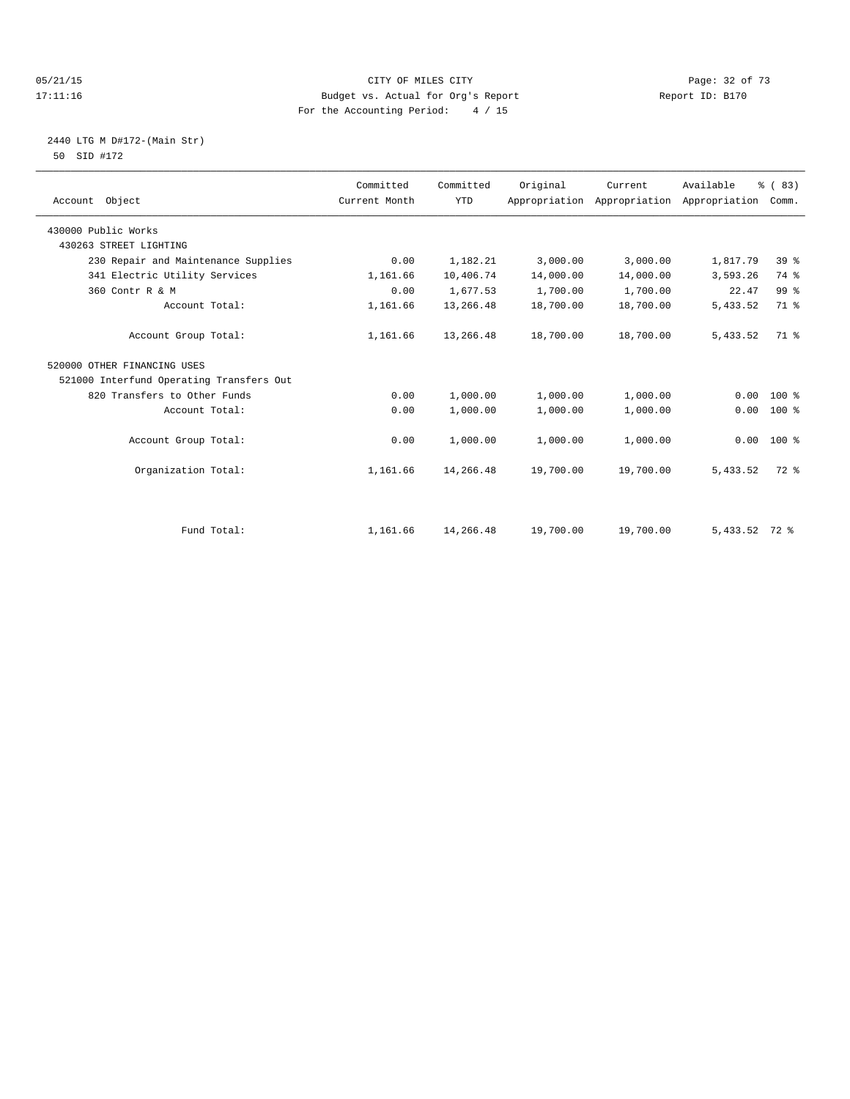#### 05/21/15 **Page: 32 of 73** CITY OF MILES CITY **CITY Page: 32 of 73** 17:11:16 Budget vs. Actual for Org's Report Report ID: B170 For the Accounting Period: 4 / 15

## 2440 LTG M D#172-(Main Str) 50 SID #172

| Account Object                           | Committed<br>Current Month | Committed<br><b>YTD</b> | Original  | Current<br>Appropriation Appropriation | Available<br>Appropriation | % (83)<br>Comm. |
|------------------------------------------|----------------------------|-------------------------|-----------|----------------------------------------|----------------------------|-----------------|
| 430000 Public Works                      |                            |                         |           |                                        |                            |                 |
| 430263 STREET LIGHTING                   |                            |                         |           |                                        |                            |                 |
| 230 Repair and Maintenance Supplies      | 0.00                       | 1,182.21                | 3,000.00  | 3,000.00                               | 1,817.79                   | 39 <sup>8</sup> |
| 341 Electric Utility Services            | 1,161.66                   | 10,406.74               | 14,000.00 | 14,000.00                              | 3,593.26                   | 74 %            |
| 360 Contr R & M                          | 0.00                       | 1,677.53                | 1,700.00  | 1,700.00                               | 22.47                      | 99 <sup>°</sup> |
| Account Total:                           | 1,161.66                   | 13,266.48               | 18,700.00 | 18,700.00                              | 5,433.52                   | 71 %            |
| Account Group Total:                     | 1,161.66                   | 13,266.48               | 18,700.00 | 18,700.00                              | 5,433.52                   | 71.8            |
| 520000 OTHER FINANCING USES              |                            |                         |           |                                        |                            |                 |
| 521000 Interfund Operating Transfers Out |                            |                         |           |                                        |                            |                 |
| 820 Transfers to Other Funds             | 0.00                       | 1,000.00                | 1,000.00  | 1,000.00                               | 0.00                       | $100*$          |
| Account Total:                           | 0.00                       | 1,000.00                | 1,000.00  | 1,000.00                               | 0.00                       | $100*$          |
| Account Group Total:                     | 0.00                       | 1,000.00                | 1,000.00  | 1,000.00                               | 0.00                       | $100*$          |
| Organization Total:                      | 1,161.66                   | 14,266.48               | 19,700.00 | 19,700.00                              | 5,433.52                   | $72$ $%$        |
|                                          |                            |                         |           |                                        |                            |                 |
| Fund Total:                              | 1,161.66                   | 14,266.48               | 19,700.00 | 19,700.00                              | $5,433.52$ 72 %            |                 |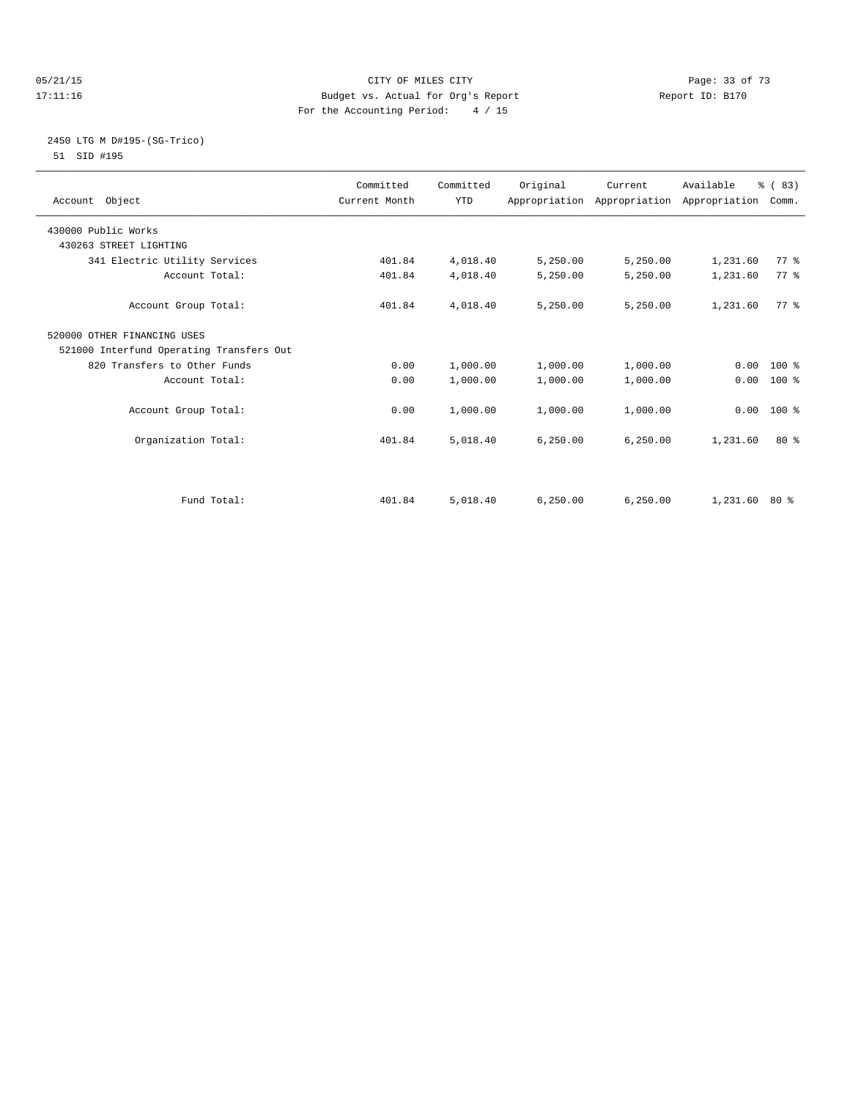#### 05/21/15 **Page: 33 of 73** CITY OF MILES CITY **CITY Page: 33 of 73** 17:11:16 Budget vs. Actual for Org's Report Report ID: B170 For the Accounting Period: 4 / 15

#### 2450 LTG M D#195-(SG-Trico) 51 SID #195

| Account Object                           | Committed<br>Current Month | Committed<br><b>YTD</b> | Original  | Current<br>Appropriation Appropriation Appropriation | Available       | % (83)<br>Comm. |  |
|------------------------------------------|----------------------------|-------------------------|-----------|------------------------------------------------------|-----------------|-----------------|--|
| 430000 Public Works                      |                            |                         |           |                                                      |                 |                 |  |
| 430263 STREET LIGHTING                   |                            |                         |           |                                                      |                 |                 |  |
| 341 Electric Utility Services            | 401.84                     | 4,018.40                | 5,250.00  | 5,250.00                                             | 1,231.60        | 77.8            |  |
| Account Total:                           | 401.84                     | 4,018.40                | 5,250.00  | 5,250.00                                             | 1,231.60        | 77 %            |  |
| Account Group Total:                     | 401.84                     | 4,018.40                | 5,250.00  | 5,250.00                                             | 1,231.60        | 77.8            |  |
| 520000 OTHER FINANCING USES              |                            |                         |           |                                                      |                 |                 |  |
| 521000 Interfund Operating Transfers Out |                            |                         |           |                                                      |                 |                 |  |
| 820 Transfers to Other Funds             | 0.00                       | 1,000.00                | 1,000.00  | 1,000.00                                             |                 | $0.00$ 100 %    |  |
| Account Total:                           | 0.00                       | 1,000.00                | 1,000.00  | 1,000.00                                             | 0.00            | 100 %           |  |
| Account Group Total:                     | 0.00                       | 1,000.00                | 1,000.00  | 1,000.00                                             | 0.00            | $100*$          |  |
| Organization Total:                      | 401.84                     | 5,018.40                | 6, 250.00 | 6, 250.00                                            | 1,231.60        | $80*$           |  |
| Fund Total:                              | 401.84                     | 5,018.40                | 6.250.00  | 6, 250.00                                            | $1,231.60$ 80 % |                 |  |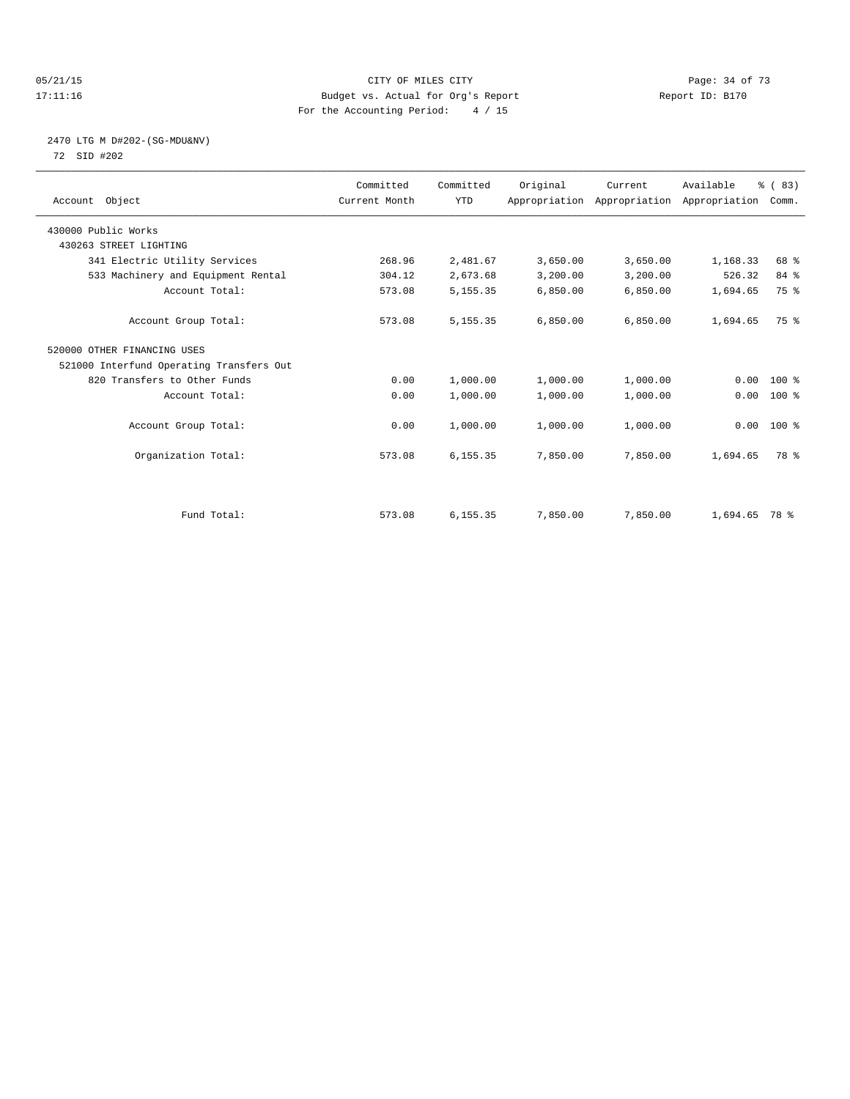#### 05/21/15 Page: 34 of 73 17:11:16 Budget vs. Actual for Org's Report Report ID: B170 For the Accounting Period: 4 / 15

## 2470 LTG M D#202-(SG-MDU&NV) 72 SID #202

| Account Object                           | Committed<br>Current Month | Committed<br><b>YTD</b> | Original | Current<br>Appropriation Appropriation Appropriation | Available       | % (83)<br>Comm. |  |
|------------------------------------------|----------------------------|-------------------------|----------|------------------------------------------------------|-----------------|-----------------|--|
| 430000 Public Works                      |                            |                         |          |                                                      |                 |                 |  |
| 430263 STREET LIGHTING                   |                            |                         |          |                                                      |                 |                 |  |
| 341 Electric Utility Services            | 268.96                     | 2,481.67                | 3,650.00 | 3,650.00                                             | 1,168.33        | 68 %            |  |
| 533 Machinery and Equipment Rental       | 304.12                     | 2,673.68                | 3,200.00 | 3,200.00                                             | 526.32          | 84 %            |  |
| Account Total:                           | 573.08                     | 5, 155. 35              | 6,850.00 | 6,850.00                                             | 1,694.65        | 75 %            |  |
| Account Group Total:                     | 573.08                     | 5, 155. 35              | 6,850.00 | 6,850.00                                             | 1,694.65        | 75 %            |  |
| 520000 OTHER FINANCING USES              |                            |                         |          |                                                      |                 |                 |  |
| 521000 Interfund Operating Transfers Out |                            |                         |          |                                                      |                 |                 |  |
| 820 Transfers to Other Funds             | 0.00                       | 1,000.00                | 1,000.00 | 1,000.00                                             | 0.00            | $100*$          |  |
| Account Total:                           | 0.00                       | 1,000.00                | 1,000.00 | 1,000.00                                             | 0.00            | $100*$          |  |
| Account Group Total:                     | 0.00                       | 1,000.00                | 1,000.00 | 1,000.00                                             |                 | $0.00$ 100 %    |  |
| Organization Total:                      | 573.08                     | 6, 155.35               | 7,850.00 | 7,850.00                                             | 1,694.65        | 78 %            |  |
|                                          |                            |                         |          |                                                      |                 |                 |  |
| Fund Total:                              | 573.08                     | 6,155.35                | 7,850.00 | 7,850.00                                             | $1,694.65$ 78 % |                 |  |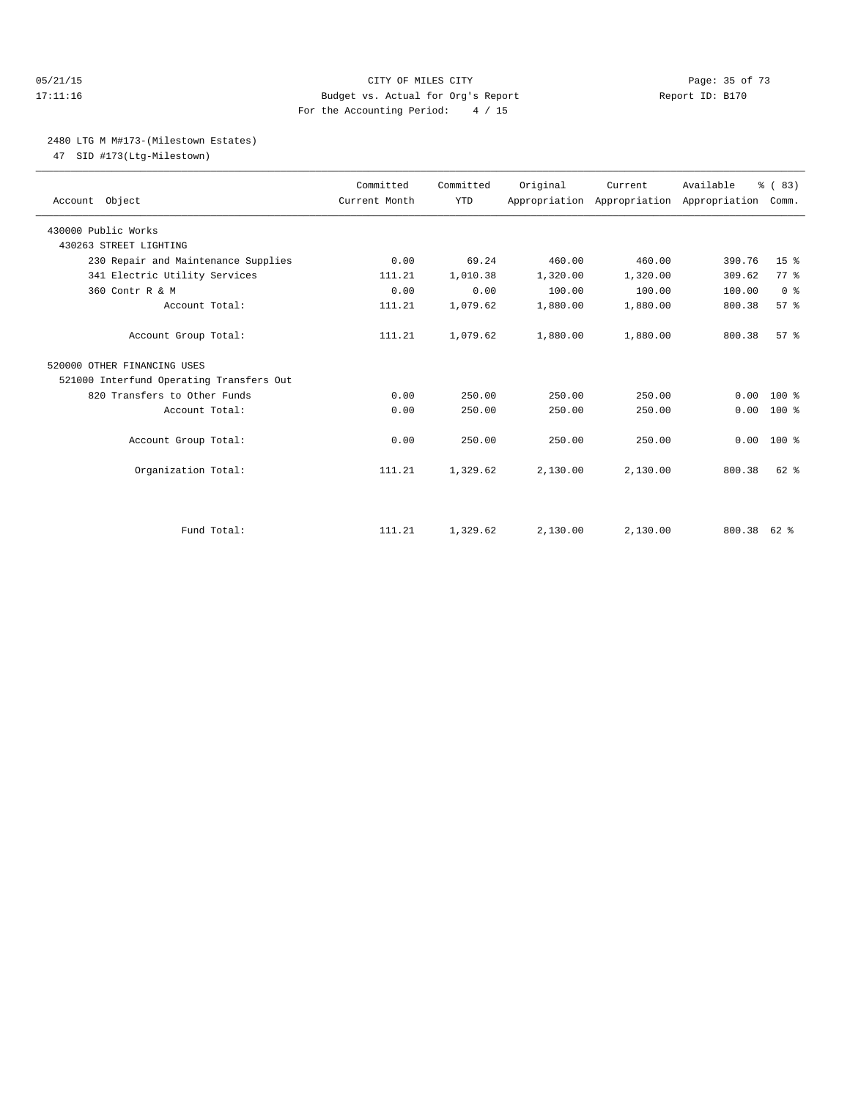#### 05/21/15 **Page: 35 of 73** CITY OF MILES CITY **CITY Page: 35 of 73** 17:11:16 Budget vs. Actual for Org's Report Report ID: B170 For the Accounting Period: 4 / 15

#### 2480 LTG M M#173-(Milestown Estates)

47 SID #173(Ltg-Milestown)

| Account Object                           | Committed<br>Current Month | Committed<br><b>YTD</b> | Original | Current<br>Appropriation Appropriation Appropriation | Available | % (83)<br>Comm. |
|------------------------------------------|----------------------------|-------------------------|----------|------------------------------------------------------|-----------|-----------------|
| 430000 Public Works                      |                            |                         |          |                                                      |           |                 |
| 430263 STREET LIGHTING                   |                            |                         |          |                                                      |           |                 |
| 230 Repair and Maintenance Supplies      | 0.00                       | 69.24                   | 460.00   | 460.00                                               | 390.76    | 15 <sup>8</sup> |
| 341 Electric Utility Services            | 111.21                     | 1,010.38                | 1,320.00 | 1,320.00                                             | 309.62    | 77 %            |
| 360 Contr R & M                          | 0.00                       | 0.00                    | 100.00   | 100.00                                               | 100.00    | 0 <sup>8</sup>  |
| Account Total:                           | 111.21                     | 1,079.62                | 1,880.00 | 1,880.00                                             | 800.38    | 57%             |
| Account Group Total:                     | 111.21                     | 1,079.62                | 1,880.00 | 1,880.00                                             | 800.38    | 57 <sup>8</sup> |
| 520000 OTHER FINANCING USES              |                            |                         |          |                                                      |           |                 |
| 521000 Interfund Operating Transfers Out |                            |                         |          |                                                      |           |                 |
| 820 Transfers to Other Funds             | 0.00                       | 250.00                  | 250.00   | 250.00                                               | 0.00      | $100*$          |
| Account Total:                           | 0.00                       | 250.00                  | 250.00   | 250.00                                               | 0.00      | $100*$          |
| Account Group Total:                     | 0.00                       | 250.00                  | 250.00   | 250.00                                               | 0.00      | $100*$          |
| Organization Total:                      | 111.21                     | 1,329.62                | 2,130.00 | 2,130.00                                             | 800.38    | $62$ $%$        |
| Fund Total:                              | 111.21                     | 1,329.62                | 2.130.00 | 2.130.00                                             | 800.38    | 62 %            |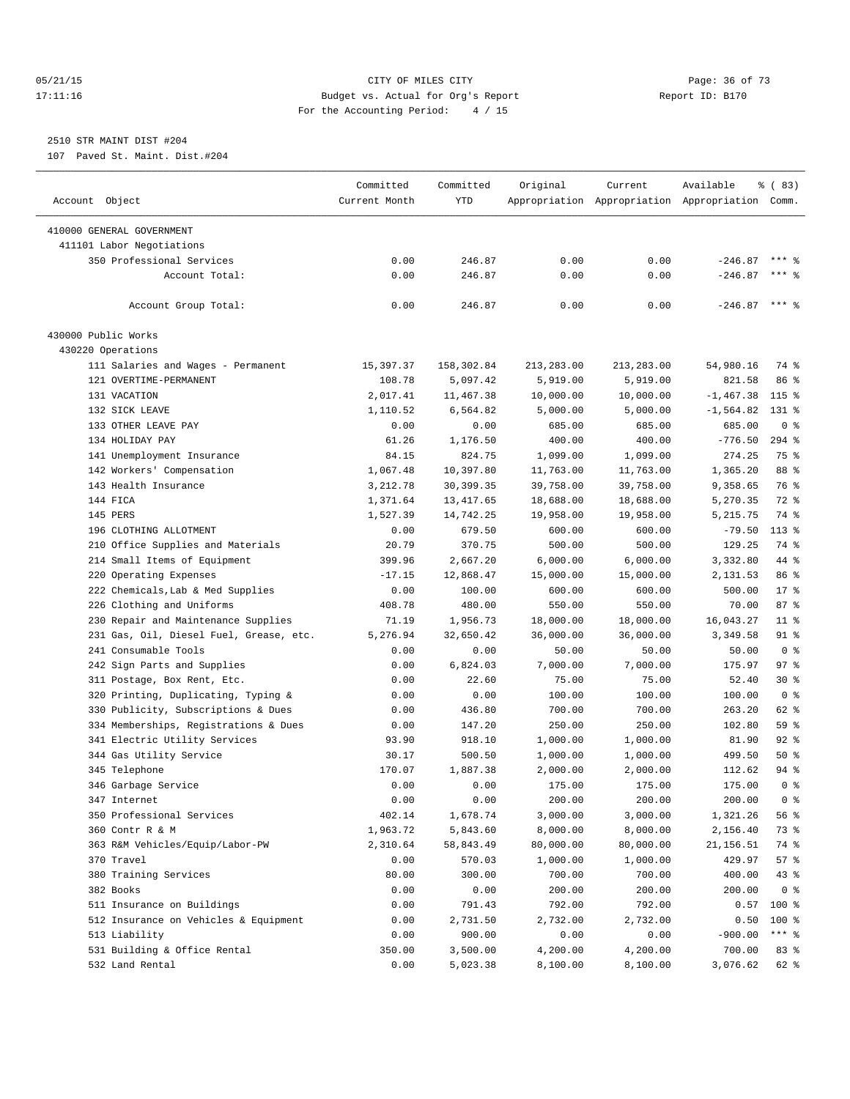#### 05/21/15 **Page: 36 of 73** CITY OF MILES CITY **CITY** CITY **Page: 36 of 73** 17:11:16 Budget vs. Actual for Org's Report Report ID: B170 For the Accounting Period: 4 / 15

————————————————————————————————————————————————————————————————————————————————————————————————————————————————————————————————————

# 2510 STR MAINT DIST #204

107 Paved St. Maint. Dist.#204

|                                         | Committed     | Committed  | Original   | Current    | Available                                       | % (83)         |
|-----------------------------------------|---------------|------------|------------|------------|-------------------------------------------------|----------------|
| Account Object                          | Current Month | YTD        |            |            | Appropriation Appropriation Appropriation Comm. |                |
| 410000 GENERAL GOVERNMENT               |               |            |            |            |                                                 |                |
| 411101 Labor Negotiations               |               |            |            |            |                                                 |                |
| 350 Professional Services               | 0.00          | 246.87     | 0.00       | 0.00       | $-246.87$                                       | $***$ %        |
| Account Total:                          | 0.00          | 246.87     | 0.00       | 0.00       | $-246.87$                                       | $***$ $%$      |
|                                         |               |            |            |            |                                                 |                |
| Account Group Total:                    | 0.00          | 246.87     | 0.00       | 0.00       | $-246.87$ *** \$                                |                |
| 430000 Public Works                     |               |            |            |            |                                                 |                |
| 430220 Operations                       |               |            |            |            |                                                 |                |
| 111 Salaries and Wages - Permanent      | 15,397.37     | 158,302.84 | 213,283.00 | 213,283.00 | 54,980.16                                       | 74 %           |
| 121 OVERTIME-PERMANENT                  | 108.78        | 5,097.42   | 5,919.00   | 5,919.00   | 821.58                                          | 86 %           |
| 131 VACATION                            | 2,017.41      | 11,467.38  | 10,000.00  | 10,000.00  | $-1,467.38$                                     | $115$ %        |
| 132 SICK LEAVE                          | 1,110.52      | 6,564.82   | 5,000.00   | 5,000.00   | $-1, 564.82$                                    | $131*$         |
| 133 OTHER LEAVE PAY                     | 0.00          | 0.00       | 685.00     | 685.00     | 685.00                                          | 0 <sup>8</sup> |
| 134 HOLIDAY PAY                         | 61.26         | 1,176.50   | 400.00     | 400.00     | $-776.50$                                       | $294$ $%$      |
| 141 Unemployment Insurance              | 84.15         | 824.75     | 1,099.00   | 1,099.00   | 274.25                                          | 75 %           |
| 142 Workers' Compensation               | 1,067.48      | 10,397.80  | 11,763.00  | 11,763.00  | 1,365.20                                        | 88 %           |
| 143 Health Insurance                    | 3,212.78      | 30,399.35  | 39,758.00  | 39,758.00  | 9,358.65                                        | 76 %           |
| 144 FICA                                | 1,371.64      | 13,417.65  | 18,688.00  | 18,688.00  | 5,270.35                                        | 72 %           |
| 145 PERS                                | 1,527.39      | 14,742.25  | 19,958.00  | 19,958.00  | 5, 215.75                                       | 74 %           |
| 196 CLOTHING ALLOTMENT                  | 0.00          | 679.50     | 600.00     | 600.00     | $-79.50$                                        | $113*$         |
| 210 Office Supplies and Materials       | 20.79         | 370.75     | 500.00     | 500.00     | 129.25                                          | 74 %           |
| 214 Small Items of Equipment            | 399.96        | 2,667.20   | 6,000.00   | 6,000.00   | 3,332.80                                        | 44 %           |
| 220 Operating Expenses                  | $-17.15$      | 12,868.47  | 15,000.00  | 15,000.00  | 2,131.53                                        | 86 %           |
| 222 Chemicals, Lab & Med Supplies       | 0.00          | 100.00     | 600.00     | 600.00     | 500.00                                          | $17*$          |
| 226 Clothing and Uniforms               | 408.78        | 480.00     | 550.00     | 550.00     | 70.00                                           | 87%            |
| 230 Repair and Maintenance Supplies     | 71.19         | 1,956.73   | 18,000.00  | 18,000.00  | 16,043.27                                       | $11$ %         |
| 231 Gas, Oil, Diesel Fuel, Grease, etc. | 5,276.94      | 32,650.42  | 36,000.00  | 36,000.00  | 3,349.58                                        | $91$ %         |
| 241 Consumable Tools                    | 0.00          | 0.00       | 50.00      | 50.00      | 50.00                                           | 0 <sup>8</sup> |
| 242 Sign Parts and Supplies             | 0.00          | 6,824.03   | 7,000.00   | 7,000.00   | 175.97                                          | 97%            |
| 311 Postage, Box Rent, Etc.             | 0.00          | 22.60      | 75.00      | 75.00      | 52.40                                           | $30*$          |
| 320 Printing, Duplicating, Typing &     | 0.00          | 0.00       | 100.00     | 100.00     | 100.00                                          | 0 <sup>8</sup> |
| 330 Publicity, Subscriptions & Dues     | 0.00          | 436.80     | 700.00     | 700.00     | 263.20                                          | 62 %           |
| 334 Memberships, Registrations & Dues   | 0.00          | 147.20     | 250.00     | 250.00     | 102.80                                          | 59 %           |
| 341 Electric Utility Services           | 93.90         | 918.10     | 1,000.00   | 1,000.00   | 81.90                                           | $92$ $%$       |
| 344 Gas Utility Service                 | 30.17         | 500.50     | 1,000.00   | 1,000.00   | 499.50                                          | 50%            |
| 345 Telephone                           | 170.07        | 1,887.38   | 2,000.00   | 2,000.00   | 112.62                                          | 94 %           |
| 346 Garbage Service                     | 0.00          | 0.00       | 175.00     | 175.00     | 175.00                                          | 0 <sup>8</sup> |
| 347 Internet                            | 0.00          | 0.00       | 200.00     | 200.00     | 200.00                                          | 0 <sup>8</sup> |
| 350 Professional Services               | 402.14        | 1,678.74   | 3,000.00   | 3,000.00   | 1,321.26                                        | 56 %           |
| 360 Contr R & M                         | 1,963.72      | 5,843.60   | 8,000.00   | 8,000.00   | 2,156.40                                        | 73 %           |
| 363 R&M Vehicles/Equip/Labor-PW         | 2,310.64      | 58,843.49  | 80,000.00  | 80,000.00  | 21, 156.51                                      | 74 %           |
| 370 Travel                              | 0.00          | 570.03     | 1,000.00   | 1,000.00   | 429.97                                          | 57 %           |
| 380 Training Services                   | 80.00         | 300.00     | 700.00     | 700.00     | 400.00                                          | 43 %           |
| 382 Books                               | 0.00          | 0.00       | 200.00     | 200.00     | 200.00                                          | 0 <sup>8</sup> |
| 511 Insurance on Buildings              | 0.00          | 791.43     | 792.00     | 792.00     | 0.57                                            | $100$ %        |
| 512 Insurance on Vehicles & Equipment   | 0.00          | 2,731.50   | 2,732.00   | 2,732.00   | 0.50                                            | 100 %          |
| 513 Liability                           | 0.00          | 900.00     | 0.00       | 0.00       | $-900.00$                                       | *** 응          |
| 531 Building & Office Rental            | 350.00        | 3,500.00   | 4,200.00   | 4,200.00   | 700.00                                          | 83 %           |
| 532 Land Rental                         | 0.00          | 5,023.38   | 8,100.00   | 8,100.00   | 3,076.62                                        | 62 %           |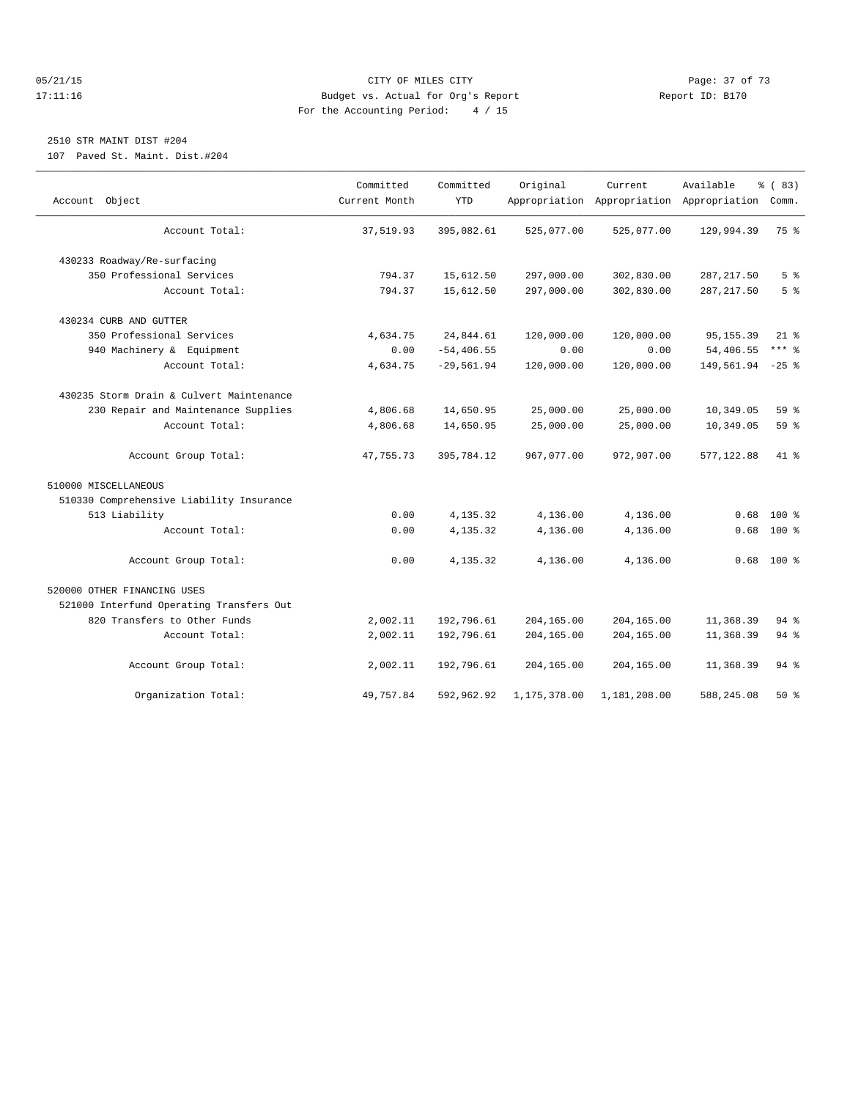#### 05/21/15 Page: 37 of 73 17:11:16 Budget vs. Actual for Org's Report Report ID: B170 For the Accounting Period: 4 / 15

## 2510 STR MAINT DIST #204

107 Paved St. Maint. Dist.#204

|                                          | Committed     | Committed     | Original     | Current      | Available                                 | % (83)         |
|------------------------------------------|---------------|---------------|--------------|--------------|-------------------------------------------|----------------|
| Account Object                           | Current Month | <b>YTD</b>    |              |              | Appropriation Appropriation Appropriation | Comm.          |
| Account Total:                           | 37,519.93     | 395,082.61    | 525,077.00   | 525,077.00   | 129,994.39                                | 75 %           |
| 430233 Roadway/Re-surfacing              |               |               |              |              |                                           |                |
| 350 Professional Services                | 794.37        | 15,612.50     | 297,000.00   | 302,830.00   | 287, 217.50                               | 5 <sup>°</sup> |
| Account Total:                           | 794.37        | 15,612.50     | 297,000.00   | 302,830.00   | 287, 217.50                               | 5 <sup>8</sup> |
| 430234 CURB AND GUTTER                   |               |               |              |              |                                           |                |
| 350 Professional Services                | 4,634.75      | 24,844.61     | 120,000.00   | 120,000.00   | 95, 155.39                                | $21$ %         |
| 940 Machinery & Equipment                | 0.00          | $-54, 406.55$ | 0.00         | 0.00         | 54,406.55                                 | $***$ $-$      |
| Account Total:                           | 4,634.75      | $-29,561.94$  | 120,000.00   | 120,000.00   | 149,561.94                                | $-25$ %        |
| 430235 Storm Drain & Culvert Maintenance |               |               |              |              |                                           |                |
| 230 Repair and Maintenance Supplies      | 4,806.68      | 14,650.95     | 25,000.00    | 25,000.00    | 10,349.05                                 | 59%            |
| Account Total:                           | 4,806.68      | 14,650.95     | 25,000.00    | 25,000.00    | 10,349.05                                 | $59*$          |
| Account Group Total:                     | 47,755.73     | 395,784.12    | 967,077.00   | 972,907.00   | 577,122.88                                | 41 %           |
| 510000 MISCELLANEOUS                     |               |               |              |              |                                           |                |
| 510330 Comprehensive Liability Insurance |               |               |              |              |                                           |                |
| 513 Liability                            | 0.00          | 4,135.32      | 4,136.00     | 4,136.00     | 0.68                                      | 100 %          |
| Account Total:                           | 0.00          | 4,135.32      | 4,136.00     | 4,136.00     | 0.68                                      | $100*$         |
| Account Group Total:                     | 0.00          | 4,135.32      | 4,136.00     | 4,136.00     | 0.68                                      | $100*$         |
| 520000 OTHER FINANCING USES              |               |               |              |              |                                           |                |
| 521000 Interfund Operating Transfers Out |               |               |              |              |                                           |                |
| 820 Transfers to Other Funds             | 2,002.11      | 192,796.61    | 204,165.00   | 204,165.00   | 11,368.39                                 | $94$ $%$       |
| Account Total:                           | 2,002.11      | 192,796.61    | 204,165.00   | 204,165.00   | 11,368.39                                 | 94 %           |
| Account Group Total:                     | 2,002.11      | 192,796.61    | 204,165.00   | 204,165.00   | 11,368.39                                 | 94 %           |
| Organization Total:                      | 49,757.84     | 592,962.92    | 1,175,378.00 | 1,181,208.00 | 588, 245.08                               | $50*$          |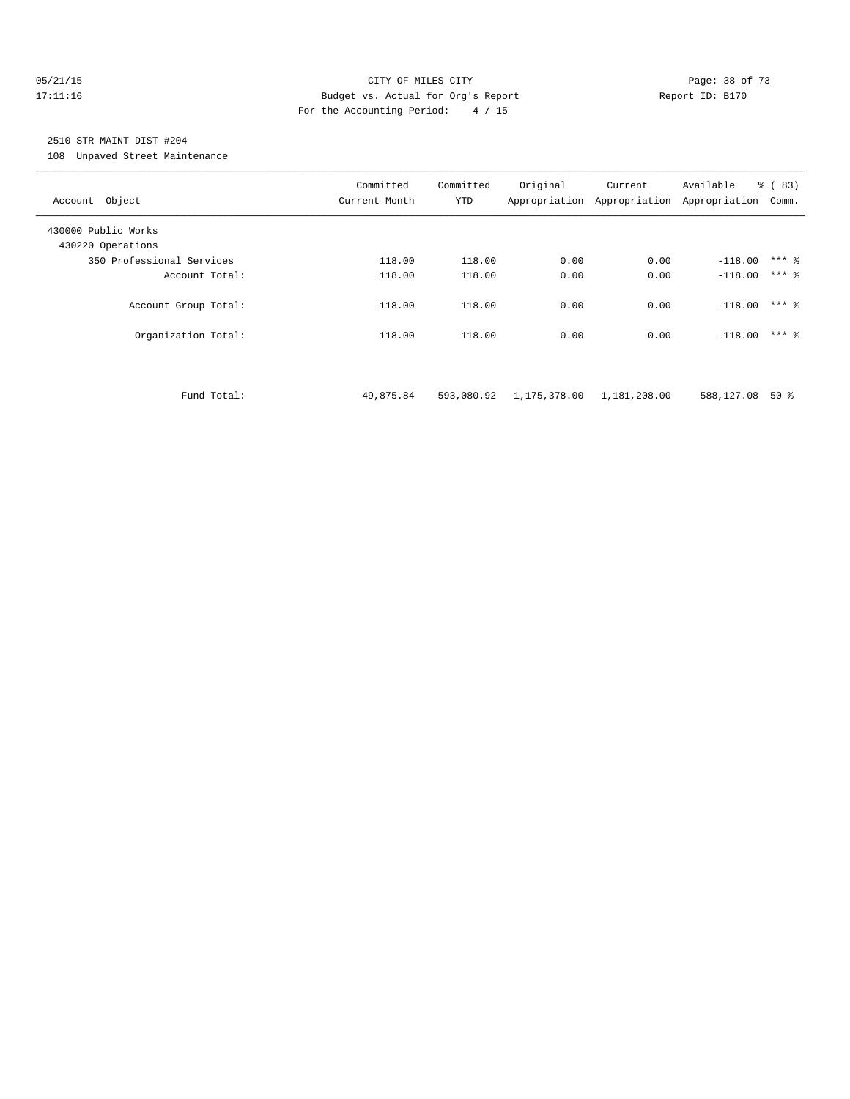#### 05/21/15 **Page: 38 of 73** CITY OF MILES CITY **CITY Page: 38 of 73** 17:11:16 Budget vs. Actual for Org's Report Report ID: B170 For the Accounting Period: 4 / 15

# 2510 STR MAINT DIST #204

108 Unpaved Street Maintenance

| Account Object                              | Committed<br>Current Month | Committed<br>YTD | Original                  | Current      | Available<br>Appropriation Appropriation Appropriation | % (83)<br>Comm.    |
|---------------------------------------------|----------------------------|------------------|---------------------------|--------------|--------------------------------------------------------|--------------------|
| 430000 Public Works<br>430220 Operations    |                            |                  |                           |              |                                                        |                    |
| 350 Professional Services                   | 118.00                     | 118.00           | 0.00                      | 0.00         | $-118.00$                                              | $***$ 8            |
| Account Total:                              | 118.00                     | 118.00           | 0.00                      | 0.00         | $-118.00$                                              | $***$ 2            |
| Account Group Total:<br>Organization Total: | 118.00<br>118.00           | 118.00<br>118.00 | 0.00<br>0.00              | 0.00<br>0.00 | $-118.00$<br>$-118.00$                                 | $***$ 2<br>$***$ 2 |
| Fund Total:                                 | 49,875.84                  | 593,080.92       | 1,175,378.00 1,181,208.00 |              | 588,127.08                                             | $50*$              |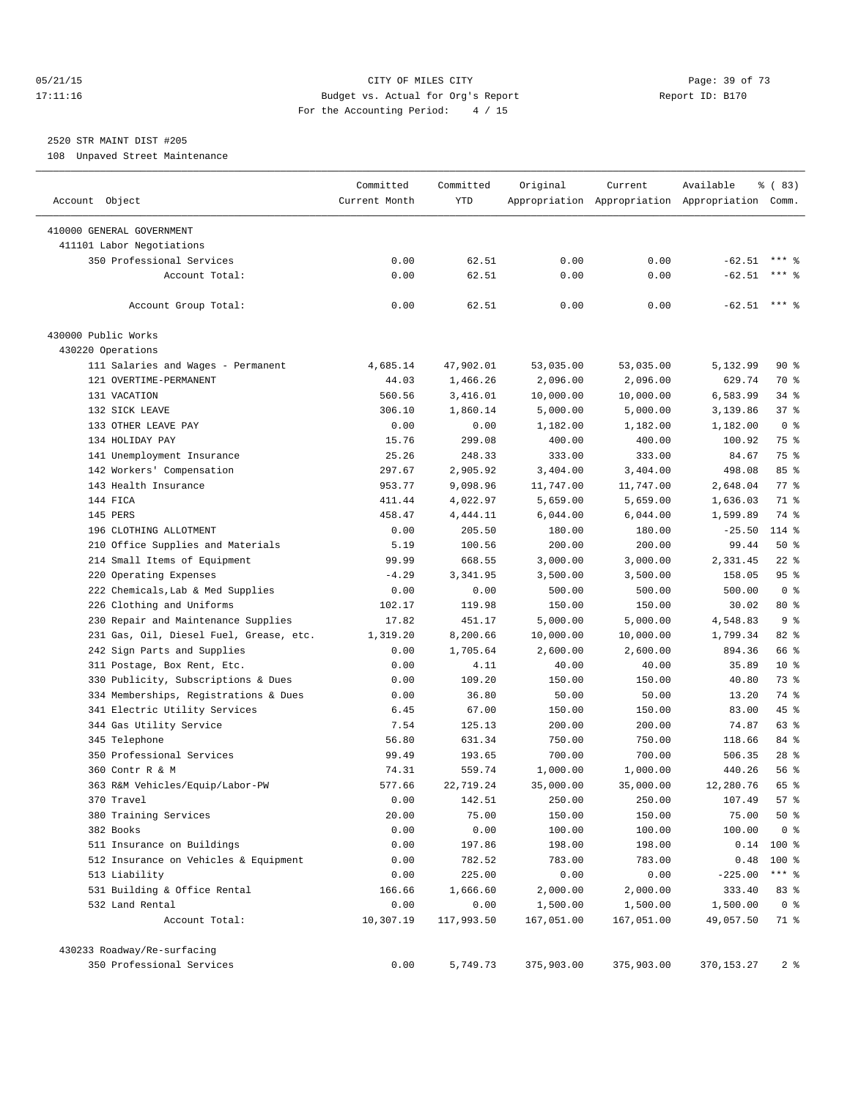#### 05/21/15 **Page: 39 of 73** CITY OF MILES CITY **CITY Page: 39 of 73** 17:11:16 Budget vs. Actual for Org's Report Report ID: B170 For the Accounting Period: 4 / 15

## 2520 STR MAINT DIST #205

108 Unpaved Street Maintenance

|                                         | Committed     | Committed       | Original   | Current    | Available                                       | % (83)         |
|-----------------------------------------|---------------|-----------------|------------|------------|-------------------------------------------------|----------------|
| Account Object                          | Current Month | YTD             |            |            | Appropriation Appropriation Appropriation Comm. |                |
| 410000 GENERAL GOVERNMENT               |               |                 |            |            |                                                 |                |
| 411101 Labor Negotiations               |               |                 |            |            |                                                 |                |
| 350 Professional Services               | 0.00          | 62.51           | 0.00       | 0.00       | $-62.51$                                        |                |
| Account Total:                          | 0.00          | 62.51           | 0.00       | 0.00       | $-62.51$                                        | $***$ 2        |
| Account Group Total:                    | 0.00          | 62.51           | 0.00       | 0.00       | $-62.51$ *** \$                                 |                |
| 430000 Public Works                     |               |                 |            |            |                                                 |                |
| 430220 Operations                       |               |                 |            |            |                                                 |                |
| 111 Salaries and Wages - Permanent      | 4,685.14      | 47,902.01       | 53,035.00  | 53,035.00  | 5,132.99                                        | 90%            |
| 121 OVERTIME-PERMANENT                  | 44.03         | 1,466.26        | 2,096.00   | 2,096.00   | 629.74                                          | 70 %           |
| 131 VACATION                            | 560.56        | 3,416.01        | 10,000.00  | 10,000.00  | 6,583.99                                        | $34$ $%$       |
| 132 SICK LEAVE                          | 306.10        | 1,860.14        | 5,000.00   | 5,000.00   | 3,139.86                                        | 37%            |
| 133 OTHER LEAVE PAY                     | 0.00          | 0.00            | 1,182.00   | 1,182.00   | 1,182.00                                        | 0 <sup>8</sup> |
| 134 HOLIDAY PAY                         | 15.76         | 299.08          | 400.00     | 400.00     | 100.92                                          | 75 %           |
| 141 Unemployment Insurance              | 25.26         | 248.33          | 333.00     | 333.00     | 84.67                                           | 75 %           |
| 142 Workers' Compensation               | 297.67        | 2,905.92        | 3,404.00   | 3,404.00   | 498.08                                          | 85%            |
| 143 Health Insurance                    | 953.77        | 9,098.96        | 11,747.00  | 11,747.00  | 2,648.04                                        | 77 %           |
| 144 FICA                                | 411.44        | 4,022.97        | 5,659.00   | 5,659.00   | 1,636.03                                        | 71 %           |
| 145 PERS                                | 458.47        | 4,444.11        | 6,044.00   | 6,044.00   | 1,599.89                                        | 74 %           |
| 196 CLOTHING ALLOTMENT                  | 0.00          | 205.50          | 180.00     | 180.00     | $-25.50$                                        | 114 %          |
| 210 Office Supplies and Materials       | 5.19          | 100.56          | 200.00     | 200.00     | 99.44                                           | 50%            |
| 214 Small Items of Equipment            | 99.99         | 668.55          | 3,000.00   | 3,000.00   | 2,331.45                                        | $22$ %         |
| 220 Operating Expenses                  | $-4.29$       | 3,341.95        | 3,500.00   | 3,500.00   | 158.05                                          | 95%            |
| 222 Chemicals, Lab & Med Supplies       | 0.00          | 0.00            | 500.00     | 500.00     | 500.00                                          | 0 <sup>8</sup> |
| 226 Clothing and Uniforms               | 102.17        | 119.98          | 150.00     | 150.00     | 30.02                                           | $80*$          |
| 230 Repair and Maintenance Supplies     | 17.82         | 451.17          | 5,000.00   | 5,000.00   | 4,548.83                                        | 9 <sub>8</sub> |
| 231 Gas, Oil, Diesel Fuel, Grease, etc. | 1,319.20      | 8,200.66        | 10,000.00  | 10,000.00  | 1,799.34                                        | $82$ $%$       |
| 242 Sign Parts and Supplies             | 0.00          | 1,705.64        | 2,600.00   | 2,600.00   | 894.36                                          | 66 %           |
|                                         |               |                 |            |            | 35.89                                           | $10*$          |
| 311 Postage, Box Rent, Etc.             | 0.00          | 4.11            | 40.00      | 40.00      |                                                 |                |
| 330 Publicity, Subscriptions & Dues     | 0.00          | 109.20<br>36.80 | 150.00     | 150.00     | 40.80                                           | 73 %<br>74 %   |
| 334 Memberships, Registrations & Dues   | 0.00          |                 | 50.00      | 50.00      | 13.20                                           |                |
| 341 Electric Utility Services           | 6.45          | 67.00           | 150.00     | 150.00     | 83.00                                           | 45 %           |
| 344 Gas Utility Service                 | 7.54          | 125.13          | 200.00     | 200.00     | 74.87                                           | 63 %           |
| 345 Telephone                           | 56.80         | 631.34          | 750.00     | 750.00     | 118.66                                          | 84 %           |
| 350 Professional Services               | 99.49         | 193.65          | 700.00     | 700.00     | 506.35                                          | $28$ %         |
| 360 Contr R & M                         | 74.31         | 559.74          | 1,000.00   | 1,000.00   | 440.26                                          | 56%            |
| 363 R&M Vehicles/Equip/Labor-PW         | 577.66        | 22,719.24       | 35,000.00  | 35,000.00  | 12,280.76                                       | 65 %           |
| 370 Travel                              | 0.00          | 142.51          | 250.00     | 250.00     | 107.49                                          | 57%            |
| 380 Training Services                   | 20.00         | 75.00           | 150.00     | 150.00     | 75.00                                           | 50%            |
| 382 Books                               | 0.00          | 0.00            | 100.00     | 100.00     | 100.00                                          | 0 <sup>8</sup> |
| 511 Insurance on Buildings              | 0.00          | 197.86          | 198.00     | 198.00     | 0.14                                            | $100$ %        |
| 512 Insurance on Vehicles & Equipment   | 0.00          | 782.52          | 783.00     | 783.00     | 0.48                                            | 100 %          |
| 513 Liability                           | 0.00          | 225.00          | 0.00       | 0.00       | $-225.00$                                       | $***$ $_{8}$   |
| 531 Building & Office Rental            | 166.66        | 1,666.60        | 2,000.00   | 2,000.00   | 333.40                                          | 83 %           |
| 532 Land Rental                         | 0.00          | 0.00            | 1,500.00   | 1,500.00   | 1,500.00                                        | 0 <sup>8</sup> |
| Account Total:                          | 10,307.19     | 117,993.50      | 167,051.00 | 167,051.00 | 49,057.50                                       | 71 %           |
| 430233 Roadway/Re-surfacing             |               |                 |            |            |                                                 |                |
| 350 Professional Services               | 0.00          | 5,749.73        | 375,903.00 | 375,903.00 | 370, 153. 27                                    | 2 <sup>8</sup> |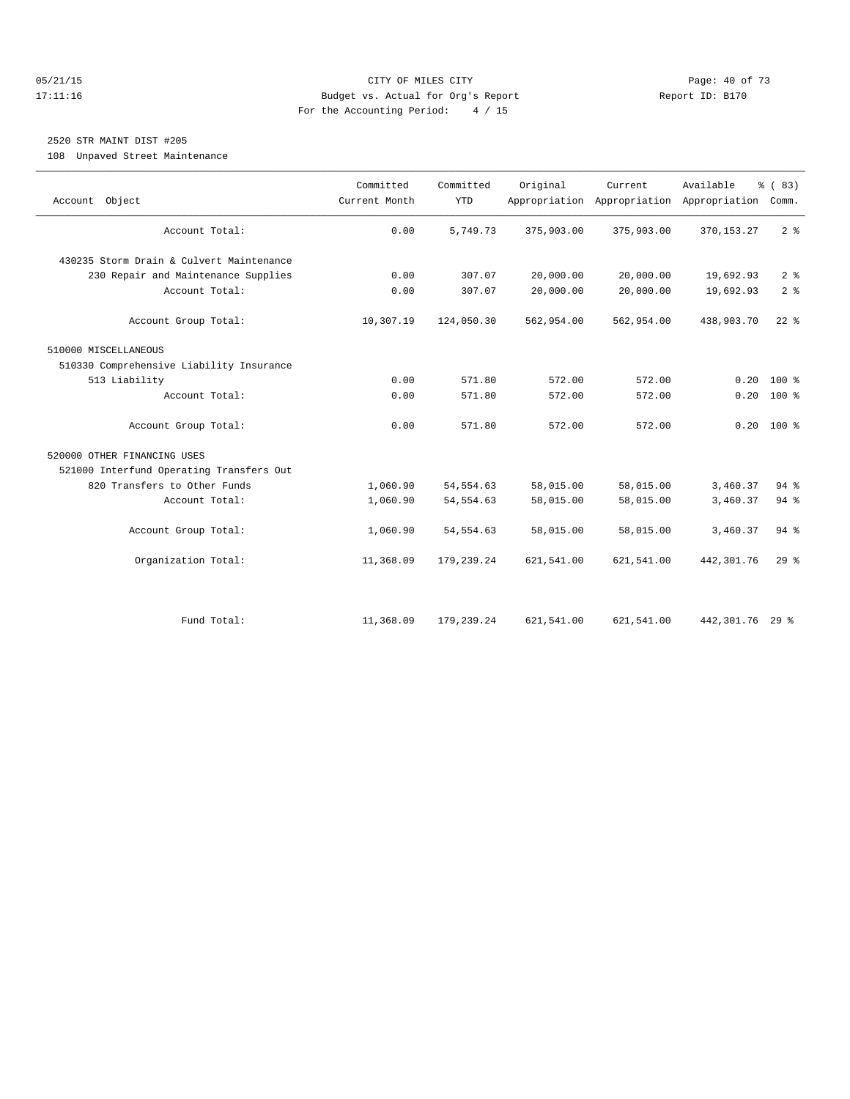#### 05/21/15 **Page: 40 of 73** CITY OF MILES CITY **CITY Page: 40 of 73** 17:11:16 Budget vs. Actual for Org's Report Report ID: B170 For the Accounting Period: 4 / 15

## 2520 STR MAINT DIST #205

108 Unpaved Street Maintenance

| Account Object                           | Committed<br>Current Month | Committed<br><b>YTD</b> | Original   | Current    | Available<br>Appropriation Appropriation Appropriation | % (83)<br>Comm. |
|------------------------------------------|----------------------------|-------------------------|------------|------------|--------------------------------------------------------|-----------------|
| Account Total:                           | 0.00                       | 5,749.73                | 375,903.00 | 375,903.00 | 370, 153. 27                                           | 2 <sup>8</sup>  |
| 430235 Storm Drain & Culvert Maintenance |                            |                         |            |            |                                                        |                 |
| 230 Repair and Maintenance Supplies      | 0.00                       | 307.07                  | 20,000.00  | 20,000.00  | 19,692.93                                              | 2 <sup>°</sup>  |
| Account Total:                           | 0.00                       | 307.07                  | 20,000.00  | 20,000.00  | 19,692.93                                              | 2 <sup>°</sup>  |
| Account Group Total:                     | 10,307.19                  | 124,050.30              | 562,954.00 | 562,954.00 | 438,903.70                                             | $22$ $%$        |
| 510000 MISCELLANEOUS                     |                            |                         |            |            |                                                        |                 |
| 510330 Comprehensive Liability Insurance |                            |                         |            |            |                                                        |                 |
| 513 Liability                            | 0.00                       | 571.80                  | 572.00     | 572.00     | 0.20                                                   | $100*$          |
| Account Total:                           | 0.00                       | 571.80                  | 572.00     | 572.00     | 0.20                                                   | $100*$          |
| Account Group Total:                     | 0.00                       | 571.80                  | 572.00     | 572.00     |                                                        | $0.20$ 100 %    |
| 520000 OTHER FINANCING USES              |                            |                         |            |            |                                                        |                 |
| 521000 Interfund Operating Transfers Out |                            |                         |            |            |                                                        |                 |
| 820 Transfers to Other Funds             | 1,060.90                   | 54, 554.63              | 58,015.00  | 58,015.00  | 3,460.37                                               | $94$ $%$        |
| Account Total:                           | 1,060.90                   | 54, 554.63              | 58,015.00  | 58,015.00  | 3,460.37                                               | $94$ $%$        |
| Account Group Total:                     | 1,060.90                   | 54, 554.63              | 58,015.00  | 58,015.00  | 3,460.37                                               | $94$ $%$        |
| Organization Total:                      | 11,368.09                  | 179,239.24              | 621,541.00 | 621,541.00 | 442,301.76                                             | 29%             |
|                                          |                            |                         |            |            |                                                        |                 |
| Fund Total:                              | 11,368.09                  | 179,239.24              | 621,541.00 | 621,541.00 | 442,301.76 29 %                                        |                 |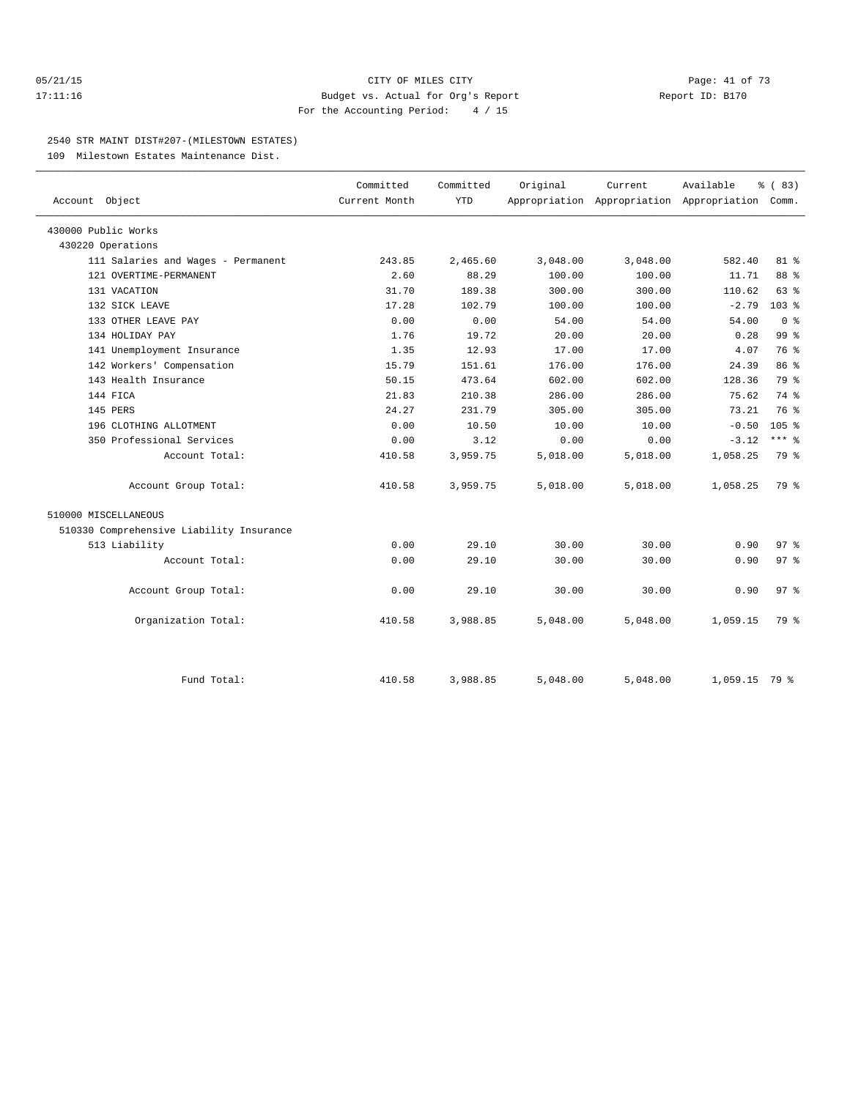#### 05/21/15 Page: 41 of 73 17:11:16 Budget vs. Actual for Org's Report Report ID: B170 For the Accounting Period: 4 / 15

#### 2540 STR MAINT DIST#207-(MILESTOWN ESTATES)

109 Milestown Estates Maintenance Dist.

| Account Object                           | Committed<br>Current Month | Committed<br><b>YTD</b> | Original | Current  | Available<br>Appropriation Appropriation Appropriation Comm. | % (83)           |
|------------------------------------------|----------------------------|-------------------------|----------|----------|--------------------------------------------------------------|------------------|
| 430000 Public Works                      |                            |                         |          |          |                                                              |                  |
| 430220 Operations                        |                            |                         |          |          |                                                              |                  |
| 111 Salaries and Wages - Permanent       | 243.85                     | 2,465.60                | 3,048.00 | 3,048.00 | 582.40                                                       | 81 %             |
| 121 OVERTIME-PERMANENT                   | 2.60                       | 88.29                   | 100.00   | 100.00   | 11.71                                                        | 88 %             |
| 131 VACATION                             | 31.70                      | 189.38                  | 300.00   | 300.00   | 110.62                                                       | 63 %             |
| 132 SICK LEAVE                           | 17.28                      | 102.79                  | 100.00   | 100.00   | $-2.79$                                                      | 103 <sub>8</sub> |
| 133 OTHER LEAVE PAY                      | 0.00                       | 0.00                    | 54.00    | 54.00    | 54.00                                                        | 0 <sup>8</sup>   |
| 134 HOLIDAY PAY                          | 1.76                       | 19.72                   | 20.00    | 20.00    | 0.28                                                         | 99 %             |
| 141 Unemployment Insurance               | 1.35                       | 12.93                   | 17.00    | 17.00    | 4.07                                                         | 76 %             |
| 142 Workers' Compensation                | 15.79                      | 151.61                  | 176.00   | 176.00   | 24.39                                                        | 86 %             |
| 143 Health Insurance                     | 50.15                      | 473.64                  | 602.00   | 602.00   | 128.36                                                       | 79 %             |
| 144 FICA                                 | 21.83                      | 210.38                  | 286.00   | 286.00   | 75.62                                                        | 74 %             |
| 145 PERS                                 | 24.27                      | 231.79                  | 305.00   | 305.00   | 73.21                                                        | 76 %             |
| 196 CLOTHING ALLOTMENT                   | 0.00                       | 10.50                   | 10.00    | 10.00    | $-0.50$                                                      | 105 <sup>8</sup> |
| 350 Professional Services                | 0.00                       | 3.12                    | 0.00     | 0.00     | $-3.12$                                                      | $***$ $-$        |
| Account Total:                           | 410.58                     | 3,959.75                | 5,018.00 | 5,018.00 | 1,058.25                                                     | 79 %             |
| Account Group Total:                     | 410.58                     | 3,959.75                | 5,018.00 | 5,018.00 | 1,058.25                                                     | 79 %             |
| 510000 MISCELLANEOUS                     |                            |                         |          |          |                                                              |                  |
| 510330 Comprehensive Liability Insurance |                            |                         |          |          |                                                              |                  |
| 513 Liability                            | 0.00                       | 29.10                   | 30.00    | 30.00    | 0.90                                                         | 97 <sub>8</sub>  |
| Account Total:                           | 0.00                       | 29.10                   | 30.00    | 30.00    | 0.90                                                         | 97 <sub>8</sub>  |
| Account Group Total:                     | 0.00                       | 29.10                   | 30.00    | 30.00    | 0.90                                                         | 97 <sub>8</sub>  |
| Organization Total:                      | 410.58                     | 3,988.85                | 5,048.00 | 5,048.00 | 1,059.15                                                     | 79 %             |
|                                          |                            |                         |          |          |                                                              |                  |
| Fund Total:                              | 410.58                     | 3,988.85                | 5,048.00 | 5,048.00 | $1,059.15$ 79 %                                              |                  |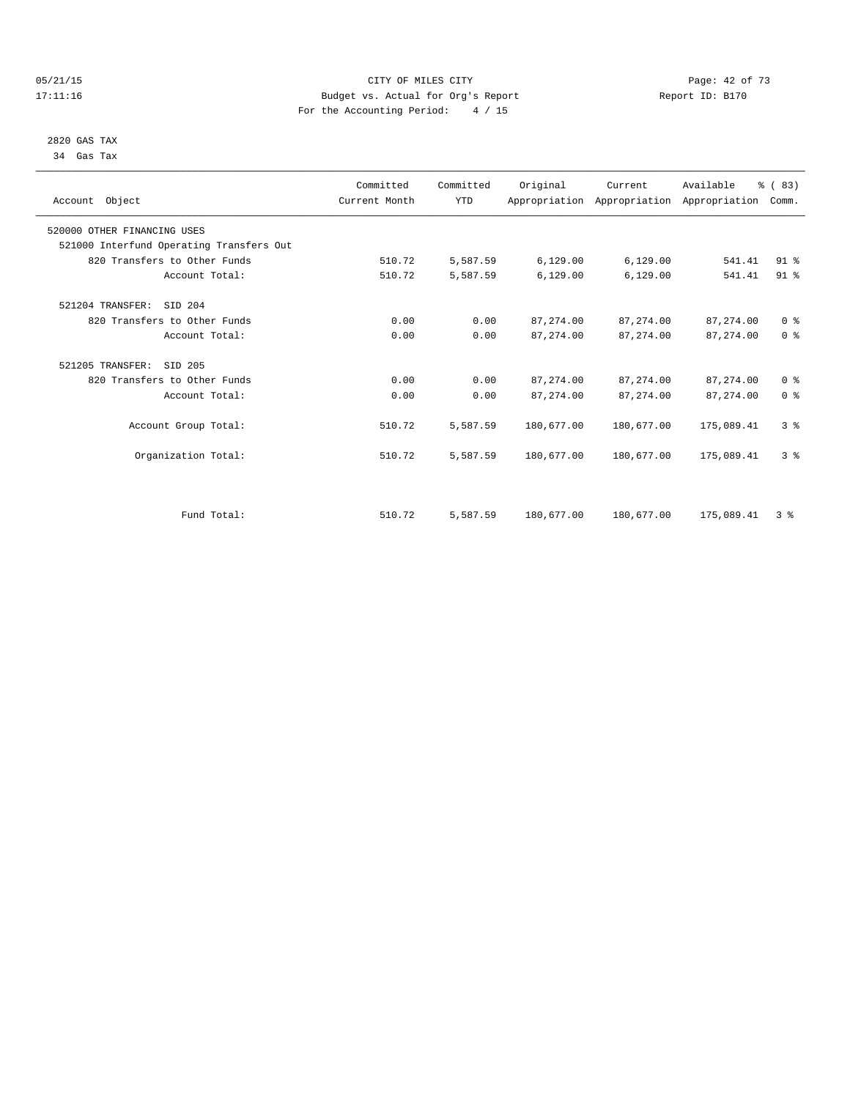#### 05/21/15 CITY OF MILES CITY Page: 42 of 73 17:11:16 Budget vs. Actual for Org's Report Report ID: B170 For the Accounting Period: 4 / 15

 2820 GAS TAX 34 Gas Tax

| Account Object                           | Committed<br>Current Month | Committed<br><b>YTD</b> | Original   | Current<br>Appropriation Appropriation Appropriation | Available   | % (83)<br>Comm. |  |
|------------------------------------------|----------------------------|-------------------------|------------|------------------------------------------------------|-------------|-----------------|--|
| 520000 OTHER FINANCING USES              |                            |                         |            |                                                      |             |                 |  |
| 521000 Interfund Operating Transfers Out |                            |                         |            |                                                      |             |                 |  |
| 820 Transfers to Other Funds             | 510.72                     | 5,587.59                | 6,129.00   | 6, 129.00                                            | 541.41      | 91 <sup>°</sup> |  |
| Account Total:                           | 510.72                     | 5,587.59                | 6,129.00   | 6,129.00                                             | 541.41      | 91.8            |  |
| 521204 TRANSFER:<br>SID 204              |                            |                         |            |                                                      |             |                 |  |
| 820 Transfers to Other Funds             | 0.00                       | 0.00                    | 87, 274.00 | 87, 274, 00                                          | 87, 274, 00 | 0 <sup>8</sup>  |  |
| Account Total:                           | 0.00                       | 0.00                    | 87, 274.00 | 87, 274.00                                           | 87, 274.00  | 0 <sup>8</sup>  |  |
| 521205 TRANSFER:<br>SID 205              |                            |                         |            |                                                      |             |                 |  |
| 820 Transfers to Other Funds             | 0.00                       | 0.00                    | 87, 274.00 | 87, 274.00                                           | 87, 274.00  | 0 <sup>8</sup>  |  |
| Account Total:                           | 0.00                       | 0.00                    | 87, 274.00 | 87, 274.00                                           | 87, 274.00  | 0 <sup>8</sup>  |  |
| Account Group Total:                     | 510.72                     | 5,587.59                | 180,677.00 | 180,677.00                                           | 175,089.41  | 3 <sup>8</sup>  |  |
| Organization Total:                      | 510.72                     | 5,587.59                | 180,677.00 | 180,677.00                                           | 175,089.41  | 3 <sup>8</sup>  |  |
|                                          |                            |                         |            |                                                      |             |                 |  |
| Fund Total:                              | 510.72                     | 5,587.59                | 180,677.00 | 180,677.00                                           | 175,089.41  | 3%              |  |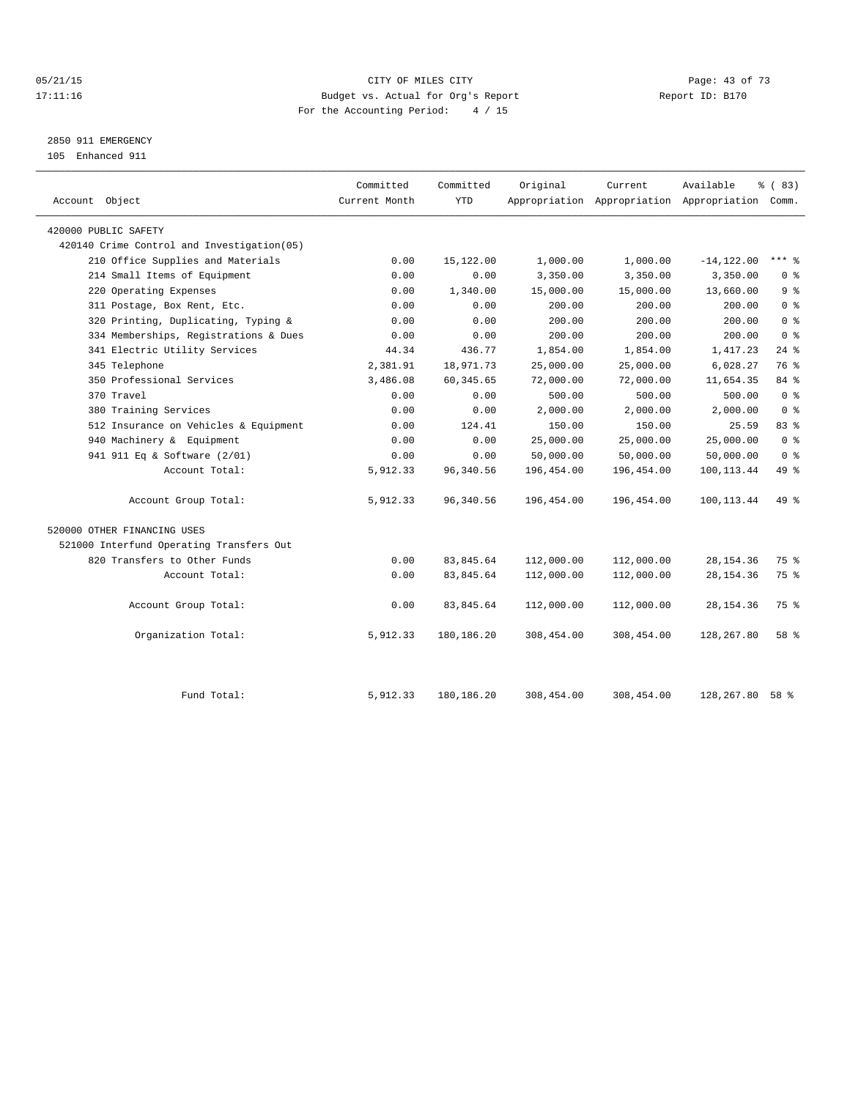#### 05/21/15 **Page: 43 of 73** CITY OF MILES CITY **CITY Page: 43 of 73** 17:11:16 Budget vs. Actual for Org's Report Report ID: B170 For the Accounting Period: 4 / 15

2850 911 EMERGENCY

105 Enhanced 911

| 420000 PUBLIC SAFETY<br>420140 Crime Control and Investigation (05)<br>210 Office Supplies and Materials<br>214 Small Items of Equipment<br>220 Operating Expenses<br>311 Postage, Box Rent, Etc.<br>320 Printing, Duplicating, Typing &<br>334 Memberships, Registrations & Dues<br>341 Electric Utility Services | 0.00<br>0.00<br>0.00<br>0.00<br>0.00<br>0.00<br>44.34<br>2,381.91<br>3,486.08<br>0.00 | 15,122.00<br>0.00<br>1,340.00<br>0.00<br>0.00<br>0.00<br>436.77<br>18,971.73<br>60, 345.65<br>0.00 | 1,000.00<br>3,350.00<br>15,000.00<br>200.00<br>200.00<br>200.00<br>1,854.00<br>25,000.00<br>72,000.00 | 1,000.00<br>3,350.00<br>15,000.00<br>200.00<br>200.00<br>200.00<br>1,854.00<br>25,000.00<br>72,000.00 | $-14, 122.00$<br>3,350.00<br>13,660.00<br>200.00<br>200.00<br>200.00<br>1,417.23<br>6,028.27 | $***$ $\frac{6}{5}$<br>0 <sup>8</sup><br>9%<br>0 <sup>8</sup><br>0 <sup>8</sup><br>0 <sup>8</sup><br>$24$ $%$<br>76 % |
|--------------------------------------------------------------------------------------------------------------------------------------------------------------------------------------------------------------------------------------------------------------------------------------------------------------------|---------------------------------------------------------------------------------------|----------------------------------------------------------------------------------------------------|-------------------------------------------------------------------------------------------------------|-------------------------------------------------------------------------------------------------------|----------------------------------------------------------------------------------------------|-----------------------------------------------------------------------------------------------------------------------|
|                                                                                                                                                                                                                                                                                                                    |                                                                                       |                                                                                                    |                                                                                                       |                                                                                                       |                                                                                              |                                                                                                                       |
|                                                                                                                                                                                                                                                                                                                    |                                                                                       |                                                                                                    |                                                                                                       |                                                                                                       |                                                                                              |                                                                                                                       |
|                                                                                                                                                                                                                                                                                                                    |                                                                                       |                                                                                                    |                                                                                                       |                                                                                                       |                                                                                              |                                                                                                                       |
|                                                                                                                                                                                                                                                                                                                    |                                                                                       |                                                                                                    |                                                                                                       |                                                                                                       |                                                                                              |                                                                                                                       |
|                                                                                                                                                                                                                                                                                                                    |                                                                                       |                                                                                                    |                                                                                                       |                                                                                                       |                                                                                              |                                                                                                                       |
|                                                                                                                                                                                                                                                                                                                    |                                                                                       |                                                                                                    |                                                                                                       |                                                                                                       |                                                                                              |                                                                                                                       |
|                                                                                                                                                                                                                                                                                                                    |                                                                                       |                                                                                                    |                                                                                                       |                                                                                                       |                                                                                              |                                                                                                                       |
|                                                                                                                                                                                                                                                                                                                    |                                                                                       |                                                                                                    |                                                                                                       |                                                                                                       |                                                                                              |                                                                                                                       |
|                                                                                                                                                                                                                                                                                                                    |                                                                                       |                                                                                                    |                                                                                                       |                                                                                                       |                                                                                              |                                                                                                                       |
| 345 Telephone                                                                                                                                                                                                                                                                                                      |                                                                                       |                                                                                                    |                                                                                                       |                                                                                                       |                                                                                              |                                                                                                                       |
| 350 Professional Services                                                                                                                                                                                                                                                                                          |                                                                                       |                                                                                                    |                                                                                                       |                                                                                                       | 11,654.35                                                                                    | 84 %                                                                                                                  |
| 370 Travel                                                                                                                                                                                                                                                                                                         |                                                                                       |                                                                                                    | 500.00                                                                                                | 500.00                                                                                                | 500.00                                                                                       | 0 <sup>8</sup>                                                                                                        |
| 380 Training Services                                                                                                                                                                                                                                                                                              | 0.00                                                                                  | 0.00                                                                                               | 2,000.00                                                                                              | 2,000.00                                                                                              | 2,000.00                                                                                     | 0 <sup>8</sup>                                                                                                        |
| 512 Insurance on Vehicles & Equipment                                                                                                                                                                                                                                                                              | 0.00                                                                                  | 124.41                                                                                             | 150.00                                                                                                | 150.00                                                                                                | 25.59                                                                                        | 83 %                                                                                                                  |
| 940 Machinery & Equipment                                                                                                                                                                                                                                                                                          | 0.00                                                                                  | 0.00                                                                                               | 25,000.00                                                                                             | 25,000.00                                                                                             | 25,000.00                                                                                    | 0 <sup>8</sup>                                                                                                        |
| 941 911 Eq & Software (2/01)                                                                                                                                                                                                                                                                                       | 0.00                                                                                  | 0.00                                                                                               | 50,000.00                                                                                             | 50,000.00                                                                                             | 50,000.00                                                                                    | 0 <sup>8</sup>                                                                                                        |
| Account Total:                                                                                                                                                                                                                                                                                                     | 5,912.33                                                                              | 96,340.56                                                                                          | 196,454.00                                                                                            | 196,454.00                                                                                            | 100, 113.44                                                                                  | 49 %                                                                                                                  |
| Account Group Total:                                                                                                                                                                                                                                                                                               | 5,912.33                                                                              | 96,340.56                                                                                          | 196,454.00                                                                                            | 196,454.00                                                                                            | 100, 113.44                                                                                  | 49 %                                                                                                                  |
| 520000 OTHER FINANCING USES                                                                                                                                                                                                                                                                                        |                                                                                       |                                                                                                    |                                                                                                       |                                                                                                       |                                                                                              |                                                                                                                       |
| 521000 Interfund Operating Transfers Out                                                                                                                                                                                                                                                                           |                                                                                       |                                                                                                    |                                                                                                       |                                                                                                       |                                                                                              |                                                                                                                       |
| 820 Transfers to Other Funds                                                                                                                                                                                                                                                                                       | 0.00                                                                                  | 83,845.64                                                                                          | 112,000.00                                                                                            | 112,000.00                                                                                            | 28, 154.36                                                                                   | 75 %                                                                                                                  |
| Account Total:                                                                                                                                                                                                                                                                                                     | 0.00                                                                                  | 83, 845.64                                                                                         | 112,000.00                                                                                            | 112,000.00                                                                                            | 28, 154.36                                                                                   | 75 %                                                                                                                  |
| Account Group Total:                                                                                                                                                                                                                                                                                               | 0.00                                                                                  | 83,845.64                                                                                          | 112,000.00                                                                                            | 112,000.00                                                                                            | 28, 154.36                                                                                   | 75 %                                                                                                                  |
| Organization Total:                                                                                                                                                                                                                                                                                                | 5,912.33                                                                              | 180,186.20                                                                                         | 308,454.00                                                                                            | 308,454.00                                                                                            | 128,267.80                                                                                   | 58 %                                                                                                                  |
| Fund Total:                                                                                                                                                                                                                                                                                                        | 5,912.33                                                                              | 180,186.20                                                                                         | 308,454.00                                                                                            | 308,454.00                                                                                            | 128,267.80                                                                                   | 58 %                                                                                                                  |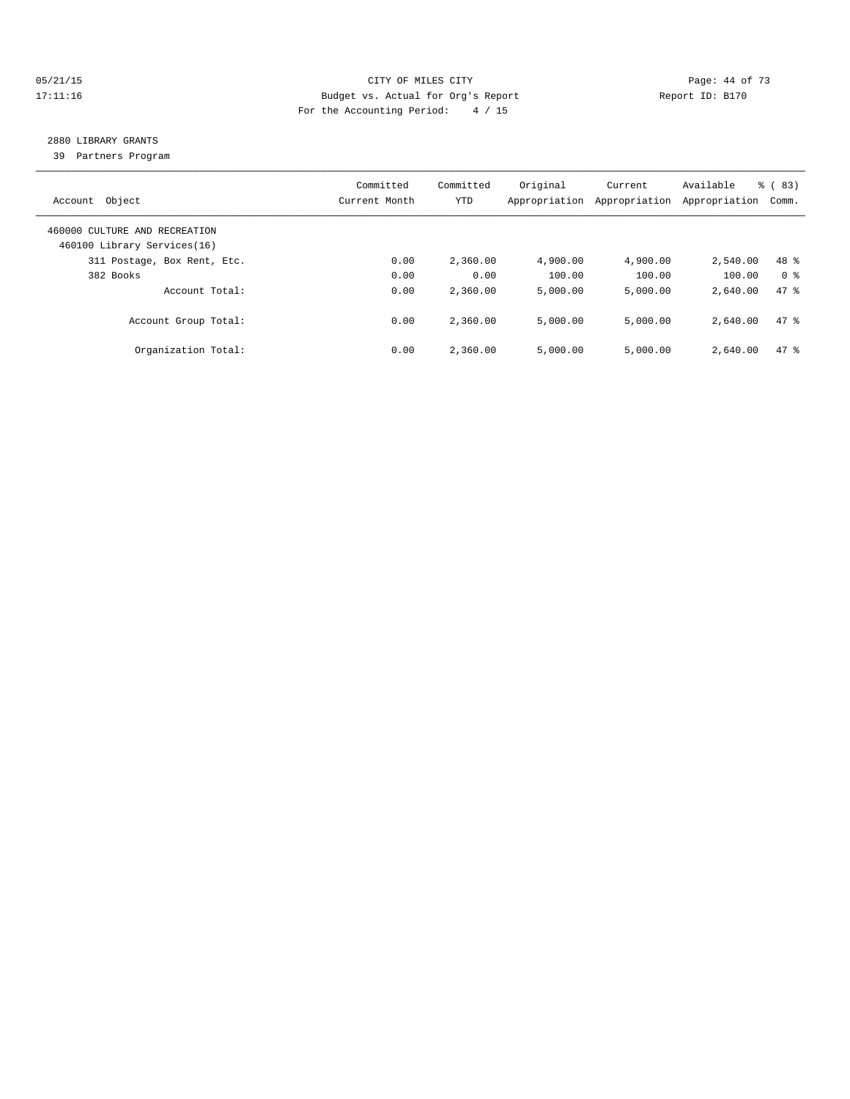#### 05/21/15 **Page: 44 of 73** CITY OF MILES CITY **Page: 44 of 73** 17:11:16 Budget vs. Actual for Org's Report Report ID: B170 For the Accounting Period: 4 / 15

## 2880 LIBRARY GRANTS

39 Partners Program

| Object<br>Account                                            | Committed<br>Current Month | Committed<br>YTD | Original<br>Appropriation | Current<br>Appropriation | Available<br>Appropriation | $\frac{6}{6}$ (83)<br>Comm. |
|--------------------------------------------------------------|----------------------------|------------------|---------------------------|--------------------------|----------------------------|-----------------------------|
| 460000 CULTURE AND RECREATION<br>460100 Library Services(16) |                            |                  |                           |                          |                            |                             |
| 311 Postage, Box Rent, Etc.                                  | 0.00                       | 2,360.00         | 4,900.00                  | 4,900.00                 | 2,540.00                   | 48 %                        |
| 382 Books                                                    | 0.00                       | 0.00             | 100.00                    | 100.00                   | 100.00                     | 0 <sup>8</sup>              |
| Account Total:                                               | 0.00                       | 2,360.00         | 5.000.00                  | 5.000.00                 | 2,640.00                   | 47.8                        |
| Account Group Total:                                         | 0.00                       | 2,360.00         | 5.000.00                  | 5.000.00                 | 2,640.00                   | 47.8                        |
| Organization Total:                                          | 0.00                       | 2,360.00         | 5.000.00                  | 5.000.00                 | 2,640.00                   | 47.8                        |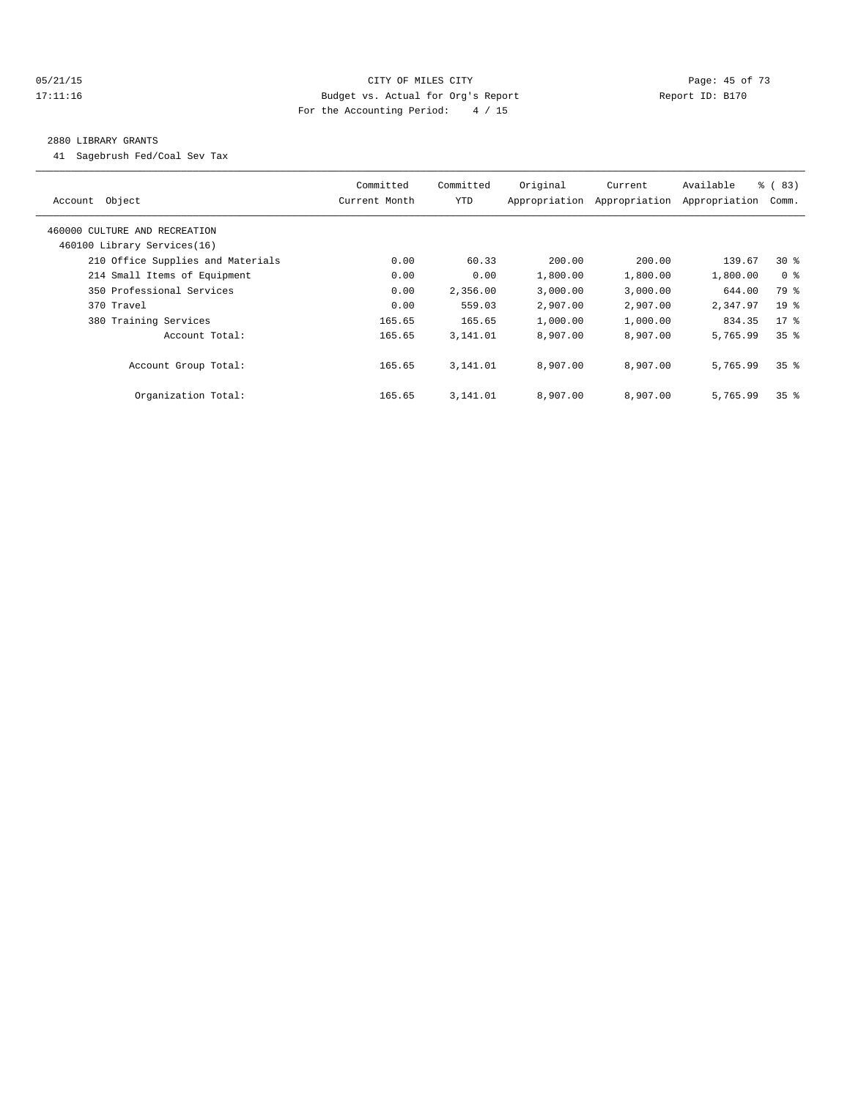#### 05/21/15 **Page: 45 of 73 CITY OF MILES CITY CITY Page: 45 of 73** 17:11:16 Budget vs. Actual for Org's Report Report ID: B170 For the Accounting Period: 4 / 15

#### 2880 LIBRARY GRANTS

41 Sagebrush Fed/Coal Sev Tax

| Object<br>Account                                            | Committed<br>Current Month | Committed<br>YTD | Original<br>Appropriation | Current<br>Appropriation | Available<br>Appropriation | % (83)<br>Comm. |
|--------------------------------------------------------------|----------------------------|------------------|---------------------------|--------------------------|----------------------------|-----------------|
| 460000 CULTURE AND RECREATION<br>460100 Library Services(16) |                            |                  |                           |                          |                            |                 |
| 210 Office Supplies and Materials                            | 0.00                       | 60.33            | 200.00                    | 200.00                   | 139.67                     | $30*$           |
|                                                              |                            |                  |                           |                          |                            |                 |
| 214 Small Items of Equipment                                 | 0.00                       | 0.00             | 1,800.00                  | 1,800.00                 | 1,800.00                   | 0 <sup>8</sup>  |
| 350 Professional Services                                    | 0.00                       | 2,356.00         | 3,000.00                  | 3,000.00                 | 644.00                     | 79 %            |
| 370 Travel                                                   | 0.00                       | 559.03           | 2,907.00                  | 2,907.00                 | 2,347.97                   | $19*$           |
| 380 Training Services                                        | 165.65                     | 165.65           | 1,000.00                  | 1,000.00                 | 834.35                     | $17*$           |
| Account Total:                                               | 165.65                     | 3,141.01         | 8,907.00                  | 8,907.00                 | 5,765.99                   | 35 <sup>8</sup> |
| Account Group Total:                                         | 165.65                     | 3,141.01         | 8,907.00                  | 8,907.00                 | 5,765.99                   | 35 <sup>8</sup> |
| Organization Total:                                          | 165.65                     | 3,141.01         | 8,907.00                  | 8,907.00                 | 5,765.99                   | 35 <sup>8</sup> |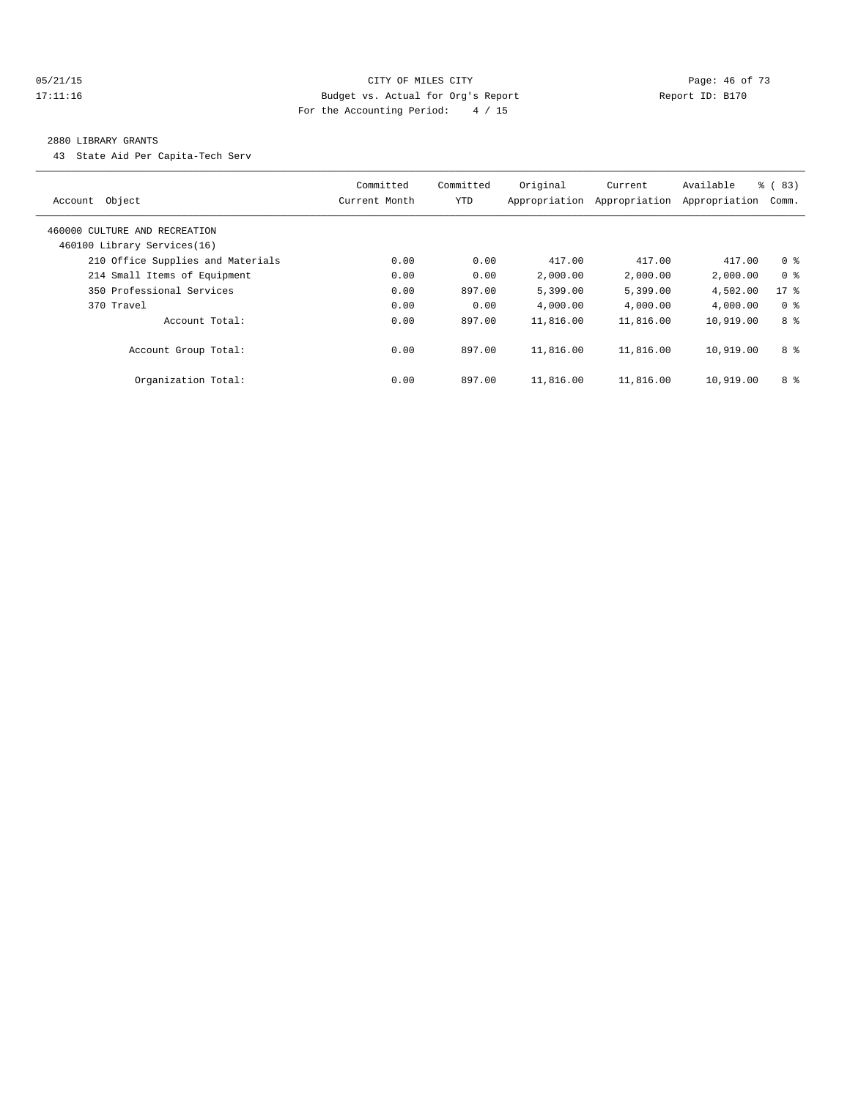#### 05/21/15 **Page: 46 of 73 CITY OF MILES CITY CITY Page: 46 of 73** 17:11:16 Budget vs. Actual for Org's Report Report ID: B170 For the Accounting Period: 4 / 15

#### 2880 LIBRARY GRANTS

43 State Aid Per Capita-Tech Serv

|                                   | Committed     | Committed  | Original      | Current       | Available     | % (83)         |
|-----------------------------------|---------------|------------|---------------|---------------|---------------|----------------|
| Object<br>Account                 | Current Month | <b>YTD</b> | Appropriation | Appropriation | Appropriation | Comm.          |
| 460000 CULTURE AND RECREATION     |               |            |               |               |               |                |
| 460100 Library Services(16)       |               |            |               |               |               |                |
| 210 Office Supplies and Materials | 0.00          | 0.00       | 417.00        | 417.00        | 417.00        | 0 <sup>8</sup> |
| 214 Small Items of Equipment      | 0.00          | 0.00       | 2,000.00      | 2,000.00      | 2,000.00      | 0 <sup>8</sup> |
| 350 Professional Services         | 0.00          | 897.00     | 5,399.00      | 5,399.00      | 4,502.00      | $17$ %         |
| 370 Travel                        | 0.00          | 0.00       | 4,000.00      | 4,000.00      | 4,000.00      | 0 <sup>8</sup> |
| Account Total:                    | 0.00          | 897.00     | 11,816.00     | 11,816.00     | 10,919.00     | 8 %            |
| Account Group Total:              | 0.00          | 897.00     | 11,816.00     | 11,816.00     | 10,919.00     | 8 %            |
| Organization Total:               | 0.00          | 897.00     | 11,816.00     | 11,816.00     | 10,919.00     | 8 %            |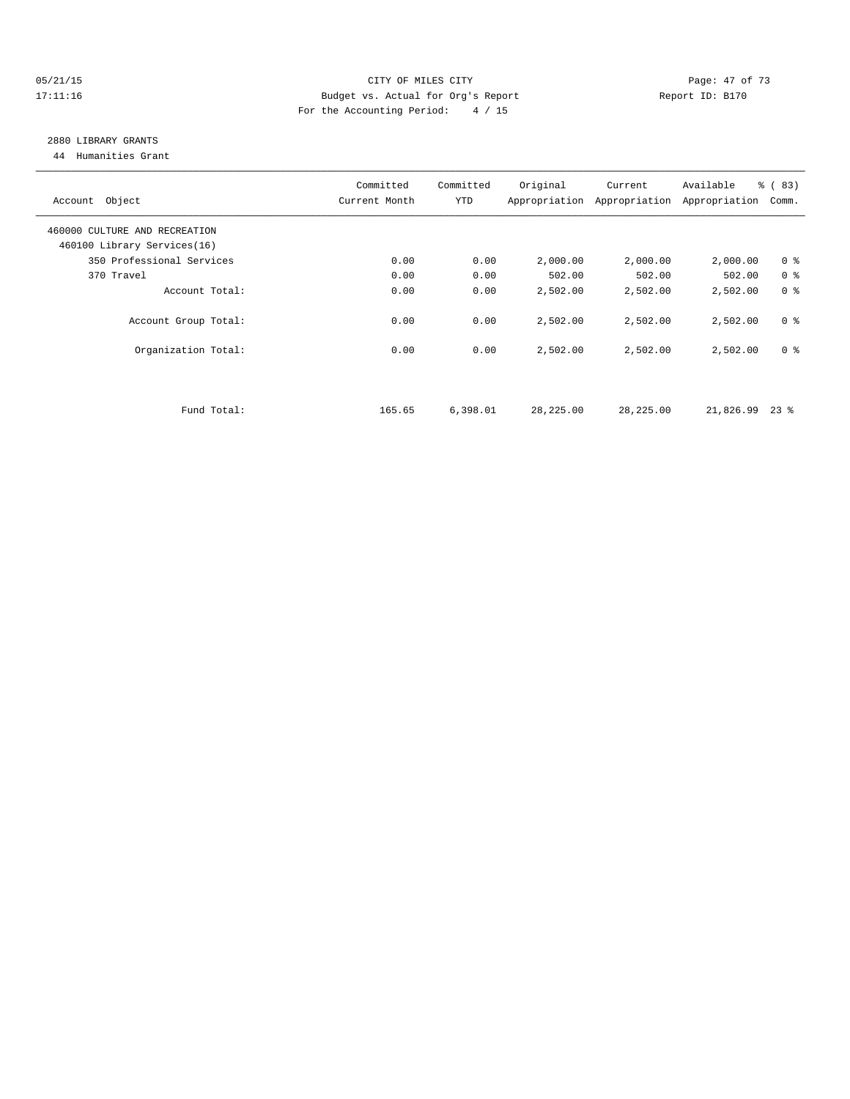#### 05/21/15 Page: 47 of 73 17:11:16 Budget vs. Actual for Org's Report Report ID: B170 For the Accounting Period: 4 / 15

## 2880 LIBRARY GRANTS

44 Humanities Grant

| Account Object                | Committed<br>Current Month | Committed<br>YTD | Original  | Current<br>Appropriation Appropriation | Available<br>Appropriation | $\frac{6}{6}$ (83)<br>Comm. |
|-------------------------------|----------------------------|------------------|-----------|----------------------------------------|----------------------------|-----------------------------|
| 460000 CULTURE AND RECREATION |                            |                  |           |                                        |                            |                             |
| 460100 Library Services(16)   |                            |                  |           |                                        |                            |                             |
| 350 Professional Services     | 0.00                       | 0.00             | 2,000.00  | 2,000.00                               | 2,000.00                   | 0 <sup>8</sup>              |
| 370 Travel                    | 0.00                       | 0.00             | 502.00    | 502.00                                 | 502.00                     | 0 <sup>8</sup>              |
| Account Total:                | 0.00                       | 0.00             | 2,502.00  | 2,502.00                               | 2,502.00                   | 0 <sup>8</sup>              |
| Account Group Total:          | 0.00                       | 0.00             | 2,502.00  | 2,502.00                               | 2,502.00                   | 0 <sup>8</sup>              |
| Organization Total:           | 0.00                       | 0.00             | 2,502.00  | 2,502.00                               | 2,502.00                   | 0 <sup>8</sup>              |
|                               |                            |                  |           |                                        |                            |                             |
| Fund Total:                   | 165.65                     | 6,398.01         | 28,225.00 | 28,225.00                              | 21,826.99                  | $23$ %                      |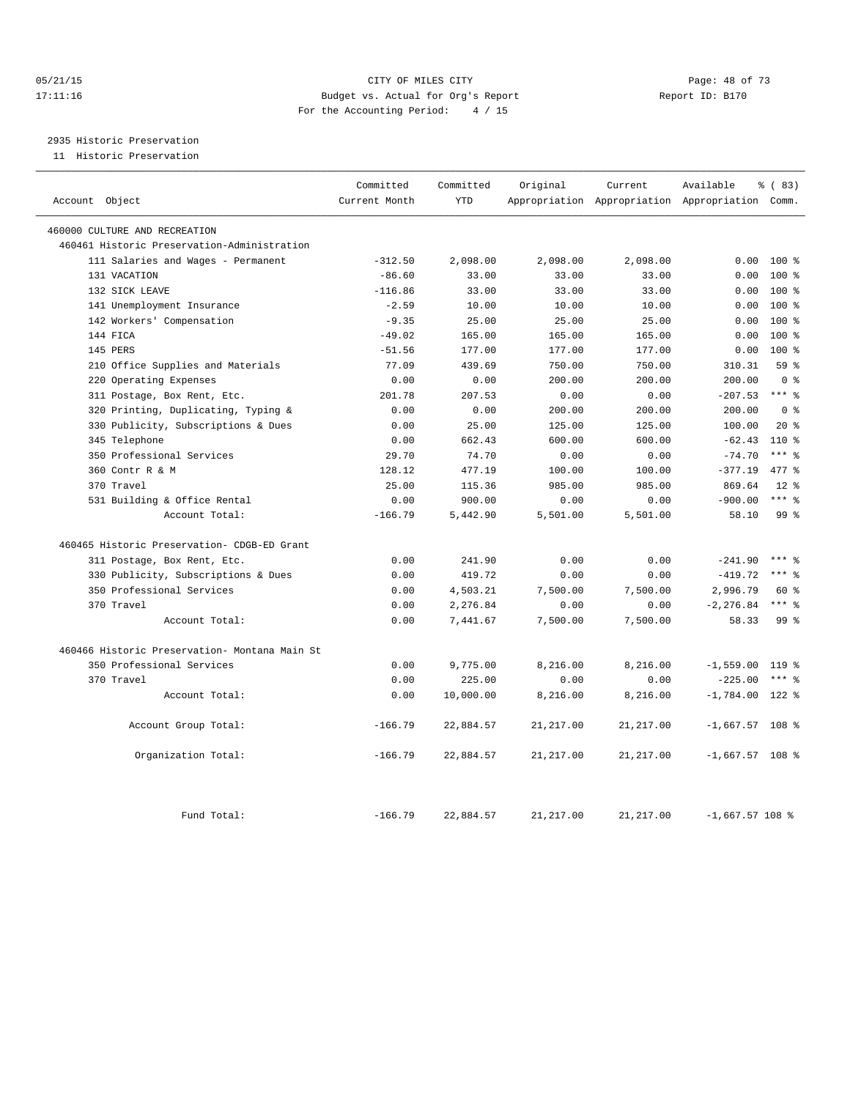#### 05/21/15 **Page: 48 of 73** CITY OF MILES CITY **CITY Page: 48 of 73** 17:11:16 Budget vs. Actual for Org's Report Report ID: B170 For the Accounting Period: 4 / 15

2935 Historic Preservation

11 Historic Preservation

|                                                | Committed     | Committed  | Original   | Current    | Available                                       | % (83)          |
|------------------------------------------------|---------------|------------|------------|------------|-------------------------------------------------|-----------------|
| Account Object                                 | Current Month | <b>YTD</b> |            |            | Appropriation Appropriation Appropriation Comm. |                 |
| 460000 CULTURE AND RECREATION                  |               |            |            |            |                                                 |                 |
| 460461 Historic Preservation-Administration    |               |            |            |            |                                                 |                 |
| 111 Salaries and Wages - Permanent             | $-312.50$     | 2,098.00   | 2,098.00   | 2,098.00   | 0.00                                            | $100*$          |
| 131 VACATION                                   | $-86.60$      | 33.00      | 33.00      | 33.00      | 0.00                                            | $100*$          |
| 132 SICK LEAVE                                 | $-116.86$     | 33.00      | 33.00      | 33.00      | 0.00                                            | 100 %           |
| 141 Unemployment Insurance                     | $-2.59$       | 10.00      | 10.00      | 10.00      | 0.00                                            | $100*$          |
| 142 Workers' Compensation                      | $-9.35$       | 25.00      | 25.00      | 25.00      | 0.00                                            | $100*$          |
| 144 FICA                                       | $-49.02$      | 165.00     | 165.00     | 165.00     | 0.00                                            | 100 %           |
| 145 PERS                                       | $-51.56$      | 177.00     | 177.00     | 177.00     | 0.00                                            | $100*$          |
| 210 Office Supplies and Materials              | 77.09         | 439.69     | 750.00     | 750.00     | 310.31                                          | 59 <sub>8</sub> |
| 220 Operating Expenses                         | 0.00          | 0.00       | 200.00     | 200.00     | 200.00                                          | 0 <sup>8</sup>  |
| 311 Postage, Box Rent, Etc.                    | 201.78        | 207.53     | 0.00       | 0.00       | $-207.53$ *** %                                 |                 |
| 320 Printing, Duplicating, Typing &            | 0.00          | 0.00       | 200.00     | 200.00     | 200.00                                          | 0 <sup>8</sup>  |
| 330 Publicity, Subscriptions & Dues            | 0.00          | 25.00      | 125.00     | 125.00     | 100.00                                          | $20*$           |
| 345 Telephone                                  | 0.00          | 662.43     | 600.00     | 600.00     | $-62.43$                                        | $110*$          |
| 350 Professional Services                      | 29.70         | 74.70      | 0.00       | 0.00       | $-74.70$                                        | $***$ 8         |
| 360 Contr R & M                                | 128.12        | 477.19     | 100.00     | 100.00     | $-377.19$                                       | 477 %           |
| 370 Travel                                     | 25.00         | 115.36     | 985.00     | 985.00     | 869.64                                          | $12*$           |
| 531 Building & Office Rental                   | 0.00          | 900.00     | 0.00       | 0.00       | $-900.00$                                       | $***$ $_{8}$    |
| Account Total:                                 | $-166.79$     | 5,442.90   | 5,501.00   | 5,501.00   | 58.10                                           | 99 %            |
| 460465 Historic Preservation- CDGB-ED Grant    |               |            |            |            |                                                 |                 |
| 311 Postage, Box Rent, Etc.                    | 0.00          | 241.90     | 0.00       | 0.00       | $-241.90$                                       | $***$ 8         |
| 330 Publicity, Subscriptions & Dues            | 0.00          | 419.72     | 0.00       | 0.00       | $-419.72$                                       | $***$ $_{8}$    |
| 350 Professional Services                      | 0.00          | 4,503.21   | 7,500.00   | 7,500.00   | 2,996.79                                        | 60 %            |
| 370 Travel                                     | 0.00          | 2,276.84   | 0.00       | 0.00       | $-2, 276.84$                                    | $***$ 8         |
| Account Total:                                 | 0.00          | 7,441.67   | 7,500.00   | 7,500.00   | 58.33                                           | 99 <sub>8</sub> |
| 460466 Historic Preservation- Montana Main St. |               |            |            |            |                                                 |                 |
| 350 Professional Services                      | 0.00          | 9,775.00   | 8,216.00   | 8,216.00   | $-1,559.00$                                     | 119 %           |
| 370 Travel                                     | 0.00          | 225.00     | 0.00       | 0.00       | $-225.00$                                       | $***$ 8         |
| Account Total:                                 | 0.00          | 10,000.00  | 8,216.00   | 8,216.00   | $-1,784.00$ 122 %                               |                 |
| Account Group Total:                           | $-166.79$     | 22,884.57  | 21, 217.00 | 21, 217.00 | $-1,667.57$ 108 %                               |                 |
| Organization Total:                            | $-166.79$     | 22,884.57  | 21, 217.00 | 21, 217.00 | $-1,667.57$ 108 %                               |                 |
| Fund Total:                                    | $-166.79$     | 22,884.57  | 21, 217.00 | 21, 217.00 | $-1,667.57$ 108 %                               |                 |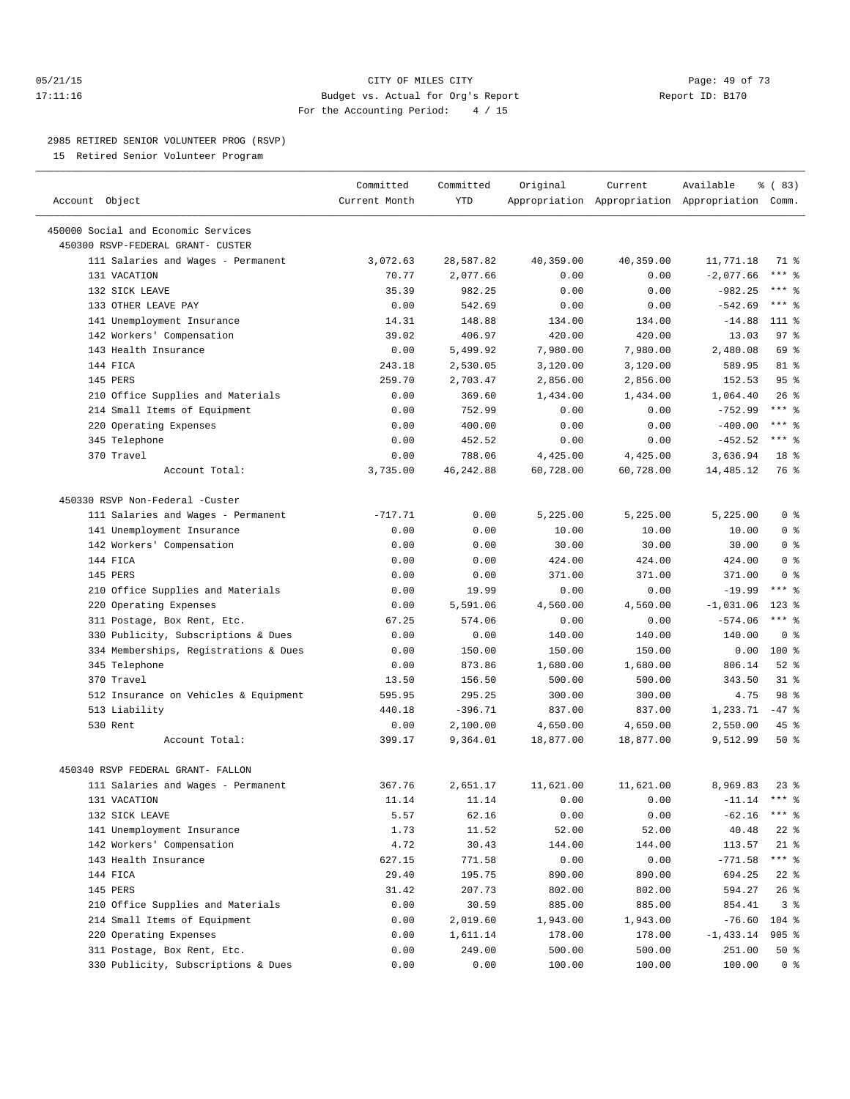#### 05/21/15 **Page: 49 of 73** CITY OF MILES CITY **CITY** CITY **Page: 49 of 73** 17:11:16 Budget vs. Actual for Org's Report Report ID: B170 For the Accounting Period: 4 / 15

————————————————————————————————————————————————————————————————————————————————————————————————————————————————————————————————————

#### 2985 RETIRED SENIOR VOLUNTEER PROG (RSVP)

15 Retired Senior Volunteer Program

|                                       | Committed     | Committed  | Original  | Current   | Available                                       | 8 (83)                 |
|---------------------------------------|---------------|------------|-----------|-----------|-------------------------------------------------|------------------------|
| Account Object                        | Current Month | YTD        |           |           | Appropriation Appropriation Appropriation Comm. |                        |
| 450000 Social and Economic Services   |               |            |           |           |                                                 |                        |
| 450300 RSVP-FEDERAL GRANT- CUSTER     |               |            |           |           |                                                 |                        |
| 111 Salaries and Wages - Permanent    | 3,072.63      | 28,587.82  | 40,359.00 | 40,359.00 | 11,771.18                                       | 71 %                   |
| 131 VACATION                          | 70.77         | 2,077.66   | 0.00      | 0.00      | $-2,077.66$                                     | $***$ $-$              |
| 132 SICK LEAVE                        | 35.39         | 982.25     | 0.00      | 0.00      | $-982.25$                                       | *** 응                  |
| 133 OTHER LEAVE PAY                   | 0.00          | 542.69     | 0.00      | 0.00      | $-542.69$                                       | $***$ $%$              |
| 141 Unemployment Insurance            | 14.31         | 148.88     | 134.00    | 134.00    | $-14.88$                                        | $111*$                 |
| 142 Workers' Compensation             | 39.02         | 406.97     | 420.00    | 420.00    | 13.03                                           | $97$ $%$               |
| 143 Health Insurance                  | 0.00          | 5,499.92   | 7,980.00  | 7,980.00  | 2,480.08                                        | 69 %                   |
| 144 FICA                              | 243.18        | 2,530.05   | 3,120.00  | 3,120.00  | 589.95                                          | 81 %                   |
| 145 PERS                              | 259.70        | 2,703.47   | 2,856.00  | 2,856.00  | 152.53                                          | 95%                    |
| 210 Office Supplies and Materials     | 0.00          | 369.60     | 1,434.00  | 1,434.00  | 1,064.40                                        | $26$ %                 |
| 214 Small Items of Equipment          | 0.00          | 752.99     | 0.00      | 0.00      | $-752.99$                                       | $***$ $-$              |
| 220 Operating Expenses                | 0.00          | 400.00     | 0.00      | 0.00      | $-400.00$                                       | $***$ $-$              |
| 345 Telephone                         | 0.00          | 452.52     | 0.00      | 0.00      | $-452.52$                                       | $***$ $-$              |
| 370 Travel                            | 0.00          | 788.06     | 4,425.00  | 4,425.00  | 3,636.94                                        | 18 <sup>°</sup>        |
| Account Total:                        | 3,735.00      | 46, 242.88 | 60,728.00 | 60,728.00 | 14,485.12                                       | 76 %                   |
|                                       |               |            |           |           |                                                 |                        |
| 450330 RSVP Non-Federal -Custer       |               |            |           |           |                                                 |                        |
| 111 Salaries and Wages - Permanent    | $-717.71$     | 0.00       | 5,225.00  | 5,225.00  | 5,225.00                                        | 0 <sup>8</sup>         |
| 141 Unemployment Insurance            | 0.00          | 0.00       | 10.00     | 10.00     | 10.00                                           | 0 <sup>8</sup>         |
| 142 Workers' Compensation             | 0.00          | 0.00       | 30.00     | 30.00     | 30.00                                           | 0 <sup>8</sup>         |
| 144 FICA                              | 0.00          | 0.00       | 424.00    | 424.00    | 424.00                                          | 0 <sup>8</sup>         |
| 145 PERS                              | 0.00          | 0.00       | 371.00    | 371.00    | 371.00                                          | 0 <sup>8</sup>         |
| 210 Office Supplies and Materials     | 0.00          | 19.99      | 0.00      | 0.00      | $-19.99$                                        | $***$ $%$              |
| 220 Operating Expenses                | 0.00          | 5,591.06   | 4,560.00  | 4,560.00  | $-1,031.06$                                     | $123$ %                |
| 311 Postage, Box Rent, Etc.           | 67.25         | 574.06     | 0.00      | 0.00      | $-574.06$                                       | $***$ $%$              |
| 330 Publicity, Subscriptions & Dues   | 0.00          | 0.00       | 140.00    | 140.00    | 140.00                                          | 0 <sup>8</sup>         |
| 334 Memberships, Registrations & Dues | 0.00          | 150.00     | 150.00    | 150.00    | 0.00                                            | $100*$                 |
| 345 Telephone                         | 0.00          | 873.86     | 1,680.00  | 1,680.00  | 806.14                                          | $52$ $%$               |
| 370 Travel                            | 13.50         | 156.50     | 500.00    | 500.00    | 343.50                                          | $31$ $%$               |
| 512 Insurance on Vehicles & Equipment | 595.95        | 295.25     | 300.00    | 300.00    | 4.75                                            | 98 %                   |
| 513 Liability                         | 440.18        | $-396.71$  | 837.00    | 837.00    | 1,233.71                                        | $-47$ %                |
| 530 Rent                              | 0.00          | 2,100.00   | 4,650.00  | 4,650.00  | 2,550.00                                        | $45$ %                 |
| Account Total:                        | 399.17        | 9,364.01   | 18,877.00 | 18,877.00 | 9,512.99                                        | 50%                    |
|                                       |               |            |           |           |                                                 |                        |
| 450340 RSVP FEDERAL GRANT- FALLON     |               |            |           |           |                                                 |                        |
| 111 Salaries and Wages - Permanent    | 367.76        | 2,651.17   | 11,621.00 | 11,621.00 | 8,969.83                                        | $23$ $%$               |
| 131 VACATION                          | 11.14         | 11.14      | 0.00      | 0.00      | $-11.14$                                        | $***$ $_{8}$           |
| 132 SICK LEAVE                        | 5.57          | 62.16      | 0.00      | 0.00      | $-62.16$                                        | *** 응                  |
| 141 Unemployment Insurance            | 1.73          | 11.52      | 52.00     | 52.00     | 40.48                                           | $22$ %                 |
| 142 Workers' Compensation             | 4.72          | 30.43      | 144.00    | 144.00    | 113.57                                          | $21$ %<br>$***$ $_{8}$ |
| 143 Health Insurance                  | 627.15        | 771.58     | 0.00      | 0.00      | $-771.58$                                       |                        |
| 144 FICA                              | 29.40         | 195.75     | 890.00    | 890.00    | 694.25                                          | $22$ %                 |
| 145 PERS                              | 31.42         | 207.73     | 802.00    | 802.00    | 594.27                                          | $26$ %                 |
| 210 Office Supplies and Materials     | 0.00          | 30.59      | 885.00    | 885.00    | 854.41                                          | 3%                     |
| 214 Small Items of Equipment          | 0.00          | 2,019.60   | 1,943.00  | 1,943.00  | $-76.60$                                        | $104$ %                |
| 220 Operating Expenses                | 0.00          | 1,611.14   | 178.00    | 178.00    | $-1,433.14$                                     | $905$ $%$              |
| 311 Postage, Box Rent, Etc.           | 0.00          | 249.00     | 500.00    | 500.00    | 251.00                                          | 50%                    |
| 330 Publicity, Subscriptions & Dues   | 0.00          | 0.00       | 100.00    | 100.00    | 100.00                                          | 0 <sup>8</sup>         |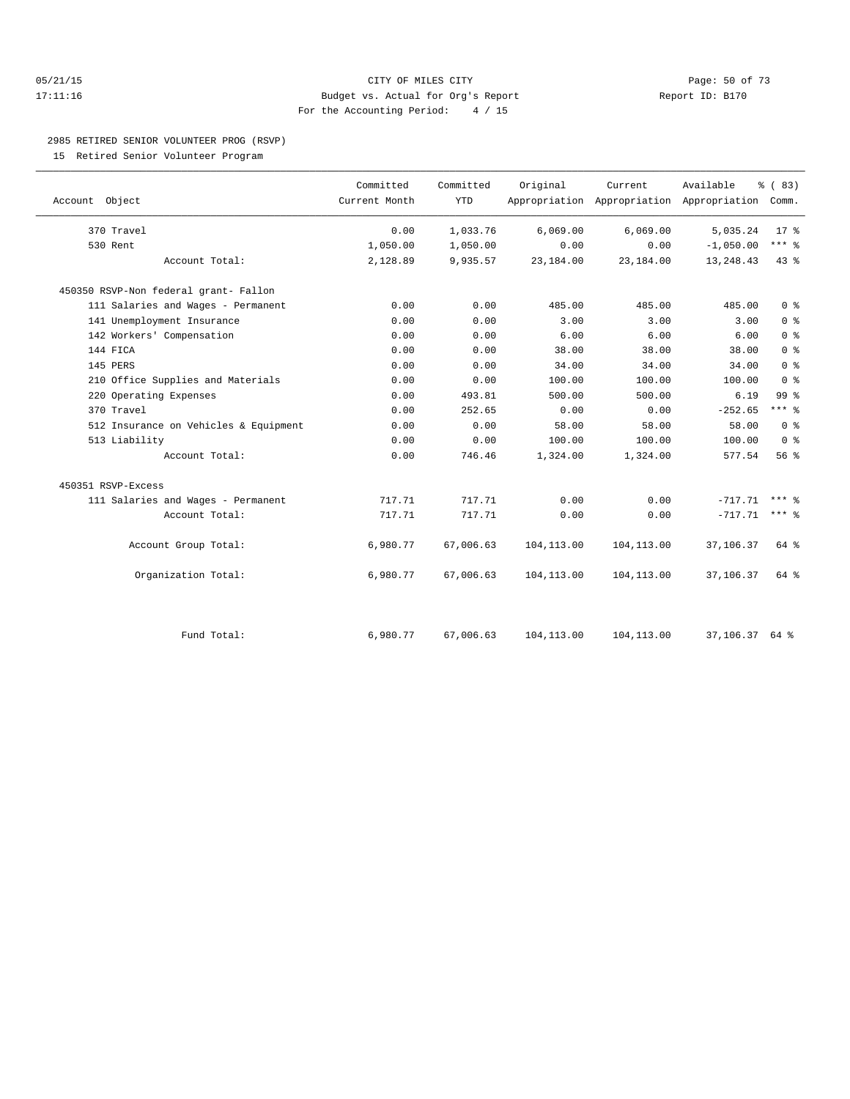#### 05/21/15 **Page: 50 of 73** CITY OF MILES CITY **CITY** CITY **Page: 50 of 73** 17:11:16 Budget vs. Actual for Org's Report Report ID: B170 For the Accounting Period: 4 / 15

#### 2985 RETIRED SENIOR VOLUNTEER PROG (RSVP)

15 Retired Senior Volunteer Program

| Account Object                        | Committed<br>Current Month | Committed<br><b>YTD</b> | Original    | Current     | Available<br>Appropriation Appropriation Appropriation Comm. | % (83)         |  |
|---------------------------------------|----------------------------|-------------------------|-------------|-------------|--------------------------------------------------------------|----------------|--|
| 370 Travel                            | 0.00                       | 1,033.76                | 6,069.00    | 6,069.00    | 5,035.24                                                     | $17*$          |  |
| 530 Rent                              | 1,050.00                   | 1,050.00                | 0.00        | 0.00        | $-1,050.00$                                                  | $***$ $_{8}$   |  |
| Account Total:                        | 2,128.89                   | 9,935.57                | 23,184.00   | 23,184.00   | 13, 248. 43                                                  | 43 %           |  |
| 450350 RSVP-Non federal grant- Fallon |                            |                         |             |             |                                                              |                |  |
| 111 Salaries and Wages - Permanent    | 0.00                       | 0.00                    | 485.00      | 485.00      | 485.00                                                       | 0 <sup>8</sup> |  |
| 141 Unemployment Insurance            | 0.00                       | 0.00                    | 3.00        | 3.00        | 3.00                                                         | 0 <sup>8</sup> |  |
| 142 Workers' Compensation             | 0.00                       | 0.00                    | 6.00        | 6.00        | 6.00                                                         | 0 <sup>8</sup> |  |
| 144 FICA                              | 0.00                       | 0.00                    | 38.00       | 38.00       | 38.00                                                        | 0 <sup>8</sup> |  |
| 145 PERS                              | 0.00                       | 0.00                    | 34.00       | 34.00       | 34.00                                                        | 0 <sup>8</sup> |  |
| 210 Office Supplies and Materials     | 0.00                       | 0.00                    | 100.00      | 100.00      | 100.00                                                       | 0 <sup>8</sup> |  |
| 220 Operating Expenses                | 0.00                       | 493.81                  | 500.00      | 500.00      | 6.19                                                         | 99 %           |  |
| 370 Travel                            | 0.00                       | 252.65                  | 0.00        | 0.00        | $-252.65$                                                    | $***$ $%$      |  |
| 512 Insurance on Vehicles & Equipment | 0.00                       | 0.00                    | 58.00       | 58.00       | 58.00                                                        | 0 <sup>°</sup> |  |
| 513 Liability                         | 0.00                       | 0.00                    | 100.00      | 100.00      | 100.00                                                       | 0 <sup>8</sup> |  |
| Account Total:                        | 0.00                       | 746.46                  | 1,324.00    | 1,324.00    | 577.54                                                       | 56%            |  |
| 450351 RSVP-Excess                    |                            |                         |             |             |                                                              |                |  |
| 111 Salaries and Wages - Permanent    | 717.71                     | 717.71                  | 0.00        | 0.00        | $-717.71$                                                    | $***$ $%$      |  |
| Account Total:                        | 717.71                     | 717.71                  | 0.00        | 0.00        | $-717.71$                                                    | $***$ $%$      |  |
| Account Group Total:                  | 6,980.77                   | 67,006.63               | 104, 113.00 | 104, 113.00 | 37,106.37                                                    | 64 %           |  |
| Organization Total:                   | 6,980.77                   | 67,006.63               | 104, 113.00 | 104,113.00  | 37,106.37                                                    | 64 %           |  |
|                                       |                            |                         |             |             |                                                              |                |  |
| Fund Total:                           | 6,980.77                   | 67,006.63               | 104, 113.00 | 104,113.00  | 37,106.37 64 %                                               |                |  |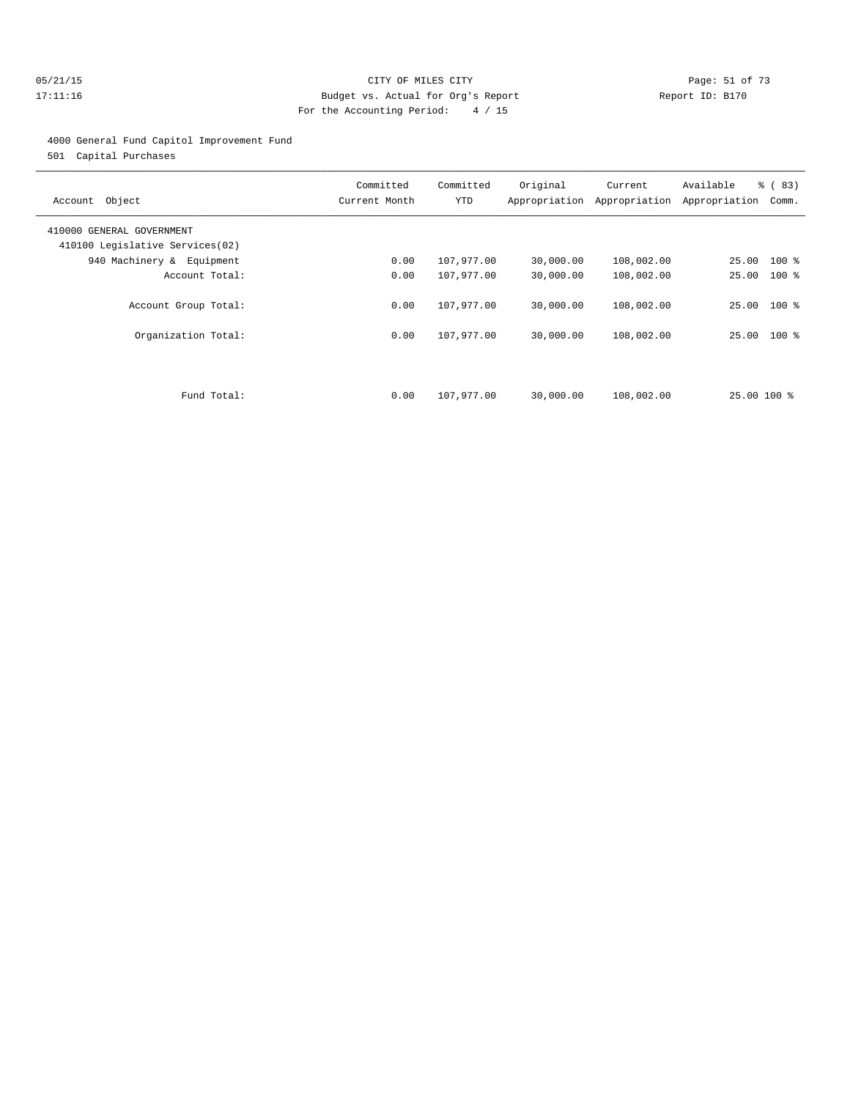#### 05/21/15 **Page: 51 of 73** CITY OF MILES CITY **CITY Page: 51 of 73** 17:11:16 Budget vs. Actual for Org's Report Report ID: B170 For the Accounting Period: 4 / 15

#### 4000 General Fund Capitol Improvement Fund

501 Capital Purchases

| Account Object                                               | Committed<br>Current Month | Committed<br>YTD | Original  | Current<br>Appropriation Appropriation | Available<br>Appropriation | % (83)<br>Comm. |
|--------------------------------------------------------------|----------------------------|------------------|-----------|----------------------------------------|----------------------------|-----------------|
| 410000 GENERAL GOVERNMENT<br>410100 Legislative Services(02) |                            |                  |           |                                        |                            |                 |
| 940 Machinery & Equipment                                    | 0.00                       | 107,977.00       | 30,000.00 | 108,002.00                             | 25.00 100 %                |                 |
| Account Total:                                               | 0.00                       | 107,977.00       | 30,000.00 | 108,002.00                             | 25.00                      | $100*$          |
| Account Group Total:                                         | 0.00                       | 107,977.00       | 30,000.00 | 108,002.00                             | 25.00 100 %                |                 |
| Organization Total:                                          | 0.00                       | 107,977.00       | 30,000.00 | 108,002.00                             | 25.00 100 %                |                 |
|                                                              |                            |                  |           |                                        |                            |                 |
| Fund Total:                                                  | 0.00                       | 107,977.00       | 30,000.00 | 108,002.00                             | 25.00 100 %                |                 |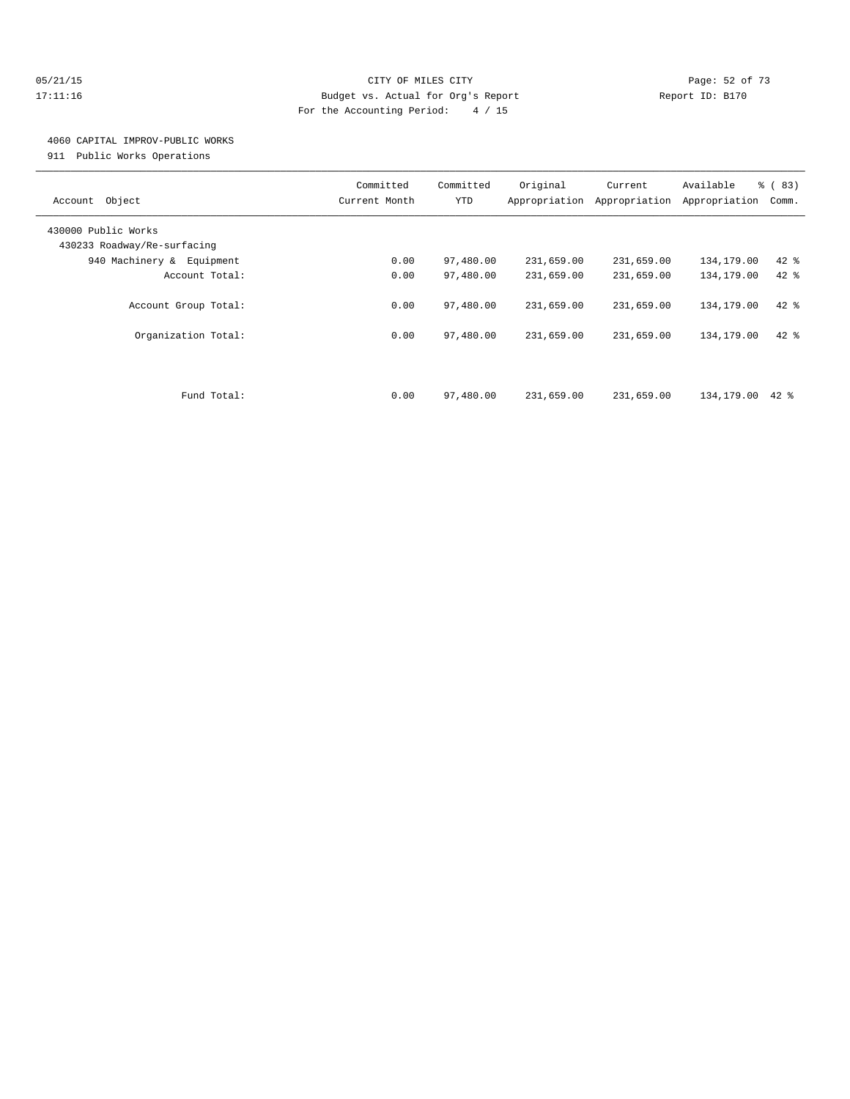#### 05/21/15 **Page: 52 of 73** CITY OF MILES CITY **CITY** CITY **Page: 52 of 73** 17:11:16 Budget vs. Actual for Org's Report Report ID: B170 For the Accounting Period: 4 / 15

## 4060 CAPITAL IMPROV-PUBLIC WORKS

911 Public Works Operations

| Object<br>Account                                  | Committed<br>Current Month | Committed<br>YTD | Original<br>Appropriation | Current<br>Appropriation | Available<br>Appropriation | % (83)<br>Comm. |
|----------------------------------------------------|----------------------------|------------------|---------------------------|--------------------------|----------------------------|-----------------|
| 430000 Public Works<br>430233 Roadway/Re-surfacing |                            |                  |                           |                          |                            |                 |
| 940 Machinery & Equipment                          | 0.00                       | 97,480.00        | 231,659.00                | 231,659.00               | 134,179.00                 | $42$ %          |
| Account Total:                                     | 0.00                       | 97,480.00        | 231,659.00                | 231,659.00               | 134,179.00                 | $42$ $%$        |
| Account Group Total:                               | 0.00                       | 97,480.00        | 231,659.00                | 231,659.00               | 134,179.00                 | $42$ %          |
| Organization Total:                                | 0.00                       | 97,480.00        | 231,659.00                | 231,659.00               | 134,179.00                 | $42*$           |
| Fund Total:                                        | 0.00                       | 97,480.00        | 231,659.00                | 231,659.00               | 134,179.00                 | $42*$           |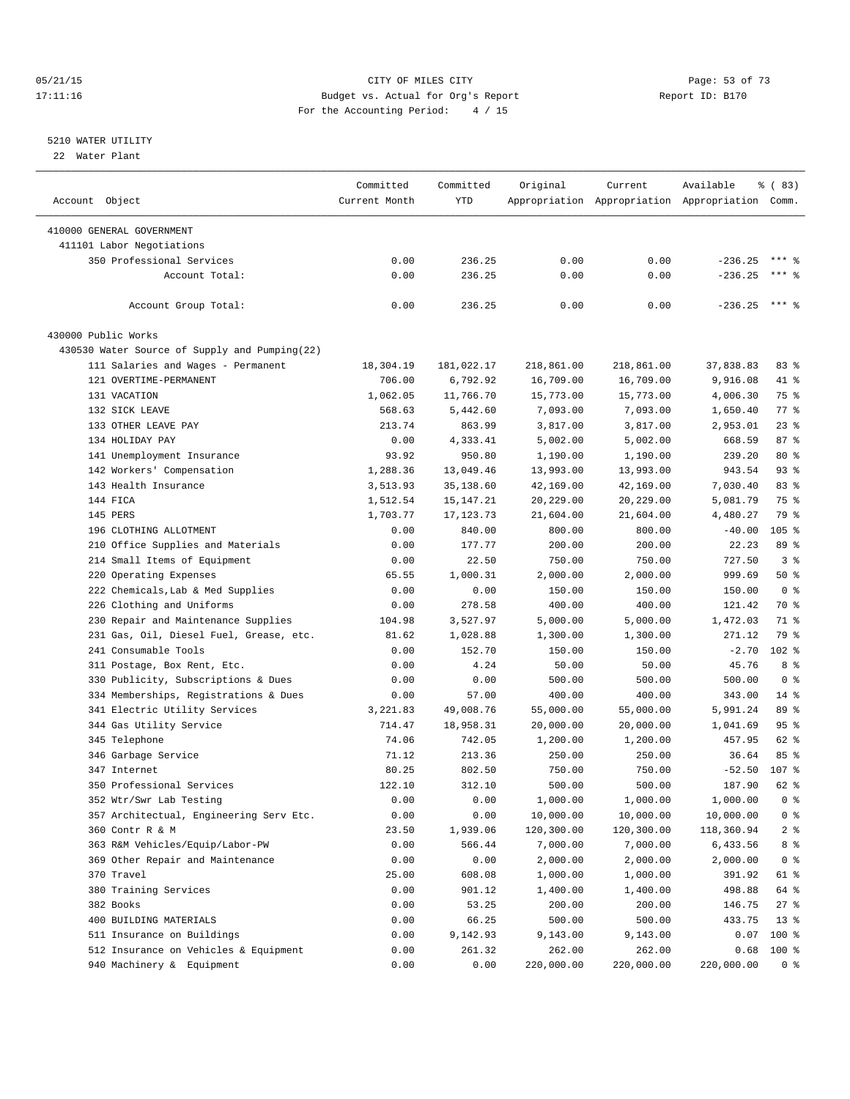#### 05/21/15 Page: 53 of 73 17:11:16 Budget vs. Actual for Org's Report Report ID: B170 For the Accounting Period: 4 / 15

————————————————————————————————————————————————————————————————————————————————————————————————————————————————————————————————————

#### 5210 WATER UTILITY

22 Water Plant

|                                                        | Committed     | Committed  | Original   | Current    | Available                                       | $\frac{8}{6}$ (83)       |
|--------------------------------------------------------|---------------|------------|------------|------------|-------------------------------------------------|--------------------------|
| Account Object                                         | Current Month | <b>YTD</b> |            |            | Appropriation Appropriation Appropriation Comm. |                          |
|                                                        |               |            |            |            |                                                 |                          |
| 410000 GENERAL GOVERNMENT<br>411101 Labor Negotiations |               |            |            |            |                                                 |                          |
| 350 Professional Services                              | 0.00          |            | 0.00       | 0.00       |                                                 | $***$ %                  |
| Account Total:                                         |               | 236.25     |            |            | $-236.25$                                       | $***$ $%$                |
|                                                        | 0.00          | 236.25     | 0.00       | 0.00       | $-236.25$                                       |                          |
| Account Group Total:                                   | 0.00          | 236.25     | 0.00       | 0.00       | $-236.25$ *** \$                                |                          |
| 430000 Public Works                                    |               |            |            |            |                                                 |                          |
| 430530 Water Source of Supply and Pumping(22)          |               |            |            |            |                                                 |                          |
| 111 Salaries and Wages - Permanent                     | 18,304.19     | 181,022.17 | 218,861.00 | 218,861.00 | 37,838.83                                       | 83 %                     |
| 121 OVERTIME-PERMANENT                                 | 706.00        | 6,792.92   | 16,709.00  | 16,709.00  | 9,916.08                                        | 41 %                     |
| 131 VACATION                                           | 1,062.05      | 11,766.70  | 15,773.00  | 15,773.00  | 4,006.30                                        | 75 %                     |
| 132 SICK LEAVE                                         | 568.63        | 5,442.60   | 7,093.00   | 7,093.00   | 1,650.40                                        | 77.                      |
| 133 OTHER LEAVE PAY                                    | 213.74        | 863.99     | 3,817.00   | 3,817.00   | 2,953.01                                        | $23$ $%$                 |
| 134 HOLIDAY PAY                                        | 0.00          | 4,333.41   | 5,002.00   | 5,002.00   | 668.59                                          | 87%                      |
| 141 Unemployment Insurance                             | 93.92         | 950.80     | 1,190.00   | 1,190.00   | 239.20                                          | $80*$                    |
| 142 Workers' Compensation                              | 1,288.36      | 13,049.46  | 13,993.00  | 13,993.00  | 943.54                                          | $93$ $%$                 |
| 143 Health Insurance                                   | 3,513.93      | 35,138.60  | 42,169.00  | 42,169.00  | 7,030.40                                        | 83 %                     |
| 144 FICA                                               | 1,512.54      | 15,147.21  | 20,229.00  | 20,229.00  | 5,081.79                                        | 75 %                     |
| 145 PERS                                               | 1,703.77      | 17,123.73  | 21,604.00  | 21,604.00  | 4,480.27                                        | 79 %                     |
| 196 CLOTHING ALLOTMENT                                 | 0.00          | 840.00     | 800.00     | 800.00     | $-40.00$                                        | 105 %                    |
| 210 Office Supplies and Materials                      | 0.00          | 177.77     | 200.00     | 200.00     | 22.23                                           | 89 %                     |
| 214 Small Items of Equipment                           | 0.00          | 22.50      | 750.00     | 750.00     | 727.50                                          | 3%                       |
| 220 Operating Expenses                                 | 65.55         | 1,000.31   | 2,000.00   | 2,000.00   | 999.69                                          | 50%                      |
| 222 Chemicals, Lab & Med Supplies                      | 0.00          | 0.00       | 150.00     | 150.00     | 150.00                                          | 0 <sup>8</sup>           |
| 226 Clothing and Uniforms                              | 0.00          | 278.58     | 400.00     | 400.00     | 121.42                                          | 70 %                     |
| 230 Repair and Maintenance Supplies                    | 104.98        | 3,527.97   | 5,000.00   | 5,000.00   | 1,472.03                                        | 71 %                     |
| 231 Gas, Oil, Diesel Fuel, Grease, etc.                | 81.62         | 1,028.88   | 1,300.00   | 1,300.00   | 271.12                                          | 79 %                     |
| 241 Consumable Tools                                   | 0.00          | 152.70     | 150.00     | 150.00     | $-2.70$                                         | $102$ %                  |
|                                                        | 0.00          | 4.24       |            | 50.00      | 45.76                                           | 8 %                      |
| 311 Postage, Box Rent, Etc.                            |               |            | 50.00      |            |                                                 |                          |
| 330 Publicity, Subscriptions & Dues                    | 0.00          | 0.00       | 500.00     | 500.00     | 500.00                                          | 0 <sup>8</sup><br>$14$ % |
| 334 Memberships, Registrations & Dues                  | 0.00          | 57.00      | 400.00     | 400.00     | 343.00                                          |                          |
| 341 Electric Utility Services                          | 3,221.83      | 49,008.76  | 55,000.00  | 55,000.00  | 5,991.24                                        | 89 %                     |
| 344 Gas Utility Service                                | 714.47        | 18,958.31  | 20,000.00  | 20,000.00  | 1,041.69                                        | 95 <sub>8</sub>          |
| 345 Telephone                                          | 74.06         | 742.05     | 1,200.00   | 1,200.00   | 457.95                                          | 62 %                     |
| 346 Garbage Service                                    | 71.12         | 213.36     | 250.00     | 250.00     | 36.64                                           | 85%                      |
| 347 Internet                                           | 80.25         | 802.50     | 750.00     | 750.00     | $-52.50$                                        | 107 %                    |
| 350 Professional Services                              | 122.10        | 312.10     | 500.00     | 500.00     | 187.90                                          | 62 %                     |
| 352 Wtr/Swr Lab Testing                                | 0.00          | 0.00       | 1,000.00   | 1,000.00   | 1,000.00                                        | 0 <sup>8</sup>           |
| 357 Architectual, Engineering Serv Etc.                | 0.00          | 0.00       | 10,000.00  | 10,000.00  | 10,000.00                                       | $0$ %                    |
| 360 Contr R & M                                        | 23.50         | 1,939.06   | 120,300.00 | 120,300.00 | 118,360.94                                      | $2$ $\frac{6}{9}$        |
| 363 R&M Vehicles/Equip/Labor-PW                        | 0.00          | 566.44     | 7,000.00   | 7,000.00   | 6,433.56                                        | 8 %                      |
| 369 Other Repair and Maintenance                       | 0.00          | 0.00       | 2,000.00   | 2,000.00   | 2,000.00                                        | 0 <sup>8</sup>           |
| 370 Travel                                             | 25.00         | 608.08     | 1,000.00   | 1,000.00   | 391.92                                          | 61 %                     |
| 380 Training Services                                  | 0.00          | 901.12     | 1,400.00   | 1,400.00   | 498.88                                          | 64 %                     |
| 382 Books                                              | 0.00          | 53.25      | 200.00     | 200.00     | 146.75                                          | $27$ %                   |
| 400 BUILDING MATERIALS                                 | 0.00          | 66.25      | 500.00     | 500.00     | 433.75                                          | $13*$                    |
| 511 Insurance on Buildings                             | 0.00          | 9,142.93   | 9,143.00   | 9,143.00   | 0.07                                            | $100$ %                  |
| 512 Insurance on Vehicles & Equipment                  | 0.00          | 261.32     | 262.00     | 262.00     | 0.68                                            | 100 %                    |
| 940 Machinery & Equipment                              | 0.00          | 0.00       | 220,000.00 | 220,000.00 | 220,000.00                                      | 0 <sup>8</sup>           |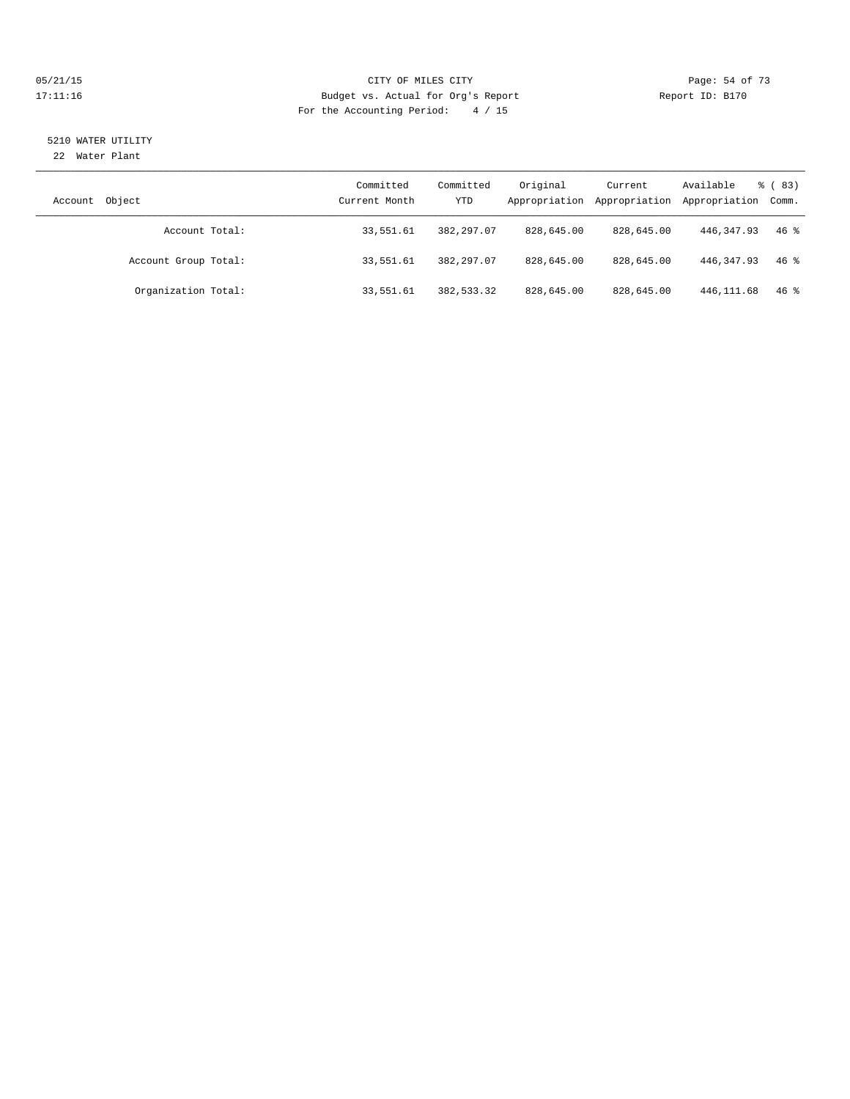#### 05/21/15 Page: 54 of 73 17:11:16 Budget vs. Actual for Org's Report Report ID: B170 For the Accounting Period: 4 / 15

# 5210 WATER UTILITY

22 Water Plant

| Account Object       | Committed<br>Current Month | Committed<br>YTD | Original<br>Appropriation | Current<br>Appropriation | Available<br>Appropriation Comm. | % (83) |
|----------------------|----------------------------|------------------|---------------------------|--------------------------|----------------------------------|--------|
| Account Total:       | 33,551.61                  | 382, 297.07      | 828,645.00                | 828,645.00               | 446, 347, 93                     | $46*$  |
| Account Group Total: | 33,551.61                  | 382,297.07       | 828,645.00                | 828,645.00               | 446, 347, 93                     | $46*$  |
| Organization Total:  | 33,551.61                  | 382,533.32       | 828,645.00                | 828,645.00               | 446, 111.68                      | $46*$  |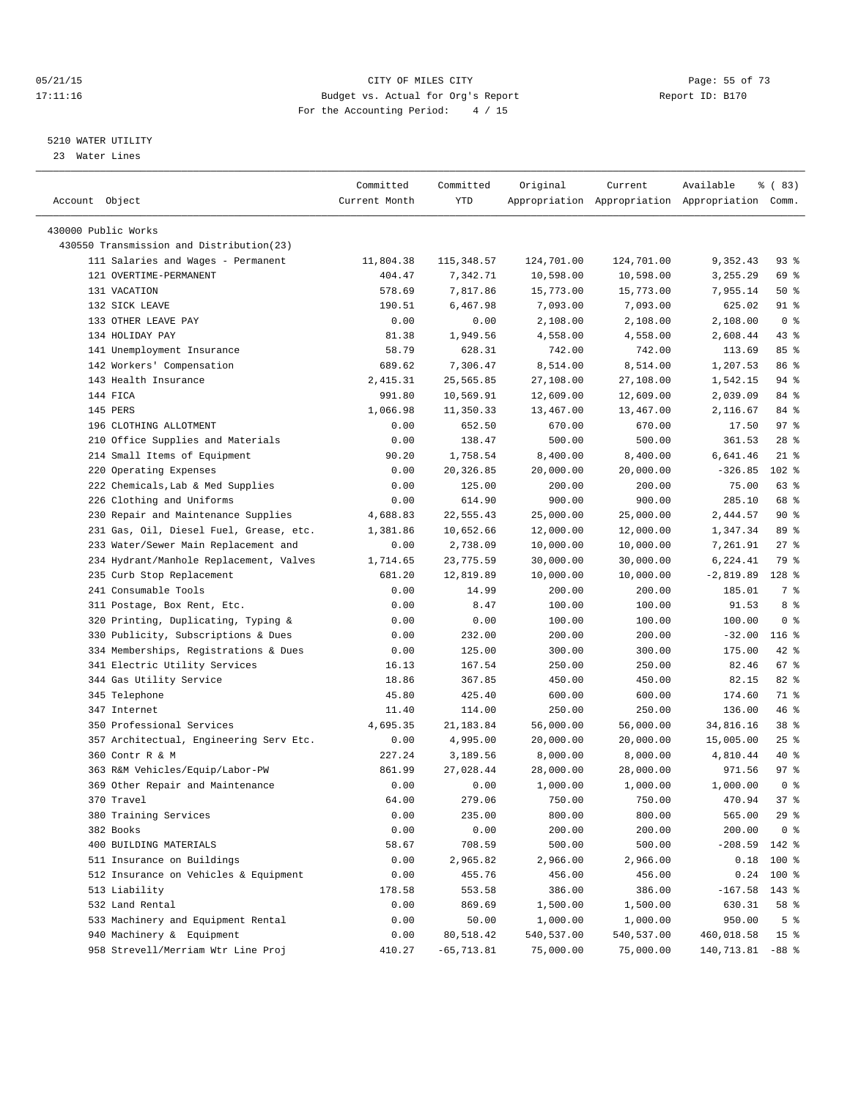#### 05/21/15 Page: 55 of 73 17:11:16 Budget vs. Actual for Org's Report Report ID: B170 For the Accounting Period: 4 / 15

————————————————————————————————————————————————————————————————————————————————————————————————————————————————————————————————————

#### 5210 WATER UTILITY

23 Water Lines

|                                          | Committed     | Committed     | Original   | Current    | Available                                       | १ ( 83)         |
|------------------------------------------|---------------|---------------|------------|------------|-------------------------------------------------|-----------------|
| Account Object                           | Current Month | YTD           |            |            | Appropriation Appropriation Appropriation Comm. |                 |
| 430000 Public Works                      |               |               |            |            |                                                 |                 |
| 430550 Transmission and Distribution(23) |               |               |            |            |                                                 |                 |
| 111 Salaries and Wages - Permanent       | 11,804.38     | 115,348.57    | 124,701.00 | 124,701.00 | 9,352.43                                        | 93 %            |
| 121 OVERTIME-PERMANENT                   | 404.47        | 7,342.71      | 10,598.00  | 10,598.00  | 3,255.29                                        | 69 %            |
| 131 VACATION                             | 578.69        | 7,817.86      | 15,773.00  | 15,773.00  | 7,955.14                                        | 50%             |
| 132 SICK LEAVE                           | 190.51        | 6,467.98      | 7,093.00   | 7,093.00   | 625.02                                          | 91 %            |
| 133 OTHER LEAVE PAY                      | 0.00          | 0.00          | 2,108.00   | 2,108.00   | 2,108.00                                        | 0 <sup>8</sup>  |
| 134 HOLIDAY PAY                          | 81.38         | 1,949.56      | 4,558.00   | 4,558.00   | 2,608.44                                        | 43 %            |
| 141 Unemployment Insurance               | 58.79         | 628.31        | 742.00     | 742.00     | 113.69                                          | 85%             |
| 142 Workers' Compensation                | 689.62        | 7,306.47      | 8,514.00   | 8,514.00   | 1,207.53                                        | 86 %            |
| 143 Health Insurance                     | 2,415.31      | 25,565.85     | 27,108.00  | 27,108.00  | 1,542.15                                        | 94 %            |
| 144 FICA                                 | 991.80        | 10,569.91     | 12,609.00  | 12,609.00  | 2,039.09                                        | 84 %            |
| 145 PERS                                 | 1,066.98      | 11,350.33     | 13,467.00  | 13,467.00  | 2,116.67                                        | 84 %            |
| 196 CLOTHING ALLOTMENT                   | 0.00          | 652.50        | 670.00     | 670.00     | 17.50                                           | 97%             |
| 210 Office Supplies and Materials        | 0.00          | 138.47        | 500.00     | 500.00     | 361.53                                          | $28$ %          |
| 214 Small Items of Equipment             | 90.20         | 1,758.54      | 8,400.00   | 8,400.00   | 6,641.46                                        | $21$ %          |
| 220 Operating Expenses                   | 0.00          | 20,326.85     | 20,000.00  | 20,000.00  | $-326.85$                                       | $102$ %         |
| 222 Chemicals, Lab & Med Supplies        | 0.00          | 125.00        | 200.00     | 200.00     | 75.00                                           | 63 %            |
| 226 Clothing and Uniforms                | 0.00          | 614.90        | 900.00     | 900.00     | 285.10                                          | 68 %            |
| 230 Repair and Maintenance Supplies      | 4,688.83      | 22,555.43     | 25,000.00  | 25,000.00  | 2,444.57                                        | 90%             |
| 231 Gas, Oil, Diesel Fuel, Grease, etc.  | 1,381.86      | 10,652.66     | 12,000.00  | 12,000.00  | 1,347.34                                        | 89 %            |
| 233 Water/Sewer Main Replacement and     | 0.00          | 2,738.09      | 10,000.00  | 10,000.00  | 7,261.91                                        | $27$ %          |
| 234 Hydrant/Manhole Replacement, Valves  | 1,714.65      | 23,775.59     | 30,000.00  | 30,000.00  | 6,224.41                                        | 79 %            |
| 235 Curb Stop Replacement                | 681.20        | 12,819.89     | 10,000.00  | 10,000.00  | $-2,819.89$                                     | $128$ %         |
| 241 Consumable Tools                     | 0.00          | 14.99         | 200.00     | 200.00     | 185.01                                          | 7 %             |
| 311 Postage, Box Rent, Etc.              | 0.00          | 8.47          | 100.00     | 100.00     | 91.53                                           | 8 %             |
| 320 Printing, Duplicating, Typing &      | 0.00          | 0.00          | 100.00     | 100.00     | 100.00                                          | 0 <sup>8</sup>  |
| 330 Publicity, Subscriptions & Dues      | 0.00          | 232.00        | 200.00     | 200.00     | $-32.00$                                        | $116$ %         |
| 334 Memberships, Registrations & Dues    | 0.00          | 125.00        | 300.00     | 300.00     | 175.00                                          | 42 %            |
| 341 Electric Utility Services            | 16.13         | 167.54        | 250.00     | 250.00     | 82.46                                           | 67 %            |
| 344 Gas Utility Service                  | 18.86         | 367.85        | 450.00     | 450.00     | 82.15                                           | $82$ $%$        |
| 345 Telephone                            | 45.80         | 425.40        | 600.00     | 600.00     | 174.60                                          | 71 %            |
| 347 Internet                             | 11.40         | 114.00        | 250.00     | 250.00     | 136.00                                          | 46 %            |
| 350 Professional Services                | 4,695.35      | 21,183.84     | 56,000.00  | 56,000.00  | 34,816.16                                       | 38 %            |
| 357 Architectual, Engineering Serv Etc.  | 0.00          | 4,995.00      | 20,000.00  | 20,000.00  | 15,005.00                                       | $25$ $%$        |
| 360 Contr R & M                          | 227.24        | 3,189.56      | 8,000.00   | 8,000.00   | 4,810.44                                        | 40 %            |
| 363 R&M Vehicles/Equip/Labor-PW          | 861.99        | 27,028.44     | 28,000.00  | 28,000.00  | 971.56                                          | 97%             |
| 369 Other Repair and Maintenance         | 0.00          | 0.00          | 1,000.00   | 1,000.00   | 1,000.00                                        | 0 <sup>8</sup>  |
| 370 Travel                               | 64.00         | 279.06        | 750.00     | 750.00     | 470.94                                          | 37 <sup>8</sup> |
| 380 Training Services                    | 0.00          | 235.00        | 800.00     | 800.00     | 565.00                                          | 29%             |
| 382 Books                                | 0.00          | 0.00          | 200.00     | 200.00     | 200.00                                          | 0 <sup>8</sup>  |
| 400 BUILDING MATERIALS                   | 58.67         | 708.59        | 500.00     | 500.00     | $-208.59$                                       | 142 %           |
| 511 Insurance on Buildings               | 0.00          | 2,965.82      | 2,966.00   | 2,966.00   | 0.18                                            | $100*$          |
| 512 Insurance on Vehicles & Equipment    | 0.00          | 455.76        | 456.00     | 456.00     | 0.24                                            | $100$ %         |
| 513 Liability                            | 178.58        | 553.58        | 386.00     | 386.00     | $-167.58$                                       | 143 %           |
| 532 Land Rental                          | 0.00          | 869.69        | 1,500.00   | 1,500.00   | 630.31                                          | 58 %            |
| 533 Machinery and Equipment Rental       | 0.00          | 50.00         | 1,000.00   | 1,000.00   | 950.00                                          | 5 <sup>°</sup>  |
| 940 Machinery & Equipment                | 0.00          | 80,518.42     | 540,537.00 | 540,537.00 | 460,018.58                                      | 15 <sup>8</sup> |
| 958 Strevell/Merriam Wtr Line Proj       | 410.27        | $-65, 713.81$ | 75,000.00  | 75,000.00  | 140,713.81 -88 %                                |                 |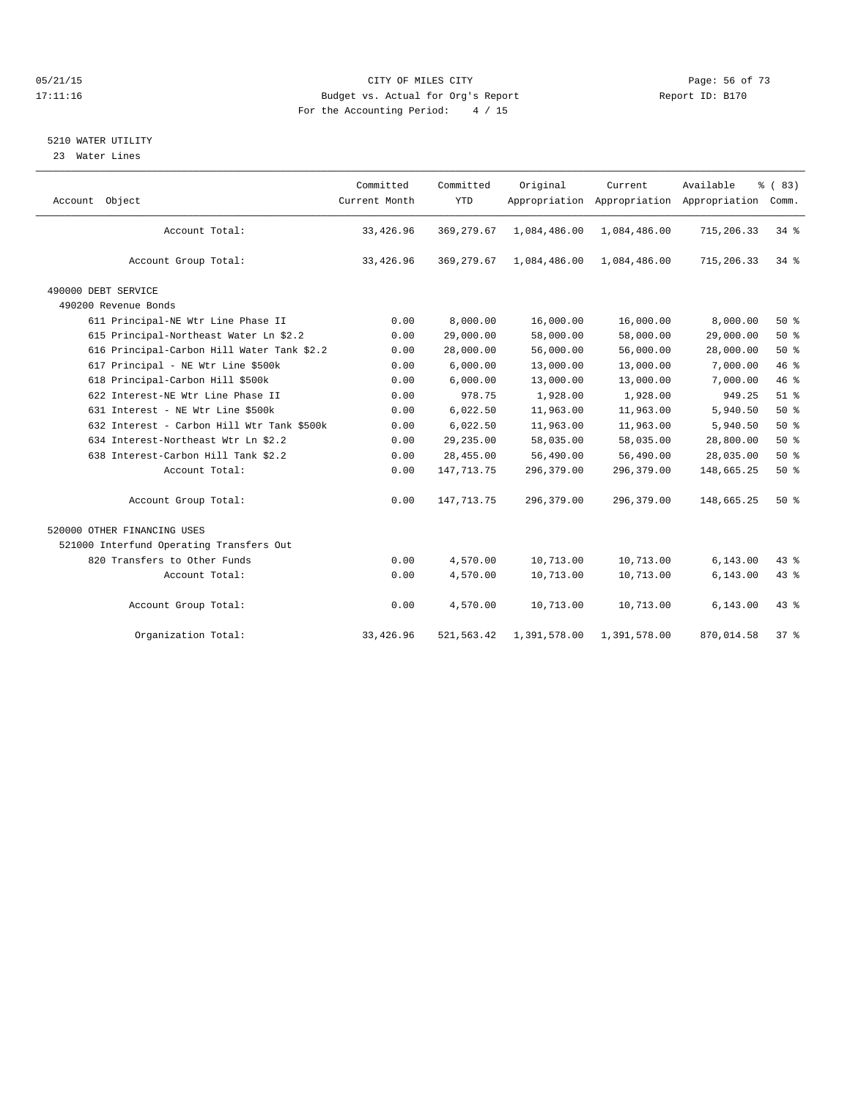#### 05/21/15 **Page: 56 of 73** CITY OF MILES CITY **CITY Page: 56 of 73** 17:11:16 Budget vs. Actual for Org's Report Report ID: B170 For the Accounting Period: 4 / 15

## 5210 WATER UTILITY

23 Water Lines

| Account Object                             | Committed<br>Current Month | Committed<br><b>YTD</b> | Original     | Current      | Available<br>Appropriation Appropriation Appropriation Comm. | % (83)   |
|--------------------------------------------|----------------------------|-------------------------|--------------|--------------|--------------------------------------------------------------|----------|
| Account Total:                             | 33,426.96                  | 369, 279.67             | 1,084,486.00 | 1,084,486.00 | 715,206.33                                                   | 34 %     |
| Account Group Total:                       | 33,426.96                  | 369, 279.67             | 1,084,486.00 | 1,084,486.00 | 715,206.33                                                   | $34*$    |
| 490000 DEBT SERVICE                        |                            |                         |              |              |                                                              |          |
| 490200 Revenue Bonds                       |                            |                         |              |              |                                                              |          |
| 611 Principal-NE Wtr Line Phase II         | 0.00                       | 8,000.00                | 16,000.00    | 16,000.00    | 8,000.00                                                     | $50*$    |
| 615 Principal-Northeast Water Ln \$2.2     | 0.00                       | 29,000.00               | 58,000.00    | 58,000.00    | 29,000.00                                                    | 50%      |
| 616 Principal-Carbon Hill Water Tank \$2.2 | 0.00                       | 28,000.00               | 56,000.00    | 56,000.00    | 28,000.00                                                    | $50*$    |
| 617 Principal - NE Wtr Line \$500k         | 0.00                       | 6,000.00                | 13,000.00    | 13,000.00    | 7,000.00                                                     | 46%      |
| 618 Principal-Carbon Hill \$500k           | 0.00                       | 6,000.00                | 13,000.00    | 13,000.00    | 7,000.00                                                     | 46%      |
| 622 Interest-NE Wtr Line Phase II          | 0.00                       | 978.75                  | 1,928.00     | 1,928.00     | 949.25                                                       | $51$ $%$ |
| 631 Interest - NE Wtr Line \$500k          | 0.00                       | 6,022.50                | 11,963.00    | 11,963.00    | 5,940.50                                                     | 50%      |
| 632 Interest - Carbon Hill Wtr Tank \$500k | 0.00                       | 6,022.50                | 11,963.00    | 11,963.00    | 5,940.50                                                     | $50*$    |
| 634 Interest-Northeast Wtr Ln \$2.2        | 0.00                       | 29,235.00               | 58,035.00    | 58,035.00    | 28,800.00                                                    | 50%      |
| 638 Interest-Carbon Hill Tank \$2.2        | 0.00                       | 28,455.00               | 56,490.00    | 56,490.00    | 28,035.00                                                    | $50*$    |
| Account Total:                             | 0.00                       | 147, 713. 75            | 296,379.00   | 296,379.00   | 148,665.25                                                   | 50%      |
| Account Group Total:                       | 0.00                       | 147, 713. 75            | 296,379.00   | 296,379.00   | 148,665.25                                                   | $50*$    |
| 520000 OTHER FINANCING USES                |                            |                         |              |              |                                                              |          |
| 521000 Interfund Operating Transfers Out   |                            |                         |              |              |                                                              |          |
| 820 Transfers to Other Funds               | 0.00                       | 4,570.00                | 10,713.00    | 10,713.00    | 6, 143.00                                                    | $43*$    |
| Account Total:                             | 0.00                       | 4,570.00                | 10,713.00    | 10,713.00    | 6, 143.00                                                    | 43.8     |
| Account Group Total:                       | 0.00                       | 4,570.00                | 10,713.00    | 10,713.00    | 6, 143.00                                                    | 43 %     |
| Organization Total:                        | 33,426.96                  | 521, 563.42             | 1,391,578.00 | 1,391,578.00 | 870,014.58                                                   | $37*$    |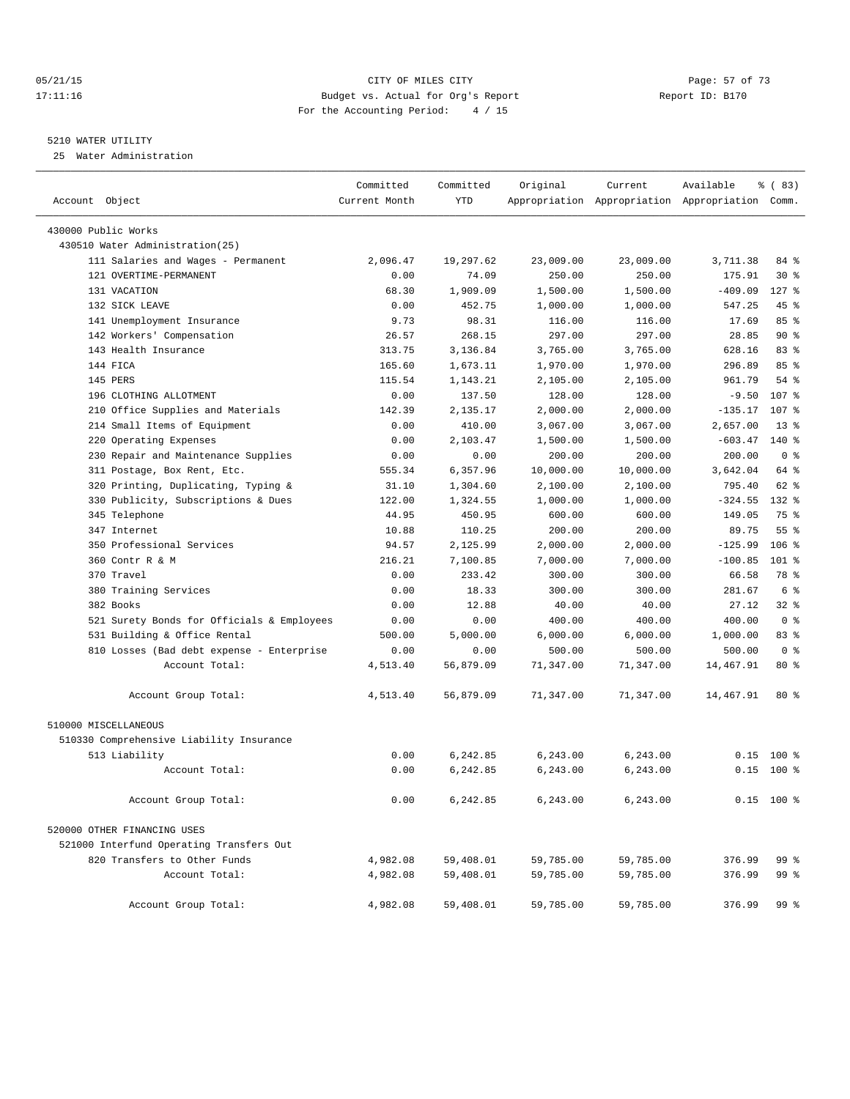#### 05/21/15 Page: 57 of 73 17:11:16 Budget vs. Actual for Org's Report Report ID: B170 For the Accounting Period: 4 / 15

#### 5210 WATER UTILITY

25 Water Administration

| Account Object                             | Committed<br>Current Month | Committed<br><b>YTD</b> | Original           | Current            | Available<br>Appropriation Appropriation Appropriation Comm. | % (83)           |  |
|--------------------------------------------|----------------------------|-------------------------|--------------------|--------------------|--------------------------------------------------------------|------------------|--|
|                                            |                            |                         |                    |                    |                                                              |                  |  |
| 430000 Public Works                        |                            |                         |                    |                    |                                                              |                  |  |
| 430510 Water Administration(25)            |                            |                         |                    |                    |                                                              |                  |  |
| 111 Salaries and Wages - Permanent         | 2,096.47                   | 19,297.62               | 23,009.00          | 23,009.00          | 3,711.38                                                     | 84 %             |  |
| 121 OVERTIME-PERMANENT                     | 0.00                       | 74.09                   | 250.00             | 250.00             | 175.91                                                       | $30*$            |  |
| 131 VACATION<br>132 STCK LEAVE             | 68.30                      | 1,909.09                | 1,500.00           | 1,500.00           | $-409.09$                                                    | $127$ $%$        |  |
| 141 Unemployment Insurance                 | 0.00<br>9.73               | 452.75<br>98.31         | 1,000.00<br>116.00 | 1,000.00<br>116.00 | 547.25<br>17.69                                              | 45%<br>85%       |  |
| 142 Workers' Compensation                  | 26.57                      | 268.15                  | 297.00             | 297.00             | 28.85                                                        | 90%              |  |
| 143 Health Insurance                       | 313.75                     | 3,136.84                | 3,765.00           | 3,765.00           | 628.16                                                       | 83%              |  |
| 144 FICA                                   | 165.60                     | 1,673.11                | 1,970.00           | 1,970.00           | 296.89                                                       | 85%              |  |
| 145 PERS                                   | 115.54                     | 1,143.21                | 2,105.00           | 2,105.00           | 961.79                                                       | $54$ $%$         |  |
| 196 CLOTHING ALLOTMENT                     | 0.00                       | 137.50                  | 128.00             | 128.00             | $-9.50$                                                      | 107 <sub>8</sub> |  |
| 210 Office Supplies and Materials          | 142.39                     | 2,135.17                | 2,000.00           | 2,000.00           | $-135.17$                                                    | 107 <sub>8</sub> |  |
| 214 Small Items of Equipment               | 0.00                       | 410.00                  | 3,067.00           | 3,067.00           | 2,657.00                                                     | $13*$            |  |
| Operating Expenses<br>220                  | 0.00                       | 2,103.47                | 1,500.00           | 1,500.00           | $-603.47$                                                    | 140 %            |  |
| 230 Repair and Maintenance Supplies        | 0.00                       | 0.00                    | 200.00             | 200.00             | 200.00                                                       | 0 <sup>8</sup>   |  |
| 311 Postage, Box Rent, Etc.                | 555.34                     | 6,357.96                | 10,000.00          | 10,000.00          | 3,642.04                                                     | 64 %             |  |
| 320 Printing, Duplicating, Typing &        | 31.10                      | 1,304.60                | 2,100.00           | 2,100.00           | 795.40                                                       | 62 %             |  |
| 330 Publicity, Subscriptions & Dues        | 122.00                     | 1,324.55                | 1,000.00           | 1,000.00           | $-324.55$                                                    | 132 %            |  |
| 345 Telephone                              | 44.95                      | 450.95                  | 600.00             | 600.00             | 149.05                                                       | 75 %             |  |
| 347 Internet                               | 10.88                      | 110.25                  | 200.00             | 200.00             | 89.75                                                        | 55 <sup>8</sup>  |  |
| 350 Professional Services                  | 94.57                      | 2,125.99                | 2,000.00           | 2,000.00           | $-125.99$                                                    | $106$ %          |  |
| 360 Contr R & M                            | 216.21                     | 7,100.85                | 7,000.00           | 7,000.00           | $-100.85$                                                    | $101*$           |  |
| 370 Travel                                 | 0.00                       | 233.42                  | 300.00             | 300.00             | 66.58                                                        | 78 %             |  |
| 380 Training Services                      | 0.00                       | 18.33                   | 300.00             | 300.00             | 281.67                                                       | 6 %              |  |
| 382 Books                                  | 0.00                       | 12.88                   | 40.00              | 40.00              | 27.12                                                        | $32*$            |  |
| 521 Surety Bonds for Officials & Employees | 0.00                       | 0.00                    | 400.00             | 400.00             | 400.00                                                       | 0 <sup>8</sup>   |  |
| 531 Building & Office Rental               | 500.00                     | 5,000.00                | 6,000.00           | 6,000.00           | 1,000.00                                                     | 83%              |  |
| 810 Losses (Bad debt expense - Enterprise  | 0.00                       | 0.00                    | 500.00             | 500.00             | 500.00                                                       | 0 <sup>8</sup>   |  |
| Account Total:                             | 4,513.40                   | 56,879.09               | 71,347.00          | 71,347.00          | 14,467.91                                                    | $80*$            |  |
| Account Group Total:                       | 4,513.40                   | 56,879.09               | 71,347.00          | 71,347.00          | 14,467.91                                                    | 80%              |  |
| 510000 MISCELLANEOUS                       |                            |                         |                    |                    |                                                              |                  |  |
| 510330 Comprehensive Liability Insurance   |                            |                         |                    |                    |                                                              |                  |  |
| 513 Liability                              | 0.00                       | 6,242.85                | 6,243.00           | 6,243.00           | 0.15                                                         | $100*$           |  |
| Account Total:                             | 0.00                       | 6,242.85                | 6, 243.00          | 6,243.00           | 0.15                                                         | $100*$           |  |
| Account Group Total:                       | 0.00                       | 6,242.85                | 6,243.00           | 6,243.00           |                                                              | $0.15$ 100 %     |  |
| 520000 OTHER FINANCING USES                |                            |                         |                    |                    |                                                              |                  |  |
| 521000 Interfund Operating Transfers Out   |                            |                         |                    |                    |                                                              |                  |  |
| 820 Transfers to Other Funds               | 4,982.08                   | 59,408.01               | 59,785.00          | 59,785.00          | 376.99                                                       | 99 %             |  |
| Account Total:                             | 4,982.08                   | 59,408.01               | 59,785.00          | 59,785.00          | 376.99                                                       | 99 %             |  |
| Account Group Total:                       | 4,982.08                   | 59,408.01               | 59,785.00          | 59,785.00          | 376.99                                                       | 99 %             |  |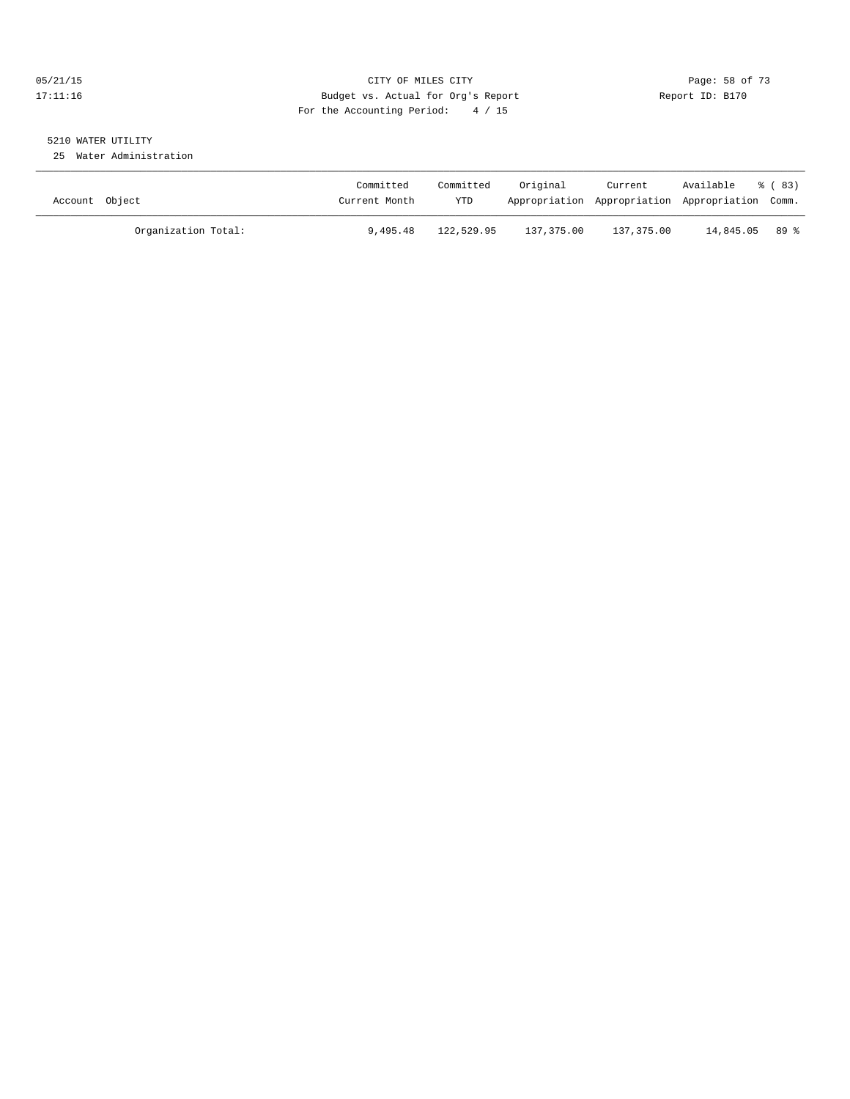#### 05/21/15 **Page: 58 of 73** CITY OF MILES CITY **CITY** CITY **Page: 58 of 73** 17:11:16 Budget vs. Actual for Org's Report Report ID: B170 For the Accounting Period: 4 / 15

# 5210 WATER UTILITY

25 Water Administration

| Account Object |                     | Committed<br>Current Month | Committed<br>YTD | Original   | Current<br>Appropriation Appropriation Appropriation Comm. | Available        | % (83) |
|----------------|---------------------|----------------------------|------------------|------------|------------------------------------------------------------|------------------|--------|
|                | Organization Total: | 9,495.48                   | 122,529.95       | 137,375.00 | 137,375.00                                                 | $14.845.05$ 89 % |        |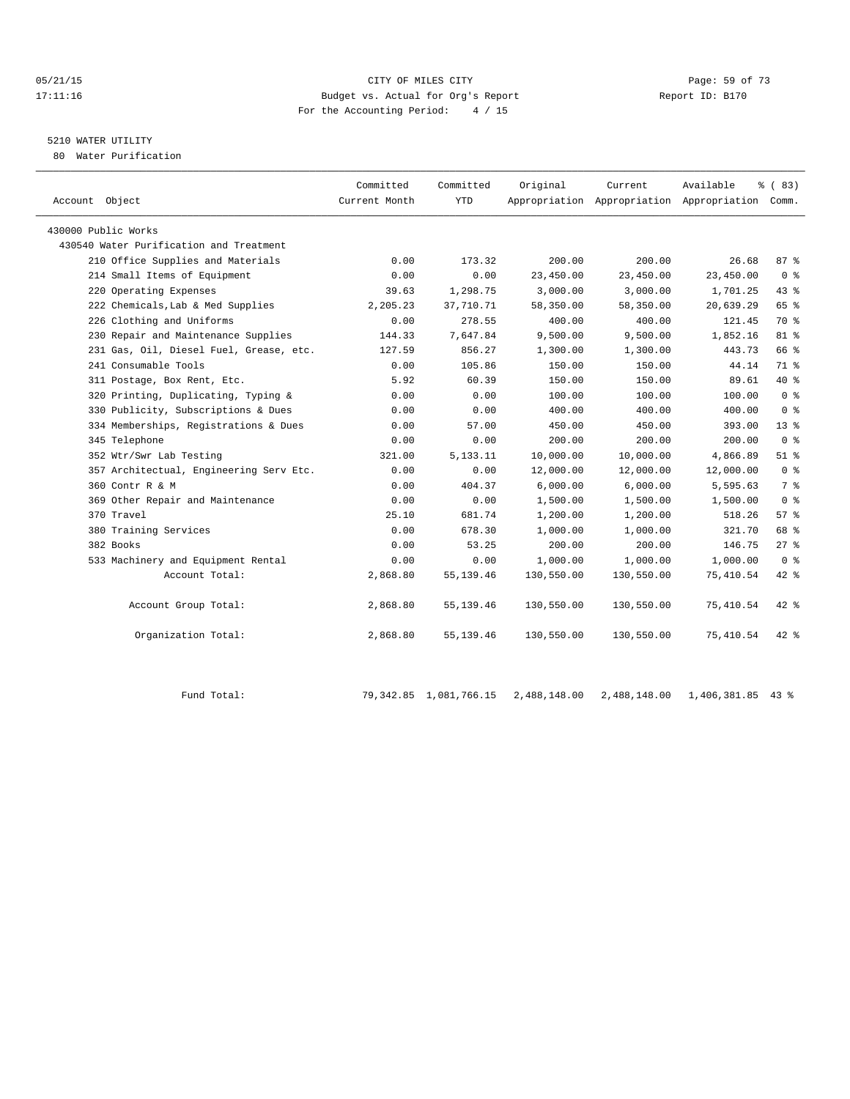#### 05/21/15 Page: 59 of 73 17:11:16 Budget vs. Actual for Org's Report Report ID: B170 For the Accounting Period: 4 / 15

## 5210 WATER UTILITY

80 Water Purification

| Account Object                          | Committed<br>Current Month | Committed<br>YTD | Original   | Current    | Available<br>Appropriation Appropriation Appropriation Comm. | % (83)         |
|-----------------------------------------|----------------------------|------------------|------------|------------|--------------------------------------------------------------|----------------|
| 430000 Public Works                     |                            |                  |            |            |                                                              |                |
| 430540 Water Purification and Treatment |                            |                  |            |            |                                                              |                |
| 210 Office Supplies and Materials       | 0.00                       | 173.32           | 200.00     | 200.00     | 26.68                                                        | 87%            |
| 214 Small Items of Equipment            | 0.00                       | 0.00             | 23,450.00  | 23,450.00  | 23,450.00                                                    | 0 <sup>8</sup> |
| 220 Operating Expenses                  | 39.63                      | 1,298.75         | 3,000.00   | 3,000.00   | 1,701.25                                                     | 43.8           |
| 222 Chemicals, Lab & Med Supplies       | 2,205.23                   | 37,710.71        | 58,350.00  | 58,350.00  | 20,639.29                                                    | 65 %           |
| 226 Clothing and Uniforms               | 0.00                       | 278.55           | 400.00     | 400.00     | 121.45                                                       | 70 %           |
| 230 Repair and Maintenance Supplies     | 144.33                     | 7,647.84         | 9,500.00   | 9,500.00   | 1,852.16                                                     | $81*$          |
| 231 Gas, Oil, Diesel Fuel, Grease, etc. | 127.59                     | 856.27           | 1,300.00   | 1,300.00   | 443.73                                                       | 66 %           |
| 241 Consumable Tools                    | 0.00                       | 105.86           | 150.00     | 150.00     | 44.14                                                        | 71 %           |
| 311 Postage, Box Rent, Etc.             | 5.92                       | 60.39            | 150.00     | 150.00     | 89.61                                                        | $40*$          |
| 320 Printing, Duplicating, Typing &     | 0.00                       | 0.00             | 100.00     | 100.00     | 100.00                                                       | 0 <sup>8</sup> |
| 330 Publicity, Subscriptions & Dues     | 0.00                       | 0.00             | 400.00     | 400.00     | 400.00                                                       | 0 <sup>8</sup> |
| 334 Memberships, Registrations & Dues   | 0.00                       | 57.00            | 450.00     | 450.00     | 393.00                                                       | $13*$          |
| 345 Telephone                           | 0.00                       | 0.00             | 200.00     | 200.00     | 200.00                                                       | 0 <sup>8</sup> |
| 352 Wtr/Swr Lab Testing                 | 321.00                     | 5, 133. 11       | 10,000.00  | 10,000.00  | 4,866.89                                                     | $51$ $%$       |
| 357 Architectual, Engineering Serv Etc. | 0.00                       | 0.00             | 12,000.00  | 12,000.00  | 12,000.00                                                    | 0 <sup>8</sup> |
| 360 Contr R & M                         | 0.00                       | 404.37           | 6,000.00   | 6,000.00   | 5,595.63                                                     | 7 %            |
| 369 Other Repair and Maintenance        | 0.00                       | 0.00             | 1,500.00   | 1,500.00   | 1,500.00                                                     | 0 <sup>8</sup> |
| 370 Travel                              | 25.10                      | 681.74           | 1,200.00   | 1,200.00   | 518.26                                                       | $57*$          |
| 380 Training Services                   | 0.00                       | 678.30           | 1,000.00   | 1,000.00   | 321.70                                                       | 68 %           |
| 382 Books                               | 0.00                       | 53.25            | 200.00     | 200.00     | 146.75                                                       | $27*$          |
| 533 Machinery and Equipment Rental      | 0.00                       | 0.00             | 1,000.00   | 1,000.00   | 1,000.00                                                     | 0 <sup>8</sup> |
| Account Total:                          | 2,868.80                   | 55, 139.46       | 130,550.00 | 130,550.00 | 75,410.54                                                    | 42 %           |
| Account Group Total:                    | 2,868.80                   | 55,139.46        | 130,550.00 | 130,550.00 | 75,410.54                                                    | $42*$          |
| Organization Total:                     | 2,868.80                   | 55, 139.46       | 130,550.00 | 130,550.00 | 75,410.54                                                    | $42*$          |

Fund Total: 79,342.85 1,081,766.15 2,488,148.00 2,488,148.00 1,406,381.85 43 %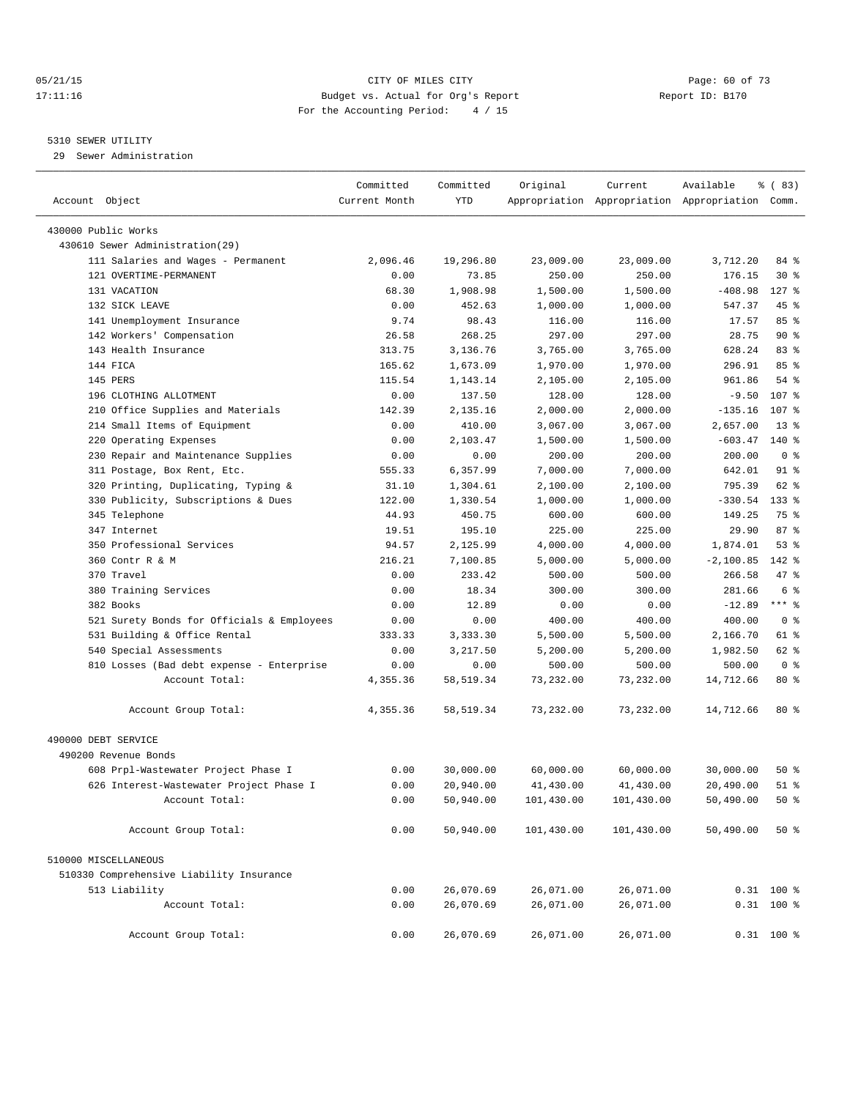#### 05/21/15 **Page: 60 of 73** CITY OF MILES CITY **CITY** CITY **Page: 60 of 73** 17:11:16 Budget vs. Actual for Org's Report Report ID: B170 For the Accounting Period: 4 / 15

#### 5310 SEWER UTILITY

29 Sewer Administration

| Account Object                             | Committed<br>Current Month | Committed<br><b>YTD</b> | Original   | Current    | Available<br>Appropriation Appropriation Appropriation Comm. | % (83)          |  |
|--------------------------------------------|----------------------------|-------------------------|------------|------------|--------------------------------------------------------------|-----------------|--|
| 430000 Public Works                        |                            |                         |            |            |                                                              |                 |  |
| 430610 Sewer Administration(29)            |                            |                         |            |            |                                                              |                 |  |
| 111 Salaries and Wages - Permanent         | 2,096.46                   | 19,296.80               | 23,009.00  | 23,009.00  | 3,712.20                                                     | 84 %            |  |
| 121 OVERTIME-PERMANENT                     | 0.00                       | 73.85                   | 250.00     | 250.00     | 176.15                                                       | $30*$           |  |
| 131 VACATION                               | 68.30                      | 1,908.98                | 1,500.00   | 1,500.00   | $-408.98$                                                    | $127$ %         |  |
| 132 SICK LEAVE                             | 0.00                       | 452.63                  | 1,000.00   | 1,000.00   | 547.37                                                       | 45 %            |  |
| 141 Unemployment Insurance                 | 9.74                       | 98.43                   | 116.00     | 116.00     | 17.57                                                        | 85%             |  |
| 142 Workers' Compensation                  | 26.58                      | 268.25                  | 297.00     | 297.00     | 28.75                                                        | 90%             |  |
| 143 Health Insurance                       | 313.75                     | 3,136.76                | 3,765.00   | 3,765.00   | 628.24                                                       | 83%             |  |
| 144 FICA                                   | 165.62                     | 1,673.09                | 1,970.00   | 1,970.00   | 296.91                                                       | 85 %            |  |
| 145 PERS                                   | 115.54                     | 1,143.14                | 2,105.00   | 2,105.00   | 961.86                                                       | $54$ $%$        |  |
| 196 CLOTHING ALLOTMENT                     | 0.00                       | 137.50                  | 128.00     | 128.00     | $-9.50$                                                      | 107 %           |  |
| 210 Office Supplies and Materials          | 142.39                     | 2,135.16                | 2,000.00   | 2,000.00   | $-135.16$                                                    | 107 %           |  |
| 214 Small Items of Equipment               | 0.00                       | 410.00                  | 3,067.00   | 3,067.00   | 2,657.00                                                     | 13 <sup>°</sup> |  |
| Operating Expenses<br>220                  | 0.00                       | 2,103.47                | 1,500.00   | 1,500.00   | $-603.47$                                                    | $140*$          |  |
| 230 Repair and Maintenance Supplies        | 0.00                       | 0.00                    | 200.00     | 200.00     | 200.00                                                       | 0 <sup>8</sup>  |  |
| 311 Postage, Box Rent, Etc.                | 555.33                     | 6,357.99                | 7,000.00   | 7,000.00   | 642.01                                                       | $91$ %          |  |
| 320 Printing, Duplicating, Typing &        | 31.10                      | 1,304.61                | 2,100.00   | 2,100.00   | 795.39                                                       | 62 %            |  |
| 330 Publicity, Subscriptions & Dues        | 122.00                     | 1,330.54                | 1,000.00   | 1,000.00   | $-330.54$                                                    | 133 %           |  |
| 345 Telephone                              | 44.93                      | 450.75                  | 600.00     | 600.00     | 149.25                                                       | 75 %            |  |
| 347 Internet                               | 19.51                      | 195.10                  | 225.00     | 225.00     | 29.90                                                        | 87%             |  |
| 350 Professional Services                  | 94.57                      | 2,125.99                | 4,000.00   | 4,000.00   | 1,874.01                                                     | 53%             |  |
| 360 Contr R & M                            | 216.21                     | 7,100.85                | 5,000.00   | 5,000.00   | $-2,100.85$                                                  | 142 %           |  |
| 370 Travel                                 | 0.00                       | 233.42                  | 500.00     | 500.00     | 266.58                                                       | 47 %            |  |
| 380 Training Services                      | 0.00                       | 18.34                   | 300.00     | 300.00     | 281.66                                                       | 6 <sup>°</sup>  |  |
| 382 Books                                  | 0.00                       | 12.89                   | 0.00       | 0.00       | $-12.89$                                                     | $***$ $-$       |  |
| 521 Surety Bonds for Officials & Employees | 0.00                       | 0.00                    | 400.00     | 400.00     | 400.00                                                       | 0 <sup>8</sup>  |  |
| 531 Building & Office Rental               | 333.33                     | 3,333.30                | 5,500.00   | 5,500.00   | 2,166.70                                                     | 61 %            |  |
| 540 Special Assessments                    | 0.00                       | 3,217.50                | 5,200.00   | 5,200.00   | 1,982.50                                                     | 62 %            |  |
| 810 Losses (Bad debt expense - Enterprise  | 0.00                       | 0.00                    | 500.00     | 500.00     | 500.00                                                       | 0 <sup>8</sup>  |  |
| Account Total:                             | 4,355.36                   | 58, 519.34              | 73,232.00  | 73,232.00  | 14,712.66                                                    | 80 %            |  |
| Account Group Total:                       | 4,355.36                   | 58,519.34               | 73,232.00  | 73,232.00  | 14,712.66                                                    | $80*$           |  |
| 490000 DEBT SERVICE                        |                            |                         |            |            |                                                              |                 |  |
| 490200 Revenue Bonds                       |                            |                         |            |            |                                                              |                 |  |
| 608 Prpl-Wastewater Project Phase I        | 0.00                       | 30,000.00               | 60,000.00  | 60,000.00  | 30,000.00                                                    | $50*$           |  |
| 626 Interest-Wastewater Project Phase I    | 0.00                       | 20,940.00               | 41,430.00  | 41,430.00  | 20,490.00                                                    | $51$ $%$        |  |
| Account Total:                             | 0.00                       | 50,940.00               | 101,430.00 | 101,430.00 | 50,490.00                                                    | 50%             |  |
| Account Group Total:                       | 0.00                       | 50,940.00               | 101,430.00 | 101,430.00 | 50,490.00                                                    | 50%             |  |
| 510000 MISCELLANEOUS                       |                            |                         |            |            |                                                              |                 |  |
| 510330 Comprehensive Liability Insurance   |                            |                         |            |            |                                                              |                 |  |
| 513 Liability                              | 0.00                       | 26,070.69               | 26,071.00  | 26,071.00  |                                                              | $0.31$ 100 %    |  |
| Account Total:                             | 0.00                       | 26,070.69               | 26,071.00  | 26,071.00  |                                                              | $0.31$ 100 %    |  |
| Account Group Total:                       | 0.00                       | 26,070.69               | 26,071.00  | 26,071.00  |                                                              | $0.31$ 100 %    |  |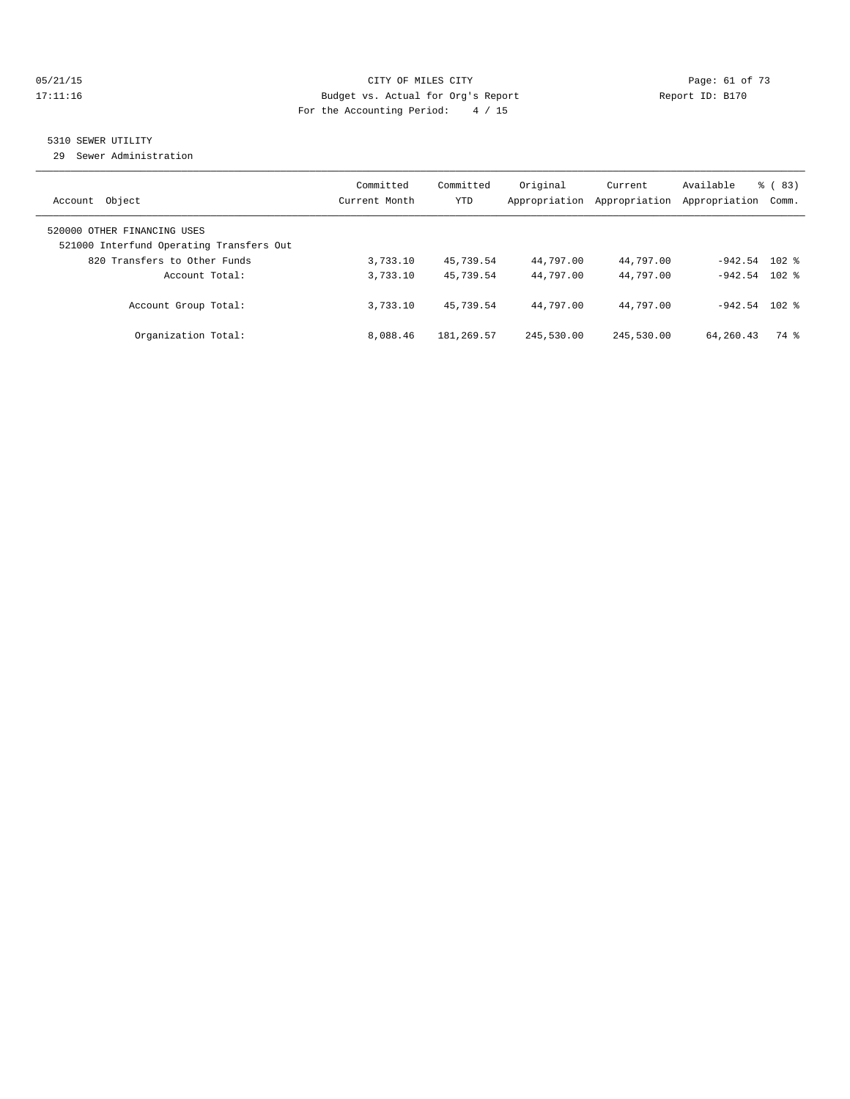#### 05/21/15 **Page: 61 of 73** CITY OF MILES CITY **CITY** CITY **Page: 61 of 73** 17:11:16 Budget vs. Actual for Org's Report Report ID: B170 For the Accounting Period: 4 / 15

## 5310 SEWER UTILITY

29 Sewer Administration

| Object<br>Account                                                                                       | Committed<br>Current Month | Committed<br><b>YTD</b> | Original<br>Appropriation | Current<br>Appropriation | Available<br>Appropriation | $\frac{6}{6}$ (83)<br>Comm. |
|---------------------------------------------------------------------------------------------------------|----------------------------|-------------------------|---------------------------|--------------------------|----------------------------|-----------------------------|
| 520000 OTHER FINANCING USES<br>521000 Interfund Operating Transfers Out<br>820 Transfers to Other Funds | 3,733.10                   | 45,739.54               | 44,797.00                 | 44,797.00                | $-942.54$ 102 %            |                             |
| Account Total:                                                                                          | 3,733.10                   | 45,739.54               | 44,797.00                 | 44,797.00                | $-942.54$ 102 %            |                             |
| Account Group Total:                                                                                    | 3,733.10                   | 45,739.54               | 44,797.00                 | 44,797.00                | $-942.54$                  | $102$ $%$                   |
| Organization Total:                                                                                     | 8,088.46                   | 181, 269.57             | 245,530.00                | 245,530.00               | 64,260.43                  | 74 %                        |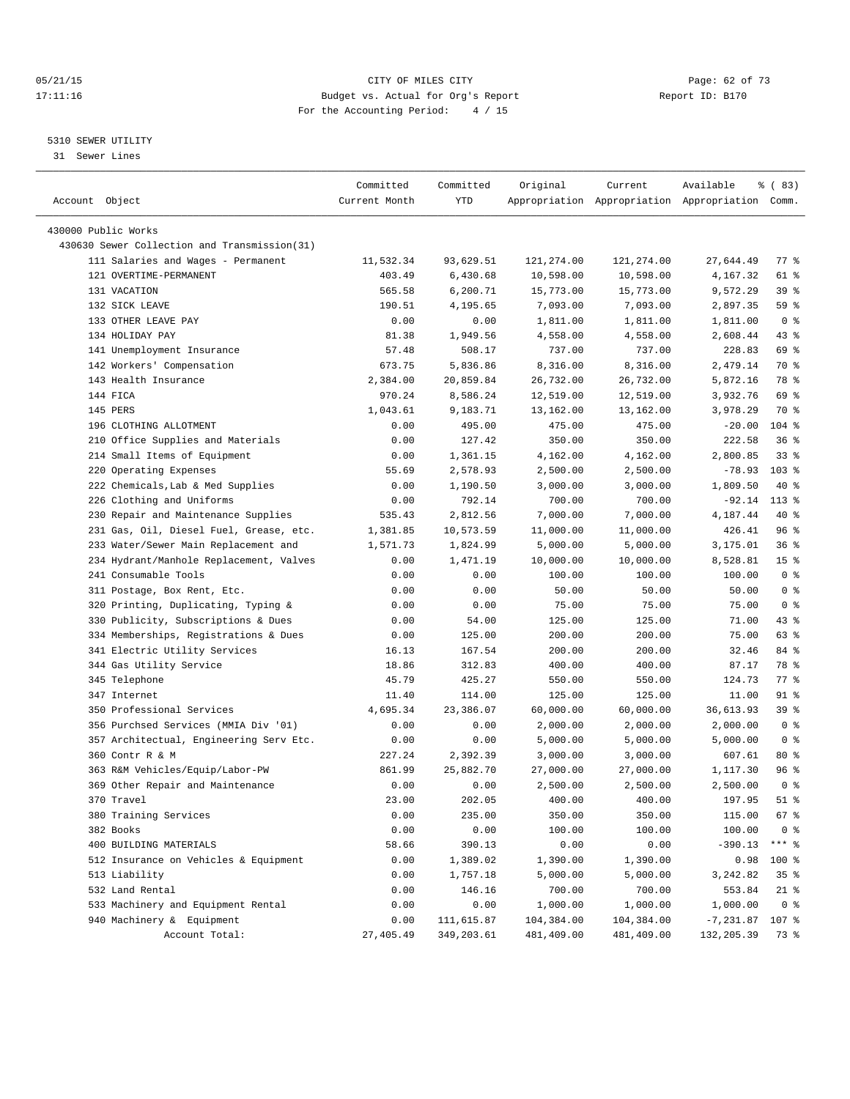#### 05/21/15 CITY OF MILES CITY Page: 62 of 73 17:11:16 Budget vs. Actual for Org's Report Report ID: B170 For the Accounting Period: 4 / 15

————————————————————————————————————————————————————————————————————————————————————————————————————————————————————————————————————

#### 5310 SEWER UTILITY

31 Sewer Lines

|                                              | Committed     | Committed  | Original   | Current    | Available                                       | % (83)          |
|----------------------------------------------|---------------|------------|------------|------------|-------------------------------------------------|-----------------|
| Account Object                               | Current Month | YTD        |            |            | Appropriation Appropriation Appropriation Comm. |                 |
| 430000 Public Works                          |               |            |            |            |                                                 |                 |
| 430630 Sewer Collection and Transmission(31) |               |            |            |            |                                                 |                 |
| 111 Salaries and Wages - Permanent           | 11,532.34     | 93,629.51  | 121,274.00 | 121,274.00 | 27,644.49                                       | $77$ $%$        |
| 121 OVERTIME-PERMANENT                       | 403.49        | 6,430.68   | 10,598.00  | 10,598.00  | 4,167.32                                        | 61 %            |
| 131 VACATION                                 | 565.58        | 6,200.71   | 15,773.00  | 15,773.00  | 9,572.29                                        | 39%             |
| 132 SICK LEAVE                               | 190.51        | 4,195.65   | 7,093.00   | 7,093.00   | 2,897.35                                        | 59 %            |
| 133 OTHER LEAVE PAY                          | 0.00          | 0.00       | 1,811.00   | 1,811.00   | 1,811.00                                        | 0 <sup>8</sup>  |
| 134 HOLIDAY PAY                              | 81.38         | 1,949.56   | 4,558.00   | 4,558.00   | 2,608.44                                        | 43 %            |
| 141 Unemployment Insurance                   | 57.48         | 508.17     | 737.00     | 737.00     | 228.83                                          | 69 %            |
| 142 Workers' Compensation                    | 673.75        | 5,836.86   | 8,316.00   | 8,316.00   | 2,479.14                                        | 70 %            |
| 143 Health Insurance                         | 2,384.00      | 20,859.84  | 26,732.00  | 26,732.00  | 5,872.16                                        | 78 %            |
| 144 FICA                                     | 970.24        | 8,586.24   | 12,519.00  | 12,519.00  | 3,932.76                                        | 69 %            |
| 145 PERS                                     |               | 9,183.71   |            |            | 3,978.29                                        | 70 %            |
|                                              | 1,043.61      |            | 13,162.00  | 13,162.00  |                                                 | 104 %           |
| 196 CLOTHING ALLOTMENT                       | 0.00          | 495.00     | 475.00     | 475.00     | $-20.00$                                        |                 |
| 210 Office Supplies and Materials            | 0.00          | 127.42     | 350.00     | 350.00     | 222.58                                          | 36%             |
| 214 Small Items of Equipment                 | 0.00          | 1,361.15   | 4,162.00   | 4,162.00   | 2,800.85                                        | 338             |
| 220 Operating Expenses                       | 55.69         | 2,578.93   | 2,500.00   | 2,500.00   | $-78.93$                                        | $103$ %         |
| 222 Chemicals, Lab & Med Supplies            | 0.00          | 1,190.50   | 3,000.00   | 3,000.00   | 1,809.50                                        | 40 %            |
| 226 Clothing and Uniforms                    | 0.00          | 792.14     | 700.00     | 700.00     | $-92.14$                                        | $113*$          |
| 230 Repair and Maintenance Supplies          | 535.43        | 2,812.56   | 7,000.00   | 7,000.00   | 4,187.44                                        | 40 %            |
| 231 Gas, Oil, Diesel Fuel, Grease, etc.      | 1,381.85      | 10,573.59  | 11,000.00  | 11,000.00  | 426.41                                          | 96 %            |
| 233 Water/Sewer Main Replacement and         | 1,571.73      | 1,824.99   | 5,000.00   | 5,000.00   | 3,175.01                                        | 36%             |
| 234 Hydrant/Manhole Replacement, Valves      | 0.00          | 1,471.19   | 10,000.00  | 10,000.00  | 8,528.81                                        | 15 <sup>°</sup> |
| 241 Consumable Tools                         | 0.00          | 0.00       | 100.00     | 100.00     | 100.00                                          | 0 <sup>8</sup>  |
| 311 Postage, Box Rent, Etc.                  | 0.00          | 0.00       | 50.00      | 50.00      | 50.00                                           | 0 <sup>8</sup>  |
| 320 Printing, Duplicating, Typing &          | 0.00          | 0.00       | 75.00      | 75.00      | 75.00                                           | 0 <sup>8</sup>  |
| 330 Publicity, Subscriptions & Dues          | 0.00          | 54.00      | 125.00     | 125.00     | 71.00                                           | $43$ %          |
| 334 Memberships, Registrations & Dues        | 0.00          | 125.00     | 200.00     | 200.00     | 75.00                                           | 63 %            |
| 341 Electric Utility Services                | 16.13         | 167.54     | 200.00     | 200.00     | 32.46                                           | 84 %            |
| 344 Gas Utility Service                      | 18.86         | 312.83     | 400.00     | 400.00     | 87.17                                           | 78 %            |
| 345 Telephone                                | 45.79         | 425.27     | 550.00     | 550.00     | 124.73                                          | 77 %            |
| 347 Internet                                 | 11.40         | 114.00     | 125.00     | 125.00     | 11.00                                           | 91 %            |
| 350 Professional Services                    | 4,695.34      | 23,386.07  | 60,000.00  | 60,000.00  | 36,613.93                                       | 39%             |
| 356 Purchsed Services (MMIA Div '01)         | 0.00          | 0.00       | 2,000.00   | 2,000.00   | 2,000.00                                        | 0 <sup>8</sup>  |
| 357 Architectual, Engineering Serv Etc.      | 0.00          | 0.00       | 5,000.00   | 5,000.00   | 5,000.00                                        | 0 <sup>8</sup>  |
| 360 Contr R & M                              | 227.24        | 2,392.39   | 3,000.00   | 3,000.00   | 607.61                                          | $80*$           |
| 363 R&M Vehicles/Equip/Labor-PW              | 861.99        | 25,882.70  | 27,000.00  | 27,000.00  | 1,117.30                                        | 96 %            |
| 369 Other Repair and Maintenance             | 0.00          | 0.00       | 2,500.00   | 2,500.00   | 2,500.00                                        | 0 <sup>8</sup>  |
| 370 Travel                                   | 23.00         | 202.05     | 400.00     | 400.00     | 197.95                                          | $51$ %          |
| 380 Training Services                        | 0.00          | 235.00     | 350.00     | 350.00     | 115.00                                          | 67 %            |
| 382 Books                                    | 0.00          | 0.00       | 100.00     | 100.00     | 100.00                                          | $0$ %           |
| 400 BUILDING MATERIALS                       | 58.66         | 390.13     | 0.00       | 0.00       | $-390.13$                                       | $***$ $_{8}$    |
| 512 Insurance on Vehicles & Equipment        | 0.00          | 1,389.02   | 1,390.00   | 1,390.00   | 0.98                                            | 100 %           |
| 513 Liability                                | 0.00          | 1,757.18   | 5,000.00   | 5,000.00   | 3,242.82                                        | 35 <sup>8</sup> |
| 532 Land Rental                              | 0.00          | 146.16     | 700.00     | 700.00     | 553.84                                          | $21$ %          |
| 533 Machinery and Equipment Rental           | 0.00          | 0.00       | 1,000.00   | 1,000.00   | 1,000.00                                        | 0 <sup>8</sup>  |
| 940 Machinery & Equipment                    | 0.00          | 111,615.87 | 104,384.00 | 104,384.00 | $-7,231.87$ 107 %                               |                 |
| Account Total:                               | 27,405.49     | 349,203.61 | 481,409.00 | 481,409.00 | 132,205.39                                      | 73 %            |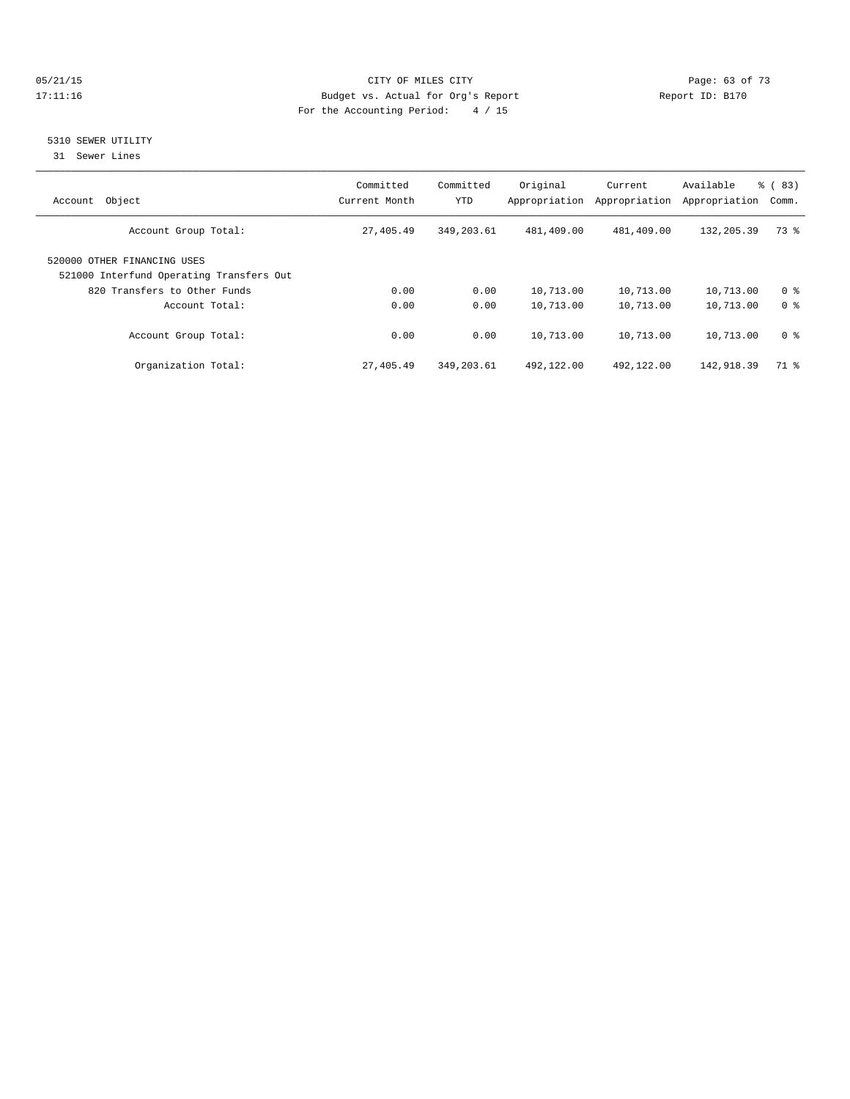#### 05/21/15 **Page: 63 of 73** CITY OF MILES CITY **CITY Page: 63 of 73** 17:11:16 Budget vs. Actual for Org's Report Report ID: B170 For the Accounting Period: 4 / 15

### 5310 SEWER UTILITY

31 Sewer Lines

| Object<br>Account                                                       | Committed<br>Current Month | Committed<br><b>YTD</b> | Original<br>Appropriation | Current<br>Appropriation | Available<br>Appropriation | $\frac{6}{6}$ (83)<br>Comm. |
|-------------------------------------------------------------------------|----------------------------|-------------------------|---------------------------|--------------------------|----------------------------|-----------------------------|
| Account Group Total:                                                    | 27,405.49                  | 349,203.61              | 481,409.00                | 481,409.00               | 132,205.39                 | 73 %                        |
| 520000 OTHER FINANCING USES<br>521000 Interfund Operating Transfers Out |                            |                         |                           |                          |                            |                             |
| 820 Transfers to Other Funds                                            | 0.00                       | 0.00                    | 10,713.00                 | 10,713.00                | 10,713.00                  | 0 <sup>8</sup>              |
| Account Total:                                                          | 0.00                       | 0.00                    | 10,713.00                 | 10,713.00                | 10,713.00                  | 0 <sup>8</sup>              |
| Account Group Total:                                                    | 0.00                       | 0.00                    | 10,713.00                 | 10,713.00                | 10,713.00                  | 0 <sup>8</sup>              |
| Organization Total:                                                     | 27,405.49                  | 349,203.61              | 492,122.00                | 492,122.00               | 142,918.39                 | 71 %                        |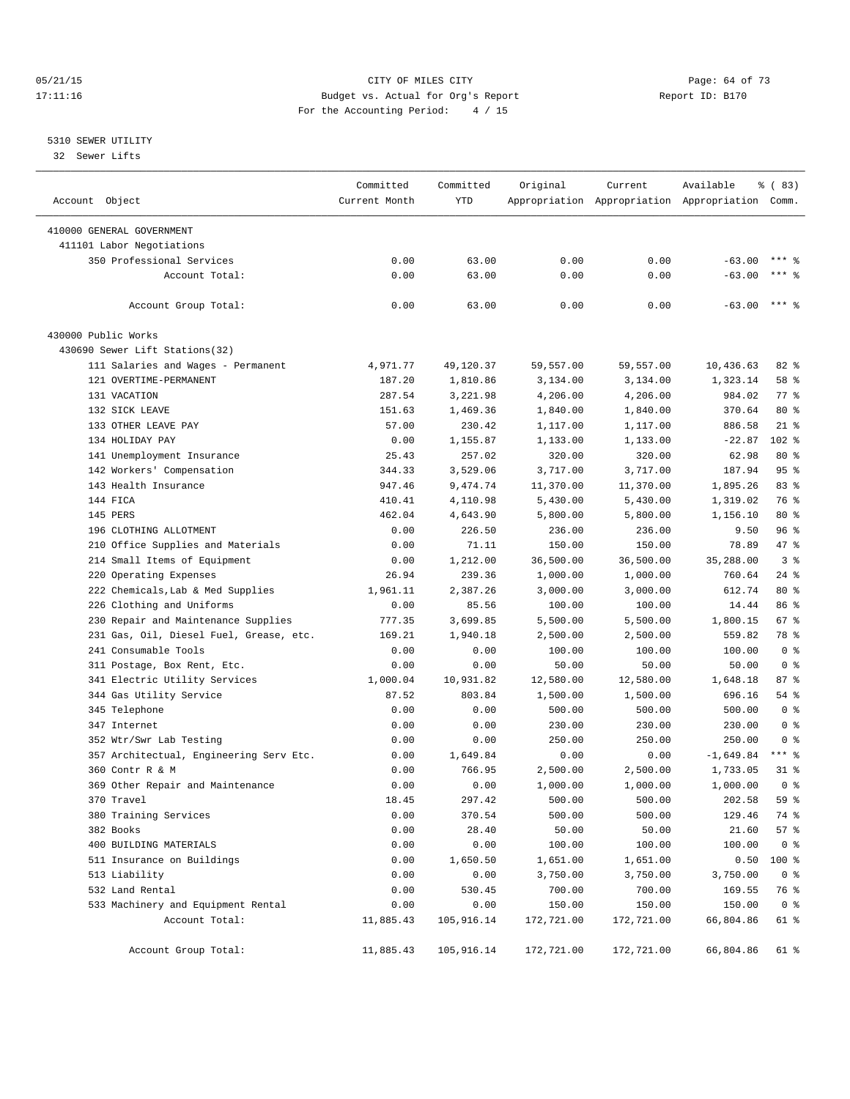#### 05/21/15 Page: 64 of 73 17:11:16 Budget vs. Actual for Org's Report Report ID: B170 For the Accounting Period: 4 / 15

————————————————————————————————————————————————————————————————————————————————————————————————————————————————————————————————————

#### 5310 SEWER UTILITY

32 Sewer Lifts

|                                         | Committed     | Committed  | Original   | Current    | Available                                       | % (83)         |
|-----------------------------------------|---------------|------------|------------|------------|-------------------------------------------------|----------------|
| Account Object                          | Current Month | <b>YTD</b> |            |            | Appropriation Appropriation Appropriation Comm. |                |
| 410000 GENERAL GOVERNMENT               |               |            |            |            |                                                 |                |
| 411101 Labor Negotiations               |               |            |            |            |                                                 |                |
| 350 Professional Services               | 0.00          | 63.00      | 0.00       | 0.00       | $-63.00$                                        | $***$ %        |
| Account Total:                          | 0.00          | 63.00      | 0.00       | 0.00       | $-63.00$                                        | $***$ $%$      |
|                                         |               |            |            |            |                                                 |                |
| Account Group Total:                    | 0.00          | 63.00      | 0.00       | 0.00       | $-63.00$                                        | $***$ 8        |
| 430000 Public Works                     |               |            |            |            |                                                 |                |
| 430690 Sewer Lift Stations(32)          |               |            |            |            |                                                 |                |
| 111 Salaries and Wages - Permanent      | 4,971.77      | 49,120.37  | 59,557.00  | 59,557.00  | 10,436.63                                       | 82 %           |
| 121 OVERTIME-PERMANENT                  | 187.20        | 1,810.86   | 3,134.00   | 3,134.00   | 1,323.14                                        | 58 %           |
| 131 VACATION                            | 287.54        | 3,221.98   | 4,206.00   | 4,206.00   | 984.02                                          | 77 %           |
| 132 SICK LEAVE                          | 151.63        | 1,469.36   | 1,840.00   | 1,840.00   | 370.64                                          | $80*$          |
| 133 OTHER LEAVE PAY                     | 57.00         | 230.42     | 1,117.00   | 1,117.00   | 886.58                                          | $21$ %         |
| 134 HOLIDAY PAY                         | 0.00          | 1,155.87   | 1,133.00   | 1,133.00   | $-22.87$                                        | $102$ %        |
| 141 Unemployment Insurance              | 25.43         | 257.02     | 320.00     | 320.00     | 62.98                                           | $80*$          |
| 142 Workers' Compensation               | 344.33        | 3,529.06   | 3,717.00   | 3,717.00   | 187.94                                          | 95%            |
| 143 Health Insurance                    | 947.46        | 9,474.74   | 11,370.00  | 11,370.00  | 1,895.26                                        | 83%            |
| 144 FICA                                | 410.41        | 4,110.98   | 5,430.00   | 5,430.00   | 1,319.02                                        | 76 %           |
| 145 PERS                                | 462.04        | 4,643.90   | 5,800.00   | 5,800.00   | 1,156.10                                        | $80*$          |
| 196 CLOTHING ALLOTMENT                  | 0.00          | 226.50     | 236.00     | 236.00     | 9.50                                            | 96%            |
| 210 Office Supplies and Materials       | 0.00          | 71.11      | 150.00     | 150.00     | 78.89                                           | 47 %           |
| 214 Small Items of Equipment            | 0.00          | 1,212.00   | 36,500.00  | 36,500.00  | 35,288.00                                       | 3 <sup>8</sup> |
| 220 Operating Expenses                  | 26.94         | 239.36     | 1,000.00   | 1,000.00   | 760.64                                          | $24$ %         |
| 222 Chemicals, Lab & Med Supplies       | 1,961.11      | 2,387.26   | 3,000.00   | 3,000.00   | 612.74                                          | $80*$          |
| 226 Clothing and Uniforms               | 0.00          | 85.56      | 100.00     | 100.00     | 14.44                                           | 86 %           |
| 230 Repair and Maintenance Supplies     | 777.35        | 3,699.85   | 5,500.00   | 5,500.00   | 1,800.15                                        | 67 %           |
| 231 Gas, Oil, Diesel Fuel, Grease, etc. | 169.21        | 1,940.18   | 2,500.00   | 2,500.00   | 559.82                                          | 78 %           |
| 241 Consumable Tools                    | 0.00          | 0.00       | 100.00     | 100.00     | 100.00                                          | 0 <sup>8</sup> |
| 311 Postage, Box Rent, Etc.             | 0.00          | 0.00       | 50.00      | 50.00      | 50.00                                           | 0 <sup>8</sup> |
| 341 Electric Utility Services           | 1,000.04      | 10,931.82  | 12,580.00  | 12,580.00  | 1,648.18                                        | 87%            |
| 344 Gas Utility Service                 | 87.52         | 803.84     | 1,500.00   | 1,500.00   | 696.16                                          | 54 %           |
| 345 Telephone                           | 0.00          | 0.00       | 500.00     | 500.00     | 500.00                                          | 0 <sup>8</sup> |
| 347 Internet                            | 0.00          | 0.00       | 230.00     | 230.00     | 230.00                                          | 0 <sup>8</sup> |
| 352 Wtr/Swr Lab Testing                 | 0.00          | 0.00       | 250.00     | 250.00     | 250.00                                          | 0 <sup>8</sup> |
| 357 Architectual, Engineering Serv Etc. | 0.00          | 1,649.84   | 0.00       | 0.00       | $-1,649.84$                                     | $***$ $-$      |
| 360 Contr R & M                         | 0.00          | 766.95     | 2,500.00   | 2,500.00   | 1,733.05                                        | 31 %           |
| 369 Other Repair and Maintenance        | 0.00          | 0.00       | 1,000.00   | 1,000.00   | 1,000.00                                        | 0 <sup>8</sup> |
| 370 Travel                              | 18.45         | 297.42     | 500.00     | 500.00     | 202.58                                          | 59 %           |
| 380 Training Services                   | 0.00          | 370.54     | 500.00     | 500.00     | 129.46                                          | 74 %           |
| 382 Books                               | 0.00          | 28.40      | 50.00      | 50.00      | 21.60                                           | 57%            |
| 400 BUILDING MATERIALS                  | 0.00          | 0.00       | 100.00     | 100.00     | 100.00                                          | 0 <sup>8</sup> |
| 511 Insurance on Buildings              | 0.00          | 1,650.50   | 1,651.00   | 1,651.00   | 0.50                                            | 100 %          |
| 513 Liability                           | 0.00          | 0.00       | 3,750.00   | 3,750.00   | 3,750.00                                        | 0 <sup>8</sup> |
| 532 Land Rental                         | 0.00          | 530.45     | 700.00     | 700.00     | 169.55                                          | 76 %           |
| 533 Machinery and Equipment Rental      | 0.00          | 0.00       | 150.00     | 150.00     | 150.00                                          | 0 <sup>8</sup> |
| Account Total:                          | 11,885.43     | 105,916.14 | 172,721.00 | 172,721.00 | 66,804.86                                       | 61 %           |
| Account Group Total:                    | 11,885.43     | 105,916.14 | 172,721.00 | 172,721.00 | 66,804.86                                       | 61 %           |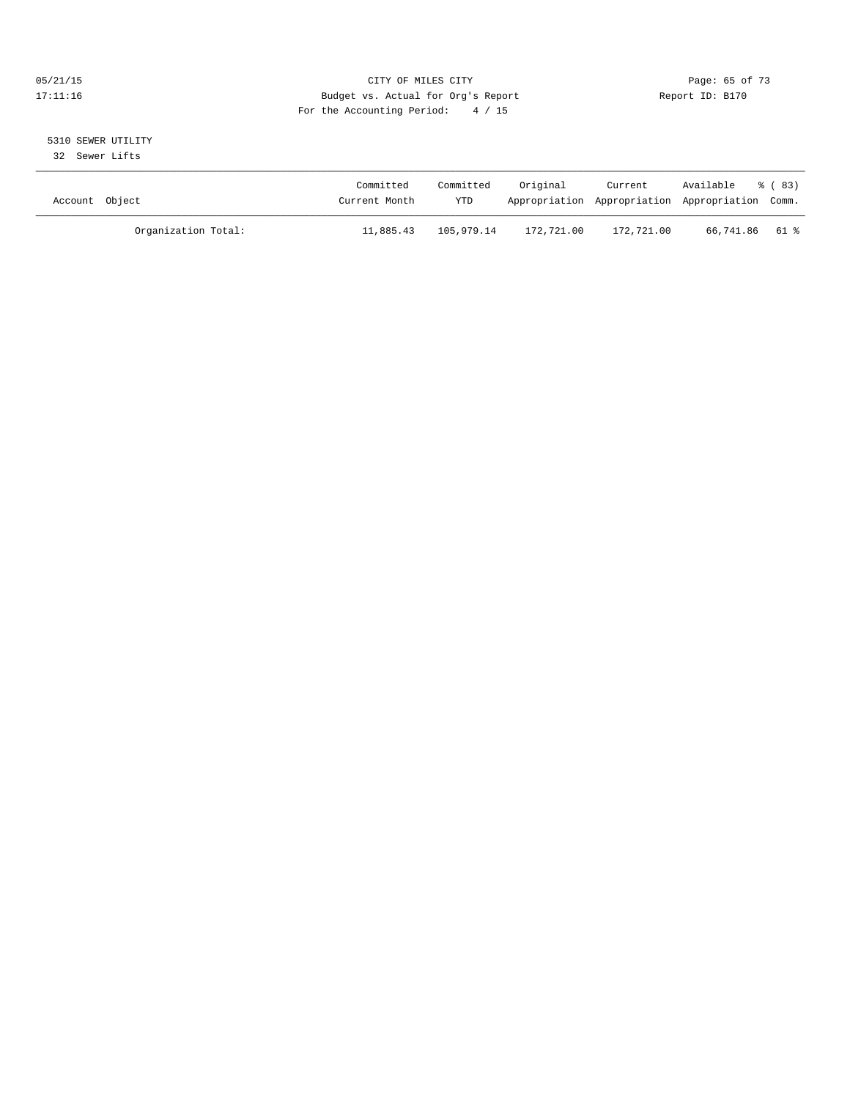#### 05/21/15 **Page: 65 of 73** CITY OF MILES CITY **CITY Page: 65 of 73** 17:11:16 Budget vs. Actual for Org's Report Report ID: B170 For the Accounting Period: 4 / 15

# 5310 SEWER UTILITY

32 Sewer Lifts

| Account Object      | Committed<br>Current Month | Committed<br><b>YTD</b> | Original   | Current    | Available<br>Appropriation Appropriation Appropriation Comm. | ී (83) |
|---------------------|----------------------------|-------------------------|------------|------------|--------------------------------------------------------------|--------|
| Organization Total: | 11,885.43                  | 105,979.14              | 172,721.00 | 172,721.00 | 66,741.86 61 %                                               |        |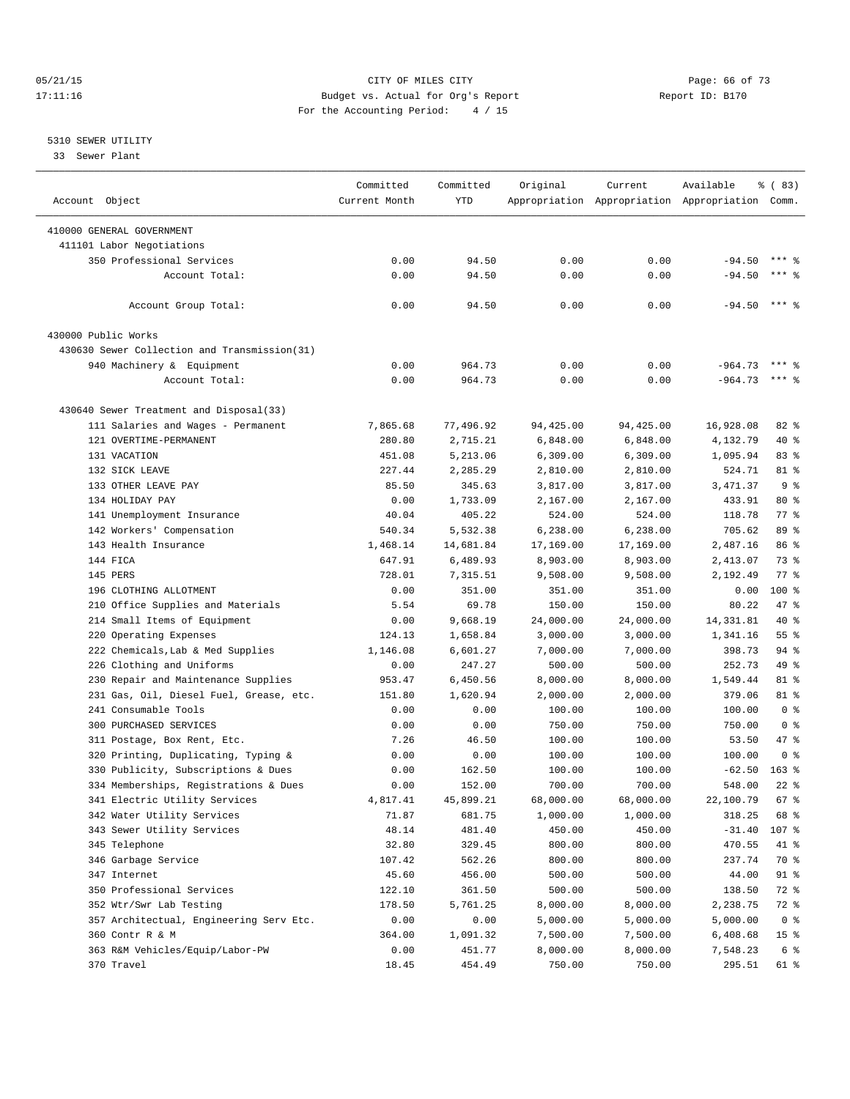#### 05/21/15 **Page: 66 of 73** CITY OF MILES CITY **CITY Page: 66 of 73** 17:11:16 Budget vs. Actual for Org's Report Report ID: B170 For the Accounting Period: 4 / 15

————————————————————————————————————————————————————————————————————————————————————————————————————————————————————————————————————

#### 5310 SEWER UTILITY

33 Sewer Plant

|                                                                                | Committed      | Committed        | Original  | Current          | Available                                       | १ ( 83)         |
|--------------------------------------------------------------------------------|----------------|------------------|-----------|------------------|-------------------------------------------------|-----------------|
| Account Object                                                                 | Current Month  | YTD              |           |                  | Appropriation Appropriation Appropriation Comm. |                 |
|                                                                                |                |                  |           |                  |                                                 |                 |
| 410000 GENERAL GOVERNMENT                                                      |                |                  |           |                  |                                                 |                 |
| 411101 Labor Negotiations                                                      |                |                  |           |                  |                                                 | $***$ 2         |
| 350 Professional Services                                                      | 0.00           | 94.50            | 0.00      | 0.00             | $-94.50$                                        |                 |
| Account Total:                                                                 | 0.00           | 94.50            | 0.00      | 0.00             | $-94.50$                                        | $***$ %         |
| Account Group Total:                                                           | 0.00           | 94.50            | 0.00      | 0.00             | $-94.50$ *** \$                                 |                 |
| 430000 Public Works                                                            |                |                  |           |                  |                                                 |                 |
| 430630 Sewer Collection and Transmission(31)                                   |                |                  |           |                  |                                                 |                 |
| 940 Machinery & Equipment                                                      | 0.00           | 964.73           | 0.00      | 0.00             | $-964.73$                                       |                 |
| Account Total:                                                                 | 0.00           | 964.73           | 0.00      | 0.00             | $-964.73$                                       | $***$ $%$       |
| 430640 Sewer Treatment and Disposal(33)                                        |                |                  |           |                  |                                                 |                 |
| 111 Salaries and Wages - Permanent                                             | 7,865.68       | 77,496.92        | 94,425.00 | 94,425.00        | 16,928.08                                       | 82 %            |
| 121 OVERTIME-PERMANENT                                                         | 280.80         | 2,715.21         | 6,848.00  | 6,848.00         | 4,132.79                                        | 40 %            |
| 131 VACATION                                                                   | 451.08         | 5,213.06         | 6,309.00  | 6,309.00         | 1,095.94                                        | 83%             |
| 132 SICK LEAVE                                                                 | 227.44         | 2,285.29         | 2,810.00  | 2,810.00         | 524.71                                          | 81 %            |
| 133 OTHER LEAVE PAY                                                            | 85.50          | 345.63           | 3,817.00  | 3,817.00         | 3,471.37                                        | 9 <sub>8</sub>  |
| 134 HOLIDAY PAY                                                                | 0.00           | 1,733.09         | 2,167.00  | 2,167.00         | 433.91                                          | $80*$           |
| 141 Unemployment Insurance                                                     | 40.04          | 405.22           | 524.00    | 524.00           | 118.78                                          | 77 %            |
| 142 Workers' Compensation                                                      | 540.34         | 5,532.38         | 6,238.00  | 6, 238.00        | 705.62                                          | 89 %            |
| 143 Health Insurance                                                           | 1,468.14       | 14,681.84        | 17,169.00 | 17,169.00        | 2,487.16                                        | 86 %            |
| 144 FICA                                                                       | 647.91         | 6,489.93         | 8,903.00  | 8,903.00         | 2,413.07                                        | 73 %            |
| 145 PERS                                                                       | 728.01         | 7,315.51         | 9,508.00  | 9,508.00         | 2,192.49                                        | 77 %            |
| 196 CLOTHING ALLOTMENT                                                         | 0.00           | 351.00           | 351.00    | 351.00           | 0.00                                            | 100 %           |
| 210 Office Supplies and Materials                                              | 5.54           | 69.78            | 150.00    | 150.00           | 80.22                                           | 47 %            |
| 214 Small Items of Equipment                                                   | 0.00           | 9,668.19         | 24,000.00 | 24,000.00        | 14, 331.81                                      | 40 %            |
| 220 Operating Expenses                                                         | 124.13         | 1,658.84         | 3,000.00  | 3,000.00         | 1,341.16                                        | $55$ $%$        |
| 222 Chemicals, Lab & Med Supplies                                              | 1,146.08       | 6,601.27         |           | 7,000.00         | 398.73                                          | 94 %            |
|                                                                                |                | 247.27           | 7,000.00  |                  | 252.73                                          | 49 %            |
| 226 Clothing and Uniforms                                                      | 0.00           |                  | 500.00    | 500.00           |                                                 | 81 %            |
| 230 Repair and Maintenance Supplies<br>231 Gas, Oil, Diesel Fuel, Grease, etc. | 953.47         | 6,450.56         | 8,000.00  | 8,000.00         | 1,549.44<br>379.06                              | 81 %            |
| 241 Consumable Tools                                                           | 151.80<br>0.00 | 1,620.94         | 2,000.00  | 2,000.00         | 100.00                                          | 0 <sup>8</sup>  |
| 300 PURCHASED SERVICES                                                         |                | 0.00             | 100.00    | 100.00           |                                                 | 0 <sup>8</sup>  |
|                                                                                | 0.00<br>7.26   | 0.00             | 750.00    | 750.00           | 750.00<br>53.50                                 | 47 %            |
| 311 Postage, Box Rent, Etc.                                                    |                | 46.50            | 100.00    | 100.00           |                                                 | 0 <sup>°</sup>  |
| 320 Printing, Duplicating, Typing &                                            | 0.00           | 0.00             | 100.00    | 100.00<br>100.00 | 100.00                                          | $163$ %         |
| 330 Publicity, Subscriptions & Dues<br>334 Memberships, Registrations & Dues   | 0.00           | 162.50<br>152.00 | 100.00    |                  | $-62.50$                                        | $22$ %          |
|                                                                                | 0.00           |                  | 700.00    | 700.00           | 548.00                                          | 67 %            |
| 341 Electric Utility Services                                                  | 4,817.41       | 45,899.21        | 68,000.00 | 68,000.00        | 22,100.79                                       |                 |
| 342 Water Utility Services<br>343 Sewer Utility Services                       | 71.87          | 681.75<br>481.40 | 1,000.00  | 1,000.00         | 318.25                                          | 68 %<br>107 %   |
|                                                                                | 48.14          |                  | 450.00    | 450.00           | $-31.40$                                        |                 |
| 345 Telephone                                                                  | 32.80          | 329.45           | 800.00    | 800.00           | 470.55                                          | 41 %            |
| 346 Garbage Service                                                            | 107.42         | 562.26           | 800.00    | 800.00           | 237.74                                          | 70 %            |
| 347 Internet                                                                   | 45.60          | 456.00           | 500.00    | 500.00           | 44.00                                           | 91 %            |
| 350 Professional Services                                                      | 122.10         | 361.50           | 500.00    | 500.00           | 138.50                                          | 72 %            |
| 352 Wtr/Swr Lab Testing                                                        | 178.50         | 5,761.25         | 8,000.00  | 8,000.00         | 2,238.75                                        | 72 %            |
| 357 Architectual, Engineering Serv Etc.                                        | 0.00           | 0.00             | 5,000.00  | 5,000.00         | 5,000.00                                        | 0 <sup>8</sup>  |
| 360 Contr R & M                                                                | 364.00         | 1,091.32         | 7,500.00  | 7,500.00         | 6,408.68                                        | 15 <sup>°</sup> |
| 363 R&M Vehicles/Equip/Labor-PW                                                | 0.00           | 451.77           | 8,000.00  | 8,000.00         | 7,548.23                                        | 6 %             |
| 370 Travel                                                                     | 18.45          | 454.49           | 750.00    | 750.00           | 295.51                                          | 61 %            |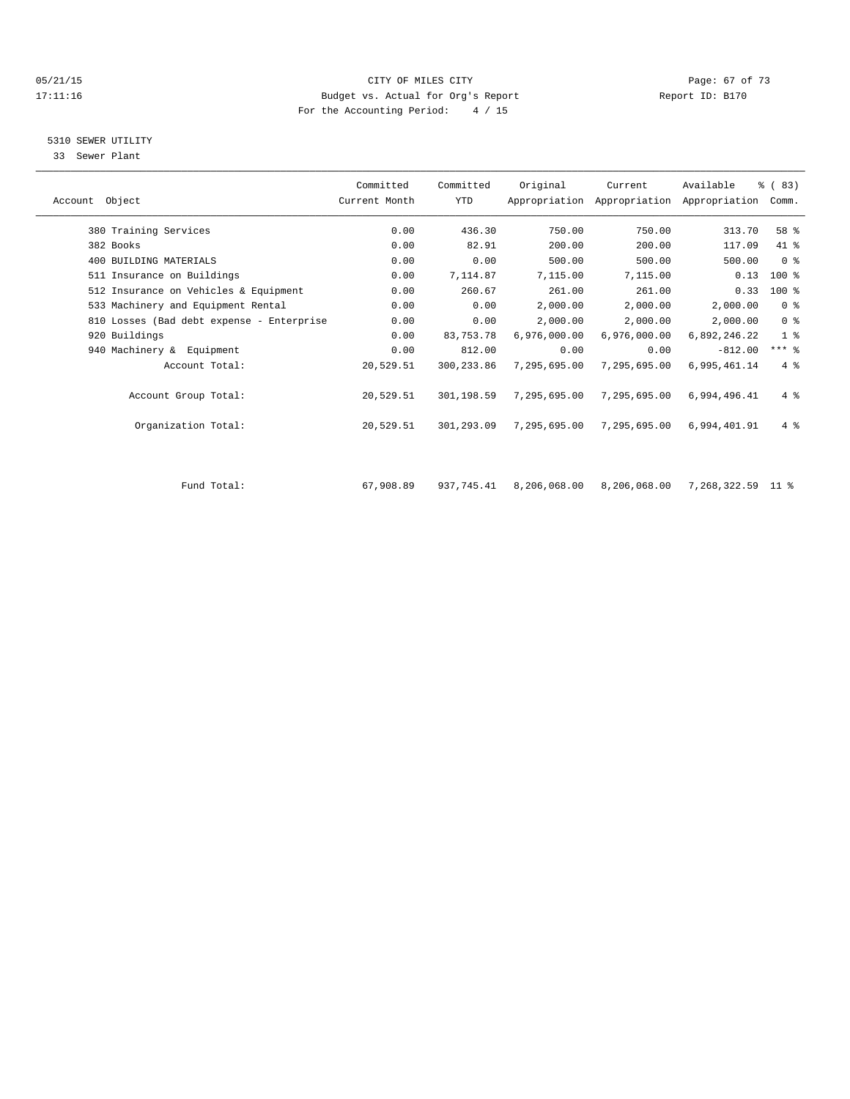#### 05/21/15 Page: 67 of 73 17:11:16 Budget vs. Actual for Org's Report Report ID: B170 For the Accounting Period: 4 / 15

## 5310 SEWER UTILITY

33 Sewer Plant

|                                           | Committed     | Committed   | Original     | Current                                   | Available    | % (83)         |  |
|-------------------------------------------|---------------|-------------|--------------|-------------------------------------------|--------------|----------------|--|
| Account Object                            | Current Month | YTD         |              | Appropriation Appropriation Appropriation |              | Comm.          |  |
| 380 Training Services                     | 0.00          | 436.30      | 750.00       | 750.00                                    | 313.70       | 58 %           |  |
|                                           |               |             |              |                                           |              |                |  |
| 382 Books                                 | 0.00          | 82.91       | 200.00       | 200.00                                    | 117.09       | 41 %           |  |
| 400 BUILDING MATERIALS                    | 0.00          | 0.00        | 500.00       | 500.00                                    | 500.00       | 0 <sup>8</sup> |  |
| 511 Insurance on Buildings                | 0.00          | 7,114.87    | 7,115.00     | 7,115.00                                  | 0.13         | $100$ %        |  |
| 512 Insurance on Vehicles & Equipment     | 0.00          | 260.67      | 261.00       | 261.00                                    | 0.33         | $100$ %        |  |
| 533 Machinery and Equipment Rental        | 0.00          | 0.00        | 2,000.00     | 2,000.00                                  | 2,000.00     | 0 <sup>8</sup> |  |
| 810 Losses (Bad debt expense - Enterprise | 0.00          | 0.00        | 2,000.00     | 2,000.00                                  | 2,000.00     | 0 <sup>8</sup> |  |
| 920 Buildings                             | 0.00          | 83,753.78   | 6,976,000.00 | 6,976,000.00                              | 6,892,246.22 | 1 <sup>8</sup> |  |
| 940 Machinery & Equipment                 | 0.00          | 812.00      | 0.00         | 0.00                                      | $-812.00$    | $***$ $-$      |  |
| Account Total:                            | 20,529.51     | 300, 233.86 | 7,295,695.00 | 7,295,695.00                              | 6,995,461.14 | $4 \text{ }$   |  |
| Account Group Total:                      | 20,529.51     | 301,198.59  | 7,295,695.00 | 7,295,695.00                              | 6,994,496.41 | $4 \text{ }$   |  |
| Organization Total:                       | 20,529.51     | 301,293.09  | 7,295,695.00 | 7,295,695.00                              | 6,994,401.91 | $4 \text{ }$   |  |
|                                           |               |             |              |                                           |              |                |  |
|                                           |               |             |              |                                           |              |                |  |

|  |  |  |  |  |  | ٠ |  |  |  |  |  |       |      |  |
|--|--|--|--|--|--|---|--|--|--|--|--|-------|------|--|
|  |  |  |  |  |  |   |  |  |  |  |  |       |      |  |
|  |  |  |  |  |  |   |  |  |  |  |  |       |      |  |
|  |  |  |  |  |  |   |  |  |  |  |  | Total | Fund |  |
|  |  |  |  |  |  |   |  |  |  |  |  |       |      |  |
|  |  |  |  |  |  |   |  |  |  |  |  |       |      |  |
|  |  |  |  |  |  |   |  |  |  |  |  |       |      |  |
|  |  |  |  |  |  |   |  |  |  |  |  |       |      |  |
|  |  |  |  |  |  |   |  |  |  |  |  |       |      |  |
|  |  |  |  |  |  |   |  |  |  |  |  |       |      |  |
|  |  |  |  |  |  |   |  |  |  |  |  |       |      |  |
|  |  |  |  |  |  |   |  |  |  |  |  |       |      |  |
|  |  |  |  |  |  |   |  |  |  |  |  |       |      |  |
|  |  |  |  |  |  |   |  |  |  |  |  |       |      |  |
|  |  |  |  |  |  |   |  |  |  |  |  |       |      |  |
|  |  |  |  |  |  |   |  |  |  |  |  |       |      |  |
|  |  |  |  |  |  |   |  |  |  |  |  |       |      |  |
|  |  |  |  |  |  |   |  |  |  |  |  |       |      |  |
|  |  |  |  |  |  |   |  |  |  |  |  |       |      |  |
|  |  |  |  |  |  |   |  |  |  |  |  |       |      |  |
|  |  |  |  |  |  |   |  |  |  |  |  |       |      |  |
|  |  |  |  |  |  |   |  |  |  |  |  |       |      |  |
|  |  |  |  |  |  |   |  |  |  |  |  |       |      |  |
|  |  |  |  |  |  |   |  |  |  |  |  |       |      |  |
|  |  |  |  |  |  |   |  |  |  |  |  |       |      |  |
|  |  |  |  |  |  |   |  |  |  |  |  |       |      |  |
|  |  |  |  |  |  |   |  |  |  |  |  |       |      |  |
|  |  |  |  |  |  |   |  |  |  |  |  |       |      |  |
|  |  |  |  |  |  |   |  |  |  |  |  |       |      |  |
|  |  |  |  |  |  |   |  |  |  |  |  |       |      |  |
|  |  |  |  |  |  |   |  |  |  |  |  |       |      |  |
|  |  |  |  |  |  |   |  |  |  |  |  |       |      |  |
|  |  |  |  |  |  |   |  |  |  |  |  |       |      |  |
|  |  |  |  |  |  |   |  |  |  |  |  |       |      |  |
|  |  |  |  |  |  |   |  |  |  |  |  |       |      |  |
|  |  |  |  |  |  |   |  |  |  |  |  |       |      |  |
|  |  |  |  |  |  |   |  |  |  |  |  |       |      |  |
|  |  |  |  |  |  |   |  |  |  |  |  |       |      |  |
|  |  |  |  |  |  |   |  |  |  |  |  |       |      |  |
|  |  |  |  |  |  |   |  |  |  |  |  |       |      |  |
|  |  |  |  |  |  |   |  |  |  |  |  |       |      |  |
|  |  |  |  |  |  |   |  |  |  |  |  |       |      |  |
|  |  |  |  |  |  |   |  |  |  |  |  |       |      |  |
|  |  |  |  |  |  |   |  |  |  |  |  |       |      |  |
|  |  |  |  |  |  |   |  |  |  |  |  |       |      |  |
|  |  |  |  |  |  |   |  |  |  |  |  |       |      |  |
|  |  |  |  |  |  |   |  |  |  |  |  |       |      |  |
|  |  |  |  |  |  |   |  |  |  |  |  |       |      |  |
|  |  |  |  |  |  |   |  |  |  |  |  |       |      |  |
|  |  |  |  |  |  |   |  |  |  |  |  |       |      |  |

 $67,908.89$  937,745.41 8,206,068.00 8,206,068.00 7,268,322.59 11 %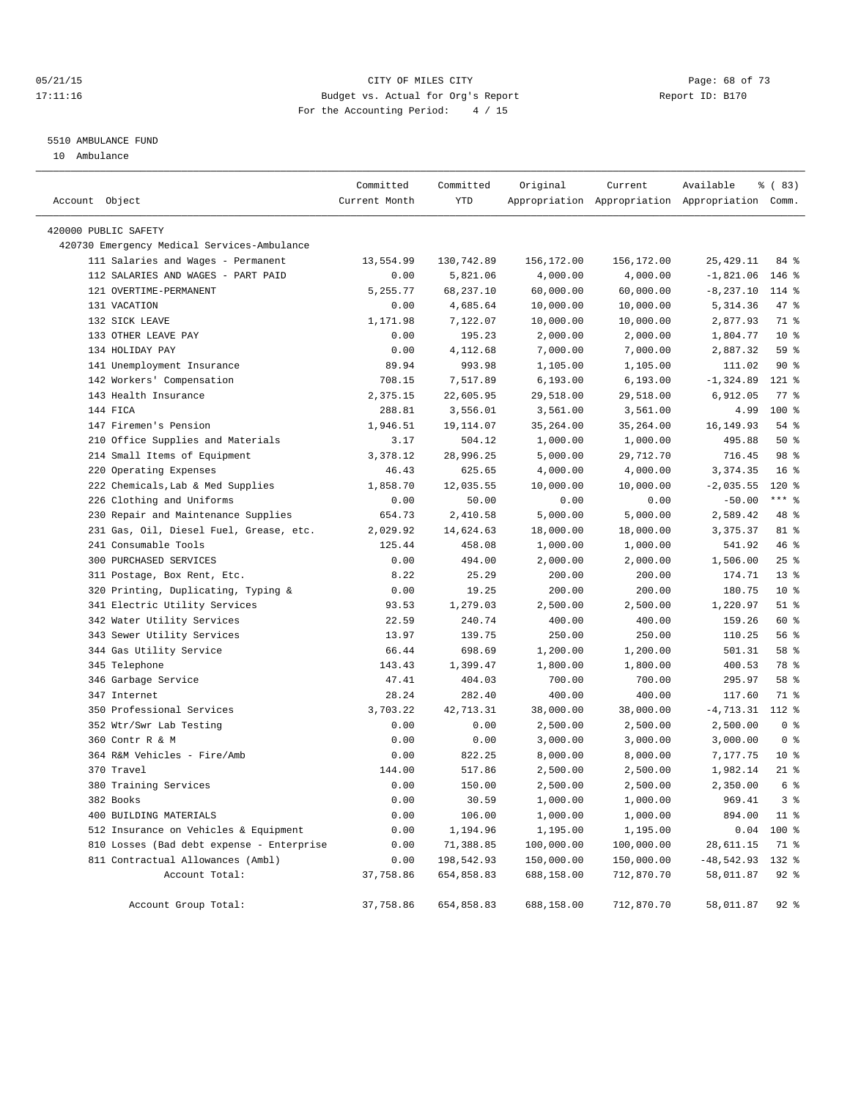#### 05/21/15 **Page: 68 of 73** CITY OF MILES CITY **CITY Page: 68 of 73** 17:11:16 Budget vs. Actual for Org's Report Changer Report ID: B170 For the Accounting Period: 4 / 15

#### 5510 AMBULANCE FUND

10 Ambulance

| Account Object       |                                             | Committed<br>Current Month | Committed<br><b>YTD</b> | Original   | Current    | Available<br>Appropriation Appropriation Appropriation Comm. | % (83)             |
|----------------------|---------------------------------------------|----------------------------|-------------------------|------------|------------|--------------------------------------------------------------|--------------------|
| 420000 PUBLIC SAFETY |                                             |                            |                         |            |            |                                                              |                    |
|                      | 420730 Emergency Medical Services-Ambulance |                            |                         |            |            |                                                              |                    |
|                      | 111 Salaries and Wages - Permanent          | 13,554.99                  | 130,742.89              | 156,172.00 | 156,172.00 | 25, 429.11                                                   | 84 %               |
|                      | 112 SALARIES AND WAGES - PART PAID          | 0.00                       | 5,821.06                | 4,000.00   | 4,000.00   | $-1,821.06$                                                  | $146$ %            |
|                      | 121 OVERTIME-PERMANENT                      | 5,255.77                   | 68,237.10               | 60,000.00  | 60,000.00  | $-8, 237.10$                                                 | 114 %              |
|                      | 131 VACATION                                | 0.00                       | 4,685.64                | 10,000.00  | 10,000.00  | 5,314.36                                                     | 47 %               |
|                      | 132 SICK LEAVE                              | 1,171.98                   | 7,122.07                | 10,000.00  | 10,000.00  | 2,877.93                                                     | 71 %               |
|                      | 133 OTHER LEAVE PAY                         | 0.00                       | 195.23                  | 2,000.00   | 2,000.00   | 1,804.77                                                     | $10*$              |
|                      | 134 HOLIDAY PAY                             | 0.00                       | 4,112.68                | 7,000.00   | 7,000.00   | 2,887.32                                                     | 59 %               |
|                      | 141 Unemployment Insurance                  | 89.94                      | 993.98                  | 1,105.00   | 1,105.00   | 111.02                                                       | 90%                |
|                      | 142 Workers' Compensation                   | 708.15                     | 7,517.89                | 6, 193.00  | 6, 193.00  | $-1, 324.89$                                                 | $121$ %            |
|                      | 143 Health Insurance                        | 2,375.15                   | 22,605.95               | 29,518.00  | 29,518.00  | 6,912.05                                                     | $77$ $\frac{6}{9}$ |
| 144 FICA             |                                             | 288.81                     | 3,556.01                | 3,561.00   | 3,561.00   | 4.99                                                         | 100 %              |
|                      | 147 Firemen's Pension                       | 1,946.51                   | 19,114.07               | 35, 264.00 | 35,264.00  | 16, 149.93                                                   | 54 %               |
|                      | 210 Office Supplies and Materials           | 3.17                       | 504.12                  | 1,000.00   | 1,000.00   | 495.88                                                       | 50%                |
|                      | 214 Small Items of Equipment                | 3,378.12                   | 28,996.25               | 5,000.00   | 29,712.70  | 716.45                                                       | 98 %               |
|                      | 220 Operating Expenses                      | 46.43                      | 625.65                  | 4,000.00   | 4,000.00   | 3,374.35                                                     | 16 <sup>°</sup>    |
|                      | 222 Chemicals, Lab & Med Supplies           | 1,858.70                   | 12,035.55               | 10,000.00  | 10,000.00  | $-2,035.55$                                                  | $120*$             |
|                      | 226 Clothing and Uniforms                   | 0.00                       | 50.00                   | 0.00       | 0.00       | $-50.00$                                                     | $***$ $_{8}$       |
|                      | 230 Repair and Maintenance Supplies         | 654.73                     | 2,410.58                | 5,000.00   | 5,000.00   | 2,589.42                                                     | 48 %               |
|                      | 231 Gas, Oil, Diesel Fuel, Grease, etc.     | 2,029.92                   | 14,624.63               | 18,000.00  | 18,000.00  | 3,375.37                                                     | 81 %               |
|                      | 241 Consumable Tools                        | 125.44                     | 458.08                  | 1,000.00   | 1,000.00   | 541.92                                                       | 46 %               |
|                      | 300 PURCHASED SERVICES                      | 0.00                       | 494.00                  | 2,000.00   | 2,000.00   | 1,506.00                                                     | $25$ $%$           |
|                      | 311 Postage, Box Rent, Etc.                 | 8.22                       | 25.29                   | 200.00     | 200.00     | 174.71                                                       | $13*$              |
|                      | 320 Printing, Duplicating, Typing &         | 0.00                       | 19.25                   | 200.00     | 200.00     | 180.75                                                       | $10*$              |
|                      | 341 Electric Utility Services               | 93.53                      | 1,279.03                | 2,500.00   | 2,500.00   | 1,220.97                                                     | $51$ %             |
|                      | 342 Water Utility Services                  | 22.59                      | 240.74                  | 400.00     | 400.00     | 159.26                                                       | 60 %               |
|                      | 343 Sewer Utility Services                  | 13.97                      | 139.75                  | 250.00     | 250.00     | 110.25                                                       | 56 %               |
|                      | 344 Gas Utility Service                     | 66.44                      | 698.69                  | 1,200.00   | 1,200.00   | 501.31                                                       | 58 %               |
|                      | 345 Telephone                               | 143.43                     | 1,399.47                | 1,800.00   | 1,800.00   | 400.53                                                       | 78 %               |
|                      | 346 Garbage Service                         | 47.41                      | 404.03                  | 700.00     | 700.00     | 295.97                                                       | 58 %               |
|                      | 347 Internet                                | 28.24                      | 282.40                  | 400.00     | 400.00     | 117.60                                                       | 71 %               |
|                      | 350 Professional Services                   | 3,703.22                   | 42,713.31               | 38,000.00  | 38,000.00  | $-4,713.31$                                                  | 112 %              |
|                      | 352 Wtr/Swr Lab Testing                     | 0.00                       | 0.00                    | 2,500.00   | 2,500.00   | 2,500.00                                                     | 0 <sup>8</sup>     |
|                      | 360 Contr R & M                             | 0.00                       | 0.00                    | 3,000.00   | 3,000.00   | 3,000.00                                                     | 0 <sup>8</sup>     |
|                      | 364 R&M Vehicles - Fire/Amb                 | 0.00                       | 822.25                  | 8,000.00   | 8,000.00   | 7,177.75                                                     | $10*$              |
|                      | 370 Travel                                  | 144.00                     | 517.86                  | 2,500.00   | 2,500.00   | 1,982.14                                                     | $21$ %             |
|                      | 380 Training Services                       | 0.00                       | 150.00                  | 2,500.00   | 2,500.00   | 2,350.00                                                     | 6 %                |
| 382 Books            |                                             | 0.00                       | 30.59                   | 1,000.00   | 1,000.00   | 969.41                                                       | 3 <sup>8</sup>     |
|                      | 400 BUILDING MATERIALS                      | 0.00                       | 106.00                  | 1,000.00   | 1,000.00   | 894.00                                                       | $11$ %             |
|                      | 512 Insurance on Vehicles & Equipment       | 0.00                       | 1,194.96                | 1,195.00   | 1,195.00   | 0.04                                                         | 100 %              |
|                      | 810 Losses (Bad debt expense - Enterprise   | 0.00                       | 71,388.85               | 100,000.00 | 100,000.00 | 28,611.15                                                    | 71 %               |
|                      | 811 Contractual Allowances (Ambl)           | 0.00                       | 198,542.93              | 150,000.00 | 150,000.00 | $-48,542.93$                                                 | 132 %              |
|                      | Account Total:                              | 37,758.86                  | 654,858.83              | 688,158.00 | 712,870.70 | 58,011.87                                                    | $92$ $%$           |
|                      | Account Group Total:                        | 37,758.86                  | 654,858.83              | 688,158.00 | 712,870.70 | 58,011.87                                                    | 92 %               |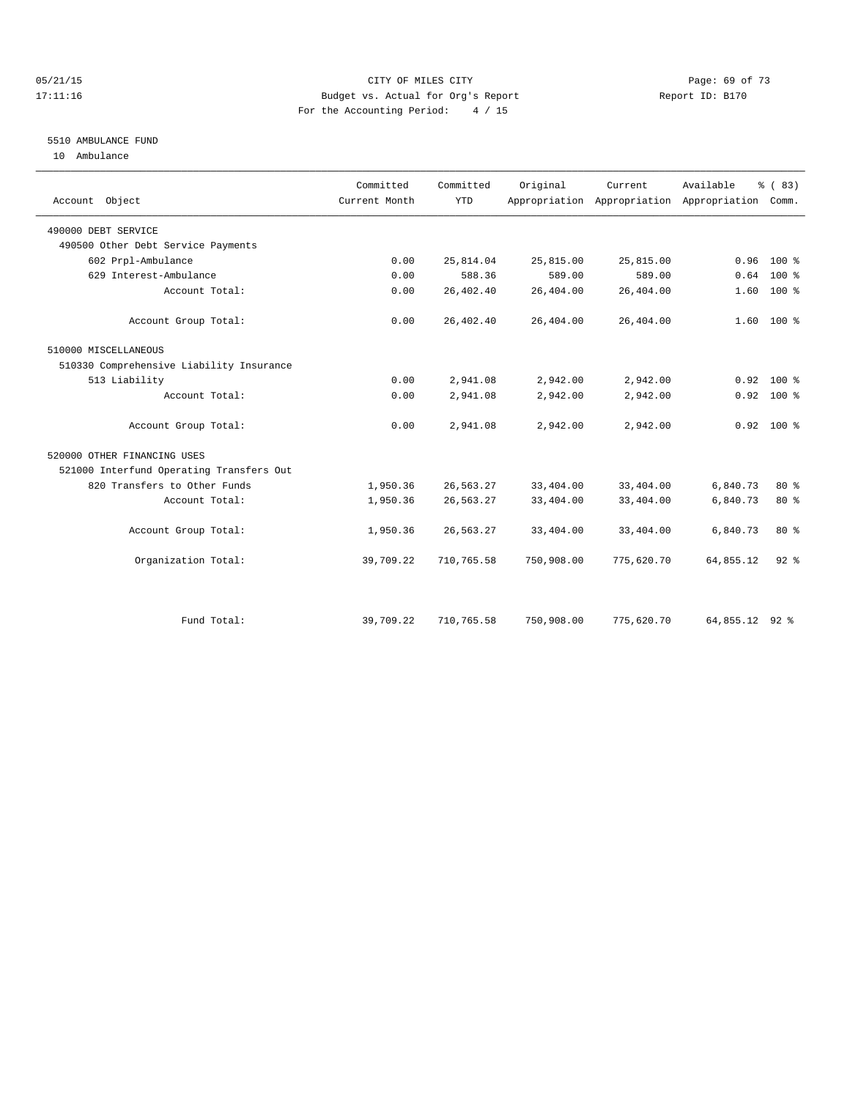#### 05/21/15 **Page: 69 of 73** CITY OF MILES CITY **CITY** CITY **Page: 69 of 73** 17:11:16 Budget vs. Actual for Org's Report Report ID: B170 For the Accounting Period: 4 / 15

### 5510 AMBULANCE FUND

10 Ambulance

| Account Object                           | Committed<br>Current Month | Committed<br><b>YTD</b> | Original   | Current.   | Available<br>Appropriation Appropriation Appropriation Comm. | % (83)       |  |
|------------------------------------------|----------------------------|-------------------------|------------|------------|--------------------------------------------------------------|--------------|--|
| 490000 DEBT SERVICE                      |                            |                         |            |            |                                                              |              |  |
| 490500 Other Debt Service Payments       |                            |                         |            |            |                                                              |              |  |
| 602 Prpl-Ambulance                       | 0.00                       | 25,814.04               | 25,815.00  | 25,815.00  | 0.96                                                         | $100*$       |  |
| 629 Interest-Ambulance                   | 0.00                       | 588.36                  | 589.00     | 589.00     | 0.64                                                         | $100*$       |  |
| Account Total:                           | 0.00                       | 26,402.40               | 26,404.00  | 26,404.00  | 1.60                                                         | $100*$       |  |
| Account Group Total:                     | 0.00                       | 26,402.40               | 26,404.00  | 26,404.00  |                                                              | $1.60$ 100 % |  |
| 510000 MISCELLANEOUS                     |                            |                         |            |            |                                                              |              |  |
| 510330 Comprehensive Liability Insurance |                            |                         |            |            |                                                              |              |  |
| 513 Liability                            | 0.00                       | 2,941.08                | 2,942.00   | 2,942.00   | 0.92                                                         | $100*$       |  |
| Account Total:                           | 0.00                       | 2,941.08                | 2,942.00   | 2,942.00   | 0.92                                                         | 100 %        |  |
| Account Group Total:                     | 0.00                       | 2,941.08                | 2,942.00   | 2,942.00   |                                                              | $0.92$ 100 % |  |
| 520000 OTHER FINANCING USES              |                            |                         |            |            |                                                              |              |  |
| 521000 Interfund Operating Transfers Out |                            |                         |            |            |                                                              |              |  |
| 820 Transfers to Other Funds             | 1,950.36                   | 26,563.27               | 33,404.00  | 33,404.00  | 6,840.73                                                     | 80 %         |  |
| Account Total:                           | 1,950.36                   | 26,563.27               | 33,404.00  | 33,404.00  | 6,840.73                                                     | $80*$        |  |
| Account Group Total:                     | 1,950.36                   | 26,563.27               | 33,404.00  | 33,404.00  | 6,840.73                                                     | $80*$        |  |
| Organization Total:                      | 39,709.22                  | 710,765.58              | 750,908.00 | 775,620.70 | 64,855.12                                                    | $92$ $%$     |  |
|                                          |                            |                         |            |            |                                                              |              |  |
| Fund Total:                              | 39,709.22                  | 710,765.58              | 750,908.00 | 775,620.70 | 64,855.12 92 %                                               |              |  |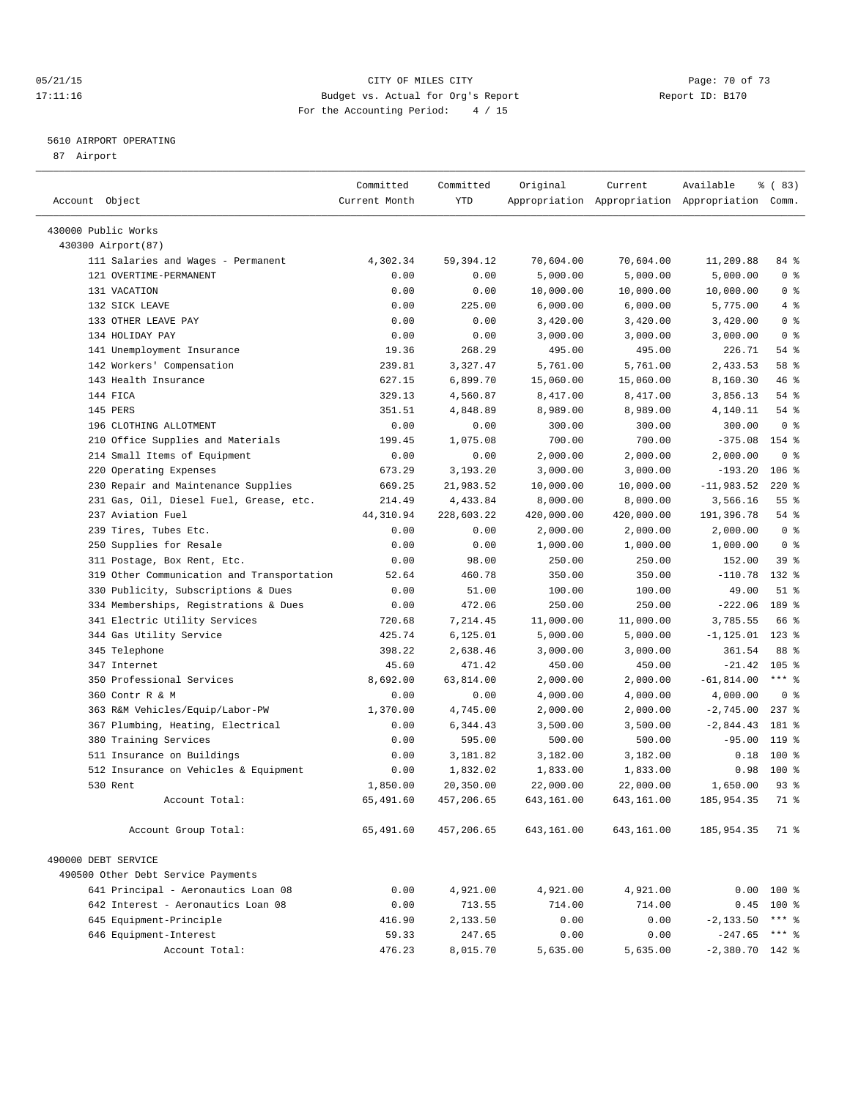#### 05/21/15 CITY OF MILES CITY Page: 70 of 73 17:11:16 Budget vs. Actual for Org's Report Report ID: B170 For the Accounting Period: 4 / 15

————————————————————————————————————————————————————————————————————————————————————————————————————————————————————————————————————

#### 5610 AIRPORT OPERATING

87 Airport

|                                            | Committed     | Committed   | Original   | Current    | Available                                       | १ ( 83)          |
|--------------------------------------------|---------------|-------------|------------|------------|-------------------------------------------------|------------------|
| Account Object                             | Current Month | YTD         |            |            | Appropriation Appropriation Appropriation Comm. |                  |
| 430000 Public Works                        |               |             |            |            |                                                 |                  |
| 430300 Airport (87)                        |               |             |            |            |                                                 |                  |
| 111 Salaries and Wages - Permanent         | 4,302.34      | 59, 394. 12 | 70,604.00  | 70,604.00  | 11,209.88                                       | 84 %             |
| 121 OVERTIME-PERMANENT                     | 0.00          | 0.00        | 5,000.00   | 5,000.00   | 5,000.00                                        | 0 <sup>8</sup>   |
| 131 VACATION                               | 0.00          | 0.00        | 10,000.00  | 10,000.00  | 10,000.00                                       | 0 <sup>8</sup>   |
| 132 SICK LEAVE                             | 0.00          | 225.00      | 6,000.00   | 6,000.00   | 5,775.00                                        | 4%               |
| 133 OTHER LEAVE PAY                        | 0.00          | 0.00        | 3,420.00   | 3,420.00   | 3,420.00                                        | 0 <sup>8</sup>   |
| 134 HOLIDAY PAY                            | 0.00          | 0.00        | 3,000.00   | 3,000.00   | 3,000.00                                        | 0 <sup>8</sup>   |
| 141 Unemployment Insurance                 | 19.36         | 268.29      | 495.00     | 495.00     | 226.71                                          | 54 %             |
| 142 Workers' Compensation                  | 239.81        | 3,327.47    | 5,761.00   | 5,761.00   | 2,433.53                                        | 58 %             |
| 143 Health Insurance                       | 627.15        | 6,899.70    | 15,060.00  | 15,060.00  | 8,160.30                                        | 46%              |
| 144 FICA                                   | 329.13        | 4,560.87    | 8,417.00   | 8,417.00   | 3,856.13                                        | 54 %             |
| 145 PERS                                   | 351.51        | 4,848.89    | 8,989.00   | 8,989.00   | 4,140.11                                        | 54 %             |
| 196 CLOTHING ALLOTMENT                     | 0.00          | 0.00        | 300.00     | 300.00     | 300.00                                          | 0 <sup>8</sup>   |
| 210 Office Supplies and Materials          | 199.45        | 1,075.08    | 700.00     | 700.00     | $-375.08$                                       | 154 %            |
| 214 Small Items of Equipment               | 0.00          | 0.00        | 2,000.00   | 2,000.00   | 2,000.00                                        | 0 <sup>8</sup>   |
| 220 Operating Expenses                     | 673.29        | 3,193.20    | 3,000.00   | 3,000.00   | $-193.20$                                       | $106$ %          |
| 230 Repair and Maintenance Supplies        | 669.25        | 21,983.52   | 10,000.00  | 10,000.00  | $-11,983.52$                                    | $220$ %          |
| 231 Gas, Oil, Diesel Fuel, Grease, etc.    | 214.49        | 4,433.84    | 8,000.00   | 8,000.00   | 3,566.16                                        | $55$ $%$         |
| 237 Aviation Fuel                          | 44,310.94     | 228,603.22  | 420,000.00 | 420,000.00 | 191,396.78                                      | 54 %             |
| 239 Tires, Tubes Etc.                      | 0.00          | 0.00        | 2,000.00   | 2,000.00   | 2,000.00                                        | 0 <sup>8</sup>   |
| 250 Supplies for Resale                    | 0.00          | 0.00        | 1,000.00   | 1,000.00   | 1,000.00                                        | 0 <sup>8</sup>   |
| 311 Postage, Box Rent, Etc.                | 0.00          | 98.00       | 250.00     | 250.00     | 152.00                                          | 39 %             |
| 319 Other Communication and Transportation | 52.64         | 460.78      | 350.00     | 350.00     | $-110.78$                                       | 132 %            |
| 330 Publicity, Subscriptions & Dues        | 0.00          | 51.00       | 100.00     | 100.00     | 49.00                                           | $51$ %           |
| 334 Memberships, Registrations & Dues      | 0.00          | 472.06      | 250.00     | 250.00     | $-222.06$                                       | 189 %            |
| 341 Electric Utility Services              | 720.68        | 7,214.45    | 11,000.00  | 11,000.00  | 3,785.55                                        | 66 %             |
| 344 Gas Utility Service                    | 425.74        | 6, 125.01   | 5,000.00   | 5,000.00   | $-1, 125.01$                                    | $123$ %          |
| 345 Telephone                              | 398.22        | 2,638.46    | 3,000.00   | 3,000.00   | 361.54                                          | 88 %             |
| 347 Internet                               | 45.60         | 471.42      | 450.00     | 450.00     | $-21.42$                                        | 105 <sub>8</sub> |
| 350 Professional Services                  | 8,692.00      | 63,814.00   | 2,000.00   | 2,000.00   | $-61,814.00$                                    | $***$ $-$        |
| 360 Contr R & M                            | 0.00          | 0.00        | 4,000.00   | 4,000.00   | 4,000.00                                        | 0 <sup>8</sup>   |
| 363 R&M Vehicles/Equip/Labor-PW            | 1,370.00      | 4,745.00    | 2,000.00   | 2,000.00   | $-2,745.00$                                     | $237$ $%$        |
| 367 Plumbing, Heating, Electrical          | 0.00          | 6,344.43    | 3,500.00   | 3,500.00   | $-2,844.43$                                     | 181 %            |
| 380 Training Services                      | 0.00          | 595.00      | 500.00     | 500.00     | $-95.00$                                        | 119 %            |
| 511 Insurance on Buildings                 | 0.00          | 3,181.82    | 3,182.00   | 3,182.00   | 0.18                                            | 100 %            |
| 512 Insurance on Vehicles & Equipment      | 0.00          | 1,832.02    | 1,833.00   | 1,833.00   | 0.98                                            | $100*$           |
| 530 Rent                                   | 1,850.00      | 20,350.00   | 22,000.00  | 22,000.00  | 1,650.00                                        | $93$ $%$         |
| Account Total:                             | 65,491.60     | 457,206.65  | 643,161.00 | 643,161.00 | 185,954.35                                      | 71.8             |
| Account Group Total:                       | 65,491.60     | 457,206.65  | 643,161.00 | 643,161.00 | 185,954.35                                      | 71 %             |
|                                            |               |             |            |            |                                                 |                  |
| 490000 DEBT SERVICE                        |               |             |            |            |                                                 |                  |
| 490500 Other Debt Service Payments         |               |             |            |            |                                                 |                  |
| 641 Principal - Aeronautics Loan 08        | 0.00          | 4,921.00    | 4,921.00   | 4,921.00   |                                                 | $0.00$ 100 %     |
| 642 Interest - Aeronautics Loan 08         | 0.00          | 713.55      | 714.00     | 714.00     | 0.45                                            | $100$ %          |
| 645 Equipment-Principle                    | 416.90        | 2,133.50    | 0.00       | 0.00       | $-2, 133.50$                                    | *** 응            |
| 646 Equipment-Interest                     | 59.33         | 247.65      | 0.00       | 0.00       | $-247.65$ *** \$                                |                  |
| Account Total:                             | 476.23        | 8,015.70    | 5,635.00   | 5,635.00   | $-2,380.70$ 142 %                               |                  |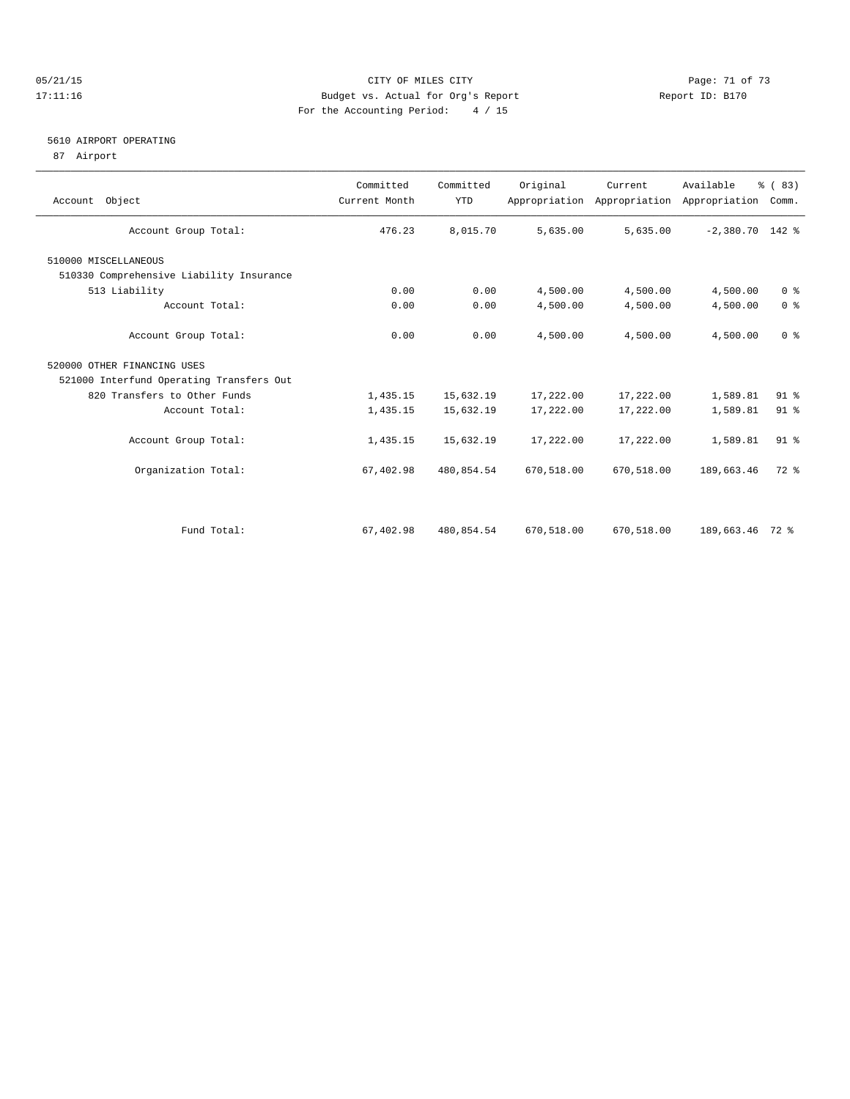#### 05/21/15 Page: 71 of 73 17:11:16 Budget vs. Actual for Org's Report Report ID: B170 For the Accounting Period: 4 / 15

#### 5610 AIRPORT OPERATING

87 Airport

| Account Object                           | Committed<br>Current Month | Committed<br><b>YTD</b> | Original   | Current    | Available<br>Appropriation Appropriation Appropriation | % (83)<br>Comm. |
|------------------------------------------|----------------------------|-------------------------|------------|------------|--------------------------------------------------------|-----------------|
| Account Group Total:                     | 476.23                     | 8,015.70                | 5,635.00   | 5,635.00   | $-2,380.70$ 142 %                                      |                 |
| 510000 MISCELLANEOUS                     |                            |                         |            |            |                                                        |                 |
| 510330 Comprehensive Liability Insurance |                            |                         |            |            |                                                        |                 |
| 513 Liability                            | 0.00                       | 0.00                    | 4,500.00   | 4,500.00   | 4,500.00                                               | 0 <sup>8</sup>  |
| Account Total:                           | 0.00                       | 0.00                    | 4,500.00   | 4,500.00   | 4,500.00                                               | 0 <sup>8</sup>  |
| Account Group Total:                     | 0.00                       | 0.00                    | 4,500.00   | 4,500.00   | 4,500.00                                               | 0 <sup>8</sup>  |
| 520000 OTHER FINANCING USES              |                            |                         |            |            |                                                        |                 |
| 521000 Interfund Operating Transfers Out |                            |                         |            |            |                                                        |                 |
| 820 Transfers to Other Funds             | 1,435.15                   | 15,632.19               | 17,222.00  | 17,222.00  | 1,589.81                                               | 91 %            |
| Account Total:                           | 1,435.15                   | 15,632.19               | 17,222.00  | 17,222.00  | 1,589.81                                               | 91 %            |
| Account Group Total:                     | 1,435.15                   | 15,632.19               | 17,222.00  | 17,222.00  | 1,589.81                                               | 91 <sup>°</sup> |
| Organization Total:                      | 67,402.98                  | 480,854.54              | 670,518.00 | 670,518.00 | 189,663.46                                             | $72$ $%$        |
|                                          |                            |                         |            |            |                                                        |                 |
| Fund Total:                              | 67,402.98                  | 480,854.54              | 670,518.00 | 670,518.00 | 189,663.46 72 %                                        |                 |